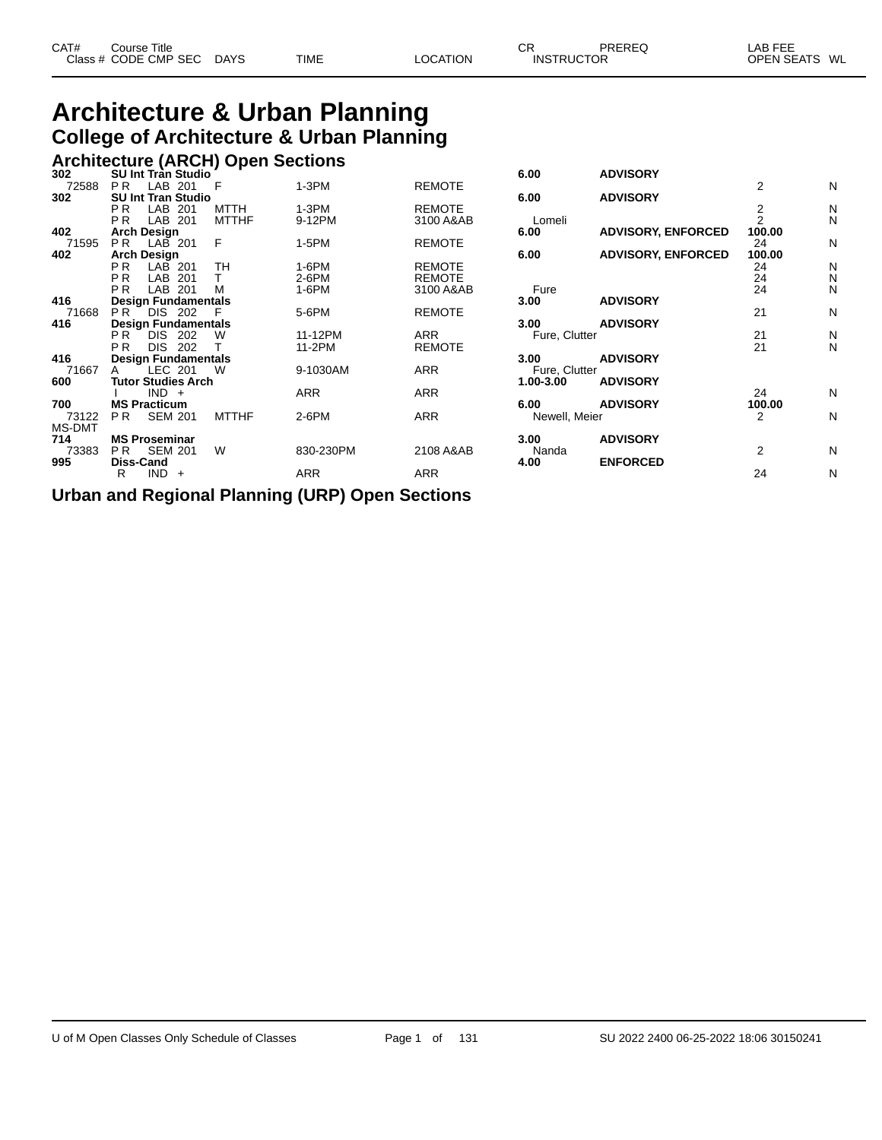## **Architecture & Urban Planning College of Architecture & Urban Planning**

|     |                    | <b>Architecture (ARCH) Open Sections</b> |
|-----|--------------------|------------------------------------------|
| วกว | SH Int Tran Studio |                                          |

| 302           | <b>SU Int Tran Studio</b>           |              |            |               | 6.00          | <b>ADVISORY</b>           |                |   |
|---------------|-------------------------------------|--------------|------------|---------------|---------------|---------------------------|----------------|---|
| 72588         | P <sub>R</sub><br>LAB 201           | - F          | $1-3PM$    | <b>REMOTE</b> |               |                           | $\overline{2}$ | N |
| 302           | <b>SU Int Tran Studio</b>           |              |            |               | 6.00          | <b>ADVISORY</b>           |                |   |
|               | LAB 201<br>P <sub>R</sub>           | <b>MTTH</b>  | $1-3PM$    | <b>REMOTE</b> |               |                           | 2              | N |
|               | LAB 201<br>P <sub>R</sub>           | <b>MTTHF</b> | 9-12PM     | 3100 A&AB     | Lomeli        |                           | $\overline{2}$ | N |
| 402           | <b>Arch Design</b>                  |              |            |               | 6.00          | <b>ADVISORY, ENFORCED</b> | 100.00         |   |
| 71595         | LAB 201<br>PR.                      | F            | 1-5PM      | <b>REMOTE</b> |               |                           | 24             | N |
| 402           | <b>Arch Design</b>                  |              |            |               | 6.00          | <b>ADVISORY, ENFORCED</b> | 100.00         |   |
|               | PR.<br>$LAB$ 201                    | TН           | 1-6PM      | <b>REMOTE</b> |               |                           | 24             | N |
|               | P <sub>R</sub><br>LAB 201           |              | $2-6$ PM   | <b>REMOTE</b> |               |                           | 24             | N |
|               | P <sub>R</sub><br>LAB 201           | м            | 1-6PM      | 3100 A&AB     | Fure          |                           | 24             | N |
| 416           | <b>Design Fundamentals</b>          |              |            |               | 3.00          | <b>ADVISORY</b>           |                |   |
| 71668         | PR.<br>DIS 202                      |              | 5-6PM      | <b>REMOTE</b> |               |                           | 21             | N |
| 416           | <b>Design Fundamentals</b>          |              |            |               | 3.00          | <b>ADVISORY</b>           |                |   |
|               | DIS.<br>P <sub>R</sub><br>202       | W            | 11-12PM    | <b>ARR</b>    | Fure, Clutter |                           | 21             | N |
|               | <b>DIS</b><br>P <sub>R</sub><br>202 |              | 11-2PM     | <b>REMOTE</b> |               |                           | 21             | N |
| 416           | <b>Design Fundamentals</b>          |              |            |               | 3.00          | <b>ADVISORY</b>           |                |   |
| 71667         | LEC 201                             | W            | 9-1030AM   | ARR           | Fure, Clutter |                           |                |   |
| 600           | <b>Tutor Studies Arch</b>           |              |            |               | $1.00 - 3.00$ | <b>ADVISORY</b>           |                |   |
|               | $IND +$                             |              | <b>ARR</b> | <b>ARR</b>    |               |                           | 24             | N |
| 700           | <b>MS Practicum</b>                 |              |            |               | 6.00          | <b>ADVISORY</b>           | 100.00         |   |
| 73122         | <b>SEM 201</b><br>PR.               | <b>MTTHF</b> | $2-6$ PM   | <b>ARR</b>    | Newell, Meier |                           | 2              | N |
| <b>MS-DMT</b> |                                     |              |            |               |               |                           |                |   |
| 714           | <b>MS Proseminar</b>                |              |            |               | 3.00          | <b>ADVISORY</b>           |                |   |
| 73383         | <b>SEM 201</b><br>PR.               | W            | 830-230PM  | 2108 A&AB     | Nanda         |                           | 2              | N |
| 995           | Diss-Cand                           |              |            |               | 4.00          | <b>ENFORCED</b>           |                |   |
|               | $IND +$<br>R                        |              | ARR        | ARR           |               |                           | 24             | N |
|               |                                     |              |            |               |               |                           |                |   |

**Urban and Regional Planning (URP) Open Sections**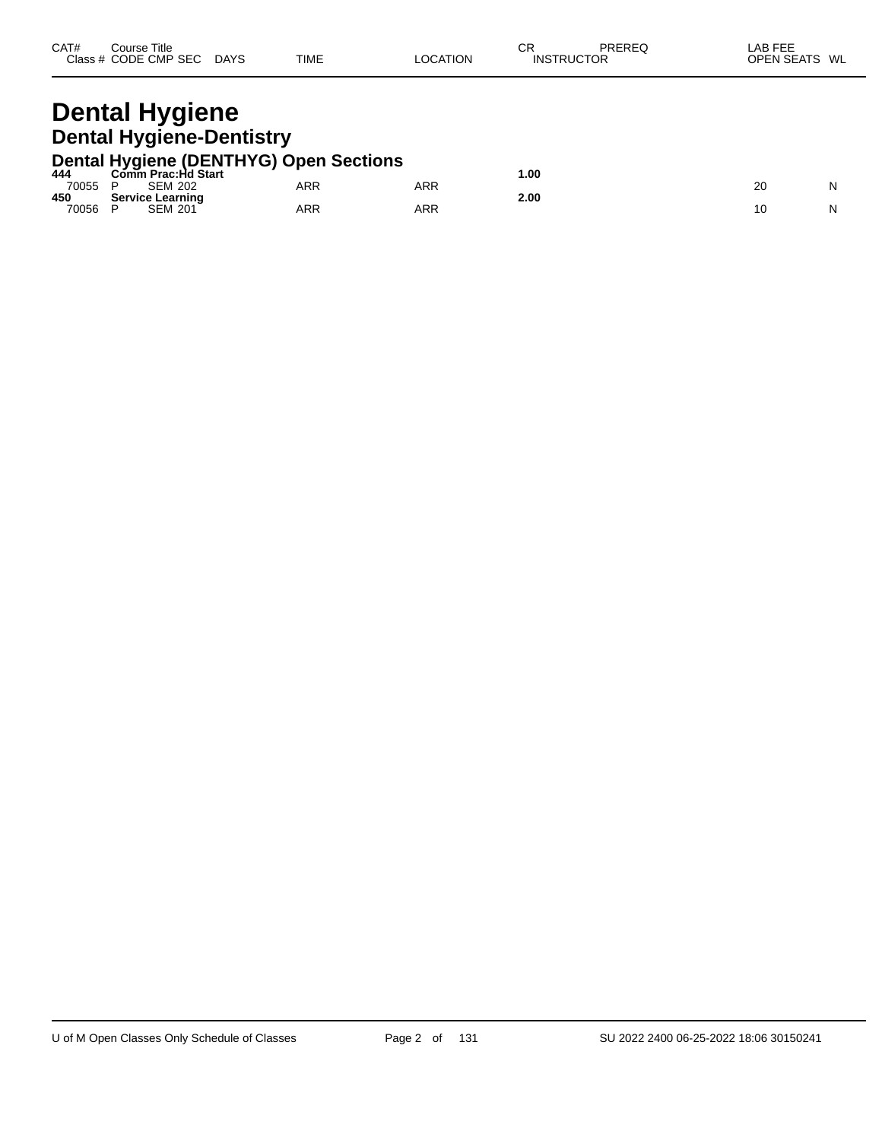| CAT#<br><b>PREREC</b><br><b>CR</b><br>Title<br>Course<br>שטוער<br>CODE CMP<br><b>SEC</b><br><b>TIME</b><br>Class #<br><b>DAYS</b><br><b>TRUCTOR</b><br>_or_<br>tion<br>INS <sup>7</sup><br>$\Lambda$ | ---<br>$\mathbf{A}$<br>--<br>ᇅ<br>$\sim$ $\sim$ $\sim$ $\sim$ $\sim$<br>WL<br><b>ODEN</b><br>- L A 1<br>- 18.1<br>◡┍ |
|------------------------------------------------------------------------------------------------------------------------------------------------------------------------------------------------------|----------------------------------------------------------------------------------------------------------------------|
|------------------------------------------------------------------------------------------------------------------------------------------------------------------------------------------------------|----------------------------------------------------------------------------------------------------------------------|

### **Dental Hygiene Dental Hygiene-Dentistry**

|         |                         | Dental Hygiene (DENTHYG) Open Sections |     |      |  |
|---------|-------------------------|----------------------------------------|-----|------|--|
| 444     | Comm Prac:Hd Start      |                                        |     | .00  |  |
| 70055 P | <b>SEM 202</b>          | ARR                                    | ARR |      |  |
| 450     | <b>Service Learning</b> |                                        |     | 2.00 |  |
| 70056   | <b>SEM 201</b>          | ARR                                    | ARR |      |  |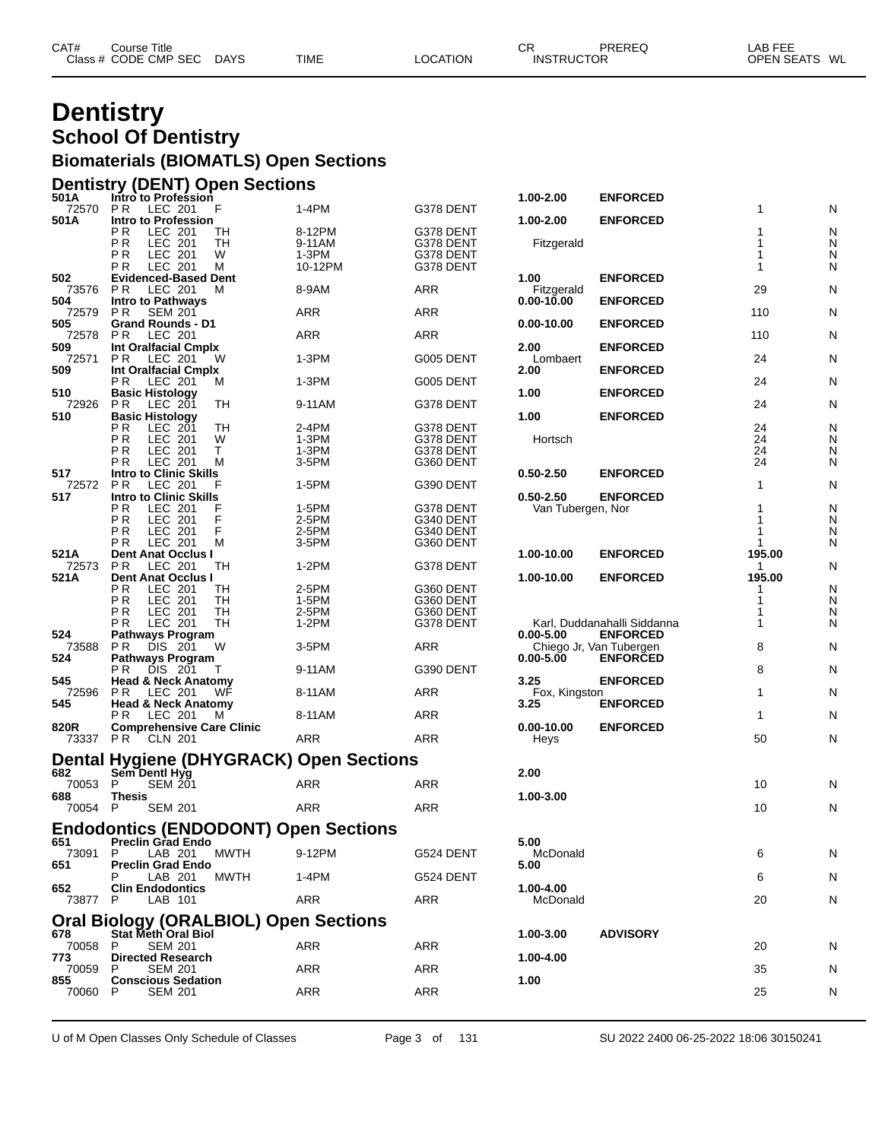| CAT# | Course Title         |             |             |          | ⌒冖<br>◡┍          | PREREQ | LAB FEE       |
|------|----------------------|-------------|-------------|----------|-------------------|--------|---------------|
|      | Class # CODE CMP SEC | <b>DAYS</b> | <b>TIME</b> | LOCATION | <b>INSTRUCTOR</b> |        | OPEN SEATS WL |
|      |                      |             |             |          |                   |        |               |

### **Dentistry School Of Dentistry Biomaterials (BIOMATLS) Open Sections**

#### **Dentistry (DENT) Open Sections**

| 501A         | Intro to Profession                                             |         |            | 1.00-2.00         | <b>ENFORCED</b>             |             |   |
|--------------|-----------------------------------------------------------------|---------|------------|-------------------|-----------------------------|-------------|---|
| 72570        | P <sub>R</sub><br>LEC 201<br>F                                  | 1-4PM   | G378 DENT  |                   |                             | 1           | N |
| 501A         | Intro to Profession<br>P R<br>LEC 201<br>ТH                     | 8-12PM  | G378 DENT  | 1.00-2.00         | <b>ENFORCED</b>             | 1           | N |
|              | ΡR<br>TН<br>LEC 201                                             | 9-11AM  | G378 DENT  | Fitzgerald        |                             | 1           | N |
|              | ΡR<br><b>LEC 201</b><br>W                                       | $1-3PM$ | G378 DENT  |                   |                             | 1           | N |
|              | LEC 201<br>P R<br>M                                             | 10-12PM | G378 DENT  |                   |                             | 1           | N |
| 502          | <b>Evidenced-Based Dent</b>                                     |         |            | 1.00              | <b>ENFORCED</b>             |             |   |
| 73576        | LEC 201<br>P R<br>M                                             | 8-9AM   | <b>ARR</b> | Fitzgerald        |                             | 29          | N |
| 504          | <b>Intro to Pathways</b>                                        |         |            | $0.00 - 10.00$    | <b>ENFORCED</b>             |             |   |
| 72579<br>505 | P R<br><b>SEM 201</b><br><b>Grand Rounds - D1</b>               | ARR     | ARR        | 0.00-10.00        | <b>ENFORCED</b>             | 110         | N |
| 72578        | PR.<br>LEC 201                                                  | ARR     | ARR        |                   |                             | 110         | N |
| 509          | Int Oralfacial Cmplx                                            |         |            | 2.00              | <b>ENFORCED</b>             |             |   |
| 72571        | P R<br>LEC 201<br>W                                             | 1-3PM   | G005 DENT  | Lombaert          |                             | 24          | N |
| 509          | Int Oralfacial Cmplx                                            |         |            | 2.00              | <b>ENFORCED</b>             |             |   |
|              | P R<br>LEC 201<br>м                                             | $1-3PM$ | G005 DENT  |                   |                             | 24          | N |
| 510<br>72926 | <b>Basic Histology</b><br>P R<br>LEC 201<br>TН                  | 9-11AM  | G378 DENT  | 1.00              | <b>ENFORCED</b>             | 24          | N |
| 510          | <b>Basic Histology</b>                                          |         |            | 1.00              | <b>ENFORCED</b>             |             |   |
|              | РR<br>TН<br>LEC 201                                             | 2-4PM   | G378 DENT  |                   |                             | 24          | N |
|              | ΡR<br>LEC 201<br>W                                              | $1-3PM$ | G378 DENT  | Hortsch           |                             | 24          | N |
|              | LEC 201<br>т<br>ΡR                                              | 1-3PM   | G378 DENT  |                   |                             | 24          | N |
|              | ΡR<br><b>LEC 201</b><br>M                                       | 3-5PM   | G360 DENT  |                   |                             | 24          | N |
| 517          | <b>Intro to Clinic Skills</b>                                   |         |            | $0.50 - 2.50$     | <b>ENFORCED</b>             |             |   |
| 72572<br>517 | P <sub>R</sub><br>LEC 201<br>F<br><b>Intro to Clinic Skills</b> | 1-5PM   | G390 DENT  | $0.50 - 2.50$     | <b>ENFORCED</b>             | 1           | N |
|              | ΡR<br>LEC 201<br>F                                              | 1-5PM   | G378 DENT  | Van Tubergen, Nor |                             | 1           | N |
|              | P <sub>R</sub><br>LEC 201<br>F                                  | 2-5PM   | G340 DENT  |                   |                             | 1           | N |
|              | F<br>ΡR<br>LEC 201                                              | 2-5PM   | G340 DENT  |                   |                             | 1           | N |
|              | LEC 201<br>P R<br>M                                             | 3-5PM   | G360 DENT  |                   |                             | 1           | N |
| 521A         | <b>Dent Anat Occlus I</b>                                       |         |            | 1.00-10.00        | <b>ENFORCED</b>             | 195.00      |   |
| 72573        | PR.<br>TН<br>LEC 201                                            | $1-2PM$ | G378 DENT  |                   |                             | 1           | N |
| 521A         | Dent Anat Occlus I<br>LEC 201<br>ΡR<br>TН                       | 2-5PM   | G360 DENT  | 1.00-10.00        | <b>ENFORCED</b>             | 195.00<br>1 | N |
|              | ΡR<br><b>TH</b><br>LEC 201                                      | 1-5PM   | G360 DENT  |                   |                             | 1           | N |
|              | LEC 201<br>TН<br>ΡR                                             | 2-5PM   | G360 DENT  |                   |                             | 1           | N |
|              | <b>TH</b><br>LEC 201<br>P R                                     | 1-2PM   | G378 DENT  |                   | Karl, Duddanahalli Siddanna | 1           | N |
| 524          | <b>Pathways Program</b>                                         |         |            | $0.00 - 5.00$     | <b>ENFORCED</b>             |             |   |
| 73588        | P R<br>DIS 201<br>W                                             | 3-5PM   | <b>ARR</b> |                   | Chiego Jr, Van Tubergen     | 8           | Ν |
| 524          | <b>Pathways Program</b><br>РR<br>DIS 201                        | 9-11AM  | G390 DENT  | $0.00 - 5.00$     | <b>ENFORCED</b>             | 8           | N |
| 545          | <b>Head &amp; Neck Anatomy</b>                                  |         |            | 3.25              | <b>ENFORCED</b>             |             |   |
| 72596        | P R<br>LEC 201<br>WF                                            | 8-11AM  | ARR        | Fox, Kingston     |                             | 1           | N |
| 545          | <b>Head &amp; Neck Anatomy</b>                                  |         |            | 3.25              | <b>ENFORCED</b>             |             |   |
|              | P R<br>LEC 201<br>M                                             | 8-11AM  | ARR        |                   |                             | 1           | N |
| 820R         | <b>Comprehensive Care Clinic</b>                                |         |            | $0.00 - 10.00$    | <b>ENFORCED</b>             |             |   |
| 73337        | P R<br>CLN 201                                                  | ARR     | ARR        | Heys              |                             | 50          | N |
|              | Dental Hygiene (DHYGRACK) Open Sections                         |         |            |                   |                             |             |   |
| 682          | Sem Dentl Hyg                                                   |         |            | 2.00              |                             |             |   |
| 70053        | P<br><b>SEM 201</b>                                             | ARR     | ARR        |                   |                             | 10          | N |
| 688          | <b>Thesis</b>                                                   |         |            | 1.00-3.00         |                             |             |   |
| 70054        | <b>SEM 201</b><br>P                                             | ARR     | <b>ARR</b> |                   |                             | 10          | N |
|              | <b>Endodontics (ENDODONT) Open Sections</b>                     |         |            |                   |                             |             |   |
| 651          | <b>Preclin Grad Endo</b>                                        |         |            | 5.00              |                             |             |   |
| 73091        | <b>MWTH</b><br>P.<br>LAB 201                                    | 9-12PM  | G524 DENT  | McDonald          |                             | 6           | N |
| 651          | <b>Preclin Grad Endo</b>                                        |         |            | 5.00              |                             |             |   |
|              | LAB 201<br><b>MWTH</b>                                          | 1-4PM   | G524 DENT  |                   |                             | 6           | N |
| 652          | <b>Clin Endodontics</b>                                         |         |            | 1.00-4.00         |                             |             |   |
| 73877        | LAB 101<br>P                                                    | ARR     | ARR        | McDonald          |                             | 20          | N |
|              | <b>Oral Biology (ORALBIOL) Open Sections</b>                    |         |            |                   |                             |             |   |
| 678          | Stat Meth Oral Biol                                             |         |            | 1.00-3.00         | <b>ADVISORY</b>             |             |   |
| 70058        | P<br><b>SEM 201</b>                                             | ARR     | <b>ARR</b> |                   |                             | 20          | N |
| 773          | <b>Directed Research</b>                                        |         |            | 1.00-4.00         |                             |             |   |
| 70059<br>855 | P<br><b>SEM 201</b><br><b>Conscious Sedation</b>                | ARR     | ARR        | 1.00              |                             | 35          | N |
| 70060        | <b>SEM 201</b><br>P                                             | ARR     | ARR        |                   |                             | 25          | N |
|              |                                                                 |         |            |                   |                             |             |   |
|              |                                                                 |         |            |                   |                             |             |   |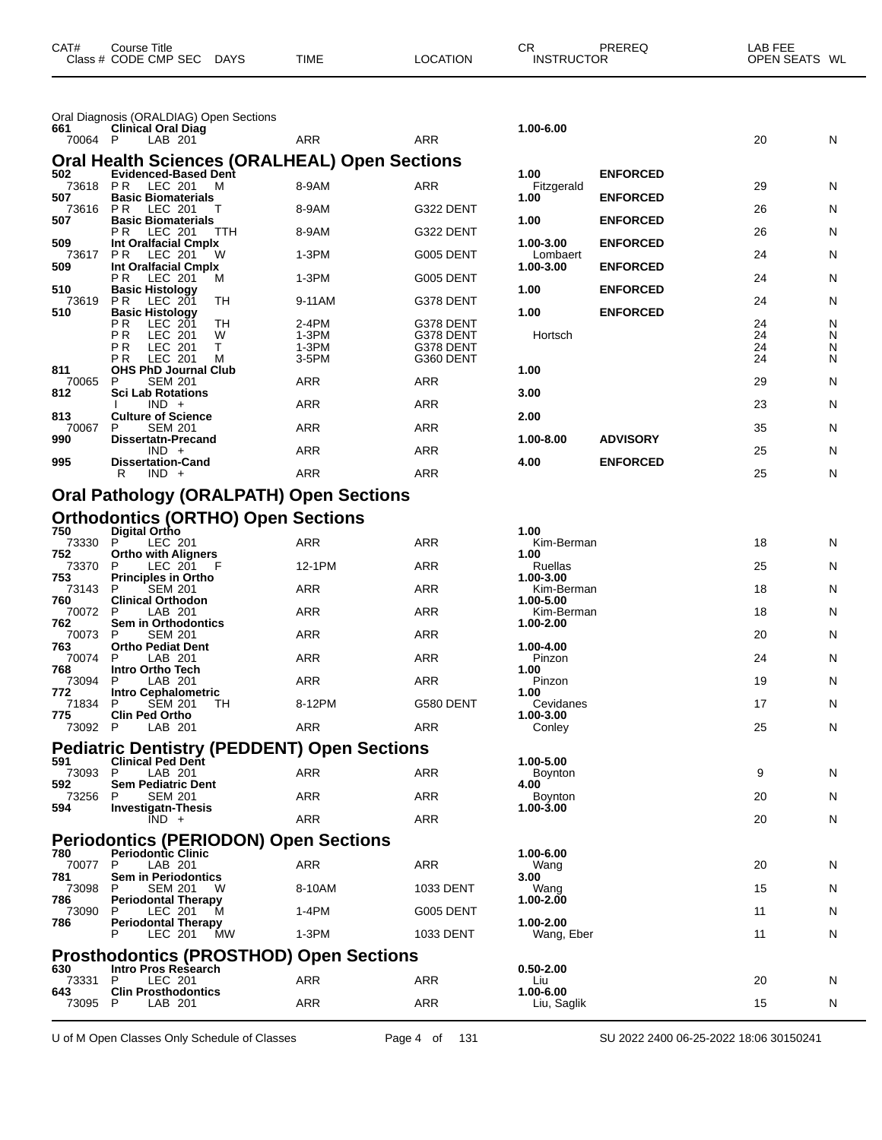|                 | Oral Diagnosis (ORALDIAG) Open Sections                |                |                        |                          |                 |          |        |
|-----------------|--------------------------------------------------------|----------------|------------------------|--------------------------|-----------------|----------|--------|
| 661<br>70064 P  | <b>Clinical Oral Diag</b><br>LAB 201                   | ARR            | ARR                    | 1.00-6.00                |                 | 20       | N      |
|                 | <b>Oral Health Sciences (ORALHEAL) Open Sections</b>   |                |                        |                          |                 |          |        |
| 502             | <b>Evidenced-Based Dent</b>                            |                |                        | 1.00                     | <b>ENFORCED</b> |          |        |
| 73618 PR<br>507 | LEC 201<br>м<br><b>Basic Biomaterials</b>              | 8-9AM          | ARR                    | Fitzgerald<br>1.00       | <b>ENFORCED</b> | 29       | N      |
| 73616<br>507    | P <sub>R</sub><br>LEC 201<br><b>Basic Biomaterials</b> | 8-9AM          | G322 DENT              | 1.00                     | <b>ENFORCED</b> | 26       | N      |
| 509             | P R<br>LEC 201<br>ттн<br>Int Oralfacial Cmplx          | 8-9AM          | G322 DENT              | 1.00-3.00                | <b>ENFORCED</b> | 26       | N      |
| 73617<br>509    | LEC 201<br>PR.<br>w<br>Int Oralfacial Cmplx            | 1-3PM          | G005 DENT              | Lombaert<br>1.00-3.00    | <b>ENFORCED</b> | 24       | N      |
| 510             | P R<br>LEC 201<br>м                                    | 1-3PM          | G005 DENT              | 1.00                     |                 | 24       | N      |
| 73619           | <b>Basic Histology</b><br>TН<br>PR.<br>LEC 201         | 9-11AM         | G378 DENT              |                          | <b>ENFORCED</b> | 24       | N      |
| 510             | <b>Basic Histology</b><br>P R<br>LEC 201<br>TН         | 2-4PM          | G378 DENT              | 1.00                     | <b>ENFORCED</b> | 24       | N      |
|                 | P R<br>LEC 201<br>W<br>т<br>P R<br>LEC 201             | 1-3PM<br>1-3PM | G378 DENT<br>G378 DENT | Hortsch                  |                 | 24<br>24 | N<br>N |
|                 | <b>LEC 201</b><br>P R<br>м                             | 3-5PM          | G360 DENT              |                          |                 | 24       | N      |
| 811<br>70065    | <b>OHS PhD Journal Club</b><br><b>SEM 201</b><br>P     | ARR            | ARR                    | 1.00                     |                 | 29       | N      |
| 812             | <b>Sci Lab Rotations</b><br>$IND +$                    | ARR            | ARR                    | 3.00                     |                 | 23       | N      |
| 813<br>70067    | <b>Culture of Science</b><br>P<br><b>SEM 201</b>       | <b>ARR</b>     | ARR                    | 2.00                     |                 | 35       | N      |
| 990             | <b>Dissertatn-Precand</b>                              |                |                        | 1.00-8.00                | <b>ADVISORY</b> |          |        |
| 995             | $IND +$<br><b>Dissertation-Cand</b>                    | ARR            | <b>ARR</b>             | 4.00                     | <b>ENFORCED</b> | 25       | N      |
|                 | R<br>$IND +$                                           | ARR            | ARR                    |                          |                 | 25       | N      |
|                 | <b>Oral Pathology (ORALPATH) Open Sections</b>         |                |                        |                          |                 |          |        |
|                 | <b>Orthodontics (ORTHO) Open Sections</b>              |                |                        |                          |                 |          |        |
| 750<br>73330    | Digital Ortho<br>P<br>LEC 201                          | ARR            | ARR                    | 1.00<br>Kim-Berman       |                 | 18       | N      |
| 752<br>73370    | <b>Ortho with Aligners</b><br>LEC 201<br>P             | 12-1PM         | ARR                    | 1.00<br>Ruellas          |                 | 25       | N      |
| 753<br>73143    | <b>Principles in Ortho</b><br><b>SEM 201</b><br>P      | ARR            | <b>ARR</b>             | 1.00-3.00<br>Kim-Berman  |                 | 18       | N      |
| 760<br>70072    | <b>Clinical Orthodon</b><br>P<br>LAB 201               | ARR            | ARR                    | 1.00-5.00<br>Kim-Berman  |                 | 18       | N      |
| 762<br>70073    | <b>Sem in Orthodontics</b><br><b>SEM 201</b><br>P      | ARR            | ARR                    | 1.00-2.00                |                 | 20       | N      |
| 763             | <b>Ortho Pediat Dent</b>                               |                |                        | 1.00-4.00                |                 |          |        |
| 70074<br>768    | LAB 201<br>P<br>Intro Ortho Tech                       | <b>ARR</b>     | <b>ARR</b>             | Pinzon<br>1.00           |                 | 24       | N      |
| 73094<br>772    | P<br>LAB 201<br>Intro Cephalometric                    | ARR            | ARR                    | Pinzon<br>1.00           |                 | 19       | N      |
| 71834<br>775    | P<br><b>SEM 201</b><br>TН<br><b>Clin Ped Ortho</b>     | 8-12PM         | G580 DENT              | Cevidanes<br>1.00-3.00   |                 | 17       | N      |
|                 | 73092 P LAB 201                                        | <b>ARR</b>     | <b>ARR</b>             | Conley                   |                 | 25       | N      |
|                 | <b>Pediatric Dentistry (PEDDENT) Open Sections</b>     |                |                        |                          |                 |          |        |
| 591<br>73093 P  | <b>Clinical Ped Dent</b><br>LAB 201                    | ARR            | ARR                    | 1.00-5.00<br>Boynton     |                 | 9        | N      |
| 592<br>73256    | <b>Sem Pediatric Dent</b><br>P<br><b>SEM 201</b>       | <b>ARR</b>     | <b>ARR</b>             | 4.00<br><b>Boynton</b>   |                 | 20       | N      |
| 594             | <b>Investigatn-Thesis</b><br>$\overline{IND}$ +        | ARR            | ARR                    | 1.00-3.00                |                 | 20       | N      |
|                 | <b>Periodontics (PERIODON) Open Sections</b>           |                |                        |                          |                 |          |        |
| 780             | <b>Periodontic Clinic</b><br>-P                        | <b>ARR</b>     | <b>ARR</b>             | 1.00-6.00                |                 |          |        |
| 70077<br>781    | LAB 201<br><b>Sem in Periodontics</b>                  |                |                        | Wang<br>3.00             |                 | 20       | N      |
| 73098<br>786    | P<br><b>SEM 201</b><br>w<br><b>Periodontal Therapy</b> | 8-10AM         | 1033 DENT              | Wang<br>1.00-2.00        |                 | 15       | N      |
| 73090<br>786    | LEC 201<br>м<br><b>Periodontal Therapy</b>             | 1-4PM          | G005 DENT              | 1.00-2.00                |                 | 11       | N      |
|                 | LEC 201<br>МW<br>P                                     | 1-3PM          | 1033 DENT              | Wang, Eber               |                 | 11       | N      |
|                 | <b>Prosthodontics (PROSTHOD) Open Sections</b>         |                |                        |                          |                 |          |        |
| 630<br>73331 P  | <b>Intro Pros Research</b><br>LEC 201                  | ARR            | ARR                    | $0.50 - 2.00$<br>Liu     |                 | 20       | N      |
| 643<br>73095 P  | <b>Clin Prosthodontics</b><br>LAB 201                  | ARR            | <b>ARR</b>             | 1.00-6.00<br>Liu, Saglik |                 | 15       | N      |

CAT# Course Title Case CR PREREQ LAB FEE

Class # CODE CMP SEC DAYS TIME LOCATION INSTRUCTOR OPEN SEATS WL

U of M Open Classes Only Schedule of Classes Page 4 of 131 SU 2022 2400 06-25-2022 18:06 30150241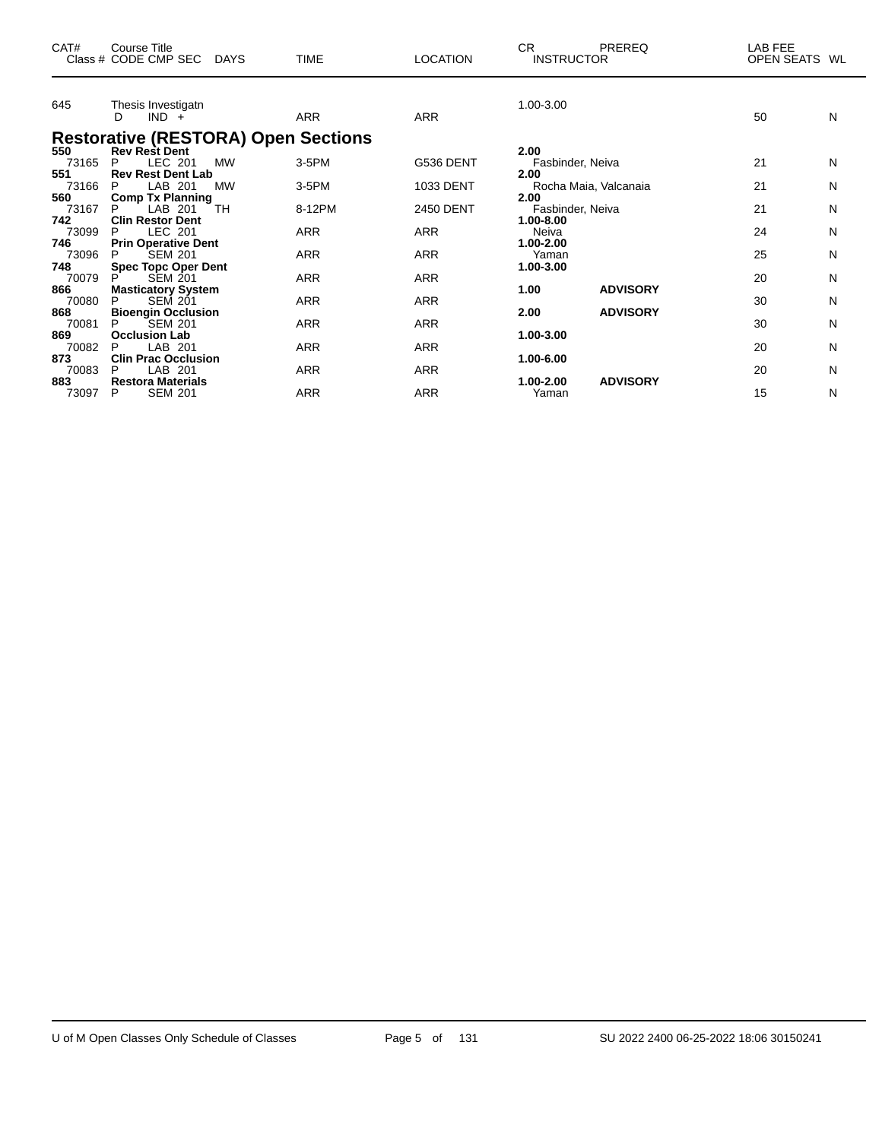| CAT#         | Course Title<br>Class # CODE CMP SEC<br>DAYS                       | <b>TIME</b> | <b>LOCATION</b> | CR.<br>PREREQ<br><b>INSTRUCTOR</b> | LAB FEE<br><b>OPEN SEATS</b><br>WL |
|--------------|--------------------------------------------------------------------|-------------|-----------------|------------------------------------|------------------------------------|
| 645          | Thesis Investigatn<br>$IND +$<br>D                                 | <b>ARR</b>  | <b>ARR</b>      | 1.00-3.00                          | 50<br>N                            |
| 550          | <b>Restorative (RESTORA) Open Sections</b><br><b>Rev Rest Dent</b> |             |                 | 2.00                               |                                    |
| 73165        | LEC 201<br>P<br><b>MW</b>                                          | 3-5PM       | G536 DENT       | Fasbinder, Neiva                   | 21<br>N                            |
| 551          | <b>Rev Rest Dent Lab</b>                                           |             |                 | 2.00                               |                                    |
| 73166        | LAB 201<br><b>MW</b><br>P                                          | 3-5PM       | 1033 DENT       | Rocha Maia, Valcanaia              | 21<br>N                            |
| 560<br>73167 | <b>Comp Tx Planning</b><br>TH<br>P<br>LAB 201                      | 8-12PM      | 2450 DENT       | 2.00<br>Fasbinder, Neiva           | 21<br>N                            |
| 742          | <b>Clin Restor Dent</b>                                            |             |                 | 1.00-8.00                          |                                    |
| 73099        | LEC 201<br>P                                                       | ARR         | ARR             | Neiva                              | 24<br>N                            |
| 746          | <b>Prin Operative Dent</b>                                         |             |                 | $1.00 - 2.00$                      |                                    |
| 73096        | <b>SEM 201</b><br>P                                                | <b>ARR</b>  | <b>ARR</b>      | Yaman                              | 25<br>N                            |
| 748          | <b>Spec Topc Oper Dent</b>                                         |             |                 | 1.00-3.00                          |                                    |
| 70079        | <b>SEM 201</b>                                                     | <b>ARR</b>  | <b>ARR</b>      |                                    | 20<br>N                            |
| 866          | <b>Masticatory System</b><br>P                                     | <b>ARR</b>  | <b>ARR</b>      | <b>ADVISORY</b><br>1.00            | 30                                 |
| 70080<br>868 | <b>SEM 201</b><br><b>Bioengin Occlusion</b>                        |             |                 | <b>ADVISORY</b><br>2.00            | N                                  |
| 70081        | <b>SEM 201</b>                                                     | ARR         | ARR             |                                    | 30<br>N                            |
| 869          | <b>Occlusion Lab</b>                                               |             |                 | 1.00-3.00                          |                                    |
| 70082        | LAB 201<br>P                                                       | <b>ARR</b>  | <b>ARR</b>      |                                    | 20<br>N                            |
| 873          | <b>Clin Prac Occlusion</b>                                         |             |                 | 1.00-6.00                          |                                    |
| 70083        | LAB 201<br>P                                                       | <b>ARR</b>  | <b>ARR</b>      |                                    | 20<br>N                            |
| 883          | <b>Restora Materials</b>                                           |             |                 | <b>ADVISORY</b><br>1.00-2.00       |                                    |
| 73097        | <b>SEM 201</b><br>P                                                | <b>ARR</b>  | <b>ARR</b>      | Yaman                              | 15<br>N                            |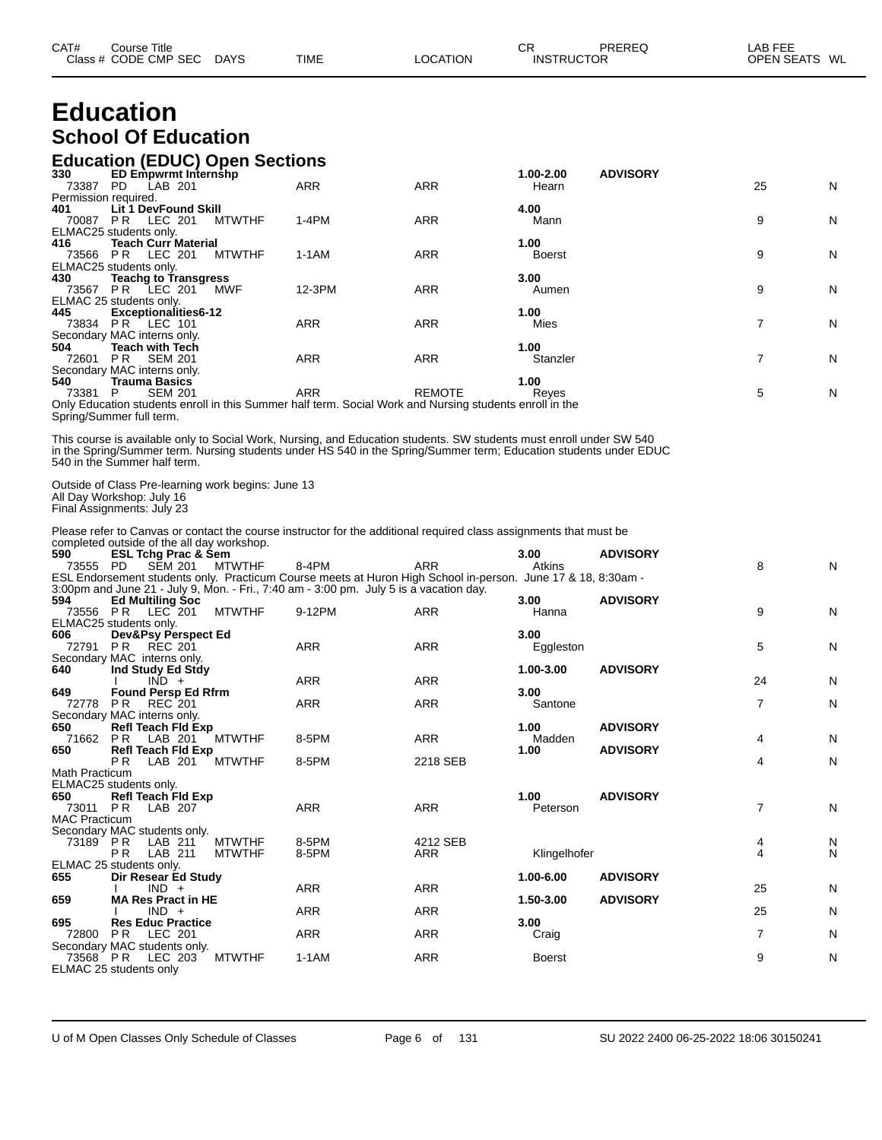| CAT# | Course Title              |             |          | <b>CR</b>         | PREREQ | _AB FEE       |
|------|---------------------------|-------------|----------|-------------------|--------|---------------|
|      | Class # CODE CMP SEC DAYS | <b>TIME</b> | LOCATION | <b>INSTRUCTOR</b> |        | OPEN SEATS WL |

### **Education School Of Education**

#### **Education (EDUC) Open Sections**

| 330                  | <b>ED Empwrmt Internshp</b> |               |                                                                                                         |               | 1.00-2.00     | <b>ADVISORY</b> |    |   |
|----------------------|-----------------------------|---------------|---------------------------------------------------------------------------------------------------------|---------------|---------------|-----------------|----|---|
| 73387                | LAB 201<br>PD.              |               | <b>ARR</b>                                                                                              | <b>ARR</b>    | Hearn         |                 | 25 | N |
| Permission required. |                             |               |                                                                                                         |               |               |                 |    |   |
| 401                  | <b>Lit 1 DevFound Skill</b> |               |                                                                                                         |               | 4.00          |                 |    |   |
| 70087                | LEC 201<br>PR               | <b>MTWTHF</b> | $1-4PM$                                                                                                 | <b>ARR</b>    | Mann          |                 | 9  | N |
|                      | ELMAC25 students only.      |               |                                                                                                         |               |               |                 |    |   |
| 416                  | <b>Teach Curr Material</b>  |               |                                                                                                         |               | 1.00          |                 |    |   |
| 73566                | <b>PR LEC 201</b>           | <b>MTWTHF</b> | 1-1AM                                                                                                   | <b>ARR</b>    | <b>Boerst</b> |                 | 9  | N |
|                      | ELMAC25 students only.      |               |                                                                                                         |               |               |                 |    |   |
| 430                  | <b>Teachg to Transgress</b> |               |                                                                                                         |               | 3.00          |                 |    |   |
| 73567                | LEC 201<br>PR.              | <b>MWF</b>    | 12-3PM                                                                                                  | <b>ARR</b>    | Aumen         |                 | 9  | N |
|                      | ELMAC 25 students only.     |               |                                                                                                         |               |               |                 |    |   |
| 445                  | <b>Exceptionalities6-12</b> |               |                                                                                                         |               | 1.00          |                 |    |   |
| 73834                | <b>PR LEC 101</b>           |               | <b>ARR</b>                                                                                              | <b>ARR</b>    | Mies          |                 |    | N |
|                      | Secondary MAC interns only. |               |                                                                                                         |               |               |                 |    |   |
| 504                  | <b>Teach with Tech</b>      |               |                                                                                                         |               | 1.00          |                 |    |   |
| 72601                | <b>SEM 201</b><br>PR        |               | <b>ARR</b>                                                                                              | <b>ARR</b>    | Stanzler      |                 |    | N |
|                      | Secondary MAC interns only. |               |                                                                                                         |               |               |                 |    |   |
| 540                  | <b>Trauma Basics</b>        |               |                                                                                                         |               | 1.00          |                 |    |   |
| 73381                | <b>SEM 201</b><br>P         |               | <b>ARR</b>                                                                                              | <b>REMOTE</b> | Reyes         |                 | 5  | N |
|                      |                             |               | Only Education students enroll in this Summer half term. Social Work and Nursing students enroll in the |               |               |                 |    |   |

Only Education students enroll in this Summer half term. Social Work and Nursing students enroll in the Spring/Summer full term.

This course is available only to Social Work, Nursing, and Education students. SW students must enroll under SW 540 in the Spring/Summer term. Nursing students under HS 540 in the Spring/Summer term; Education students under EDUC 540 in the Summer half term.

Outside of Class Pre-learning work begins: June 13 All Day Workshop: July 16 Final Assignments: July 23

Please refer to Canvas or contact the course instructor for the additional required class assignments that must be completed outside of the all day workshop.

| 590                  | <b>ESL Tchg Prac &amp; Sem</b>          |               |                                                                                                              |            | 3.00          | <b>ADVISORY</b> |    |   |
|----------------------|-----------------------------------------|---------------|--------------------------------------------------------------------------------------------------------------|------------|---------------|-----------------|----|---|
| 73555                | PD.<br><b>SEM 201</b>                   | <b>MTWTHF</b> | 8-4PM                                                                                                        | <b>ARR</b> | Atkins        |                 | 8  | N |
|                      |                                         |               | ESL Endorsement students only. Practicum Course meets at Huron High School in-person. June 17 & 18, 8:30am - |            |               |                 |    |   |
|                      |                                         |               | 3:00pm and June 21 - July 9, Mon. - Fri., 7:40 am - 3:00 pm. July 5 is a vacation day.                       |            |               |                 |    |   |
| 594                  | <b>Ed Multiling Soc</b>                 |               |                                                                                                              |            | 3.00          | <b>ADVISORY</b> |    |   |
| 73556                | PR<br>LEC 201                           | <b>MTWTHF</b> | 9-12PM                                                                                                       | <b>ARR</b> | Hanna         |                 | 9  | N |
|                      | ELMAC25 students only.                  |               |                                                                                                              |            |               |                 |    |   |
| 606                  | Dev&Psy Perspect Ed                     |               |                                                                                                              |            | 3.00          |                 |    |   |
| 72791                | P <sub>R</sub><br><b>REC 201</b>        |               | <b>ARR</b>                                                                                                   | <b>ARR</b> | Eggleston     |                 | 5  | N |
|                      | Secondary MAC interns only.             |               |                                                                                                              |            |               |                 |    |   |
| 640                  | Ind Study Ed Stdy                       |               |                                                                                                              |            | 1.00-3.00     | <b>ADVISORY</b> |    |   |
|                      | $IND +$                                 |               | <b>ARR</b>                                                                                                   | <b>ARR</b> |               |                 | 24 | N |
| 649                  | <b>Found Persp Ed Rfrm</b>              |               |                                                                                                              |            | 3.00          |                 |    |   |
| 72778                | P <sub>R</sub><br>REC 201               |               | <b>ARR</b>                                                                                                   | <b>ARR</b> | Santone       |                 | 7  | N |
|                      | Secondary MAC interns only.             |               |                                                                                                              |            |               |                 |    |   |
| 650                  | <b>Refl Teach Fld Exp</b>               |               |                                                                                                              |            | 1.00          | <b>ADVISORY</b> |    |   |
| 71662                | P <sub>R</sub><br>LAB 201               | <b>MTWTHF</b> | 8-5PM                                                                                                        | <b>ARR</b> | Madden        |                 | 4  | N |
| 650                  | <b>Refl Teach Fld Exp</b>               |               |                                                                                                              |            | 1.00          | <b>ADVISORY</b> |    |   |
|                      | P <sub>R</sub><br>LAB 201               | <b>MTWTHF</b> | 8-5PM                                                                                                        | 2218 SEB   |               |                 | 4  | N |
| Math Practicum       |                                         |               |                                                                                                              |            |               |                 |    |   |
|                      | ELMAC25 students only.                  |               |                                                                                                              |            |               |                 |    |   |
| 650                  | <b>Refl Teach Fld Exp</b>               |               |                                                                                                              |            | 1.00          | <b>ADVISORY</b> |    |   |
| 73011 PR             | LAB 207                                 |               | <b>ARR</b>                                                                                                   | <b>ARR</b> | Peterson      |                 | 7  | N |
| <b>MAC Practicum</b> |                                         |               |                                                                                                              |            |               |                 |    |   |
|                      | Secondary MAC students only.            |               |                                                                                                              |            |               |                 |    |   |
| 73189 PR             | LAB 211                                 | <b>MTWTHF</b> | 8-5PM                                                                                                        | 4212 SEB   |               |                 | 4  | N |
|                      | P <sub>R</sub><br>LAB 211               | <b>MTWTHF</b> | 8-5PM                                                                                                        | <b>ARR</b> | Klingelhofer  |                 | 4  | N |
|                      | ELMAC 25 students only.                 |               |                                                                                                              |            |               |                 |    |   |
| 655                  | Dir Resear Ed Study                     |               |                                                                                                              |            | 1.00-6.00     | <b>ADVISORY</b> |    |   |
|                      | $IND +$                                 |               | <b>ARR</b>                                                                                                   | <b>ARR</b> |               |                 | 25 | N |
| 659                  | <b>MA Res Pract in HE</b>               |               |                                                                                                              |            | 1.50-3.00     | <b>ADVISORY</b> |    |   |
|                      | $IND +$                                 |               | <b>ARR</b>                                                                                                   | <b>ARR</b> |               |                 | 25 | N |
| 695                  | <b>Res Educ Practice</b>                |               |                                                                                                              |            | 3.00          |                 |    |   |
| 72800                | LEC 201<br>PR                           |               | <b>ARR</b>                                                                                                   | <b>ARR</b> | Craig         |                 | 7  | N |
| 73568 PR             | Secondary MAC students only.<br>LEC 203 | <b>MTWTHF</b> | $1-1AM$                                                                                                      | <b>ARR</b> | <b>Boerst</b> |                 | 9  | N |
|                      |                                         |               |                                                                                                              |            |               |                 |    |   |
|                      | ELMAC 25 students only                  |               |                                                                                                              |            |               |                 |    |   |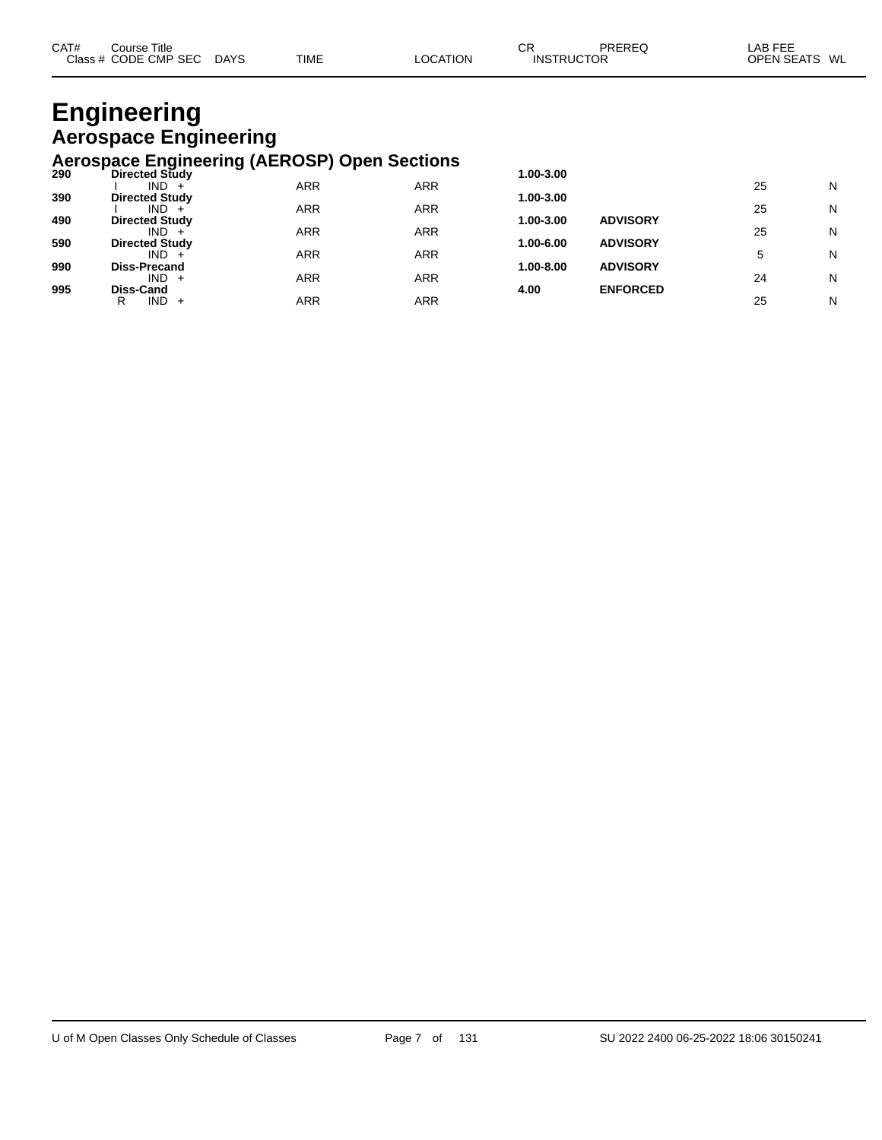| CAT# | Title<br>Course      |             |             |                | oг<br>◡           | PREREQ | _AB FEE          |
|------|----------------------|-------------|-------------|----------------|-------------------|--------|------------------|
|      | Class # CODE CMP SEC | <b>DAYS</b> | <b>TIME</b> | <b>OCATION</b> | <b>INSTRUCTOR</b> |        | OPEN SEATS<br>WL |

## **Engineering Aerospace Engineering**

#### **Aerospace Engineering (AEROSP) Open Sections**

| 290 | <b>Directed Study</b> |            |            | 1.00-3.00 |                 |    |   |
|-----|-----------------------|------------|------------|-----------|-----------------|----|---|
|     | $IND +$               | <b>ARR</b> | <b>ARR</b> |           |                 | 25 | N |
| 390 | <b>Directed Study</b> |            |            | 1.00-3.00 |                 |    |   |
|     | $IND +$               | <b>ARR</b> | <b>ARR</b> |           |                 | 25 | N |
| 490 | <b>Directed Study</b> |            |            | 1.00-3.00 | <b>ADVISORY</b> |    |   |
|     | $IND +$               | <b>ARR</b> | <b>ARR</b> |           |                 | 25 | N |
| 590 | <b>Directed Study</b> |            |            | 1.00-6.00 | <b>ADVISORY</b> |    |   |
|     | $IND +$               | <b>ARR</b> | <b>ARR</b> |           |                 |    | N |
| 990 | <b>Diss-Precand</b>   |            |            | 1.00-8.00 | <b>ADVISORY</b> |    |   |
|     | $IND +$               | <b>ARR</b> | <b>ARR</b> |           |                 | 24 | N |
| 995 | <b>Diss-Cand</b>      |            |            | 4.00      | <b>ENFORCED</b> |    |   |
|     | $IND +$<br>R          | ARR        | ARR        |           |                 | 25 | N |
|     |                       |            |            |           |                 |    |   |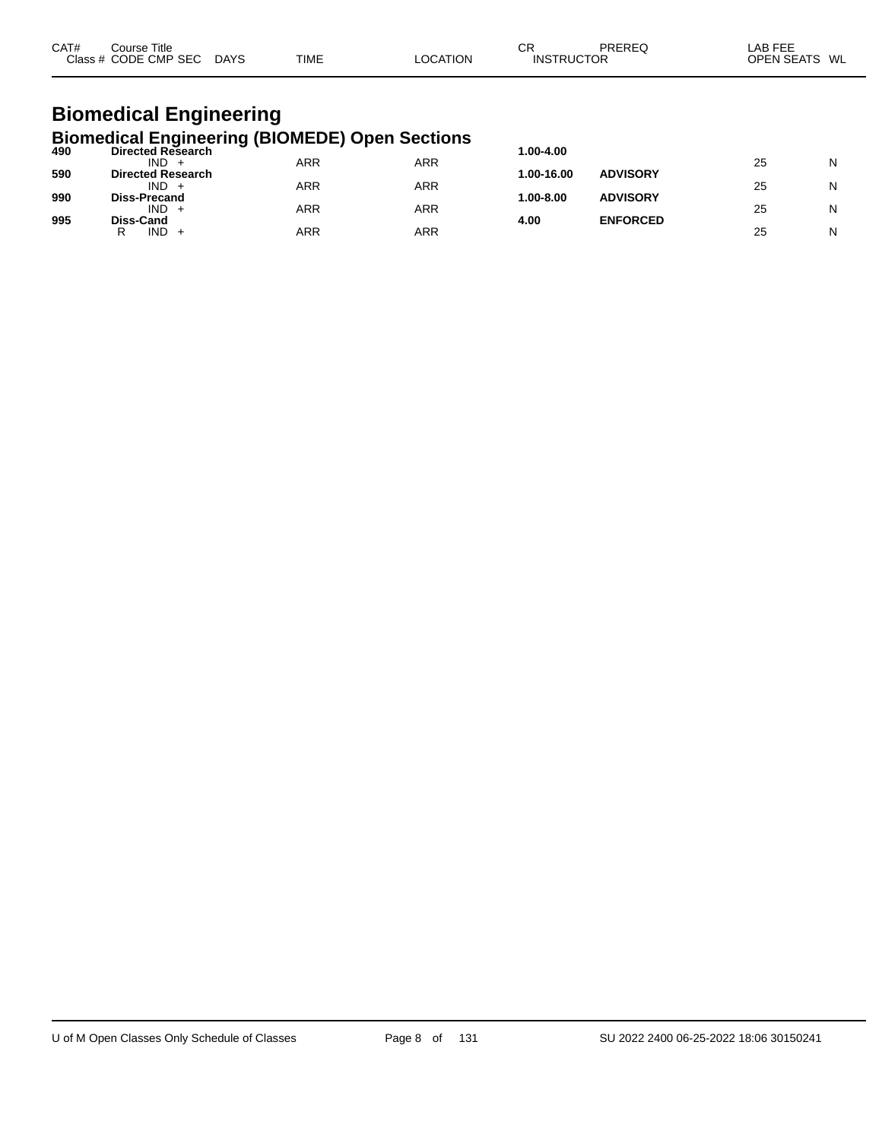| CAT#<br>$C$ lass | Title<br>Course<br><b>CMP</b><br>CODE<br>∕ SFC | DAYS | TIME | .UM | СF<br>או א<br>-10 | <b>DDEDE</b><br>OR | ---<br>Αŀ<br>$-2$<br>WL<br>ח⊐סר<br>n. |  |
|------------------|------------------------------------------------|------|------|-----|-------------------|--------------------|---------------------------------------|--|
|------------------|------------------------------------------------|------|------|-----|-------------------|--------------------|---------------------------------------|--|

# **Biomedical Engineering**

|     | <b>Biomedical Engineering (BIOMEDE) Open Sections</b> |     |     |               |                 |    |   |
|-----|-------------------------------------------------------|-----|-----|---------------|-----------------|----|---|
| 490 | <b>Directed Research</b>                              |     |     | 1.00-4.00     |                 |    |   |
|     | $IND +$                                               | ARR | ARR |               |                 | 25 | N |
| 590 | <b>Directed Research</b>                              |     |     | 1.00-16.00    | <b>ADVISORY</b> |    |   |
|     | $IND +$                                               | ARR | ARR |               |                 | 25 | N |
| 990 | <b>Diss-Precand</b>                                   |     |     | $1.00 - 8.00$ | <b>ADVISORY</b> |    |   |
|     | $IND +$                                               | ARR | ARR |               |                 | 25 | N |
| 995 | Diss-Cand                                             |     |     | 4.00          | <b>ENFORCED</b> |    |   |
|     | $IND +$                                               | ARR | ARR |               |                 | 25 | N |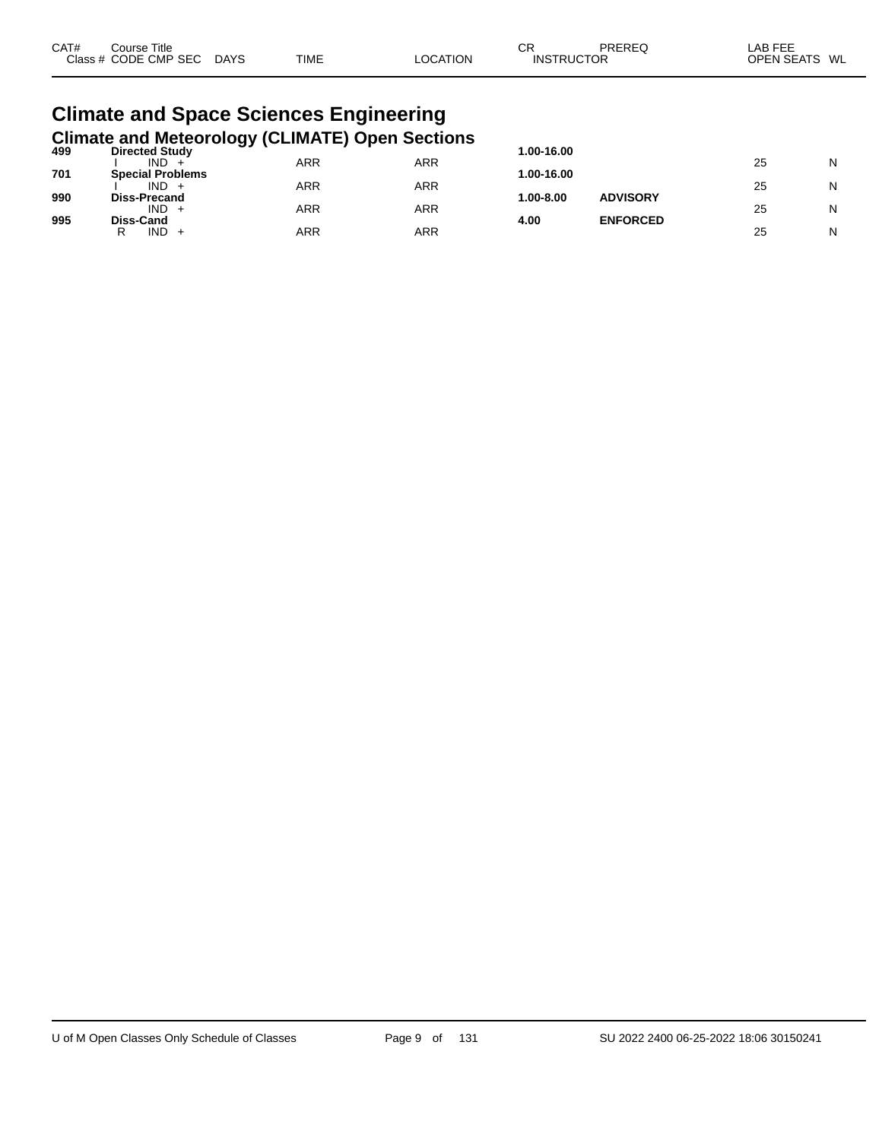| CAT#<br>Course Title<br>Class # CODE CMP SEC | <b>DAYS</b> | TIME | <b>LOCATION</b> | СR<br><b>INSTRUCTOR</b> | PRERFO | I AB FFF<br>OPEN SEATS WL |  |
|----------------------------------------------|-------------|------|-----------------|-------------------------|--------|---------------------------|--|
| Climate and Space Sciences Engineering       |             |      |                 |                         |        |                           |  |

### **Climate and Space Sciences Engineering Climate and Meteorology (CLIMATE) Open Sections 499 Directed Study 1.00-16.00**

| ARR<br>ARR<br>IND.<br>25                                   | N |
|------------------------------------------------------------|---|
|                                                            |   |
| 701<br><b>Special Problems</b><br>1.00-16.00               |   |
| ARR<br>ARR<br>IND.<br>25                                   | N |
| 990<br><b>ADVISORY</b><br>1.00-8.00<br><b>Diss-Precand</b> |   |
| ARR<br>ARR<br>IND.<br>25                                   | N |
| 995<br><b>ENFORCED</b><br>4.00<br>Diss-Cand                |   |
| ARR<br>ARR<br>IND.<br>25                                   | N |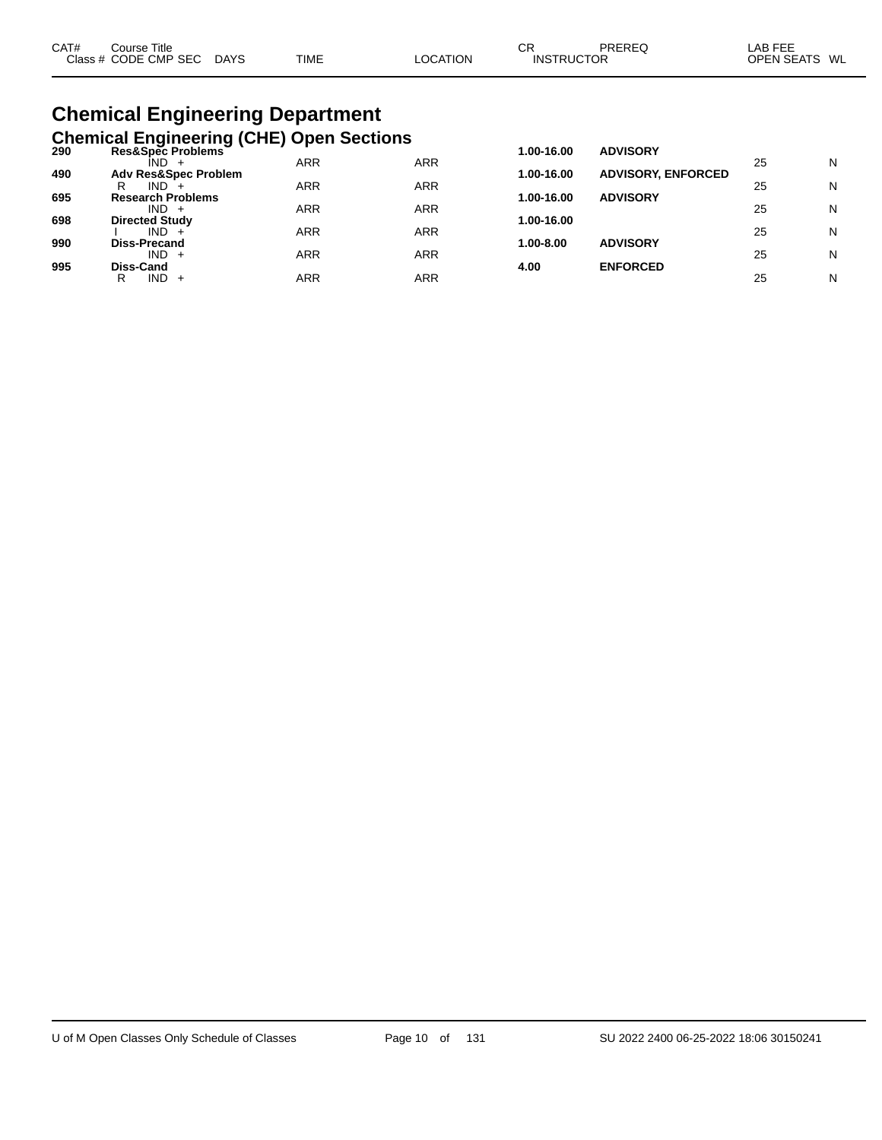| CAT# | Course Title         |             |             |          | ◠⊏<br>◡┎          | PREREQ | LAB FEE          |
|------|----------------------|-------------|-------------|----------|-------------------|--------|------------------|
|      | Class # CODE CMP SEC | <b>DAYS</b> | <b>TIME</b> | LOCATION | <b>INSTRUCTOR</b> |        | OPEN SEATS<br>WL |
|      |                      |             |             |          |                   |        |                  |

# **Chemical Engineering Department**

|     | <b>Chemical Engineering (CHE) Open Sections</b> |            |            |            |                           |    |   |
|-----|-------------------------------------------------|------------|------------|------------|---------------------------|----|---|
| 290 | Res&Spec Problems<br>IND.                       | <b>ARR</b> | <b>ARR</b> | 1.00-16.00 | <b>ADVISORY</b>           | 25 | N |
| 490 | <b>Adv Res&amp;Spec Problem</b>                 |            |            | 1.00-16.00 | <b>ADVISORY, ENFORCED</b> |    |   |
| 695 | IND.<br>R<br><b>Research Problems</b>           | ARR        | ARR        | 1.00-16.00 | <b>ADVISORY</b>           | 25 | N |
|     | $IND +$                                         | ARR        | ARR        |            |                           | 25 | N |
| 698 | <b>Directed Study</b><br>$IND +$                | ARR        | ARR        | 1.00-16.00 |                           | 25 | N |
| 990 | Diss-Precand                                    |            |            | 1.00-8.00  | <b>ADVISORY</b>           |    |   |
| 995 | $IND +$<br>Diss-Cand                            | <b>ARR</b> | ARR        | 4.00       | <b>ENFORCED</b>           | 25 | N |
|     | $IND +$<br>R                                    | ARR        | ARR        |            |                           | 25 | N |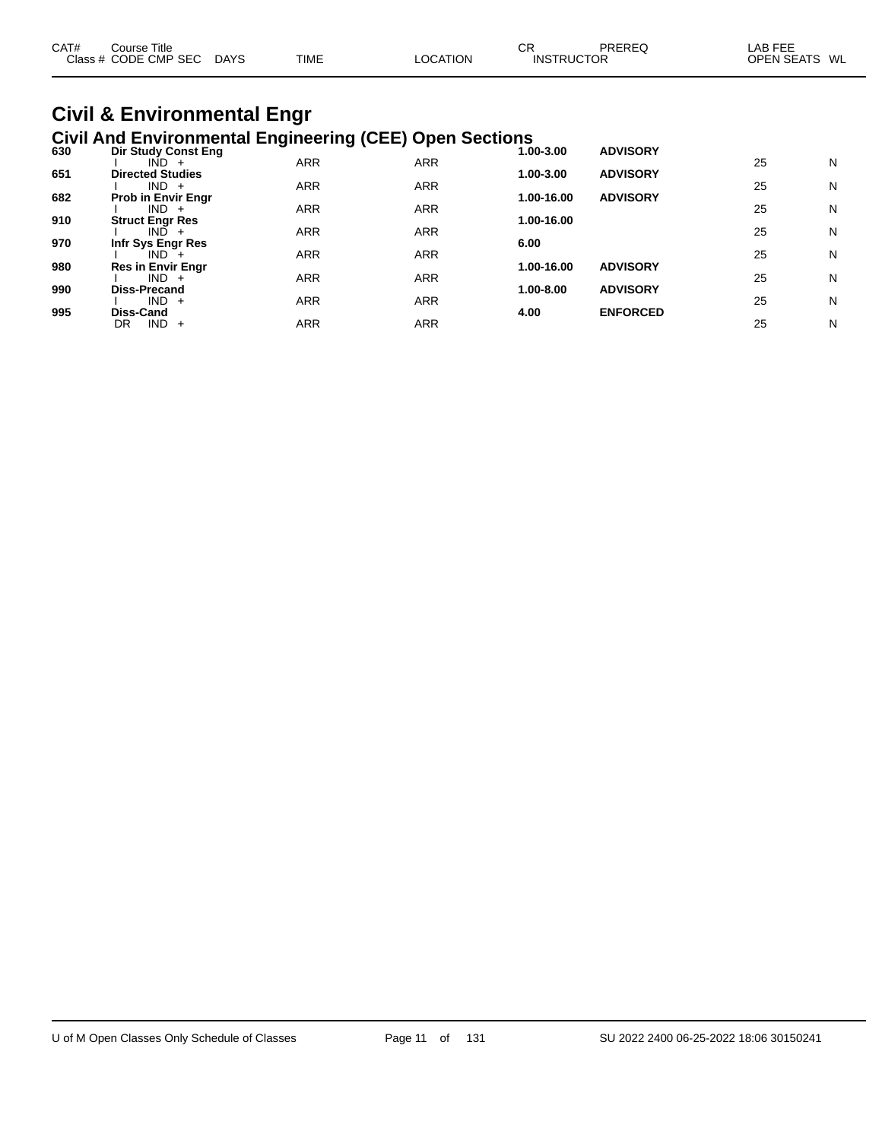| CAT# | Course Title         |      |             | СR       |                   | PREREQ | _AB FEE           |    |
|------|----------------------|------|-------------|----------|-------------------|--------|-------------------|----|
|      | Class # CODE CMP SEC | DAYS | <b>TIME</b> | LOCATION | <b>INSTRUCTOR</b> |        | <b>OPEN SEATS</b> | WL |

#### **Civil & Environmental Engr Civil And Environmental Engineering (CEE) Open Sections**

|     | orn And Environmental Engineering (OEE) Open occitent |            |            |            |                 |    |   |
|-----|-------------------------------------------------------|------------|------------|------------|-----------------|----|---|
| 630 | Dir Study Const Eng                                   |            |            | 1.00-3.00  | <b>ADVISORY</b> |    |   |
|     | $IND +$                                               | <b>ARR</b> | <b>ARR</b> |            |                 | 25 | N |
| 651 | <b>Directed Studies</b>                               |            |            | 1.00-3.00  | <b>ADVISORY</b> |    |   |
|     | $IND +$                                               | <b>ARR</b> | <b>ARR</b> |            |                 | 25 | N |
| 682 | <b>Prob in Envir Engr</b>                             |            |            | 1.00-16.00 | <b>ADVISORY</b> |    |   |
|     | $IND +$                                               | <b>ARR</b> | <b>ARR</b> |            |                 | 25 | N |
| 910 | <b>Struct Engr Res</b>                                |            |            | 1.00-16.00 |                 |    |   |
|     | $IND +$                                               | <b>ARR</b> | <b>ARR</b> |            |                 | 25 | N |
| 970 | Infr Sys Engr Res                                     |            |            | 6.00       |                 |    |   |
|     | IND <sup>1</sup>                                      | <b>ARR</b> | <b>ARR</b> |            |                 | 25 | N |
| 980 | <b>Res in Envir Engr</b>                              |            |            | 1.00-16.00 | <b>ADVISORY</b> |    |   |
|     | $IND +$                                               | <b>ARR</b> | <b>ARR</b> |            |                 | 25 | N |
| 990 | <b>Diss-Precand</b>                                   |            |            | 1.00-8.00  | <b>ADVISORY</b> |    |   |
|     | $IND +$                                               | <b>ARR</b> | <b>ARR</b> |            |                 | 25 | N |
| 995 | Diss-Cand                                             |            |            | 4.00       | <b>ENFORCED</b> |    |   |
|     | $IND +$<br>DR                                         | <b>ARR</b> | <b>ARR</b> |            |                 | 25 | N |
|     |                                                       |            |            |            |                 |    |   |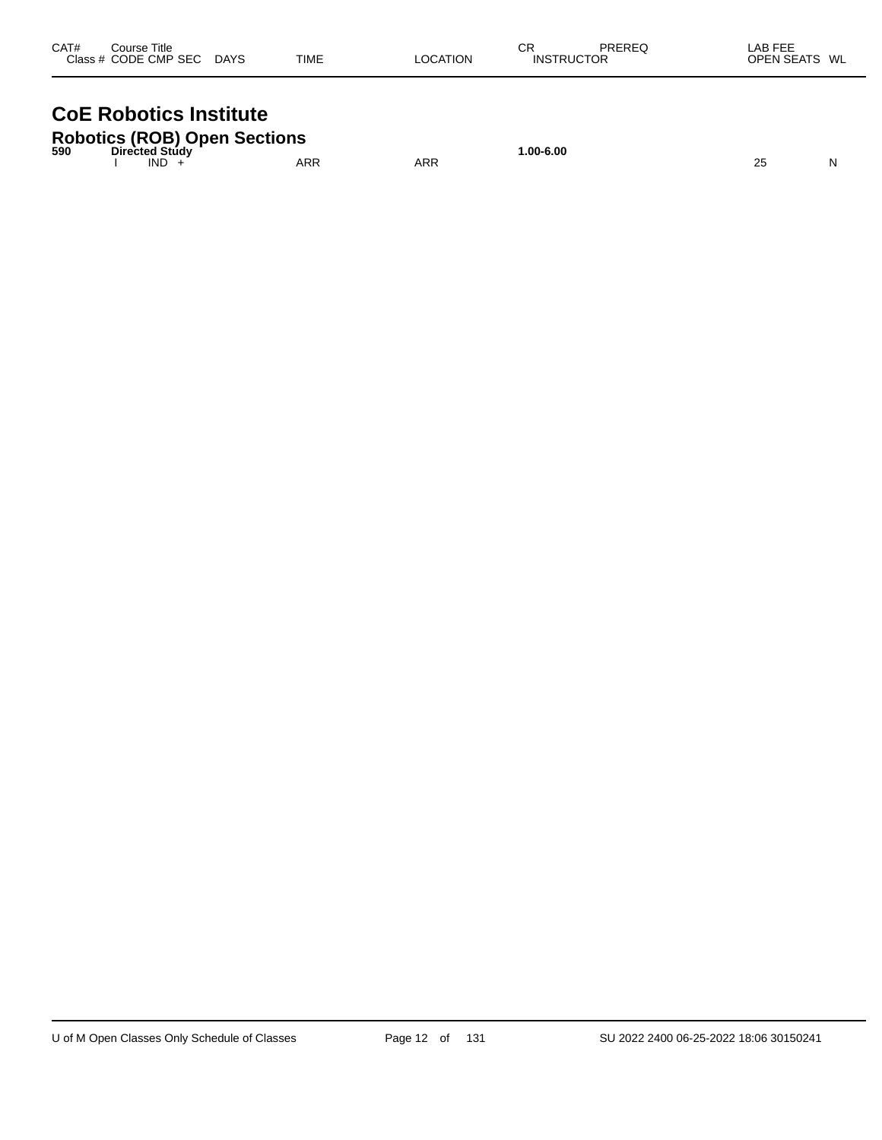| CAT# | Course Title<br>Class # CODE CMP SEC | <b>DAYS</b> | <b>TIME</b> | LOCATION | СR<br><b>INSTRUCTOR</b> | <b>PREREQ</b> | LAB FEE<br><b>OPEN SEATS</b> | WL |
|------|--------------------------------------|-------------|-------------|----------|-------------------------|---------------|------------------------------|----|
|      |                                      |             |             |          |                         |               |                              |    |

## **CoE Robotics Institute**

|     |                        | <b>Robotics (ROB) Open Sections</b> |     |          |  |
|-----|------------------------|-------------------------------------|-----|----------|--|
| 590 | Directed Study<br>IND. | ARR                                 | ARR | .00-6.00 |  |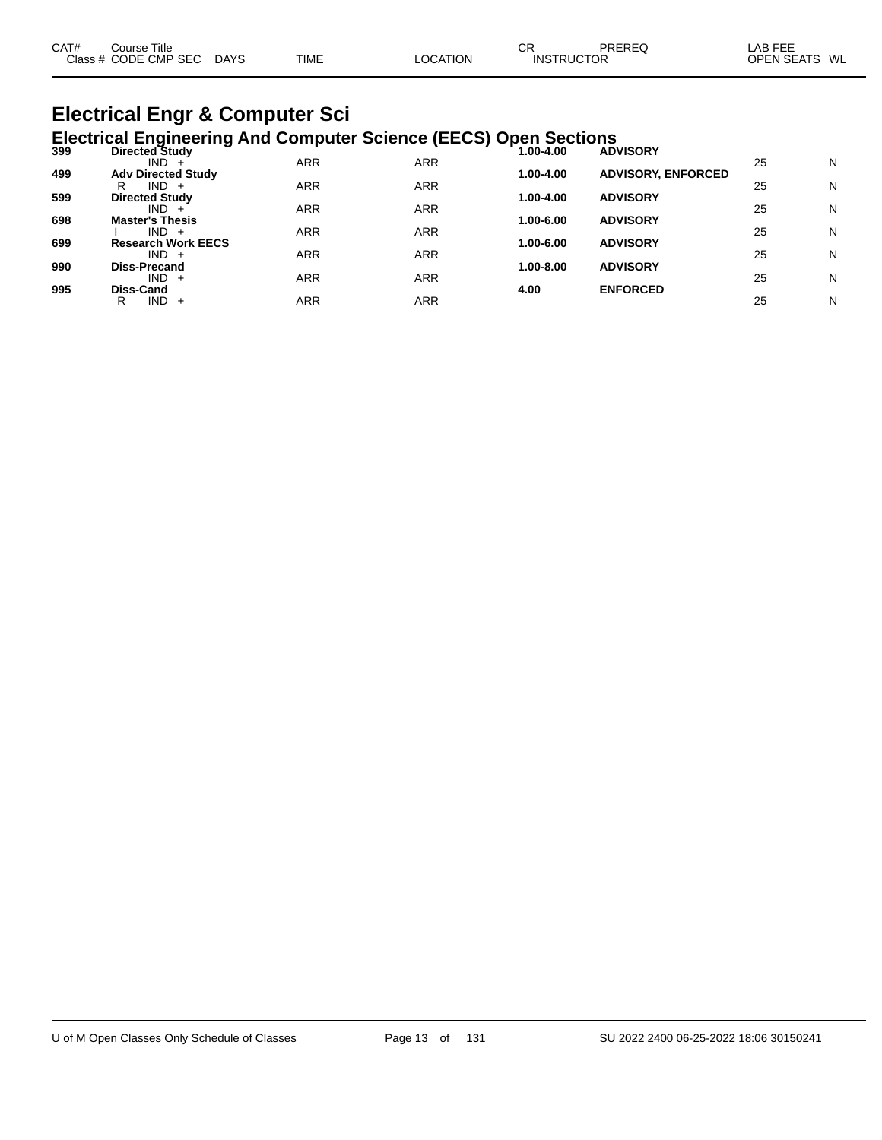| CAT# | Course Title              |      |          | СR                | PREREQ | LAB FEE       |  |
|------|---------------------------|------|----------|-------------------|--------|---------------|--|
|      | Class # CODE CMP SEC DAYS | TIME | LOCATION | <b>INSTRUCTOR</b> |        | OPEN SEATS WL |  |
|      |                           |      |          |                   |        |               |  |

# **Electrical Engr & Computer Sci**

| <b>Electrical Engineering And Computer Science (EECS) Open Sections</b><br>Directed Study<br>1.00-4.00<br>399<br><b>ADVISORY</b><br><b>ARR</b><br><b>ARR</b><br>25<br>$IND +$<br>499<br><b>ADVISORY, ENFORCED</b><br><b>Adv Directed Study</b><br>1.00-4.00<br>ARR<br><b>ARR</b><br>25<br>$IND +$<br>R |   |
|--------------------------------------------------------------------------------------------------------------------------------------------------------------------------------------------------------------------------------------------------------------------------------------------------------|---|
|                                                                                                                                                                                                                                                                                                        |   |
|                                                                                                                                                                                                                                                                                                        | N |
|                                                                                                                                                                                                                                                                                                        | N |
| 599<br>1.00-4.00<br><b>ADVISORY</b><br><b>Directed Study</b>                                                                                                                                                                                                                                           |   |
| <b>ARR</b><br><b>ARR</b><br>25<br>$IND +$                                                                                                                                                                                                                                                              | N |
| 698<br><b>ADVISORY</b><br>1.00-6.00<br><b>Master's Thesis</b>                                                                                                                                                                                                                                          |   |
| <b>ARR</b><br><b>ARR</b><br>$IND +$<br>25                                                                                                                                                                                                                                                              | N |
| 699<br><b>ADVISORY</b><br><b>Research Work EECS</b><br>1.00-6.00                                                                                                                                                                                                                                       |   |
| ARR<br><b>ARR</b><br>25<br>$IND +$                                                                                                                                                                                                                                                                     | N |
| 990<br><b>ADVISORY</b><br>1.00-8.00<br>Diss-Precand<br><b>ARR</b><br>ARR<br>25<br>$IND +$                                                                                                                                                                                                              | N |
| 995<br>Diss-Cand<br><b>ENFORCED</b><br>4.00                                                                                                                                                                                                                                                            |   |
| ARR<br>ARR<br>25<br>IND.<br>R<br>$\pm$                                                                                                                                                                                                                                                                 | N |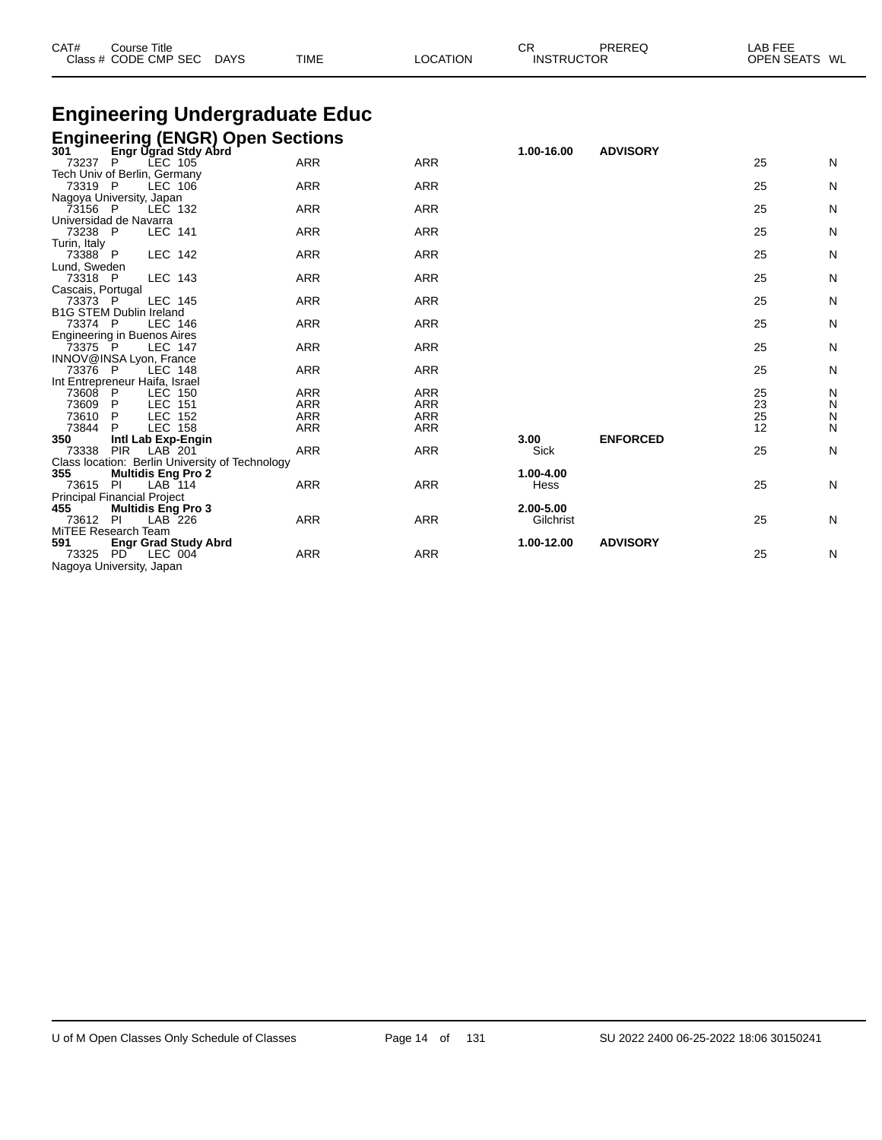| CAT# | Course Title<br>Class # CODE CMP SEC DAYS | <b>TIME</b> | <b>LOCATION</b> | СR<br><b>INSTRUCTOR</b> | PREREQ | LAB FEE<br>OPEN SEATS WL |
|------|-------------------------------------------|-------------|-----------------|-------------------------|--------|--------------------------|
|      |                                           |             |                 |                         |        |                          |

## **Engineering Undergraduate Educ**

#### **Engineering (ENGR) Open Sections**

| 301                     | <b>Engr Ugrad Stdy Abrd</b>                     |            |            | 1.00-16.00  | <b>ADVISORY</b> |    |              |
|-------------------------|-------------------------------------------------|------------|------------|-------------|-----------------|----|--------------|
| 73237                   | LEC 105<br>P                                    | ARR        | <b>ARR</b> |             |                 | 25 | N            |
|                         | Tech Univ of Berlin, Germany                    |            |            |             |                 |    |              |
| 73319 P                 | LEC 106                                         | <b>ARR</b> | <b>ARR</b> |             |                 | 25 | ${\sf N}$    |
|                         | Nagoya University, Japan                        |            |            |             |                 |    |              |
| 73156 P                 | LEC 132                                         | <b>ARR</b> | <b>ARR</b> |             |                 | 25 | N            |
|                         | Universidad de Navarra                          |            |            |             |                 |    |              |
| 73238 P                 | <b>LEC 141</b>                                  | <b>ARR</b> | <b>ARR</b> |             |                 | 25 | $\mathsf{N}$ |
| Turin, Italy<br>73388 P | LEC 142                                         | <b>ARR</b> | <b>ARR</b> |             |                 | 25 | N            |
| Lund, Sweden            |                                                 |            |            |             |                 |    |              |
| 73318 P                 | LEC 143                                         | <b>ARR</b> | <b>ARR</b> |             |                 | 25 | N            |
| Cascais, Portugal       |                                                 |            |            |             |                 |    |              |
| 73373 P                 | LEC 145                                         | <b>ARR</b> | <b>ARR</b> |             |                 | 25 | N            |
|                         | <b>B1G STEM Dublin Ireland</b>                  |            |            |             |                 |    |              |
| 73374 P                 | LEC 146                                         | <b>ARR</b> | <b>ARR</b> |             |                 | 25 | N            |
|                         | Engineering in Buenos Aires                     |            |            |             |                 |    |              |
| 73375 P                 | <b>LEC 147</b>                                  | <b>ARR</b> | <b>ARR</b> |             |                 | 25 | N            |
|                         | INNOV@INSA Lyon, France                         |            |            |             |                 |    |              |
| 73376 P                 | LEC 148                                         | <b>ARR</b> | <b>ARR</b> |             |                 | 25 | N            |
|                         | Int Entrepreneur Haifa, Israel                  |            |            |             |                 |    |              |
| 73608 P                 | LEC 150                                         | <b>ARR</b> | <b>ARR</b> |             |                 | 25 | N            |
| 73609                   | <b>LEC 151</b><br>P                             | <b>ARR</b> | <b>ARR</b> |             |                 | 23 | N            |
| 73610                   | P<br>LEC 152                                    | <b>ARR</b> | <b>ARR</b> |             |                 | 25 | N            |
| 73844                   | LEC 158<br>P                                    | <b>ARR</b> | <b>ARR</b> |             |                 | 12 | N            |
| 350                     | Intl Lab Exp-Engin                              |            |            | 3.00        | <b>ENFORCED</b> |    |              |
| 73338                   | <b>PIR</b><br>LAB 201                           | <b>ARR</b> | <b>ARR</b> | <b>Sick</b> |                 | 25 | N            |
|                         | Class location: Berlin University of Technology |            |            |             |                 |    |              |
| 355                     | <b>Multidis Eng Pro 2</b>                       |            |            | 1.00-4.00   |                 |    |              |
| 73615 PI                | LAB 114                                         | <b>ARR</b> | <b>ARR</b> | Hess        |                 | 25 | N            |
|                         | <b>Principal Financial Project</b>              |            |            |             |                 |    |              |
| 455                     | <b>Multidis Eng Pro 3</b>                       |            |            | 2.00-5.00   |                 |    |              |
| 73612 PI                | LAB 226                                         | <b>ARR</b> | <b>ARR</b> | Gilchrist   |                 | 25 | N            |
|                         | MiTEE Research Team                             |            |            |             |                 |    |              |
| 591<br>73325 PD         | <b>Engr Grad Study Abrd</b><br>LEC 004          | <b>ARR</b> | <b>ARR</b> | 1.00-12.00  | <b>ADVISORY</b> | 25 |              |
|                         |                                                 |            |            |             |                 |    | N            |
|                         | Nagoya University, Japan                        |            |            |             |                 |    |              |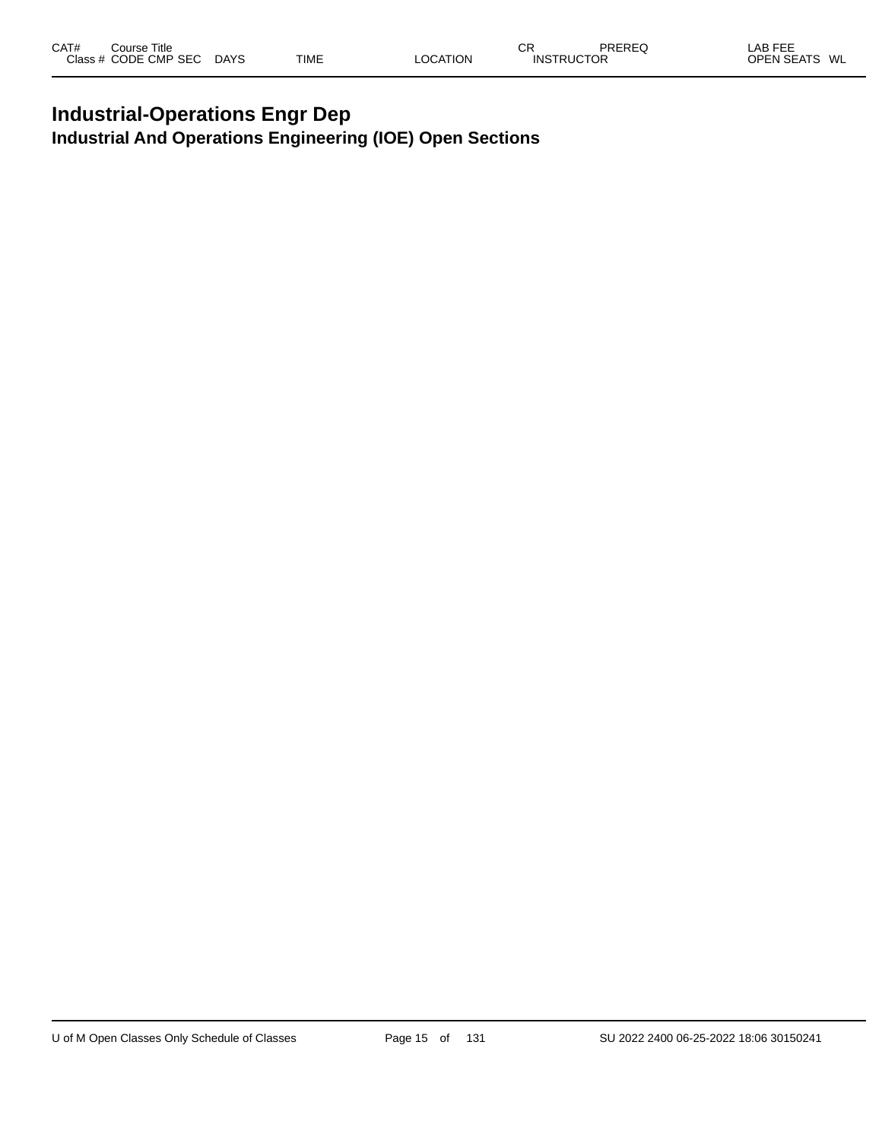#### **Industrial-Operations Engr Dep Industrial And Operations Engineering (IOE) Open Sections**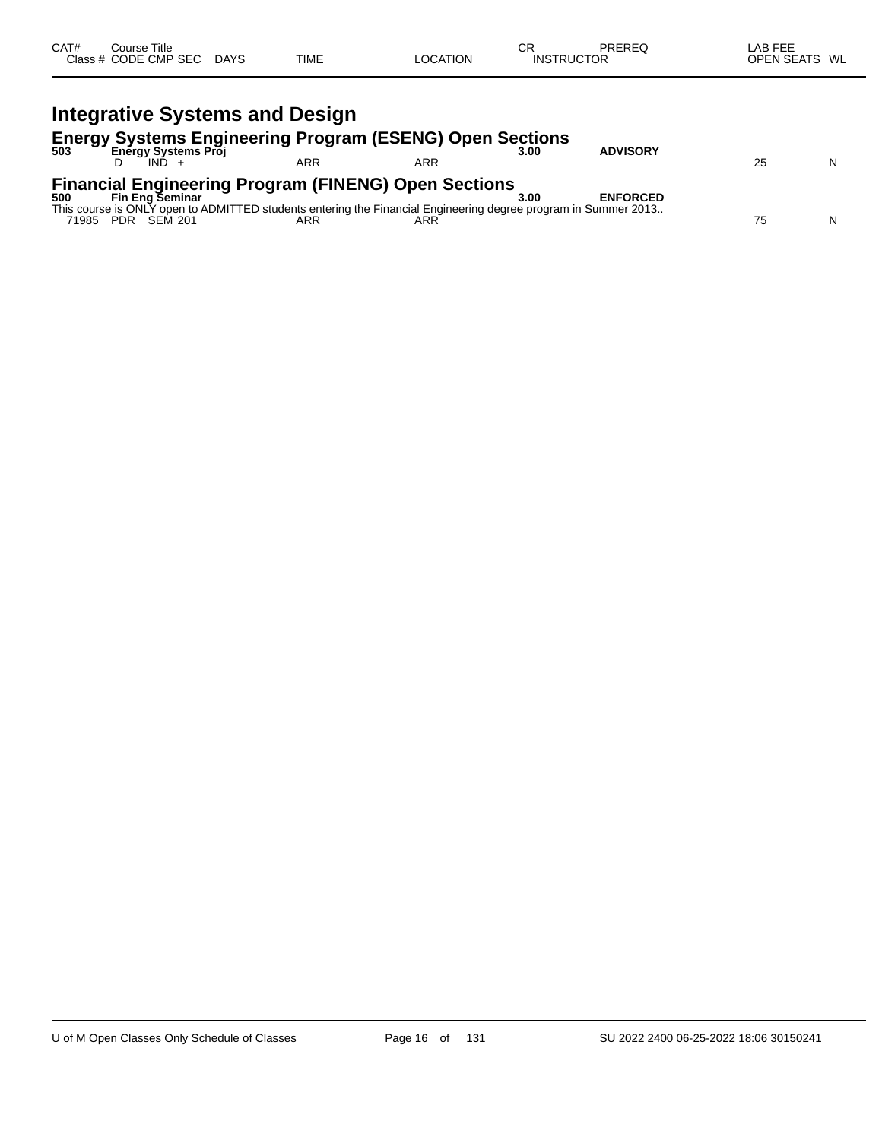| CAT# | Course Title<br>Class # CODE CMP SEC | <b>DAYS</b> | <b>TIME</b> | <b>OCATION</b> | СR<br><b>INSTRUCTOR</b> | PREREQ | LAB FEF<br><b>OPEN SEATS</b><br>WL |
|------|--------------------------------------|-------------|-------------|----------------|-------------------------|--------|------------------------------------|
|      |                                      |             |             |                |                         |        |                                    |

|       | <b>Integrative Systems and Design</b>                                                                                         |     |     |      |                 |    |   |
|-------|-------------------------------------------------------------------------------------------------------------------------------|-----|-----|------|-----------------|----|---|
| 503   | <b>Energy Systems Engineering Program (ESENG) Open Sections</b><br>Energy Systems Proj                                        | ARR | ARR | 3.00 | <b>ADVISORY</b> | 25 | N |
| 500   | <b>Financial Engineering Program (FINENG) Open Sections</b><br><b>Fin Eng Seminar</b>                                         |     |     | 3.00 | <b>ENFORCED</b> |    |   |
| 71985 | This course is ONLY open to ADMITTED students entering the Financial Engineering degree program in Summer 2013<br>PDR SEM 201 | ARR | ARR |      |                 | 75 | N |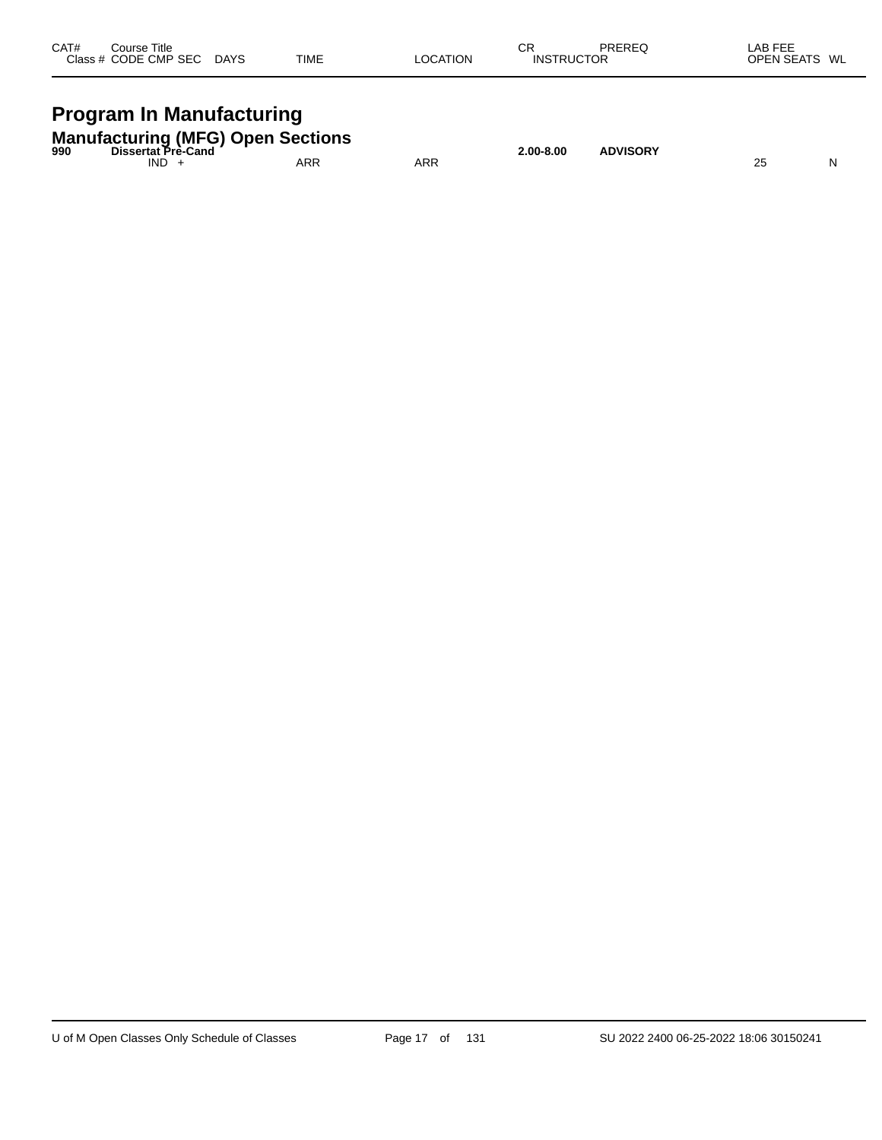| CAT#<br>Course Title<br>Class # CODE CMP SEC DAYS                                               | TIME | <b>LOCATION</b> | СR<br><b>INSTRUCTOR</b> | PREREQ     | LAB FEE<br>OPEN SEATS WL |
|-------------------------------------------------------------------------------------------------|------|-----------------|-------------------------|------------|--------------------------|
| <b>Program In Manufacturing</b>                                                                 |      |                 |                         |            |                          |
| <b>Manufacturing (MFG) Open Sections</b><br><b>International Property Association</b><br>$\sim$ |      |                 | 0.00000                 | 1.51100051 |                          |

| 990 | Dissertat Pre-Cand |     |            | 2.00-8.00 | <b>ADVISORY</b> |    |          |
|-----|--------------------|-----|------------|-----------|-----------------|----|----------|
|     | <b>IND</b>         | ARR | <b>ARR</b> |           |                 | 25 | N<br>. . |
|     |                    |     |            |           |                 |    |          |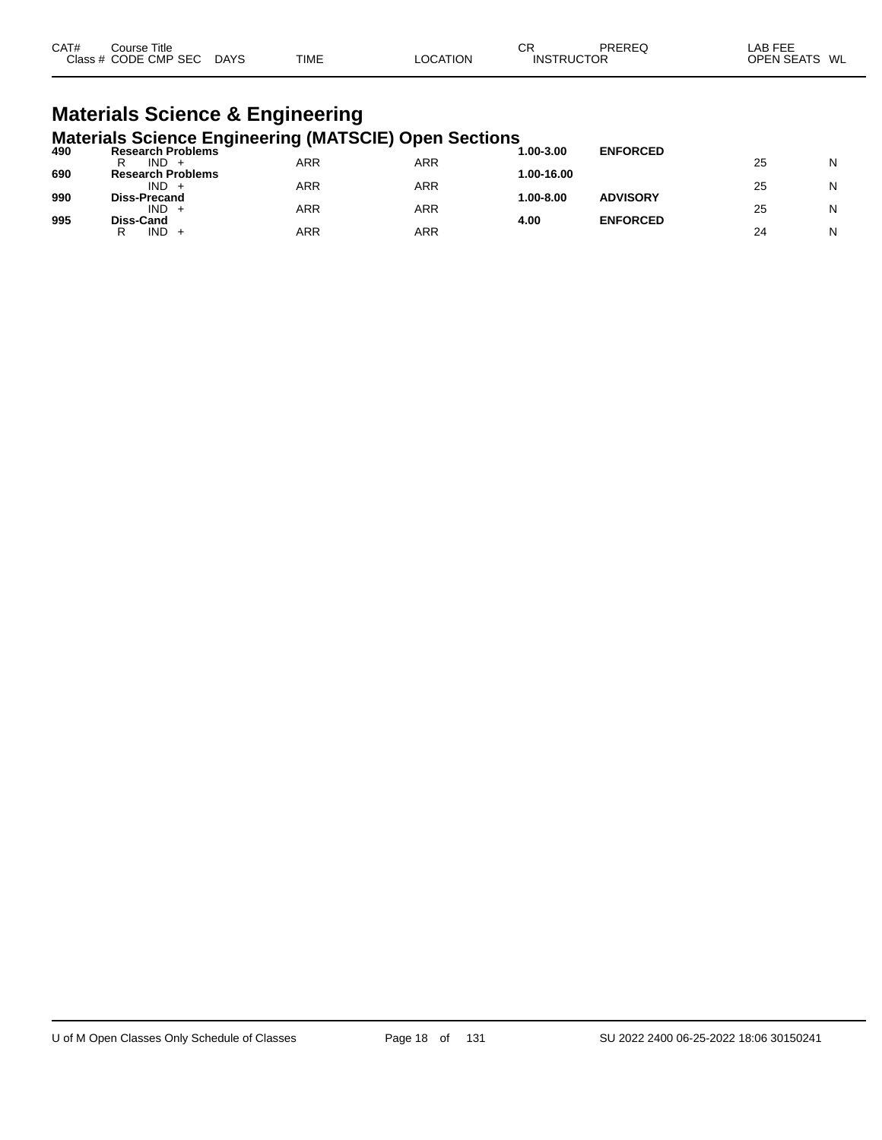| CAT#<br>Class # | Title<br>Sourse<br>CODE CMP SEC | <b>DAYS</b> | <b>TIME</b> | <b>ATION</b><br>$\cap$ $\cap$ $\wedge$ | СR<br>TRUCTOR<br>INS | PREREC | LAB FEF<br>WL<br>OPEN<br><b>EN SEATS</b> |
|-----------------|---------------------------------|-------------|-------------|----------------------------------------|----------------------|--------|------------------------------------------|
|-----------------|---------------------------------|-------------|-------------|----------------------------------------|----------------------|--------|------------------------------------------|

#### **Materials Science & Engineering Materials Science Engineering (MATSCIE) Open Sections**

| 490 | $m$ atorialo ocionico anginocring (im trocia) opon occiono<br><b>Research Problems</b> |     |     | 1.00-3.00  | <b>ENFORCED</b> |    |   |
|-----|----------------------------------------------------------------------------------------|-----|-----|------------|-----------------|----|---|
|     | IND.<br>R                                                                              | ARR | ARR |            |                 | 25 | N |
| 690 | <b>Research Problems</b>                                                               |     |     | 1.00-16.00 |                 |    |   |
|     | IND                                                                                    | ARR | ARR |            |                 | 25 | N |
| 990 | <b>Diss-Precand</b>                                                                    |     |     | 1.00-8.00  | <b>ADVISORY</b> |    |   |
|     | IND.                                                                                   | ARR | ARR |            |                 | 25 | N |
| 995 | Diss-Cand<br>IND.<br>R                                                                 | ARR | ARR | 4.00       | <b>ENFORCED</b> | 24 | N |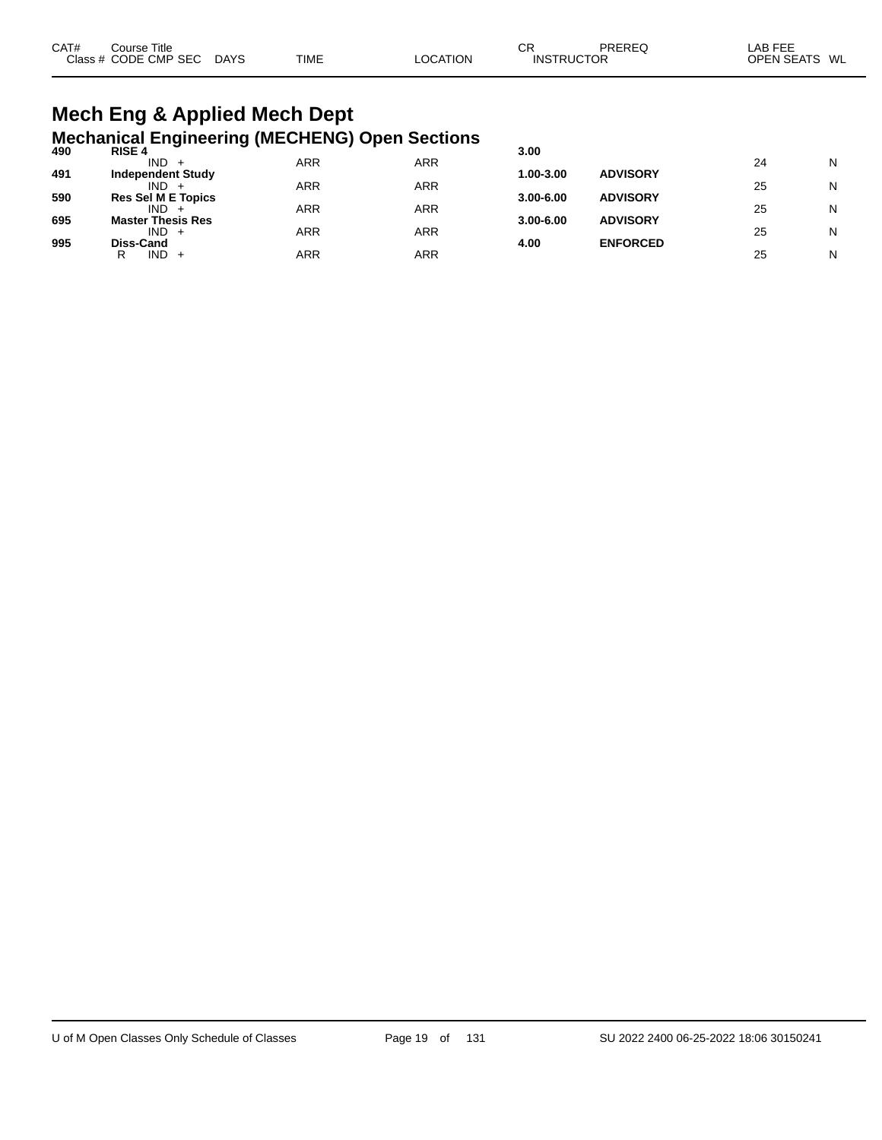| CAT# | Course Title<br>Class # CODE CMP SEC | DAYS | <b>TIME</b> | <b>LOCATION</b> | СF<br><b>INSTRUCTOR</b> | PREREQ | _AB FEE<br>OPEN SEATS WL |  |
|------|--------------------------------------|------|-------------|-----------------|-------------------------|--------|--------------------------|--|
|      |                                      |      |             |                 |                         |        |                          |  |

## **Mech Eng & Applied Mech Dept Mechanical Engineering (MECHENG) Open Sections 490 RISE 4 3.00**

| 490 | <b>RISE 4</b>             |     |     | 3.00          |                 |    |   |
|-----|---------------------------|-----|-----|---------------|-----------------|----|---|
|     | $IND +$                   | ARR | ARR |               |                 | 24 | N |
| 491 | <b>Independent Study</b>  |     |     | 1.00-3.00     | <b>ADVISORY</b> |    |   |
|     | $IND +$                   | ARR | ARR |               |                 | 25 | N |
| 590 | <b>Res Sel M E Topics</b> |     |     | $3.00 - 6.00$ | <b>ADVISORY</b> |    |   |
|     | IND.                      | ARR | ARR |               |                 | 25 | N |
| 695 | <b>Master Thesis Res</b>  |     |     | $3.00 - 6.00$ | <b>ADVISORY</b> |    |   |
|     | $IND +$                   | ARR | ARR |               |                 | 25 | N |
| 995 | Diss-Cand                 |     |     | 4.00          | <b>ENFORCED</b> |    |   |
|     | $IND +$<br>R              | ARR | ARR |               |                 | 25 | N |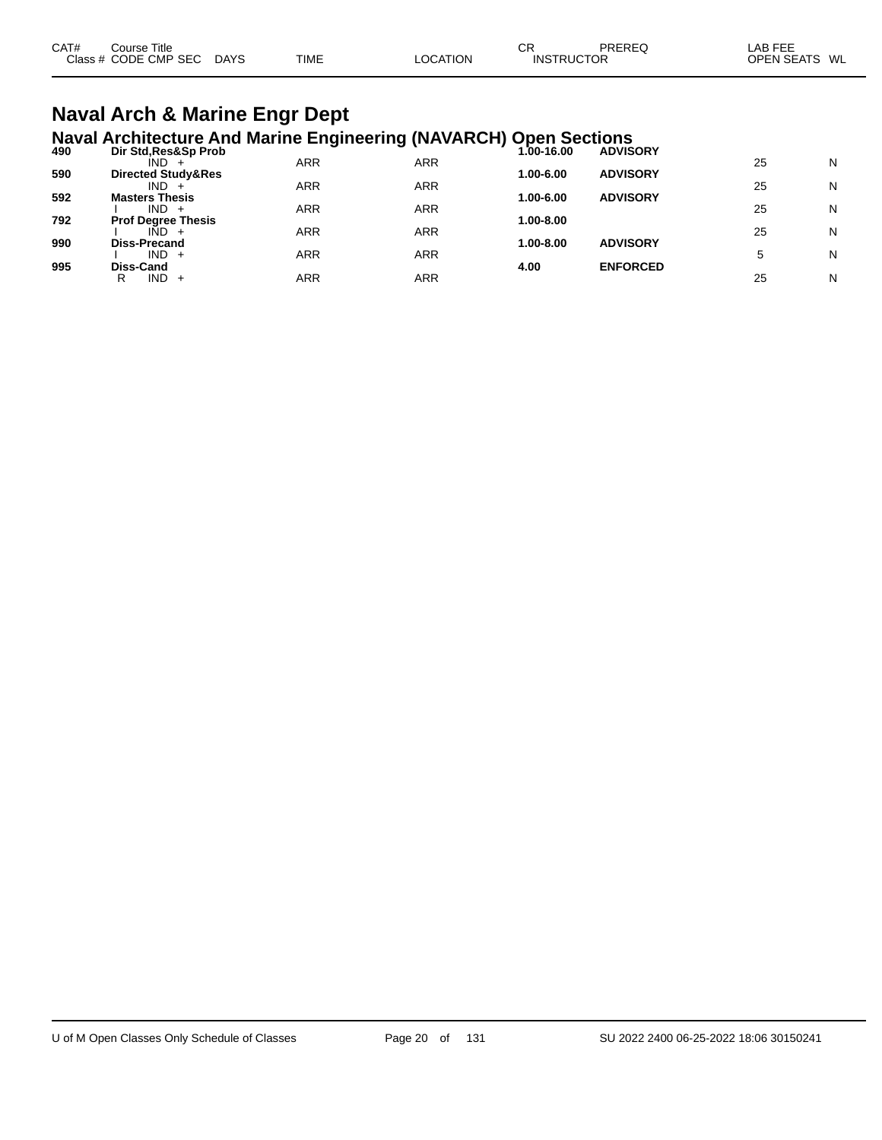| CAT# | Course Title              |             |          | СR                | PREREQ | ∟AB FEE       |
|------|---------------------------|-------------|----------|-------------------|--------|---------------|
|      | Class # CODE CMP SEC DAYS | <b>TIME</b> | LOCATION | <b>INSTRUCTOR</b> |        | OPEN SEATS WL |
|      |                           |             |          |                   |        |               |

## **Naval Arch & Marine Engr Dept**

**Naval Architecture And Marine Engineering (NAVARCH) Open Sections 490 Dir Std,Res&Sp Prob 1.00-16.00 ADVISORY**

| 49U | DIL SIG'RESCOD LIOD           |            |     | 1.00-16.00 | <b>ADVISURT</b> |    |   |
|-----|-------------------------------|------------|-----|------------|-----------------|----|---|
|     | $IND +$                       | ARR        | ARR |            |                 | 25 | N |
| 590 | <b>Directed Study&amp;Res</b> |            |     | 1.00-6.00  | <b>ADVISORY</b> |    |   |
|     | $IND +$                       | ARR        | ARR |            |                 | 25 | N |
| 592 | <b>Masters Thesis</b>         |            |     | 1.00-6.00  | <b>ADVISORY</b> |    |   |
|     | $IND +$                       | ARR        | ARR |            |                 | 25 | N |
| 792 | <b>Prof Degree Thesis</b>     |            |     | 1.00-8.00  |                 |    |   |
|     | $IND +$                       | <b>ARR</b> | ARR |            |                 | 25 | N |
| 990 | <b>Diss-Precand</b>           |            |     | 1.00-8.00  | <b>ADVISORY</b> |    |   |
|     | $IND +$                       | <b>ARR</b> | ARR |            |                 |    | N |
| 995 | Diss-Cand                     |            |     | 4.00       | <b>ENFORCED</b> |    |   |
|     | IND.<br>R<br>$+$              | ARR        | ARR |            |                 | 25 | N |
|     |                               |            |     |            |                 |    |   |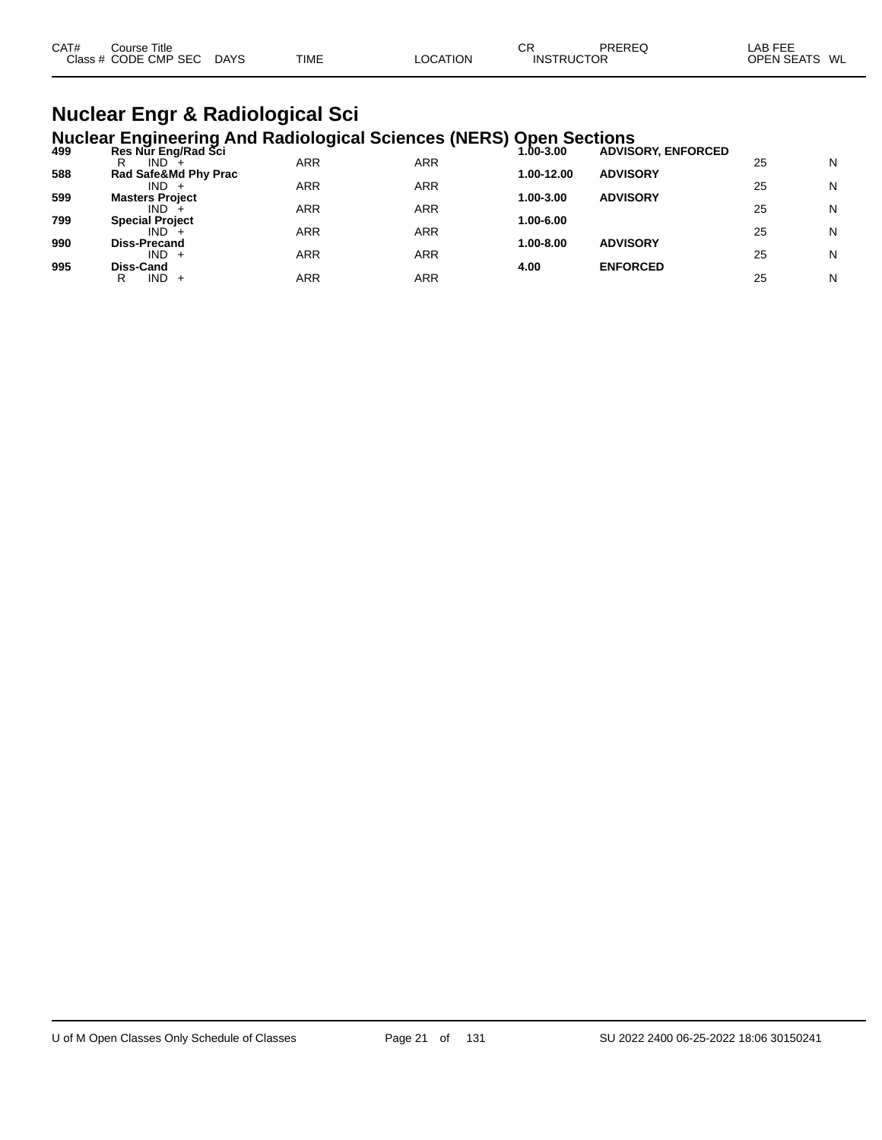| CAT# | Course Title              |             |                 | СF                | PREREQ | _AB FEE       |  |
|------|---------------------------|-------------|-----------------|-------------------|--------|---------------|--|
|      | Class # CODE CMP SEC DAYS | <b>TIME</b> | <b>LOCATION</b> | <b>INSTRUCTOR</b> |        | OPEN SEATS WL |  |
|      |                           |             |                 |                   |        |               |  |

#### **Nuclear Engr & Radiological Sci Nuclear Engineering And Radiological Sciences (NERS) Open Sections**

|     | $11401041$ anginooning? the riderorogroup colonious $(112110)$ |            |            | $\sim$ $\sim$ $\sim$ $\sim$ $\sim$ $\sim$ $\sim$ $\sim$ |                           |    |   |
|-----|----------------------------------------------------------------|------------|------------|---------------------------------------------------------|---------------------------|----|---|
| 499 | Res Nur Eng/Rad Sci                                            |            |            | 1.00-3.00                                               | <b>ADVISORY, ENFORCED</b> |    |   |
|     | IND.<br>R                                                      | ARR        | ARR        |                                                         |                           | 25 | N |
| 588 | Rad Safe&Md Phy Prac                                           |            |            | 1.00-12.00                                              | <b>ADVISORY</b>           |    |   |
|     | $IND +$                                                        | ARR        | <b>ARR</b> |                                                         |                           | 25 | N |
| 599 | <b>Masters Project</b>                                         |            |            | 1.00-3.00                                               | <b>ADVISORY</b>           |    |   |
|     | IND.                                                           | <b>ARR</b> | <b>ARR</b> |                                                         |                           | 25 | N |
| 799 | <b>Special Project</b>                                         |            |            | 1.00-6.00                                               |                           |    |   |
|     | $IND +$                                                        | ARR        | ARR        |                                                         |                           | 25 | N |
| 990 | <b>Diss-Precand</b>                                            |            |            | 1.00-8.00                                               | <b>ADVISORY</b>           |    |   |
|     | $IND +$                                                        | ARR        | <b>ARR</b> |                                                         |                           | 25 | N |
| 995 | Diss-Cand                                                      |            |            | 4.00                                                    | <b>ENFORCED</b>           |    |   |
|     | $IND +$<br>R                                                   | <b>ARR</b> | ARR        |                                                         |                           | 25 | N |
|     |                                                                |            |            |                                                         |                           |    |   |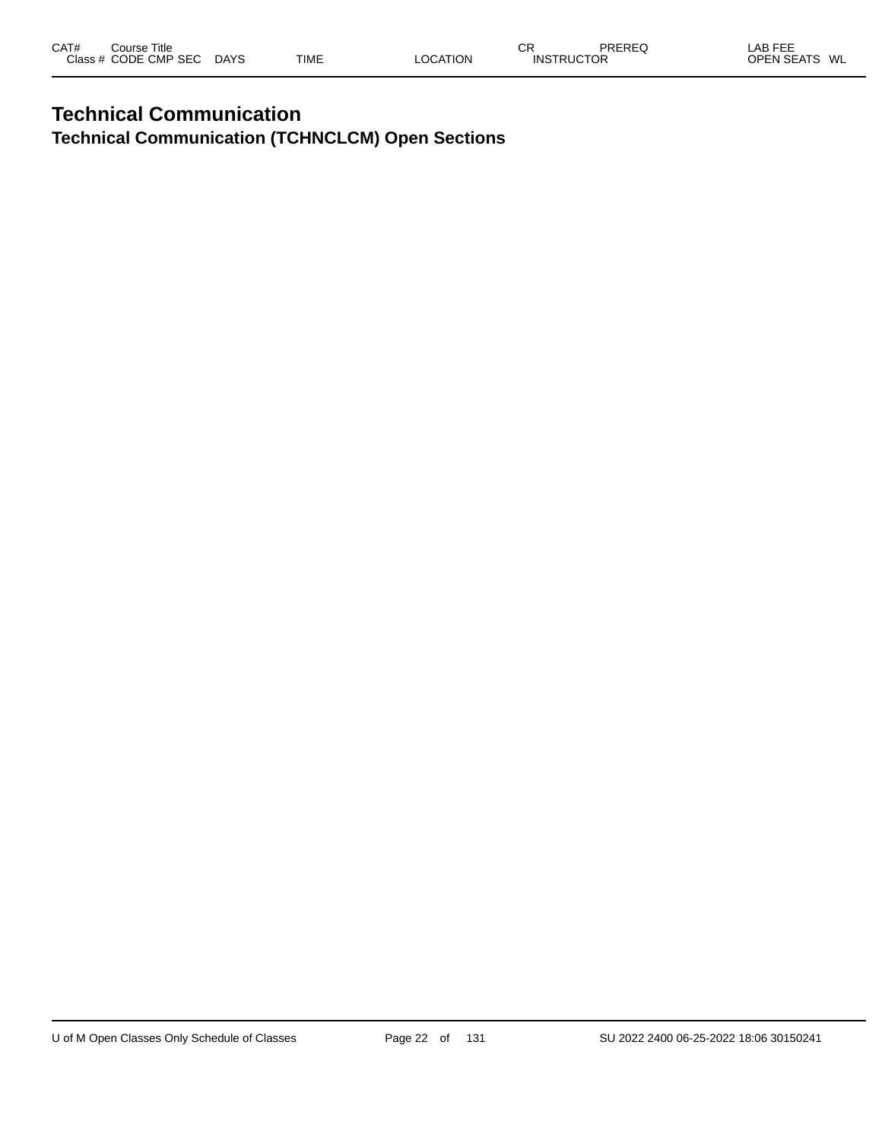#### **Technical Communication Technical Communication (TCHNCLCM) Open Sections**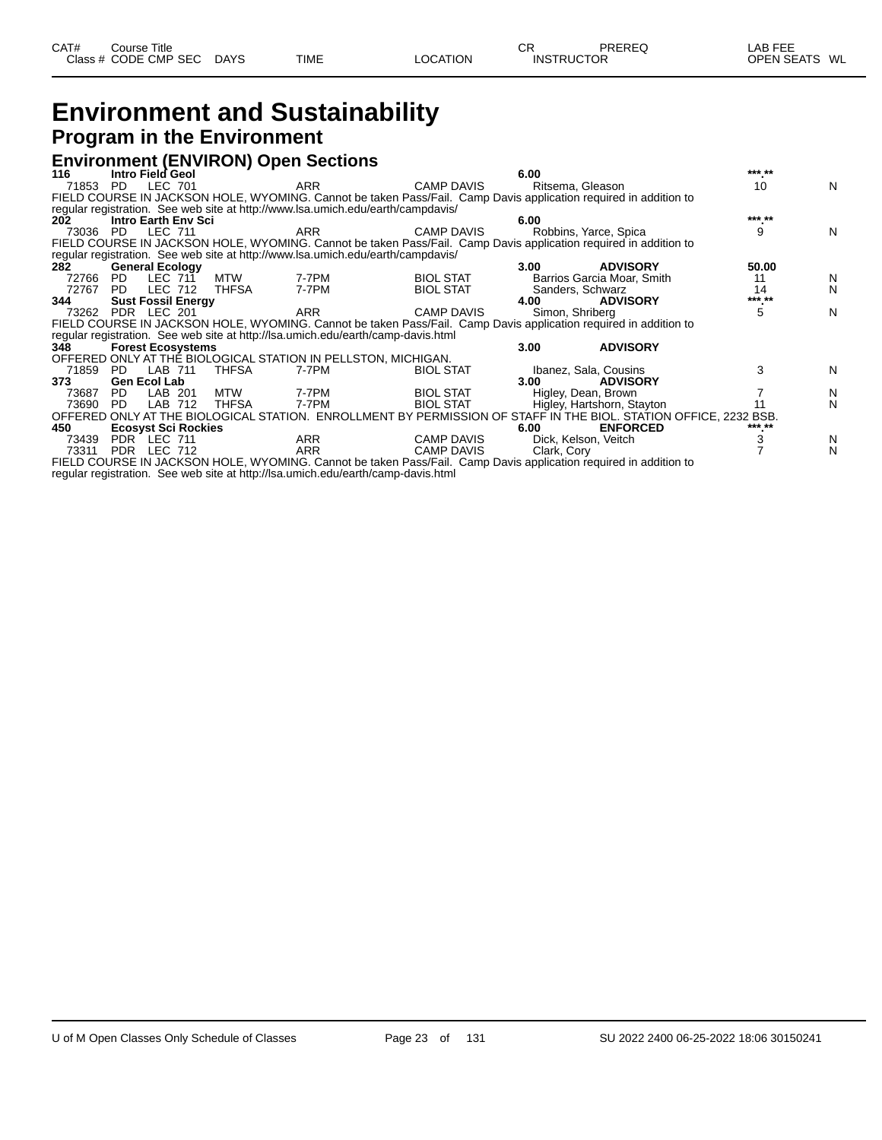### **Environment and Sustainability Program in the Environment**

#### **Environment (ENVIRON) Open Sections**

| 116   | Intro Field Geol                                                                 |              |            |                   | 6.00 |                 |                                                                                                                  | *** ** |   |
|-------|----------------------------------------------------------------------------------|--------------|------------|-------------------|------|-----------------|------------------------------------------------------------------------------------------------------------------|--------|---|
| 71853 | LEC 701<br>PD.                                                                   |              | <b>ARR</b> | <b>CAMP DAVIS</b> |      |                 | Ritsema, Gleason                                                                                                 | 10     | N |
|       |                                                                                  |              |            |                   |      |                 | FIELD COURSE IN JACKSON HOLE, WYOMING. Cannot be taken Pass/Fail. Camp Davis application required in addition to |        |   |
|       | requiar registration. See web site at http://www.lsa.umich.edu/earth/campdavis/  |              |            |                   |      |                 |                                                                                                                  |        |   |
| 202   | <b>Intro Earth Env Sci</b>                                                       |              |            |                   | 6.00 |                 |                                                                                                                  | *** ** |   |
| 73036 | PD LEC 711                                                                       |              | ARR        | <b>CAMP DAVIS</b> |      |                 | Robbins, Yarce, Spica                                                                                            | 9      | N |
|       |                                                                                  |              |            |                   |      |                 | FIELD COURSE IN JACKSON HOLE, WYOMING. Cannot be taken Pass/Fail. Camp Davis application required in addition to |        |   |
|       | requiar registration. See web site at http://www.lsa.umich.edu/earth/campdavis/  |              |            |                   |      |                 |                                                                                                                  |        |   |
| 282   | <b>General Ecology</b>                                                           |              |            |                   | 3.00 |                 | <b>ADVISORY</b>                                                                                                  | 50.00  |   |
| 72766 | LEC 711<br>PD                                                                    | MTW          | 7-7PM      | <b>BIOL STAT</b>  |      |                 | Barrios Garcia Moar, Smith                                                                                       | 11     | N |
| 72767 | LEC 712<br>PD.                                                                   | THFSA        | 7-7PM      | <b>BIOL STAT</b>  |      |                 | Sanders, Schwarz                                                                                                 | 14     | N |
| 344   | <b>Sust Fossil Energy</b>                                                        |              |            |                   | 4.00 |                 | <b>ADVISORY</b>                                                                                                  | *** ** |   |
| 73262 | PDR LEC 201                                                                      |              | ARR        | <b>CAMP DAVIS</b> |      | Simon, Shriberg |                                                                                                                  | 5      | N |
|       |                                                                                  |              |            |                   |      |                 | FIELD COURSE IN JACKSON HOLE, WYOMING. Cannot be taken Pass/Fail. Camp Davis application required in addition to |        |   |
|       | regular registration. See web site at http://lsa.umich.edu/earth/camp-davis.html |              |            |                   |      |                 |                                                                                                                  |        |   |
| 348   | <b>Forest Ecosystems</b>                                                         |              |            |                   | 3.00 |                 | <b>ADVISORY</b>                                                                                                  |        |   |
|       | OFFERED ONLY AT THE BIOLOGICAL STATION IN PELLSTON, MICHIGAN.                    |              |            |                   |      |                 |                                                                                                                  |        |   |
| 71859 | PD LAB 711                                                                       | <b>THFSA</b> | 7-7PM      | <b>BIOL STAT</b>  |      |                 | Ibanez, Sala, Cousins                                                                                            | 3      | N |
| 373   | <b>Gen Ecol Lab</b>                                                              |              |            |                   | 3.00 |                 | <b>ADVISORY</b>                                                                                                  |        |   |
| 73687 | PD.<br>LAB 201                                                                   | MTW          | 7-7PM      | <b>BIOL STAT</b>  |      |                 | Higley, Dean, Brown                                                                                              |        | N |
| 73690 | LAB 712<br>PD.                                                                   | <b>THFSA</b> | 7-7PM      | <b>BIOL STAT</b>  |      |                 | Higley, Hartshorn, Stayton                                                                                       |        | N |
|       |                                                                                  |              |            |                   |      |                 | OFFERED ONLY AT THE BIOLOGICAL STATION. ENROLLMENT BY PERMISSION OF STAFF IN THE BIOL. STATION OFFICE, 2232 BSB. |        |   |
| 450   | <b>Ecosyst Sci Rockies</b>                                                       |              |            |                   | 6.00 |                 | <b>ENFORCED</b>                                                                                                  | *** ** |   |
| 73439 | PDR LEC 711                                                                      |              | ARR        | <b>CAMP DAVIS</b> |      |                 | Dick, Kelson, Veitch                                                                                             |        | N |
| 73311 | PDR LEC 712                                                                      |              | <b>ARR</b> | <b>CAMP DAVIS</b> |      | Clark, Cory     |                                                                                                                  |        | N |
|       |                                                                                  |              |            |                   |      |                 | FIELD COURSE IN JACKSON HOLE, WYOMING. Cannot be taken Pass/Fail. Camp Davis application required in addition to |        |   |

regular registration. See web site at http://lsa.umich.edu/earth/camp-davis.html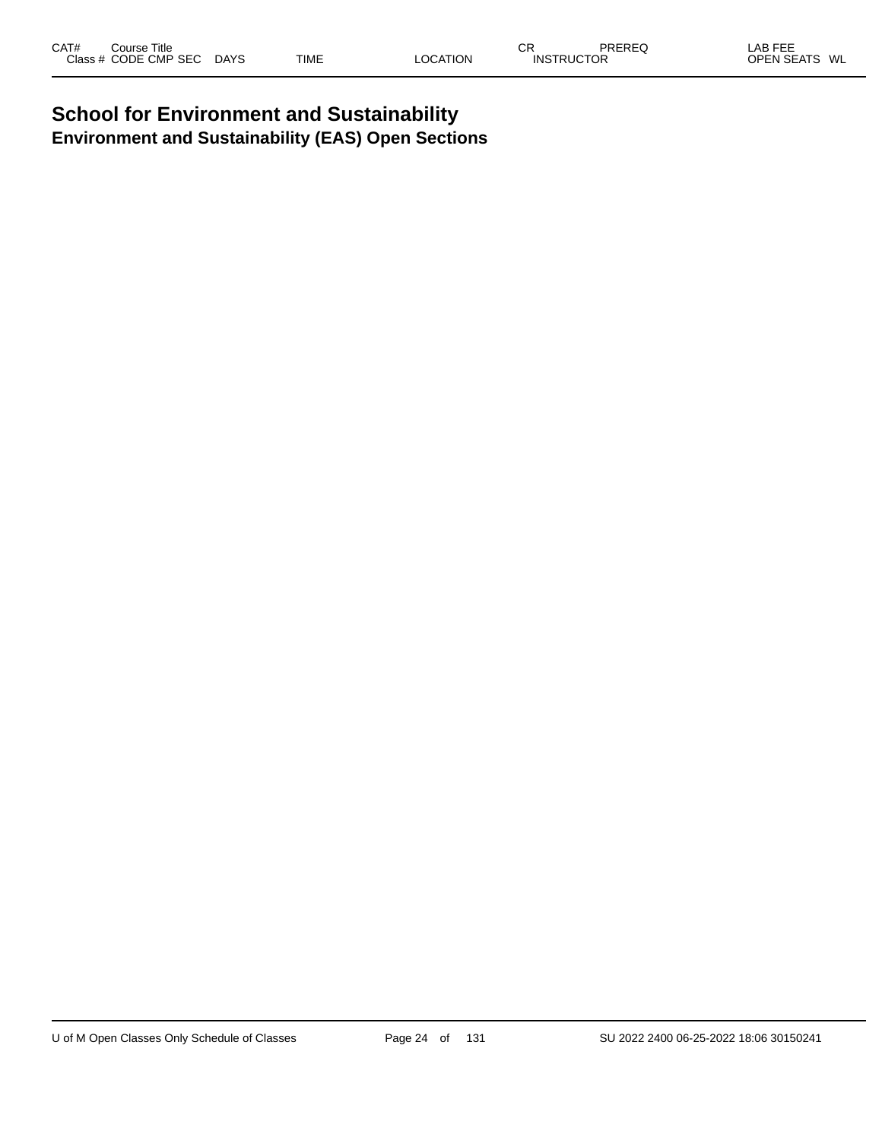#### **School for Environment and Sustainability Environment and Sustainability (EAS) Open Sections**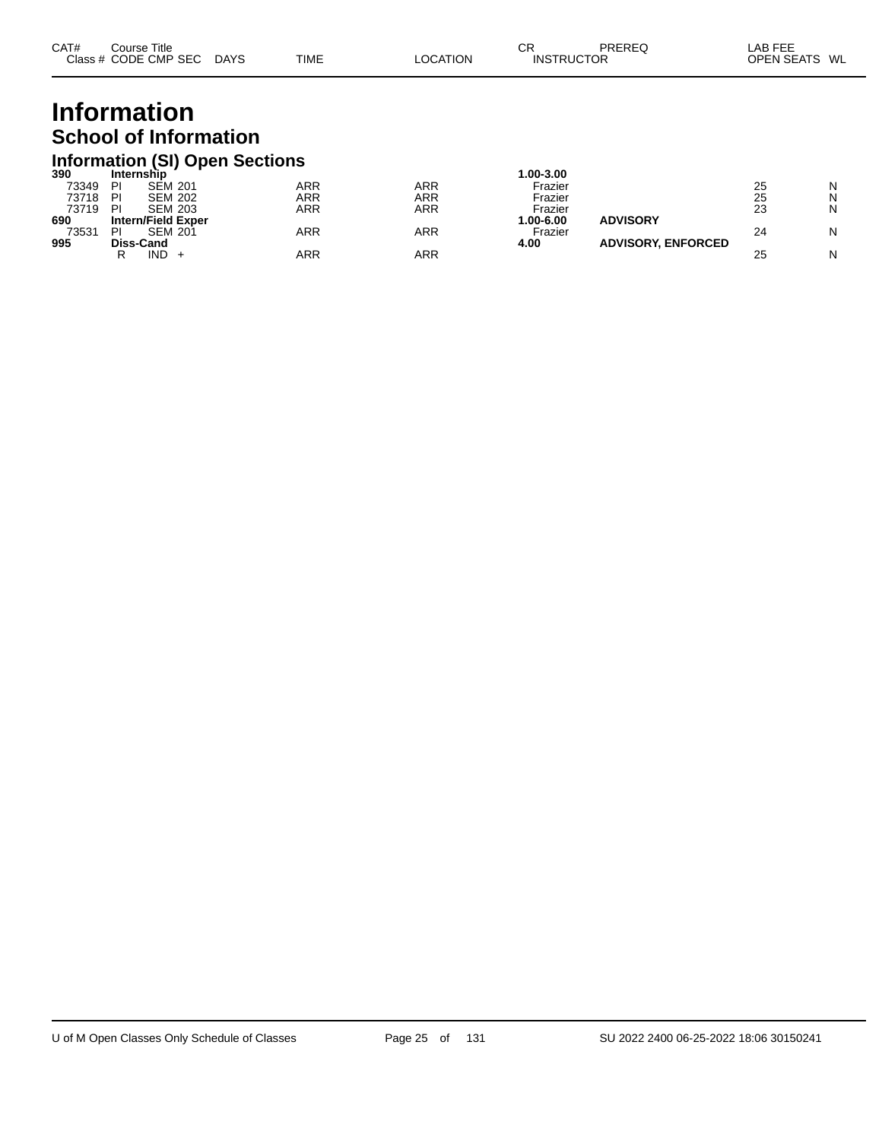| CAT# | ourse Titleٽ         |             |             |                 | СR                | PREREQ | _AB FEE       |  |
|------|----------------------|-------------|-------------|-----------------|-------------------|--------|---------------|--|
|      | Class # CODE CMP SEC | <b>DAYS</b> | <b>TIME</b> | <b>LOCATION</b> | <b>INSTRUCTOR</b> |        | OPEN SEATS WL |  |

## **Information School of Information**

## **Information (SI) Open Sections 390 Internship 1.00-3.00**

| งงบ   | internsnip                |            |     | .uu-3.uu     |                           |    |   |
|-------|---------------------------|------------|-----|--------------|---------------------------|----|---|
| 73349 | PI<br><b>SEM 201</b>      | ARR        | ARR | Frazier      |                           | 25 | N |
| 73718 | PI<br><b>SEM 202</b>      | ARR        | ARR | Frazier      |                           | 25 | N |
| 73719 | PI<br><b>SEM 203</b>      | ARR        | ARR | Frazier      |                           | 23 | N |
| 690   | <b>Intern/Field Exper</b> |            |     | $.00 - 6.00$ | <b>ADVISORY</b>           |    |   |
| 73531 | <b>SEM 201</b><br>PI      | <b>ARR</b> | ARR | Frazier      |                           | 24 | N |
| 995   | <b>Diss-Cand</b>          |            |     | 4.00         | <b>ADVISORY, ENFORCED</b> |    |   |
|       | IND<br>D                  | ARR        | ARR |              |                           | 25 | N |
|       |                           |            |     |              |                           |    |   |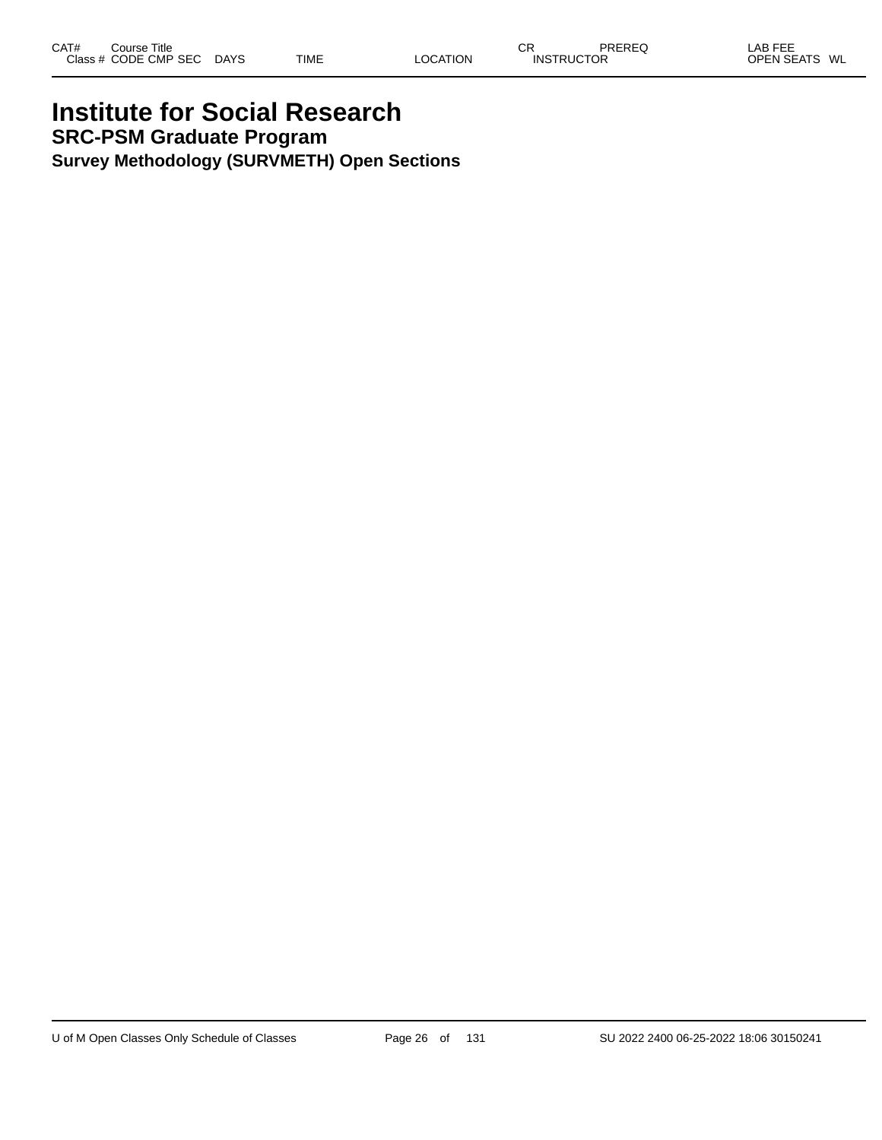### **Institute for Social Research SRC-PSM Graduate Program Survey Methodology (SURVMETH) Open Sections**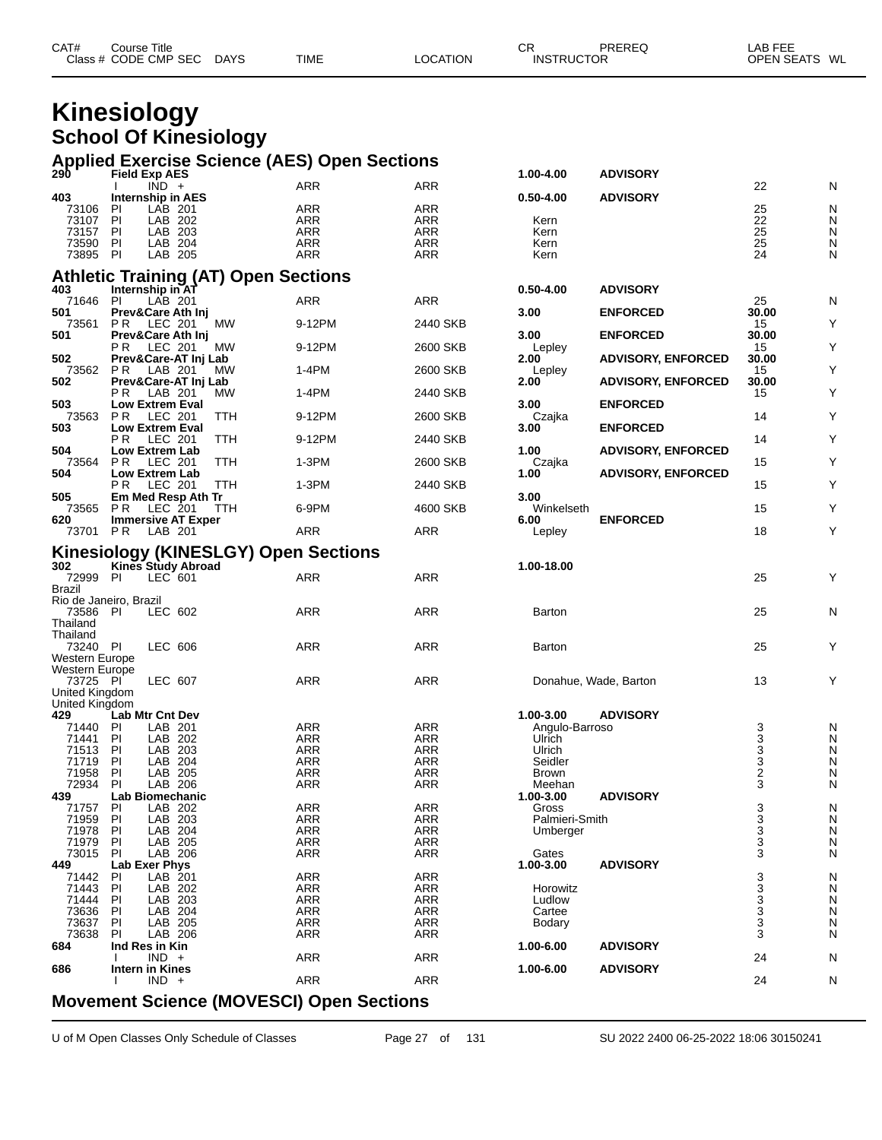| Class # CODE CMP SEC<br><b>INSTRUCTOR</b> | CAT# | Course Title |             |             |          | СR | PREREQ | ∟AB FEE       |  |
|-------------------------------------------|------|--------------|-------------|-------------|----------|----|--------|---------------|--|
|                                           |      |              | <b>DAYS</b> | <b>TIME</b> | LOCATION |    |        | OPEN SEATS WL |  |

## **Kinesiology School Of Kinesiology**

|                                         |                                  |                    |                                      | <b>Applied Exercise Science (AES) Open Sections</b> |                          |                       |                           |                  |        |
|-----------------------------------------|----------------------------------|--------------------|--------------------------------------|-----------------------------------------------------|--------------------------|-----------------------|---------------------------|------------------|--------|
| 290                                     | <b>Field Exp AES</b>             |                    |                                      |                                                     |                          | 1.00-4.00             | <b>ADVISORY</b>           |                  |        |
| 403                                     | <b>Internship in AES</b>         | $\overline{IND}$ + |                                      | ARR                                                 | <b>ARR</b>               | $0.50 - 4.00$         | <b>ADVISORY</b>           | 22               | N      |
| 73106                                   | <b>PI</b>                        | LAB 201            |                                      | <b>ARR</b>                                          | <b>ARR</b>               |                       |                           | 25               | N      |
| 73107                                   | PI                               | LAB 202            |                                      | ARR                                                 | ARR                      | Kern                  |                           | 22               | N      |
| 73157                                   | PI                               | LAB 203            |                                      | <b>ARR</b>                                          | <b>ARR</b>               | Kern                  |                           | 25               | N      |
| 73590                                   | PI                               | LAB 204            |                                      | <b>ARR</b>                                          | <b>ARR</b>               | Kern                  |                           | 25               | N      |
| 73895 PI                                |                                  | LAB 205            |                                      | ARR                                                 | ARR                      | Kern                  |                           | 24               | N      |
|                                         |                                  |                    | Athletic Training (AT) Open Sections |                                                     |                          |                       |                           |                  |        |
| 403                                     | Internship in AT                 |                    |                                      |                                                     |                          | $0.50 - 4.00$         | <b>ADVISORY</b>           |                  |        |
| 71646                                   | PI                               | LAB 201            |                                      | ARR                                                 | ARR                      |                       |                           | 25               | Ν      |
| 501                                     | Prev&Care Ath Inj                |                    |                                      |                                                     |                          | 3.00                  | <b>ENFORCED</b>           | 30.00            |        |
| 73561                                   | P R                              | LEC 201            | МW                                   | 9-12PM                                              | 2440 SKB                 |                       |                           | 15               | Υ      |
| 501                                     | Prev&Care Ath Inj                |                    |                                      |                                                     |                          | 3.00                  | <b>ENFORCED</b>           | 30.00            |        |
| 502                                     | РR<br>Prev&Care-AT Inj Lab       | LEC 201            | MW                                   | 9-12PM                                              | 2600 SKB                 | Lepley<br>2.00        | <b>ADVISORY, ENFORCED</b> | 15<br>30.00      | Y      |
| 73562                                   | P R                              | LAB 201            | МW                                   | 1-4PM                                               | 2600 SKB                 | Lepley                |                           | 15               | Y      |
| 502                                     | Prev&Care-AT Inj Lab             |                    |                                      |                                                     |                          | 2.00                  | <b>ADVISORY, ENFORCED</b> | 30.00            |        |
|                                         | РR                               | LAB 201            | МW                                   | 1-4PM                                               | 2440 SKB                 |                       |                           | 15               | Υ      |
| 503                                     | <b>Low Extrem Eval</b>           |                    |                                      |                                                     |                          | 3.00                  | <b>ENFORCED</b>           |                  |        |
| 73563                                   | P <sub>R</sub>                   | LEC 201            | TTH                                  | 9-12PM                                              | 2600 SKB                 | Czajka                |                           | 14               | Y      |
| 503                                     | <b>Low Extrem Eval</b><br>P R    | LEC 201            | TTH                                  | 9-12PM                                              | 2440 SKB                 | 3.00                  | <b>ENFORCED</b>           | 14               | Y      |
| 504                                     | Low Extrem Lab                   |                    |                                      |                                                     |                          | 1.00                  | <b>ADVISORY, ENFORCED</b> |                  |        |
| 73564                                   | P R                              | LEC 201            | <b>TTH</b>                           | 1-3PM                                               | 2600 SKB                 | Czajka                |                           | 15               | Υ      |
| 504                                     | <b>Low Extrem Lab</b>            |                    |                                      |                                                     |                          | 1.00                  | <b>ADVISORY, ENFORCED</b> |                  |        |
|                                         | P R.                             | <b>LEC 201</b>     | TTH                                  | 1-3PM                                               | 2440 SKB                 |                       |                           | 15               | Y      |
| 505                                     | Em Med Resp Ath Tr               |                    |                                      |                                                     |                          | 3.00                  |                           |                  |        |
| 73565<br>620                            | P R<br><b>Immersive AT Exper</b> | LEC 201            | TTH                                  | 6-9PM                                               | 4600 SKB                 | Winkelseth<br>6.00    | <b>ENFORCED</b>           | 15               | Y      |
| 73701 PR                                |                                  | LAB 201            |                                      | <b>ARR</b>                                          | <b>ARR</b>               | Lepley                |                           | 18               | Y      |
|                                         |                                  |                    |                                      |                                                     |                          |                       |                           |                  |        |
|                                         |                                  |                    |                                      | <b>Kinesiology (KINESLGY) Open Sections</b>         |                          |                       |                           |                  |        |
| 302                                     | <b>Kines Study Abroad</b>        |                    |                                      |                                                     |                          | 1.00-18.00            |                           |                  |        |
| 72999                                   | PI                               | LEC 601            |                                      | ARR                                                 | ARR                      |                       |                           | 25               | Y      |
| <b>Brazil</b><br>Rio de Janeiro, Brazil |                                  |                    |                                      |                                                     |                          |                       |                           |                  |        |
| 73586 PI                                |                                  | LEC 602            |                                      | ARR                                                 | ARR                      | Barton                |                           | 25               | N      |
| Thailand                                |                                  |                    |                                      |                                                     |                          |                       |                           |                  |        |
| Thailand                                |                                  |                    |                                      |                                                     |                          |                       |                           |                  |        |
| 73240 PI                                |                                  | LEC 606            |                                      | ARR                                                 | ARR                      | Barton                |                           | 25               | Y      |
| Western Europe                          |                                  |                    |                                      |                                                     |                          |                       |                           |                  |        |
| Western Europe<br>73725 PI              |                                  | LEC 607            |                                      | ARR                                                 | ARR                      | Donahue, Wade, Barton |                           | 13               | Y      |
| United Kingdom                          |                                  |                    |                                      |                                                     |                          |                       |                           |                  |        |
| United Kingdom                          |                                  |                    |                                      |                                                     |                          |                       |                           |                  |        |
| 429                                     | Lab Mtr Cnt Dev                  |                    |                                      |                                                     |                          | 1.00-3.00             | <b>ADVISORY</b>           |                  |        |
| 71440                                   | PI                               | LAB 201            |                                      | <b>ARR</b>                                          | ARR                      | Angulo-Barroso        |                           | 3                | N      |
| 71441                                   | <b>PI</b>                        | LAB 202            |                                      | ARR                                                 | ARR                      | Ulrich                |                           | $\frac{3}{3}$    | N      |
| 71513<br>71719                          | PI<br>PI                         | LAB 203<br>LAB 204 |                                      | ARR<br><b>ARR</b>                                   | <b>ARR</b><br><b>ARR</b> | Ulrich<br>Seidler     |                           |                  | N<br>N |
| 71958                                   | PI                               | LAB 205            |                                      | ARR                                                 | ARR                      | Brown                 |                           | $\boldsymbol{2}$ | Ν      |
| 72934                                   | PI                               | LAB 206            |                                      | ARR                                                 | ARR                      | Meehan                |                           | 3                | N      |
| 439                                     | Lab Biomechanic                  |                    |                                      |                                                     |                          | 1.00-3.00             | <b>ADVISORY</b>           |                  |        |
| 71757                                   | P                                | LAB 202            |                                      | <b>ARR</b>                                          | <b>ARR</b>               | Gross                 |                           | 3                | Ν      |
| 71959                                   | PI                               | LAB 203            |                                      | <b>ARR</b>                                          | ARR                      | Palmieri-Smith        |                           | 3                | Ν      |
| 71978<br>71979                          | PI<br>PI                         | LAB 204<br>LAB 205 |                                      | ARR<br><b>ARR</b>                                   | <b>ARR</b><br><b>ARR</b> | Umberger              |                           | 3<br>3           | Ν<br>Ν |
| 73015                                   | PI                               | LAB 206            |                                      | ARR                                                 | ARR                      | Gates                 |                           | 3                | Ν      |
| 449                                     | <b>Lab Exer Phys</b>             |                    |                                      |                                                     |                          | 1.00-3.00             | <b>ADVISORY</b>           |                  |        |
| 71442                                   | ΡI                               | LAB 201            |                                      | <b>ARR</b>                                          | <b>ARR</b>               |                       |                           | 3                | Ν      |
| 71443                                   | PI                               | LAB 202            |                                      | <b>ARR</b>                                          | <b>ARR</b>               | Horowitz              |                           | 3                | N      |
| 71444                                   | ΡI                               | LAB 203            |                                      | <b>ARR</b>                                          | <b>ARR</b>               | Ludlow                |                           | 3                | Ν      |
| 73636                                   | ΡI                               | LAB 204            |                                      | <b>ARR</b>                                          | ARR                      | Cartee                |                           | 3                | N      |
| 73637<br>73638                          | ΡI<br>PI                         | LAB 205<br>LAB 206 |                                      | <b>ARR</b><br><b>ARR</b>                            | <b>ARR</b><br><b>ARR</b> | Bodary                |                           | 3<br>3           | Ν<br>Ν |
| 684                                     | Ind Res in Kin                   |                    |                                      |                                                     |                          | 1.00-6.00             | <b>ADVISORY</b>           |                  |        |
|                                         |                                  | $IND +$            |                                      | <b>ARR</b>                                          | <b>ARR</b>               |                       |                           | 24               | Ν      |
| 686                                     | <b>Intern in Kines</b>           |                    |                                      |                                                     |                          | 1.00-6.00             | <b>ADVISORY</b>           |                  |        |
|                                         |                                  | $IND +$            |                                      | <b>ARR</b>                                          | <b>ARR</b>               |                       |                           | 24               | Ν      |
|                                         |                                  |                    |                                      |                                                     |                          |                       |                           |                  |        |

#### **Movement Science (MOVESCI) Open Sections**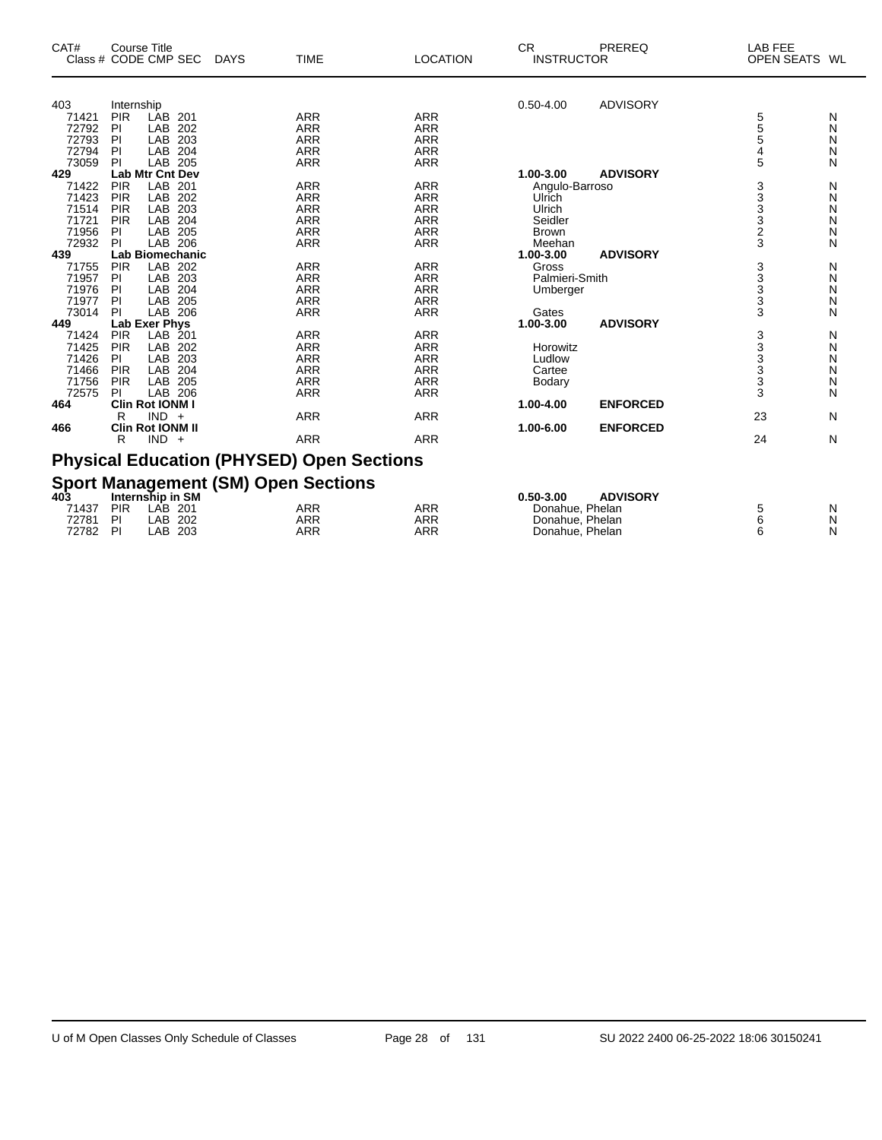| CAT#           | <b>Course Title</b><br>Class # CODE CMP SEC | <b>DAYS</b> | <b>TIME</b>                                                 | <b>LOCATION</b>          | <b>CR</b><br><b>INSTRUCTOR</b> | PREREQ          | LAB FEE<br>OPEN SEATS WL |        |
|----------------|---------------------------------------------|-------------|-------------------------------------------------------------|--------------------------|--------------------------------|-----------------|--------------------------|--------|
|                |                                             |             |                                                             |                          |                                |                 |                          |        |
| 403            | Internship<br><b>PIR</b><br>LAB 201         |             | <b>ARR</b>                                                  | <b>ARR</b>               | $0.50 - 4.00$                  | <b>ADVISORY</b> |                          |        |
| 71421<br>72792 | PI<br>LAB                                   | 202         | <b>ARR</b>                                                  | <b>ARR</b>               |                                |                 |                          | N<br>N |
| 72793          | PI<br>LAB 203                               |             | <b>ARR</b>                                                  | <b>ARR</b>               |                                |                 | 5<br>5<br>5              |        |
| 72794          | PI<br>LAB 204                               |             | <b>ARR</b>                                                  | <b>ARR</b>               |                                |                 | 4                        | N<br>N |
| 73059          | PI<br>LAB 205                               |             | <b>ARR</b>                                                  | <b>ARR</b>               |                                |                 | 5                        | N      |
| 429            | <b>Lab Mtr Cnt Dev</b>                      |             |                                                             |                          | 1.00-3.00                      | <b>ADVISORY</b> |                          |        |
| 71422          | <b>PIR</b><br>LAB 201                       |             | <b>ARR</b>                                                  | <b>ARR</b>               |                                |                 |                          |        |
| 71423          | <b>PIR</b><br>LAB                           | 202         | <b>ARR</b>                                                  | <b>ARR</b>               | Angulo-Barroso<br>Ulrich       |                 | 3                        | N      |
| 71514          | <b>PIR</b><br>LAB 203                       |             | <b>ARR</b>                                                  | <b>ARR</b>               | Ulrich                         |                 | 3<br>3<br>3<br>2         | N      |
| 71721          | <b>PIR</b><br>LAB 204                       |             | <b>ARR</b>                                                  | <b>ARR</b>               | Seidler                        |                 |                          | N<br>N |
| 71956          | PI<br>LAB 205                               |             | <b>ARR</b>                                                  | <b>ARR</b>               | <b>Brown</b>                   |                 |                          | N      |
| 72932          | PI<br>LAB 206                               |             | <b>ARR</b>                                                  | <b>ARR</b>               | Meehan                         |                 | 3                        | N      |
| 439            | <b>Lab Biomechanic</b>                      |             |                                                             |                          | 1.00-3.00                      | <b>ADVISORY</b> |                          |        |
| 71755          | <b>PIR</b><br>LAB 202                       |             | <b>ARR</b>                                                  | <b>ARR</b>               | Gross                          |                 | 3                        | N      |
| 71957          | PI<br>LAB 203                               |             | <b>ARR</b>                                                  | <b>ARR</b>               | Palmieri-Smith                 |                 |                          |        |
| 71976          | PI<br>LAB                                   | 204         | <b>ARR</b>                                                  | <b>ARR</b>               |                                |                 | $\frac{3}{3}$            | N<br>N |
| 71977          | PI<br>LAB                                   | 205         | <b>ARR</b>                                                  | <b>ARR</b>               | Umberger                       |                 |                          | N      |
| 73014          | PI<br>LAB 206                               |             | <b>ARR</b>                                                  | <b>ARR</b>               | Gates                          |                 | 3                        | N      |
| 449            | Lab Exer Phys                               |             |                                                             |                          | 1.00-3.00                      | <b>ADVISORY</b> |                          |        |
| 71424          | PIR<br>LAB                                  | -201        | <b>ARR</b>                                                  | <b>ARR</b>               |                                |                 | 3                        | N      |
| 71425          | <b>PIR</b><br>LAB 202                       |             | <b>ARR</b>                                                  | <b>ARR</b>               | Horowitz                       |                 |                          | N      |
| 71426          | PI<br>LAB 203                               |             | <b>ARR</b>                                                  | <b>ARR</b>               | Ludlow                         |                 | $\frac{3}{3}$            |        |
| 71466          | PIR<br>LAB 204                              |             | <b>ARR</b>                                                  |                          |                                |                 |                          | N      |
| 71756          | PIR<br>LAB                                  | 205         | <b>ARR</b>                                                  | <b>ARR</b>               | Cartee                         |                 |                          | N      |
| 72575          | PI<br>LAB 206                               |             | <b>ARR</b>                                                  | <b>ARR</b><br><b>ARR</b> | Bodary                         |                 | 3<br>3                   | N<br>N |
| 464            | Clin Rot IONM I                             |             |                                                             |                          | 1.00-4.00                      | <b>ENFORCED</b> |                          |        |
|                |                                             |             | <b>ARR</b>                                                  | <b>ARR</b>               |                                |                 |                          |        |
| 466            | R<br>$IND +$<br><b>Clin Rot IONM II</b>     |             |                                                             |                          | 1.00-6.00                      | <b>ENFORCED</b> | 23                       | N      |
|                |                                             |             | <b>ARR</b>                                                  | <b>ARR</b>               |                                |                 | 24                       |        |
|                | R<br>$IND +$                                |             |                                                             |                          |                                |                 |                          | N      |
|                |                                             |             | <b>Physical Education (PHYSED) Open Sections</b>            |                          |                                |                 |                          |        |
|                |                                             |             | Sport Management (SM) Open Sections<br>403 Internship in SM |                          |                                |                 |                          |        |
|                |                                             |             |                                                             |                          | $0.50 - 3.00$                  | <b>ADVISORY</b> |                          |        |
| 71437          | <b>PIR</b><br>LAB                           | 201         | <b>ARR</b>                                                  | <b>ARR</b>               | Donahue, Phelan                |                 | 5                        | N      |
| 72781          | PI<br>LAB                                   | 202         | <b>ARR</b>                                                  | <b>ARR</b>               | Donahue, Phelan                |                 | 6                        | N      |
| 72782          | PI<br>LAB 203                               |             | <b>ARR</b>                                                  | <b>ARR</b>               | Donahue, Phelan                |                 | 6                        | N      |
|                |                                             |             |                                                             |                          |                                |                 |                          |        |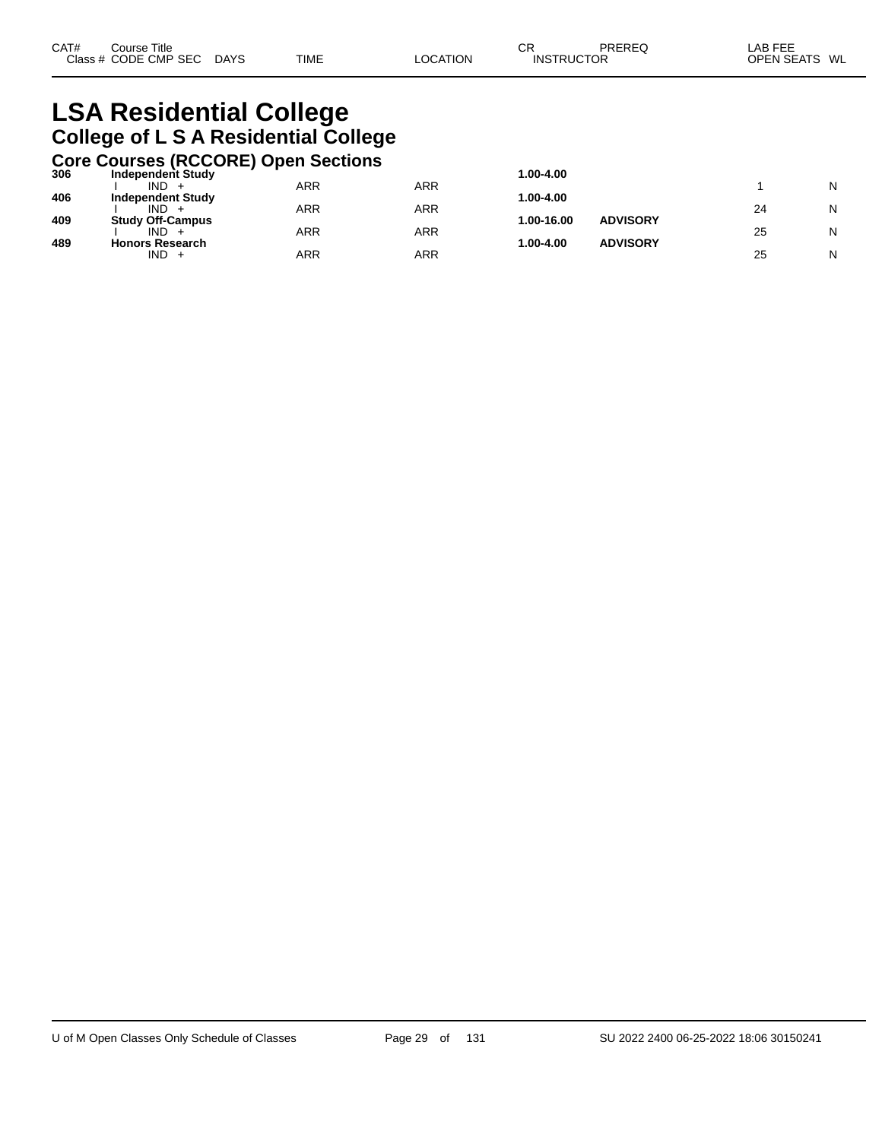## **LSA Residential College College of L S A Residential College**

## **Core Courses (RCCORE) Open Sections 306 Independent Study 1.00-4.00**

| 306 | Independent Study              |     |     | 1.00-4.00  |                 |    |   |
|-----|--------------------------------|-----|-----|------------|-----------------|----|---|
|     | IND.                           | ARR | ARR |            |                 |    | N |
| 406 | <b>Independent Study</b>       |     |     | 1.00-4.00  |                 |    |   |
|     | IND.                           | ARR | ARR |            |                 | 24 | N |
| 409 | <b>Study Off-Campus</b>        |     |     | 1.00-16.00 | <b>ADVISORY</b> |    |   |
|     | IND.                           | ARR | ARR |            |                 | 25 | N |
| 489 | <b>Honors Research</b><br>IND. | ARR | ARR | 1.00-4.00  | <b>ADVISORY</b> | 25 | N |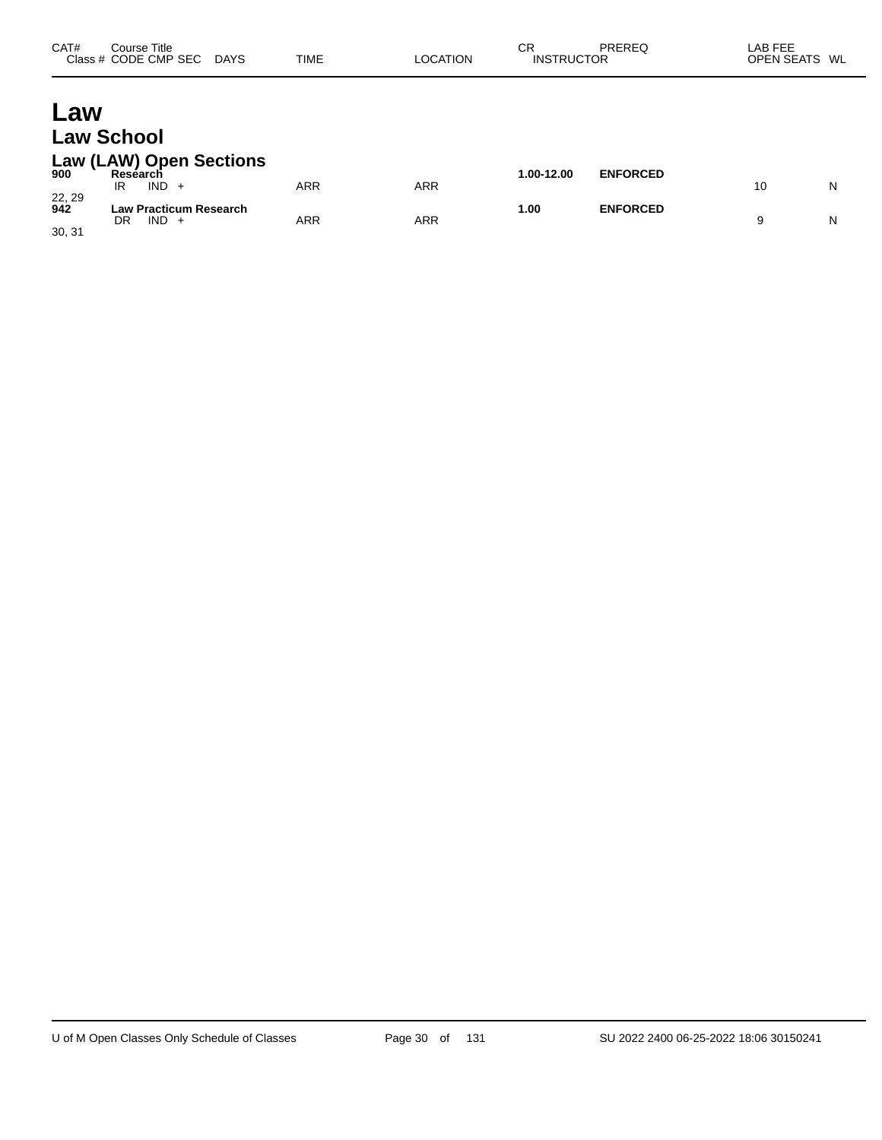| CAT# | Course Title<br>Class # CODE CMP SEC DAYS | TIME | <b>LOCATION</b> | СR<br><b>INSTRUCTOR</b> | PREREQ | LAB FEE<br>OPEN SEATS WL |  |
|------|-------------------------------------------|------|-----------------|-------------------------|--------|--------------------------|--|
|      |                                           |      |                 |                         |        |                          |  |

## **Law Law School**

#### **Law (LAW) Open Sections**

| 900                     | <b>Reséarch</b><br>IND.<br>IR        | ARR | ARR        | $.00-12.00$ | <b>ENFORCED</b> | Ν |
|-------------------------|--------------------------------------|-----|------------|-------------|-----------------|---|
| 22, 29<br>942<br>30, 31 | Law Practicum Research<br>DR<br>IND. | ARR | <b>ARR</b> | 00. ،       | <b>ENFORCED</b> | Ν |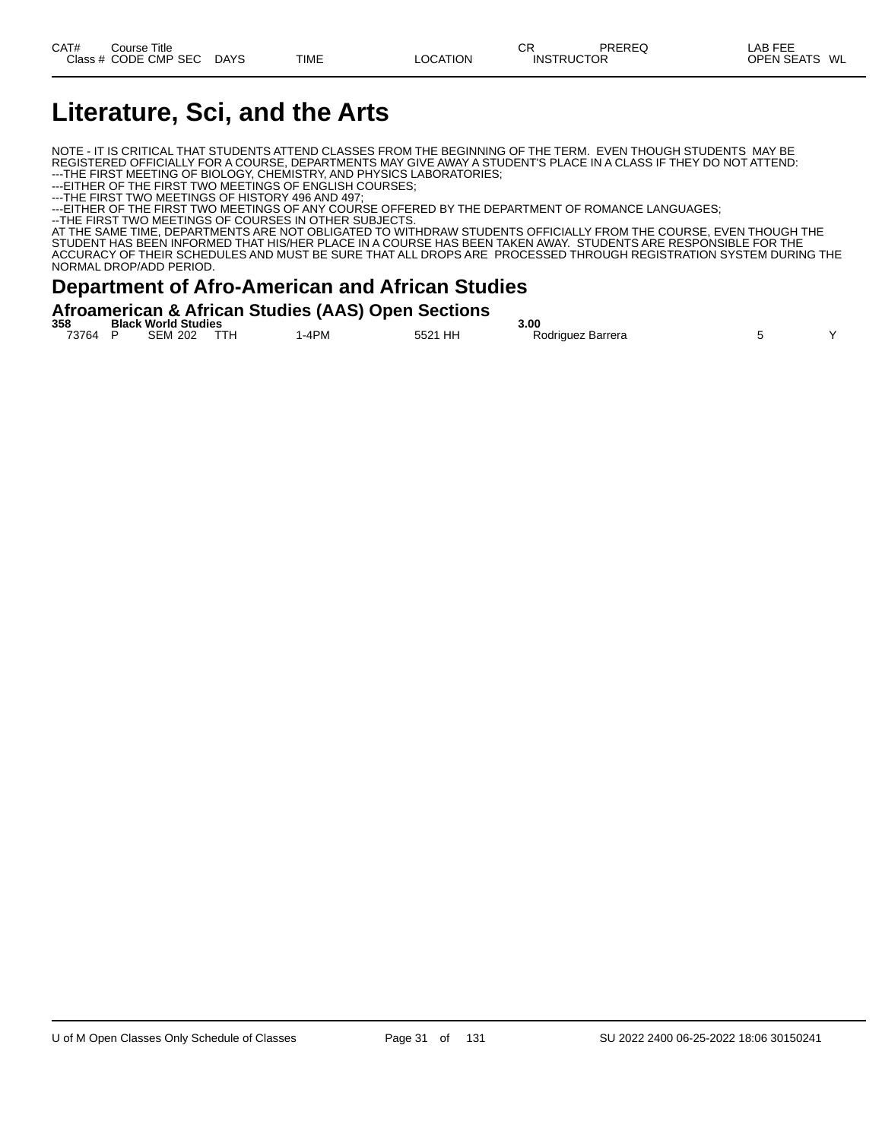## **Literature, Sci, and the Arts**

NOTE - IT IS CRITICAL THAT STUDENTS ATTEND CLASSES FROM THE BEGINNING OF THE TERM. EVEN THOUGH STUDENTS MAY BE REGISTERED OFFICIALLY FOR A COURSE, DEPARTMENTS MAY GIVE AWAY A STUDENT'S PLACE IN A CLASS IF THEY DO NOT ATTEND: ---THE FIRST MEETING OF BIOLOGY, CHEMISTRY, AND PHYSICS LABORATORIES;

---EITHER OF THE FIRST TWO MEETINGS OF ENGLISH COURSES;

---THE FIRST TWO MEETINGS OF HISTORY 496 AND 497;

---EITHER OF THE FIRST TWO MEETINGS OF ANY COURSE OFFERED BY THE DEPARTMENT OF ROMANCE LANGUAGES;

--THE FIRST TWO MEETINGS OF COURSES IN OTHER SUBJECTS.

AT THE SAME TIME, DEPARTMENTS ARE NOT OBLIGATED TO WITHDRAW STUDENTS OFFICIALLY FROM THE COURSE, EVEN THOUGH THE STUDENT HAS BEEN INFORMED THAT HIS/HER PLACE IN A COURSE HAS BEEN TAKEN AWAY. STUDENTS ARE RESPONSIBLE FOR THE ACCURACY OF THEIR SCHEDULES AND MUST BE SURE THAT ALL DROPS ARE PROCESSED THROUGH REGISTRATION SYSTEM DURING THE NORMAL DROP/ADD PERIOD.

#### **Department of Afro-American and African Studies**

| Afroamerican & African Studies (AAS) Open Sections |  |  |  |
|----------------------------------------------------|--|--|--|
|                                                    |  |  |  |

| 358   | <b>Black World Studies</b> |                |      | 3.00 |  |         |  |                        |  |  |
|-------|----------------------------|----------------|------|------|--|---------|--|------------------------|--|--|
| 73764 |                            | <b>SEM 202</b> | TTH. | -4PM |  | 5521 HH |  | Rodriauez Barrera<br>. |  |  |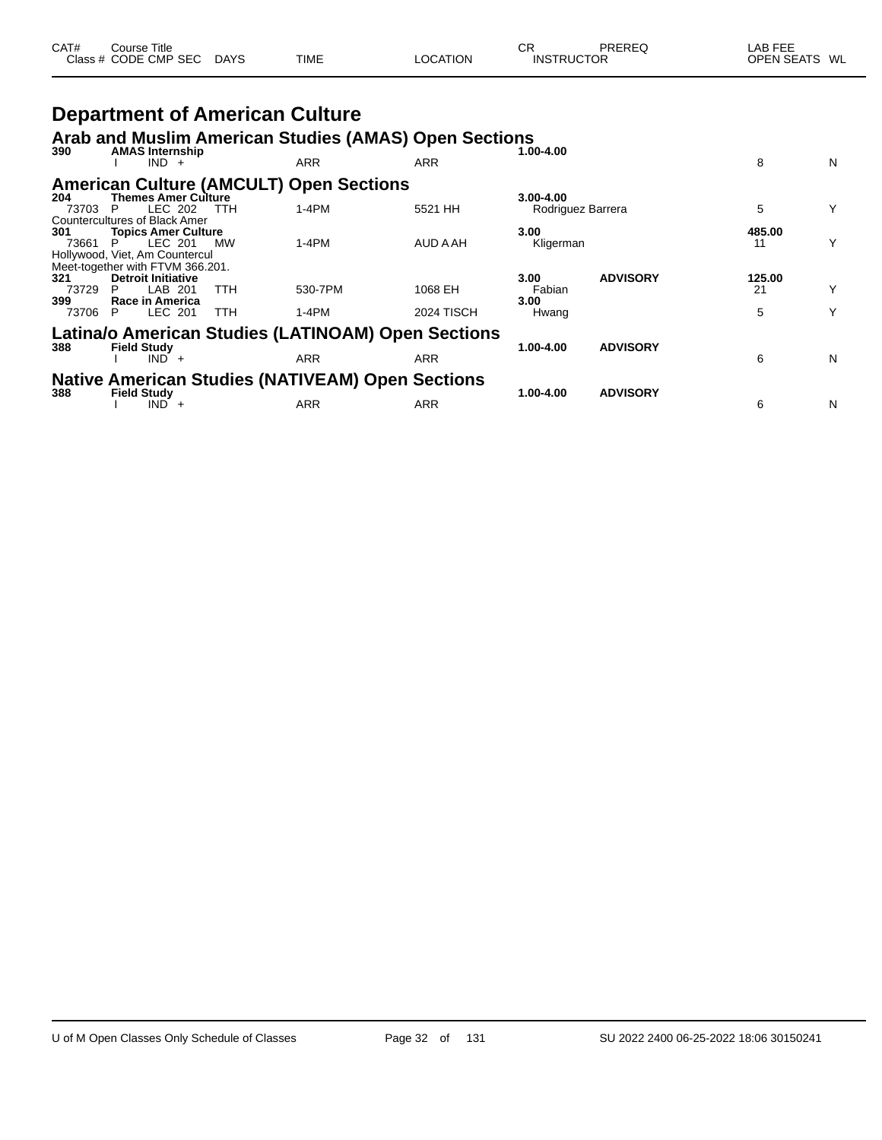| CAT# | ourse Titleٽ         |             |             |          | СR                | PREREQ | LAB FEE                 |  |
|------|----------------------|-------------|-------------|----------|-------------------|--------|-------------------------|--|
|      | Class # CODE CMP SEC | <b>DAYS</b> | <b>TIME</b> | LOCATION | <b>INSTRUCTOR</b> |        | <b>OPEN SEATS</b><br>WL |  |

## **Department of American Culture**

#### **Arab and Muslim American Studies (AMAS) Open Sections**

| 390   | <b>AMAS Internship</b>               |            |                                                         |                   | 1.00-4.00         |                 |        |   |
|-------|--------------------------------------|------------|---------------------------------------------------------|-------------------|-------------------|-----------------|--------|---|
|       | $IND +$                              |            | <b>ARR</b>                                              | ARR               |                   |                 | 8      | N |
|       |                                      |            | <b>American Culture (AMCULT) Open Sections</b>          |                   |                   |                 |        |   |
| 204   | <b>Themes Amer Culture</b>           |            |                                                         |                   | 3.00-4.00         |                 |        |   |
| 73703 | LEC 202<br>P                         | TTH        | $1-4PM$                                                 | 5521 HH           | Rodriguez Barrera |                 | 5      | Y |
|       | <b>Countercultures of Black Amer</b> |            |                                                         |                   |                   |                 |        |   |
| 301   | <b>Topics Amer Culture</b>           |            |                                                         |                   | 3.00              |                 | 485.00 |   |
| 73661 | LEC 201                              | <b>MW</b>  | $1-4PM$                                                 | AUD A AH          | Kligerman         |                 | 11     | Y |
|       | Hollywood, Viet, Am Countercul       |            |                                                         |                   |                   |                 |        |   |
|       | Meet-together with FTVM 366.201.     |            |                                                         |                   |                   |                 |        |   |
| 321   | <b>Detroit Initiative</b>            |            |                                                         |                   | 3.00              | <b>ADVISORY</b> | 125.00 |   |
| 73729 | LAB 201<br>P                         | <b>TTH</b> | 530-7PM                                                 | 1068 EH           | Fabian            |                 | 21     | Υ |
| 399   | Race in America                      |            |                                                         |                   | 3.00              |                 |        |   |
| 73706 | LEC 201<br>P.                        | <b>TTH</b> | $1-4PM$                                                 | <b>2024 TISCH</b> | Hwang             |                 | 5      | Υ |
|       |                                      |            | Latina/o American Studies (LATINOAM) Open Sections      |                   |                   |                 |        |   |
|       |                                      |            |                                                         |                   |                   |                 |        |   |
| 388   | <b>Field Study</b>                   |            |                                                         | ARR               | 1.00-4.00         | <b>ADVISORY</b> | 6      |   |
|       | $IND +$                              |            | ARR                                                     |                   |                   |                 |        | N |
|       |                                      |            | <b>Native American Studies (NATIVEAM) Open Sections</b> |                   |                   |                 |        |   |
| 388   | <b>Field Study</b>                   |            |                                                         |                   | 1.00-4.00         | <b>ADVISORY</b> |        |   |
|       | <b>IND</b><br>$^+$                   |            | <b>ARR</b>                                              | ARR               |                   |                 | 6      | N |
|       |                                      |            |                                                         |                   |                   |                 |        |   |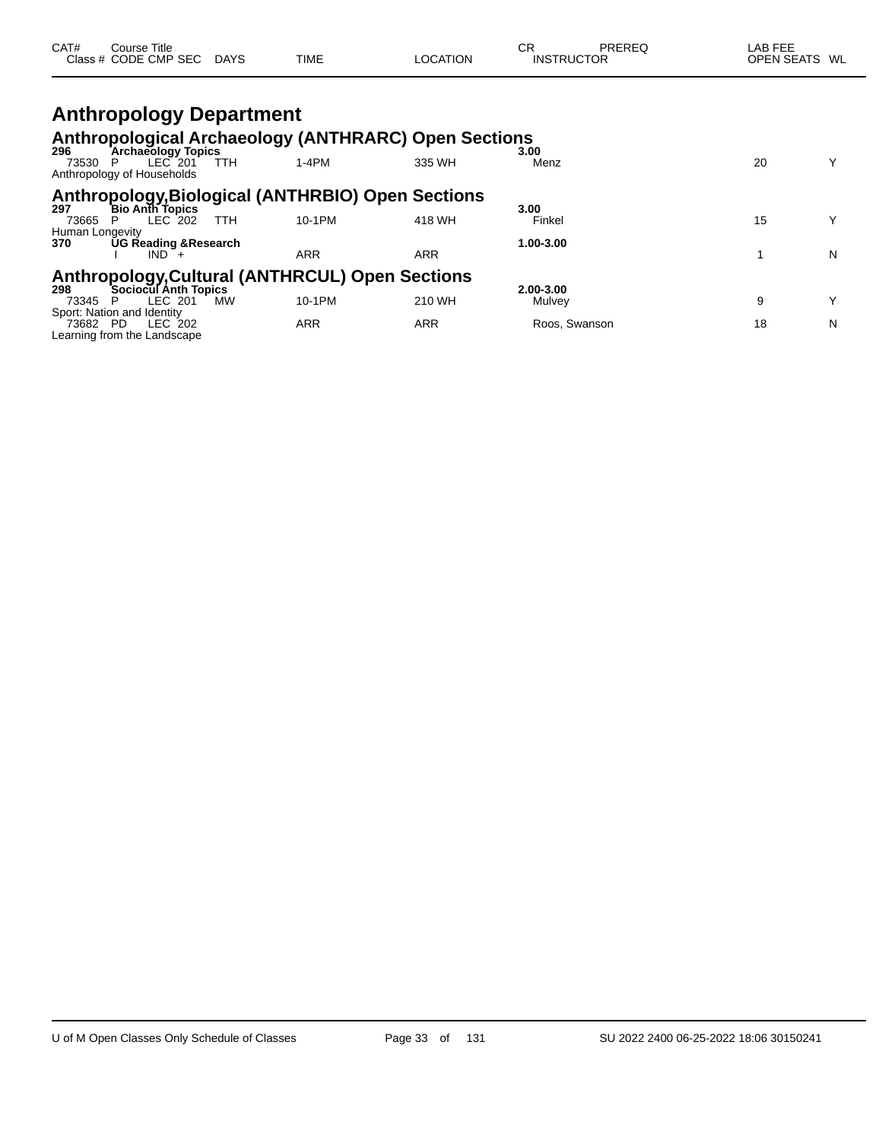| CAT# | $\mathop{\mathsf{course}}$ Title |             |             |          | СR                | PREREG | LAB FEE           |    |
|------|----------------------------------|-------------|-------------|----------|-------------------|--------|-------------------|----|
|      | Class # CODE CMP SEC             | <b>DAYS</b> | <b>TIME</b> | LOCATION | <b>INSTRUCTOR</b> |        | <b>OPEN SEATS</b> | WL |

#### **Anthropology Department Anthropological Archaeology (ANTHRARC) Open Sections 296 Archaeology Topics 3.00** 73530 P LEC 201 TTH 1-4PM 335 WH Menz 20 Y Anthropology of Households **Anthropology,Biological (ANTHRBIO) Open Sections 297 Bio Anth Topics 3.00** 73665 P LEC 202 TTH 10-1PM 418 WH Finkel 15 Y Human Longevity **370 UG Reading &Research 1.00-3.00** I IND + ARR ARR ARR 1 N

## **Anthropology,Cultural (ANTHRCUL) Open Sections 298 Sociocul Anth Topics 2.00-3.00**

| 73345                       | LEC .<br>МW<br>- 201 | 10-1PM | 210 WH | Mulvev        |  |
|-----------------------------|----------------------|--------|--------|---------------|--|
| Sport: Nation and Identity  |                      |        |        |               |  |
| 73682<br><b>PD</b>          | LEC<br>202           | ARR    | ARR    | Roos, Swanson |  |
| Learning from the Landscape |                      |        |        |               |  |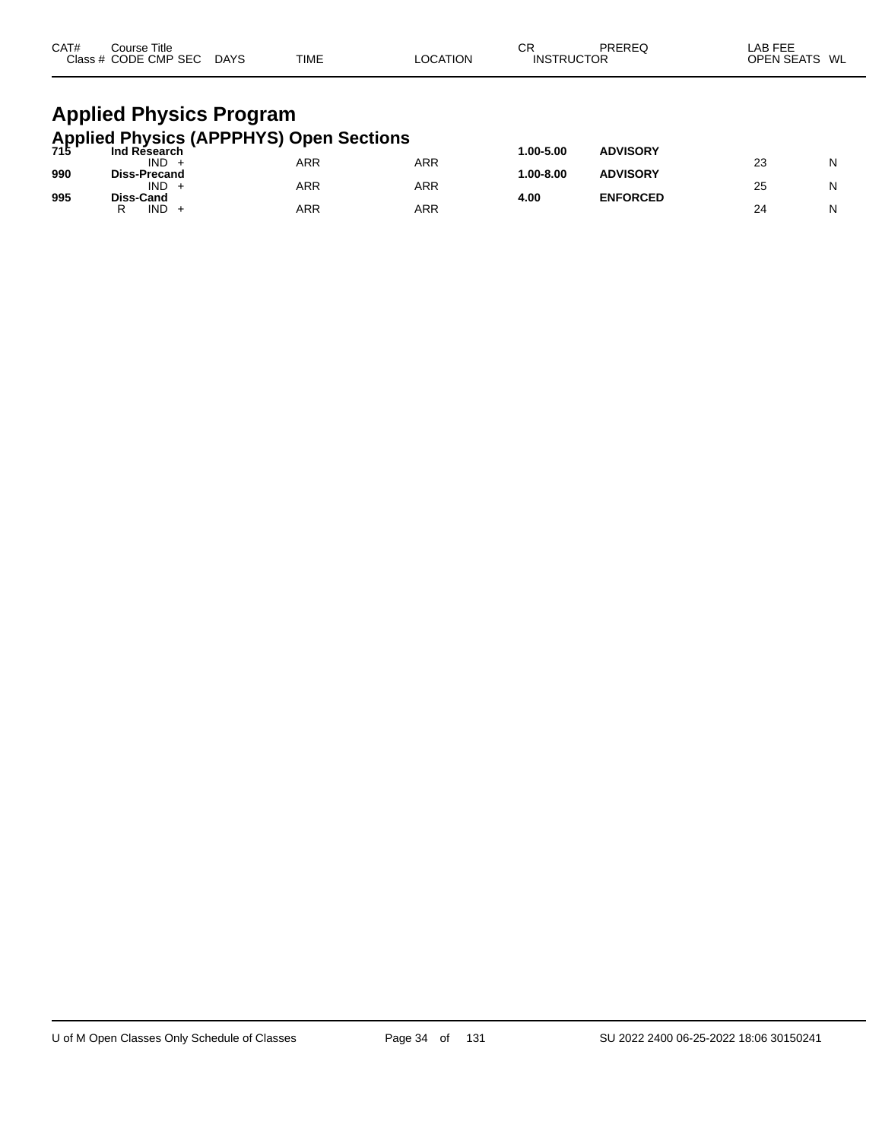| CAT#<br>Course Title<br>Class # CODE CMP SEC DAYS                           | TIME | <b>LOCATION</b> | СR<br><b>INSTRUCTOR</b> | PREREQ          | LAB FEE<br>OPEN SEATS WL |
|-----------------------------------------------------------------------------|------|-----------------|-------------------------|-----------------|--------------------------|
| <b>Applied Physics Program</b>                                              |      |                 |                         |                 |                          |
| Applied Physics (APPPHYS) Open Sections<br>715 Ind Research<br>Ind Research |      |                 | 1.00-5.00               | <b>ADVISORY</b> |                          |

| .   | ווט ושטפטו אווו<br><b>IND</b> | ARR | ARR |            | <b>AD 1100111</b> | nn | N |
|-----|-------------------------------|-----|-----|------------|-------------------|----|---|
| 990 | <b>Diss-Precand</b>           |     |     | $.00-8.00$ | <b>ADVISORY</b>   | ںے |   |
|     | IND.                          | ARR | ARR |            |                   | 25 |   |
| 995 | <b>Diss-Cand</b><br>IND.<br>ה | ARR | ARR | 4.00       | <b>ENFORCED</b>   | 24 | N |
|     |                               |     |     |            |                   |    |   |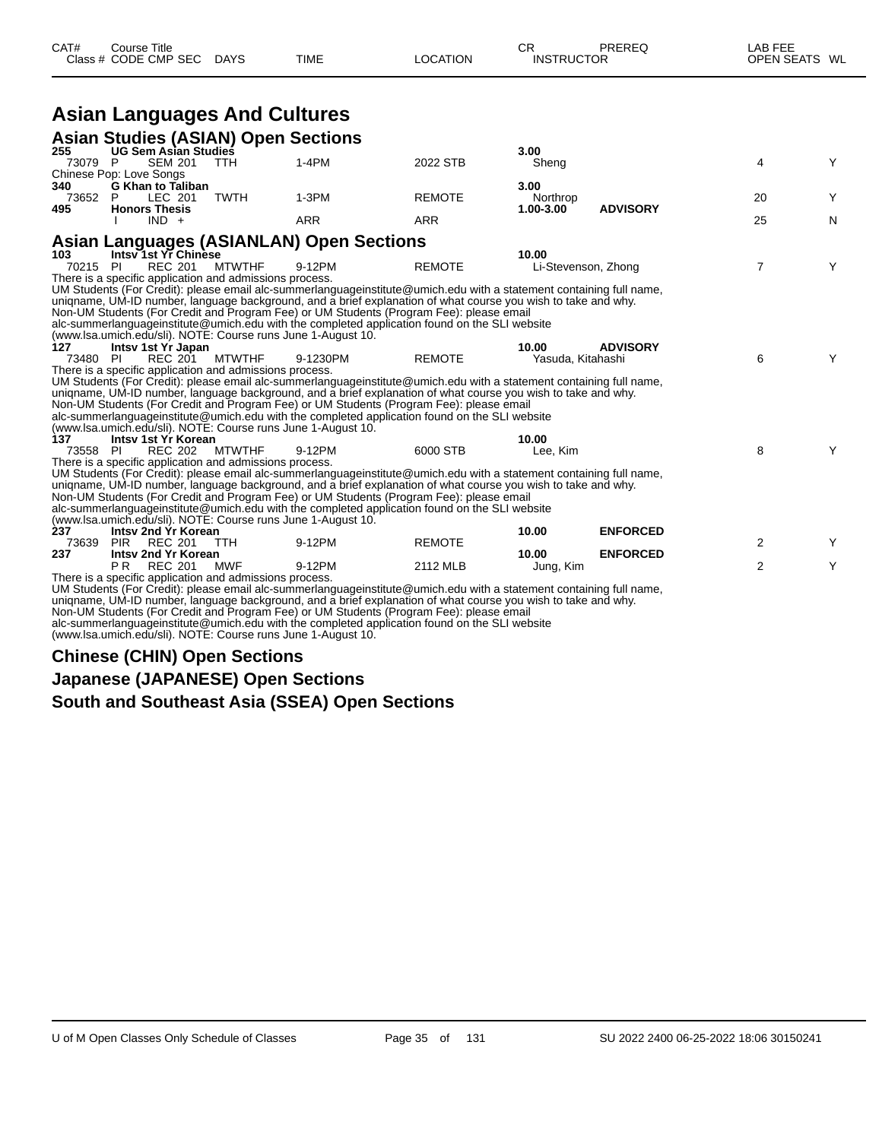|                | Class # CODE CMP SEC DAYS                                    |               | TIME                                                                                                                                                                                     | LOCATION                                                  | <b>INSTRUCTOR</b>   |                 | OPEN SEATS WL  |   |
|----------------|--------------------------------------------------------------|---------------|------------------------------------------------------------------------------------------------------------------------------------------------------------------------------------------|-----------------------------------------------------------|---------------------|-----------------|----------------|---|
|                | <b>Asian Languages And Cultures</b>                          |               |                                                                                                                                                                                          |                                                           |                     |                 |                |   |
|                |                                                              |               |                                                                                                                                                                                          |                                                           |                     |                 |                |   |
|                | <b>Asian Studies (ASIAN) Open Sections</b>                   |               |                                                                                                                                                                                          |                                                           |                     |                 |                |   |
| 255<br>73079 P | <b>UG Sem Asian Studies</b><br><b>SEM 201</b>                | <b>TTH</b>    | 1-4PM                                                                                                                                                                                    | 2022 STB                                                  | 3.00<br>Sheng       |                 | 4              | Y |
|                | Chinese Pop: Love Songs                                      |               |                                                                                                                                                                                          |                                                           |                     |                 |                |   |
| 340<br>73652 P | <b>G Khan to Taliban</b><br>LEC 201                          | <b>TWTH</b>   | $1-3PM$                                                                                                                                                                                  | <b>REMOTE</b>                                             | 3.00<br>Northrop    |                 | 20             | Y |
| 495            | <b>Honors Thesis</b><br>$IND +$                              |               | <b>ARR</b>                                                                                                                                                                               | <b>ARR</b>                                                | $1.00 - 3.00$       | <b>ADVISORY</b> | 25             | N |
|                |                                                              |               | <b>Asian Languages (ASIANLAN) Open Sections</b>                                                                                                                                          |                                                           |                     |                 |                |   |
| 103            | Intsy 1st Yr Chinese                                         |               |                                                                                                                                                                                          |                                                           | 10.00               |                 |                |   |
| 70215 PI       | <b>REC 201</b>                                               | <b>MTWTHF</b> | 9-12PM                                                                                                                                                                                   | <b>REMOTE</b>                                             | Li-Stevenson, Zhong |                 | $\overline{7}$ | Y |
|                | There is a specific application and admissions process.      |               |                                                                                                                                                                                          |                                                           |                     |                 |                |   |
|                |                                                              |               | UM Students (For Credit): please email alc-summerlanguageinstitute@umich.edu with a statement containing full name,                                                                      |                                                           |                     |                 |                |   |
|                |                                                              |               | uniqname, UM-ID number, language background, and a brief explanation of what course you wish to take and why.                                                                            |                                                           |                     |                 |                |   |
|                |                                                              |               | Non-UM Students (For Credit and Program Fee) or UM Students (Program Fee): please email                                                                                                  |                                                           |                     |                 |                |   |
|                | (www.lsa.umich.edu/sli). NOTE: Course runs June 1-August 10. |               | alc-summerlanguageinstitute@umich.edu with the completed application found on the SLI website                                                                                            |                                                           |                     |                 |                |   |
| 127            | Intsv 1st Yr Japan                                           |               |                                                                                                                                                                                          |                                                           | 10.00               | <b>ADVISORY</b> |                |   |
| 73480 PI       | REC 201                                                      | <b>MTWTHF</b> | 9-1230PM                                                                                                                                                                                 | <b>REMOTE</b>                                             | Yasuda, Kitahashi   |                 | 6              | Y |
|                | There is a specific application and admissions process.      |               |                                                                                                                                                                                          |                                                           |                     |                 |                |   |
|                |                                                              |               | UM Students (For Credit): please email alc-summerlanguageinstitute@umich.edu with a statement containing full name,                                                                      |                                                           |                     |                 |                |   |
|                |                                                              |               | uniqname, UM-ID number, language background, and a brief explanation of what course you wish to take and why.                                                                            |                                                           |                     |                 |                |   |
|                |                                                              |               | Non-UM Students (For Credit and Program Fee) or UM Students (Program Fee): please email                                                                                                  |                                                           |                     |                 |                |   |
|                |                                                              |               | alc-summerlanguageinstitute@umich.edu with the completed application found on the SLI website                                                                                            |                                                           |                     |                 |                |   |
|                | (www.lsa.umich.edu/sli). NOTE: Course runs June 1-August 10. |               |                                                                                                                                                                                          |                                                           |                     |                 |                |   |
| 137            | Intsy 1st Yr Korean                                          |               |                                                                                                                                                                                          |                                                           | 10.00               |                 |                |   |
| 73558 PI       | REC 202 MTWTHF                                               |               | 9-12PM                                                                                                                                                                                   | 6000 STB                                                  | Lee. Kim            |                 | 8              | Y |
|                | There is a specific application and admissions process.      |               |                                                                                                                                                                                          |                                                           |                     |                 |                |   |
|                |                                                              |               | UM Students (For Credit): please email alc-summerlanguageinstitute@umich.edu with a statement containing full name,                                                                      |                                                           |                     |                 |                |   |
|                |                                                              |               | uniqname, UM-ID number, language background, and a brief explanation of what course you wish to take and why.                                                                            |                                                           |                     |                 |                |   |
|                |                                                              |               | Non-UM Students (For Credit and Program Fee) or UM Students (Program Fee): please email<br>alc-summerlanguageinstitute@umich.edu with the completed application found on the SLI website |                                                           |                     |                 |                |   |
|                | (www.lsa.umich.edu/sli). NOTE: Course runs June 1-August 10. |               |                                                                                                                                                                                          |                                                           |                     |                 |                |   |
| 237            | Intsy 2nd Yr Korean                                          |               |                                                                                                                                                                                          |                                                           | 10.00               | <b>ENFORCED</b> |                |   |
| 73639          | <b>PIR REC 201</b>                                           | TTH           | 9-12PM                                                                                                                                                                                   | <b>REMOTE</b>                                             |                     |                 | 2              | Y |
| 237            | Intsv 2nd Yr Korean                                          |               |                                                                                                                                                                                          |                                                           | 10.00               | <b>ENFORCED</b> |                |   |
|                | P R<br><b>REC 201</b>                                        | MWF           | 9-12PM                                                                                                                                                                                   | 2112 MLB                                                  | Jung, Kim           |                 | 2              | Y |
|                | There is a specific application and admissions process.      |               |                                                                                                                                                                                          |                                                           |                     |                 |                |   |
|                |                                                              |               |                                                                                                                                                                                          | $\mathbf{a}$ and $\mathbf{a}$ are the set of $\mathbf{a}$ |                     |                 |                |   |

CAT# Course Title Case CR PREREQ LAB FEE

UM Students (For Credit): please email alc-summerlanguageinstitute@umich.edu with a statement containing full name, uniqname, UM-ID number, language background, and a brief explanation of what course you wish to take and why. Non-UM Students (For Credit and Program Fee) or UM Students (Program Fee): please email alc-summerlanguageinstitute@umich.edu with the completed application found on the SLI website

(www.lsa.umich.edu/sli). NOTE: Course runs June 1-August 10.

#### **Chinese (CHIN) Open Sections**

#### **Japanese (JAPANESE) Open Sections**

#### **South and Southeast Asia (SSEA) Open Sections**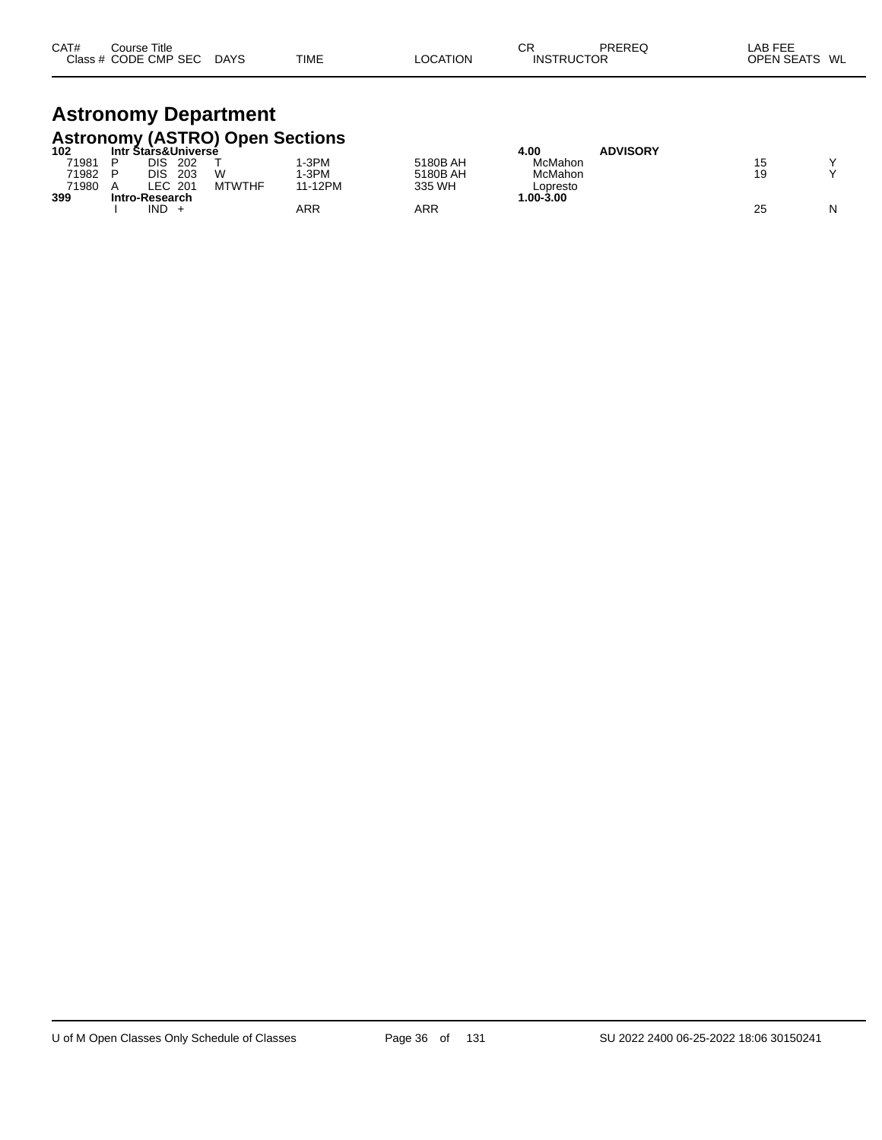| CAT# | Title<br>Course      |             |             |          | $\sim$<br>◡◠      | PRERE | LAB FEE                 |
|------|----------------------|-------------|-------------|----------|-------------------|-------|-------------------------|
|      | Class # CODE CMP SEC | <b>DAYS</b> | <b>TIME</b> | LOCATION | <b>INSTRUCTOR</b> |       | <b>OPEN SEATS</b><br>WL |

# **Astronomy Department**

|       | <b>Astronomy (ASTRO) Open Sections</b> |               |         |          |            |                 |    |   |
|-------|----------------------------------------|---------------|---------|----------|------------|-----------------|----|---|
| 102   | <b>Intr Stars&amp;Universé</b>         |               |         |          | 4.00       | <b>ADVISORY</b> |    |   |
| 71981 | DIS<br>202                             |               | I-3PM   | 5180B AH | McMahon    |                 | 15 |   |
| 71982 | 203<br>DIS                             | W             | I-3PM   | 5180B AH | McMahon    |                 | 19 |   |
| 71980 | LEC 201                                | <b>MTWTHF</b> | 11-12PM | 335 WH   | Lopresto   |                 |    |   |
| 399   | Intro-Research                         |               |         |          | 00-3.00. ا |                 |    |   |
|       | IND                                    |               | ARR     | ARR      |            |                 | 25 | N |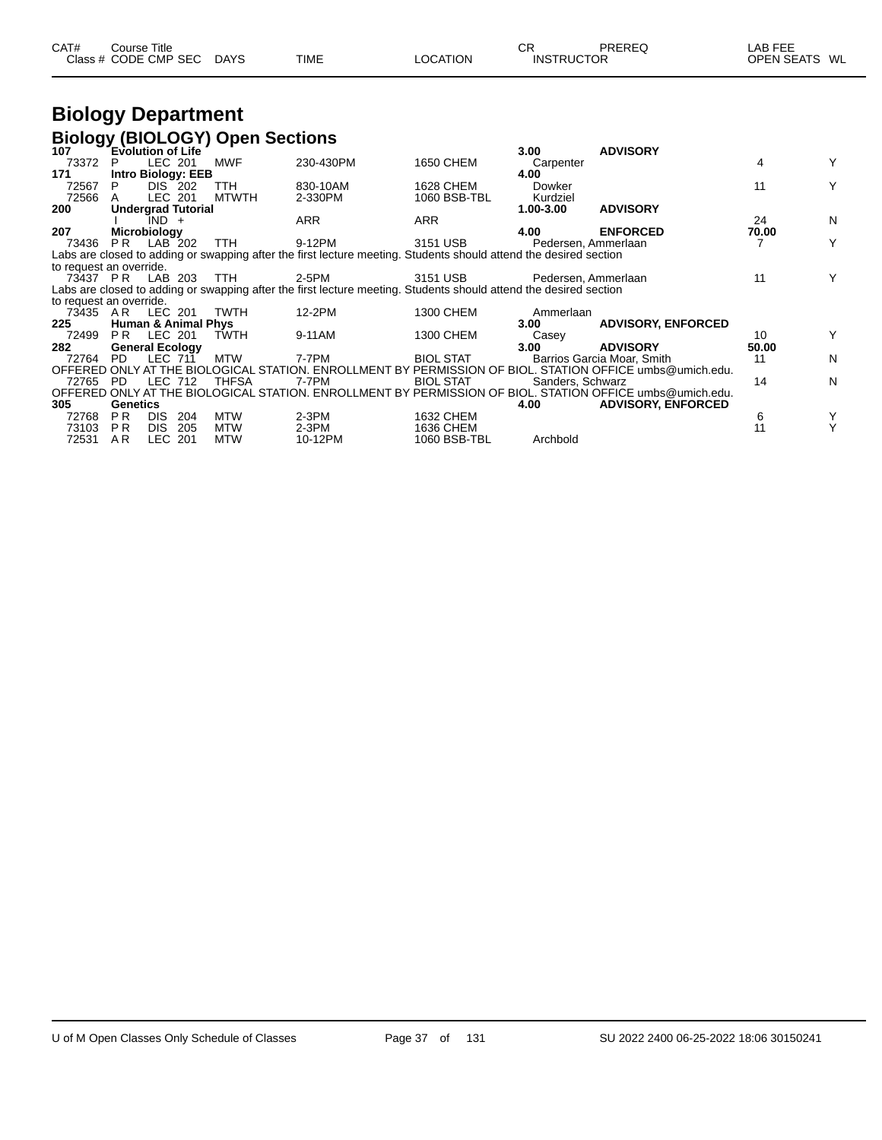| CAT# | Course Title         |             |             |          | СR                | PREREQ | ∟AB FEE       |  |
|------|----------------------|-------------|-------------|----------|-------------------|--------|---------------|--|
|      | Class # CODE CMP SEC | <b>DAYS</b> | <b>TIME</b> | LOCATION | <b>INSTRUCTOR</b> |        | OPEN SEATS WL |  |

# **Biology Department**

#### **Biology (BIOLOGY) Open Sections**

| 107                     |                 | Evolution of Life              |     |              |                                                                                                                   |                  | 3.00                | <b>ADVISORY</b>                                                                                          |       |   |
|-------------------------|-----------------|--------------------------------|-----|--------------|-------------------------------------------------------------------------------------------------------------------|------------------|---------------------|----------------------------------------------------------------------------------------------------------|-------|---|
| 73372                   | P               | LEC 201                        |     | MWF          | 230-430PM                                                                                                         | 1650 CHEM        | Carpenter           |                                                                                                          | 4     | Y |
| 171                     |                 | <b>Intro Biology: EEB</b>      |     |              |                                                                                                                   |                  | 4.00                |                                                                                                          |       |   |
| 72567                   |                 | DIS 202                        |     | TTH.         | 830-10AM                                                                                                          | 1628 CHEM        | Dowker              |                                                                                                          | 11    | Y |
| 72566                   | A               | LEC 201                        |     | <b>MTWTH</b> | 2-330PM                                                                                                           | 1060 BSB-TBL     | Kurdziel            |                                                                                                          |       |   |
| 200                     |                 | <b>Undergrad Tutorial</b>      |     |              |                                                                                                                   |                  | 1.00-3.00           | <b>ADVISORY</b>                                                                                          |       |   |
|                         |                 | $IND +$                        |     |              | <b>ARR</b>                                                                                                        | <b>ARR</b>       |                     |                                                                                                          | 24    | N |
| 207                     |                 | <b>Microbiology</b>            |     |              |                                                                                                                   |                  | 4.00                | <b>ENFORCED</b>                                                                                          | 70.00 |   |
| 73436                   | PR.             | LAB 202                        |     | TTH.         | 9-12PM                                                                                                            | 3151 USB         | Pedersen, Ammerlaan |                                                                                                          |       | Y |
|                         |                 |                                |     |              | Labs are closed to adding or swapping after the first lecture meeting. Students should attend the desired section |                  |                     |                                                                                                          |       |   |
| to request an override. |                 |                                |     |              |                                                                                                                   |                  |                     |                                                                                                          |       |   |
| 73437 PR                |                 | LAB 203                        |     | <b>TTH</b>   | 2-5PM                                                                                                             | 3151 USB         | Pedersen, Ammerlaan |                                                                                                          | 11    | Y |
|                         |                 |                                |     |              | Labs are closed to adding or swapping after the first lecture meeting. Students should attend the desired section |                  |                     |                                                                                                          |       |   |
| to request an override. |                 |                                |     |              |                                                                                                                   |                  |                     |                                                                                                          |       |   |
| 73435 AR                |                 | LEC 201                        |     | TWTH         | 12-2PM                                                                                                            | 1300 CHEM        | Ammerlaan           |                                                                                                          |       |   |
| 225                     |                 | <b>Human &amp; Animal Phys</b> |     |              |                                                                                                                   |                  | 3.00 <sub>1</sub>   | <b>ADVISORY, ENFORCED</b>                                                                                |       |   |
| 72499                   | PR.             | LEC 201                        |     | <b>TWTH</b>  | 9-11AM                                                                                                            | 1300 CHEM        | Casey               |                                                                                                          | 10    | Y |
| 282                     |                 | <b>General Ecology</b>         |     |              |                                                                                                                   |                  | 3.00                | <b>ADVISORY</b>                                                                                          | 50.00 |   |
| 72764                   | PD.             | <b>LEC 711</b>                 |     | <b>MTW</b>   | 7-7PM                                                                                                             | <b>BIOL STAT</b> |                     | Barrios Garcia Moar, Smith                                                                               | 11    | N |
|                         |                 |                                |     |              |                                                                                                                   |                  |                     | OFFERED ONLY AT THE BIOLOGICAL STATION. ENROLLMENT BY PERMISSION OF BIOL. STATION OFFICE umbs@umich.edu. |       |   |
| 72765 PD                |                 | LEC 712                        |     | <b>THFSA</b> | 7-7PM                                                                                                             | <b>BIOL STAT</b> | Sanders, Schwarz    |                                                                                                          | 14    | N |
|                         |                 |                                |     |              |                                                                                                                   |                  |                     | OFFERED ONLY AT THE BIOLOGICAL STATION. ENROLLMENT BY PERMISSION OF BIOL. STATION OFFICE umbs@umich.edu. |       |   |
| 305                     | <b>Genetics</b> |                                |     |              |                                                                                                                   |                  | 4.00                | <b>ADVISORY, ENFORCED</b>                                                                                |       |   |
| 72768                   | <b>PR</b>       | <b>DIS</b>                     | 204 | <b>MTW</b>   | $2-3PM$                                                                                                           | 1632 CHEM        |                     |                                                                                                          | 6     | Y |
| 73103                   | P <sub>R</sub>  | DIS.<br>-205                   |     | MTW          | $2-3PM$                                                                                                           | 1636 CHEM        |                     |                                                                                                          |       | Υ |
| 72531                   | AR.             | LEC 201                        |     | <b>MTW</b>   | 10-12PM                                                                                                           | 1060 BSB-TBL     | Archbold            |                                                                                                          |       |   |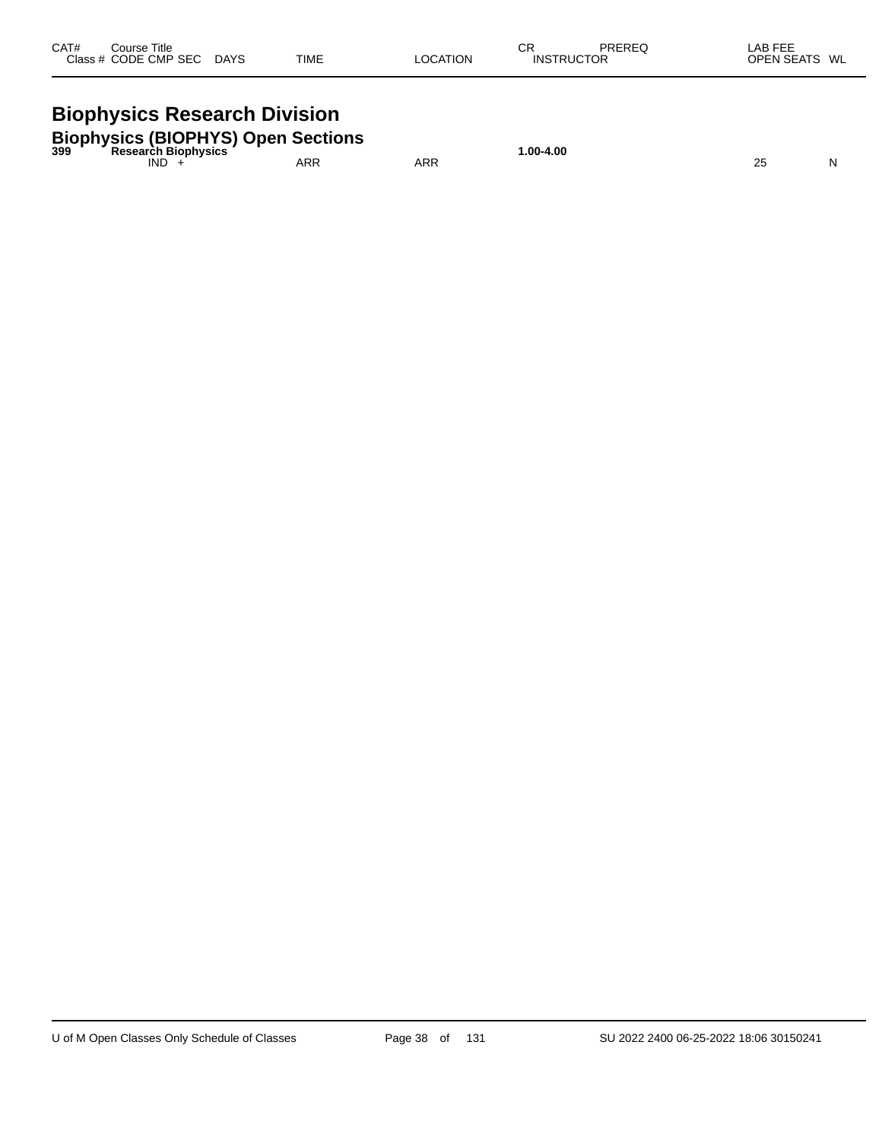| CAT#<br>Course Title<br>Class # CODE CMP SEC DAYS                                       | <b>TIME</b> | <b>LOCATION</b> | СR<br>PREREQ<br><b>INSTRUCTOR</b> | LAB FEE<br>OPEN SEATS WL |
|-----------------------------------------------------------------------------------------|-------------|-----------------|-----------------------------------|--------------------------|
| <b>Biophysics Research Division</b>                                                     |             |                 |                                   |                          |
| <b>Biophysics (BIOPHYS) Open Sections</b><br><sup>399</sup> Research Biophysics<br>IND. | ARR         | ARR             | 1.00-4.00                         | N<br>25                  |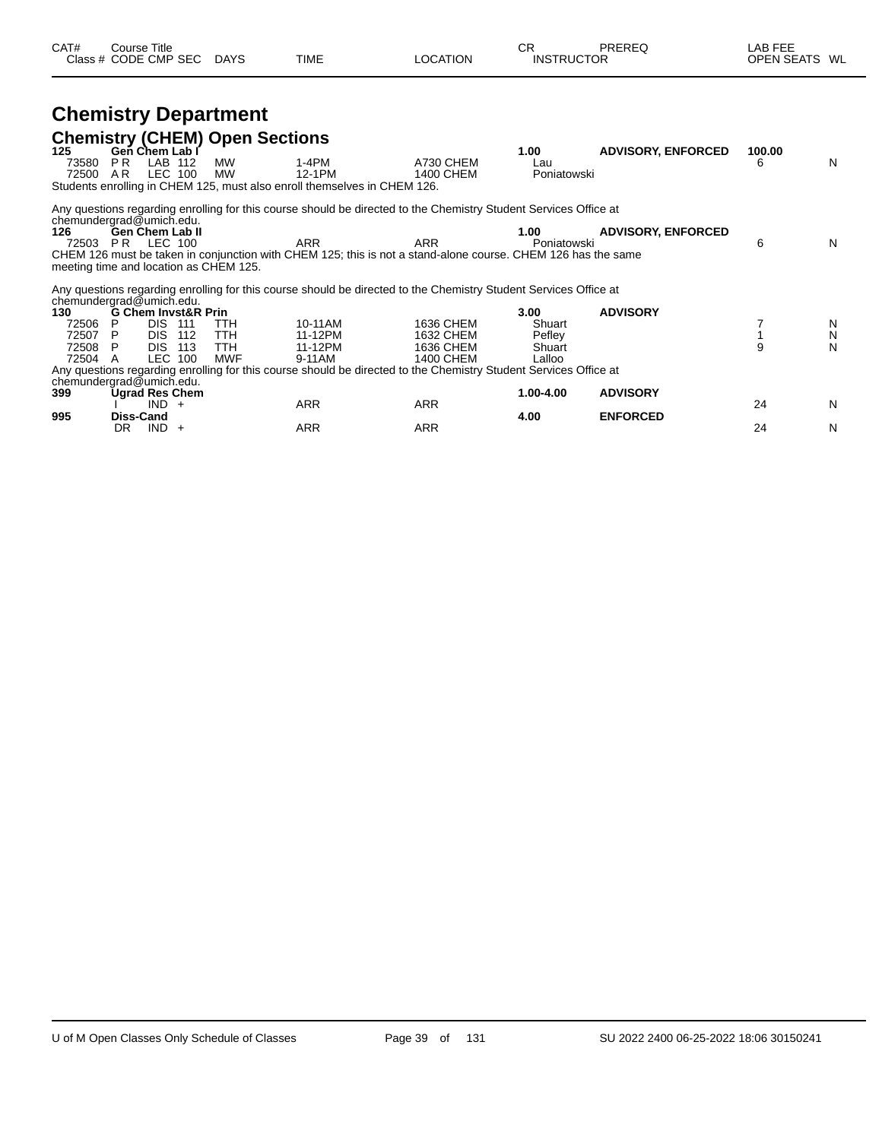| CAT# | ourse Titleٽ         |             |             |                 | rг<br>◡┍          | PREREQ | _AB FEE           |    |
|------|----------------------|-------------|-------------|-----------------|-------------------|--------|-------------------|----|
|      | Class # CODE CMP SEC | <b>DAYS</b> | <b>TIME</b> | <b>_OCATION</b> | <b>INSTRUCTOR</b> |        | <b>OPEN SEATS</b> | WL |

# **Chemistry Department**

| 125                                    |           | Gen Chem Lab I                   |     | <b>Chemistry (CHEM) Open Sections</b> |                                                                                                                  |            | 1.00        | <b>ADVISORY, ENFORCED</b> | 100.00 |   |
|----------------------------------------|-----------|----------------------------------|-----|---------------------------------------|------------------------------------------------------------------------------------------------------------------|------------|-------------|---------------------------|--------|---|
| 73580                                  | PR.       | LAB 112                          |     | <b>MW</b>                             | $1-4PM$                                                                                                          | A730 CHEM  | Lau         |                           | 6      | N |
| 72500                                  | AR        | LEC 100                          |     | <b>MW</b>                             | 12-1PM                                                                                                           | 1400 CHEM  | Poniatowski |                           |        |   |
|                                        |           |                                  |     |                                       | Students enrolling in CHEM 125, must also enroll themselves in CHEM 126.                                         |            |             |                           |        |   |
| chemundergrad@umich.edu.               |           |                                  |     |                                       | Any questions regarding enrolling for this course should be directed to the Chemistry Student Services Office at |            |             |                           |        |   |
| 126                                    |           | <b>Gen Chem Lab II</b>           |     |                                       |                                                                                                                  |            | 1.00        | <b>ADVISORY, ENFORCED</b> |        |   |
| 72503                                  | PR        | LEC 100                          |     |                                       | <b>ARR</b>                                                                                                       | <b>ARR</b> | Poniatowski |                           | 6      | N |
|                                        |           |                                  |     |                                       | CHEM 126 must be taken in conjunction with CHEM 125; this is not a stand-alone course. CHEM 126 has the same     |            |             |                           |        |   |
| meeting time and location as CHEM 125. |           |                                  |     |                                       |                                                                                                                  |            |             |                           |        |   |
| chemundergrad@umich.edu.               |           |                                  |     |                                       | Any questions regarding enrolling for this course should be directed to the Chemistry Student Services Office at |            |             |                           |        |   |
| 130                                    |           | <b>G Chem Invst&amp;R Prin</b>   |     |                                       |                                                                                                                  |            | 3.00        | <b>ADVISORY</b>           |        |   |
| 72506                                  |           | <b>DIS 111</b>                   |     | TTH                                   | 10-11AM                                                                                                          | 1636 CHEM  | Shuart      |                           |        | N |
| 72507                                  | P         | DIS.                             | 112 | TTH                                   | 11-12PM                                                                                                          | 1632 CHEM  | Pefley      |                           |        | N |
| 72508                                  | P         | DIS.                             | 113 | TTH                                   | 11-12PM                                                                                                          | 1636 CHEM  | Shuart      |                           |        | N |
| 72504 A                                |           | LEC 100                          |     | <b>MWF</b>                            | 9-11AM                                                                                                           | 1400 CHEM  | Lalloo      |                           |        |   |
|                                        |           |                                  |     |                                       | Any questions regarding enrolling for this course should be directed to the Chemistry Student Services Office at |            |             |                           |        |   |
| chemundergrad@umich.edu.               |           |                                  |     |                                       |                                                                                                                  |            |             |                           |        |   |
| 399                                    |           | <b>Ugrad Res Chem</b><br>$IND +$ |     |                                       | <b>ARR</b>                                                                                                       | <b>ARR</b> | 1.00-4.00   | <b>ADVISORY</b>           | 24     | N |
| 995                                    | Diss-Cand |                                  |     |                                       |                                                                                                                  |            | 4.00        | <b>ENFORCED</b>           |        |   |
|                                        | DR.       | $IND +$                          |     |                                       | <b>ARR</b>                                                                                                       | <b>ARR</b> |             |                           | 24     | N |
|                                        |           |                                  |     |                                       |                                                                                                                  |            |             |                           |        |   |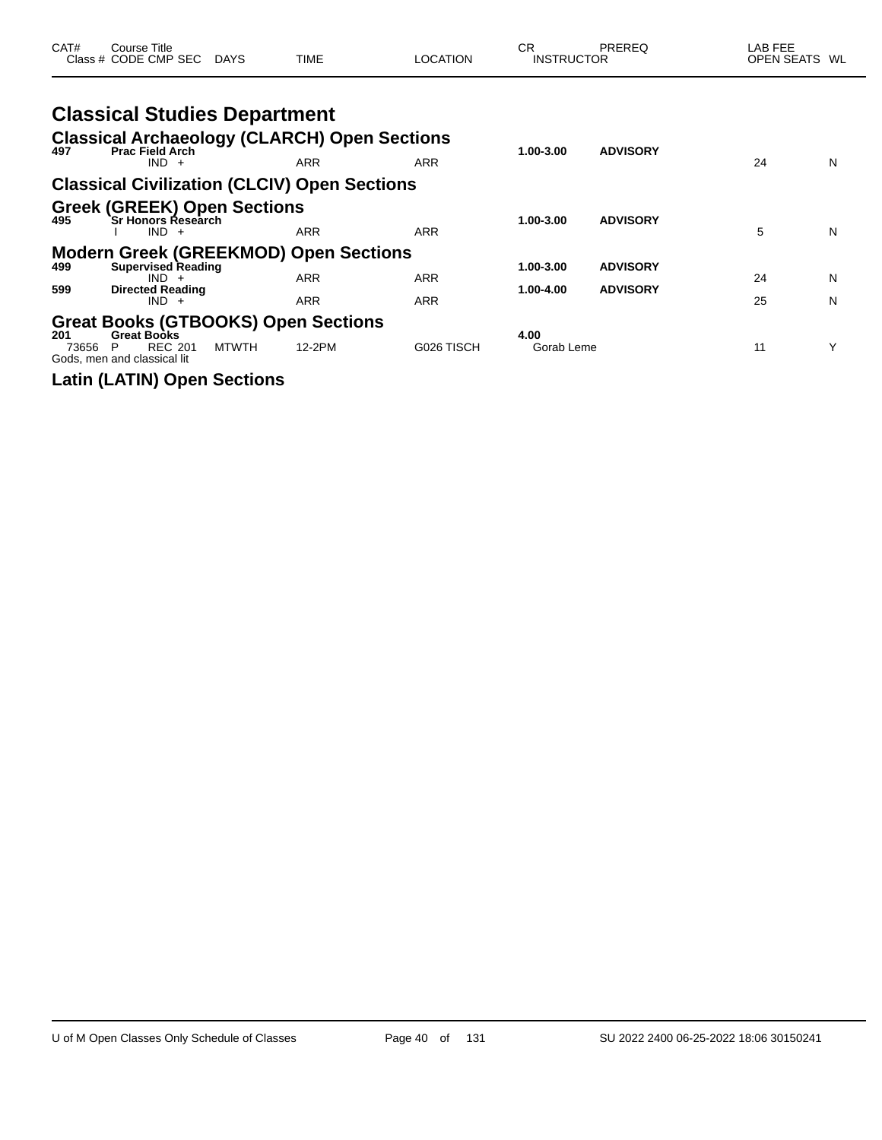| CAT#         | Course Title<br>Class # CODE CMP SEC DAYS                                                                                       |              | TIME                     | LOCATION                 | <b>CR</b><br><b>INSTRUCTOR</b> | PREREQ                             | LAB FEE<br>OPEN SEATS WL |        |
|--------------|---------------------------------------------------------------------------------------------------------------------------------|--------------|--------------------------|--------------------------|--------------------------------|------------------------------------|--------------------------|--------|
| 497          | <b>Classical Studies Department</b><br><b>Classical Archaeology (CLARCH) Open Sections</b><br><b>Prac Field Arch</b><br>$IND +$ |              | <b>ARR</b>               | <b>ARR</b>               | 1.00-3.00                      | <b>ADVISORY</b>                    | 24                       | N      |
|              | <b>Classical Civilization (CLCIV) Open Sections</b>                                                                             |              |                          |                          |                                |                                    |                          |        |
| 495          | <b>Greek (GREEK) Open Sections</b><br>`Sr Honors Research<br>$IND +$                                                            |              | <b>ARR</b>               | <b>ARR</b>               | 1.00-3.00                      | <b>ADVISORY</b>                    | 5                        | N      |
| 499<br>599   | <b>Modern Greek (GREEKMOD) Open Sections</b><br><b>Supervised Reading</b><br>$IND +$<br><b>Directed Reading</b><br>$IND +$      |              | <b>ARR</b><br><b>ARR</b> | <b>ARR</b><br><b>ARR</b> | 1.00-3.00<br>1.00-4.00         | <b>ADVISORY</b><br><b>ADVISORY</b> | 24<br>25                 | N<br>N |
| 201<br>73656 | <b>Great Books (GTBOOKS) Open Sections</b><br><b>Great Books</b><br><b>REC 201</b><br>P<br>Gods, men and classical lit          | <b>MTWTH</b> | 12-2PM                   | G026 TISCH               | 4.00<br>Gorab Leme             |                                    | 11                       | Υ      |

**Latin (LATIN) Open Sections**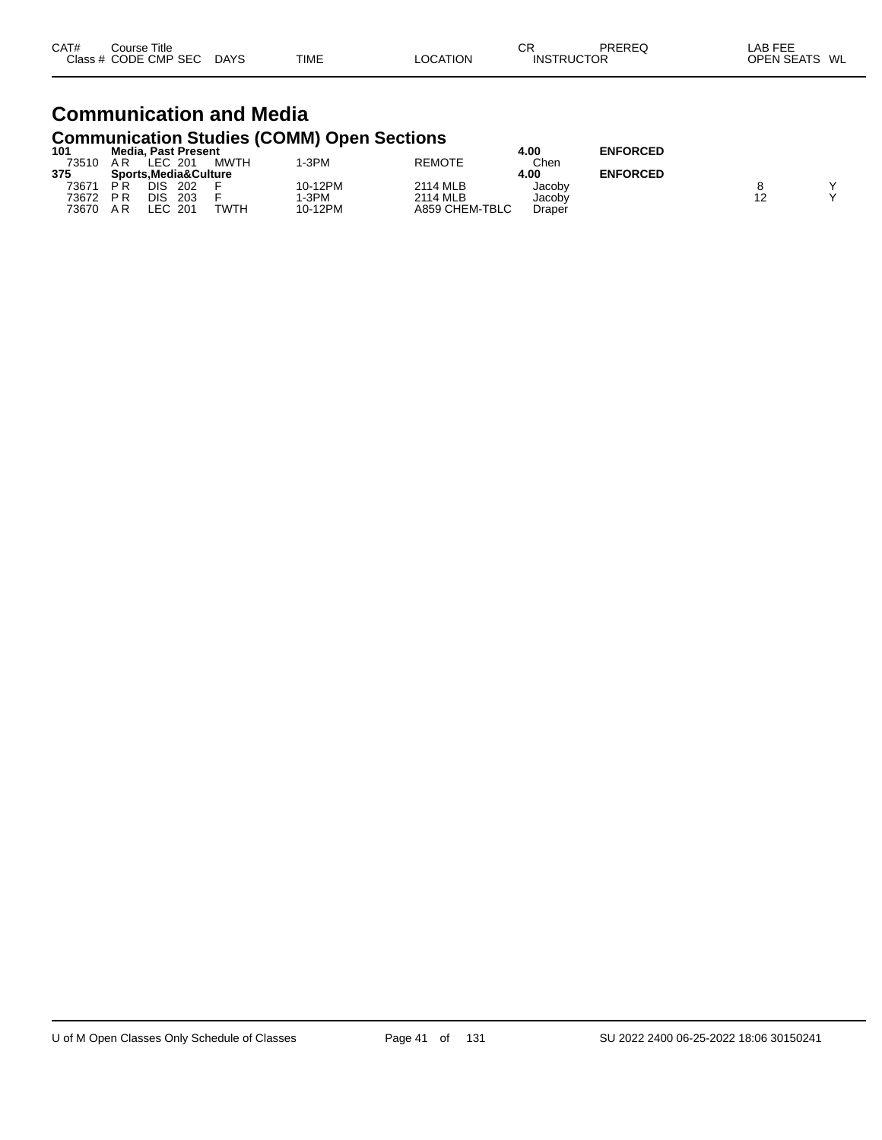| CAT# | Course Title         |             |             |                 | СR                | PREREQ | LAB FEE       |  |
|------|----------------------|-------------|-------------|-----------------|-------------------|--------|---------------|--|
|      | Class # CODE CMP SEC | <b>DAYS</b> | <b>TIME</b> | <b>LOCATION</b> | <b>INSTRUCTOR</b> |        | OPEN SEATS WL |  |

#### **Communication and Media Communication Studies (COMM) Open Sections**

| 101   | <b>Media, Past Present</b> |      |         |                | 4.00   | <b>ENFORCED</b> |   |
|-------|----------------------------|------|---------|----------------|--------|-----------------|---|
| 73510 | LEC 201<br>ΑR              | MWTH | -3PM    | <b>REMOTE</b>  | Chen   |                 |   |
| 375   | Sports.Media&Culture       |      |         |                | 4.00   | <b>ENFORCED</b> |   |
| 73671 | DIS<br>202<br>РR           |      | 10-12PM | 2114 MLB       | Jacoby |                 | v |
| 73672 | DIS<br>203<br>P R          |      | -3PM    | 2114 MLB       | Jacobv |                 | v |
| 73670 | LEC 201<br>ΑR              | TWTH | 10-12PM | A859 CHEM-TBLC | Draper |                 |   |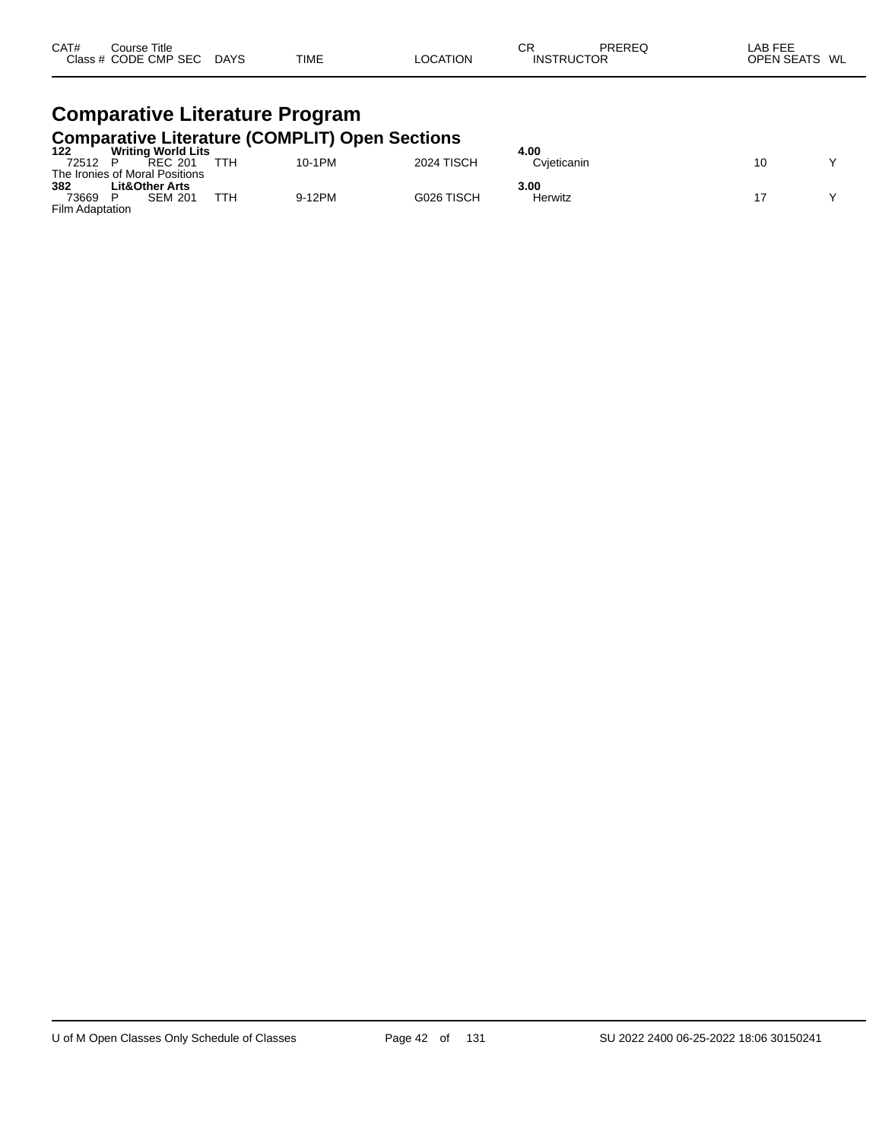| CAT# | Title<br>Course∶     |             |             |                | Ωn<br>◡┍          | PREREQ | AB FEE     |    |
|------|----------------------|-------------|-------------|----------------|-------------------|--------|------------|----|
|      | Class # CODE CMP SEC | <b>DAYS</b> | <b>TIME</b> | <b>OCATION</b> | <b>INSTRUCTOR</b> |        | OPEN SEATS | WL |

#### **Comparative Literature Program Comparative Literature (COMPLIT) Open Sections**

| 122                    | <b>Writing World Lits</b>      |       |        |            | 4.00        |    |  |
|------------------------|--------------------------------|-------|--------|------------|-------------|----|--|
| 72512                  | <b>REC 201</b>                 | TTH.  | 10-1PM | 2024 TISCH | Cvieticanin | 10 |  |
|                        | The Ironies of Moral Positions |       |        |            |             |    |  |
| 382                    | Lit&Other Arts                 |       |        |            | 3.00        |    |  |
| 73669                  | <b>SEM 201</b>                 | TTH . | 9-12PM | G026 TISCH | Herwitz     |    |  |
| <b>Film Adaptation</b> |                                |       |        |            |             |    |  |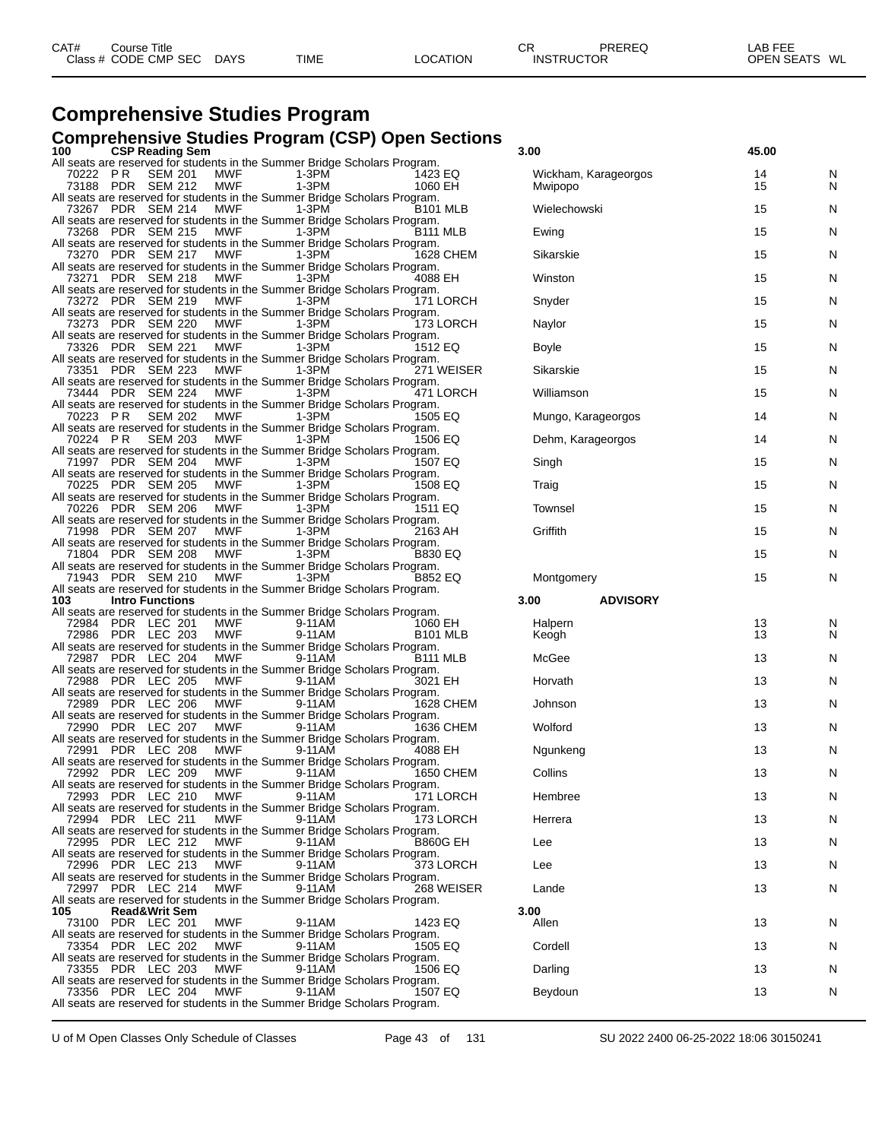| CAT# | Course Title<br>Class # CODE CMP SEC | <b>DAYS</b> | <b>TIME</b> | <b>LOCATION</b> | СF<br><b>INSTRUCTOR</b> | PREREQ | <b>LAB FEE</b><br><b>OPEN SEATS</b><br>WL |
|------|--------------------------------------|-------------|-------------|-----------------|-------------------------|--------|-------------------------------------------|
|------|--------------------------------------|-------------|-------------|-----------------|-------------------------|--------|-------------------------------------------|

### **Comprehensive Studies Program**

## **Comprehensive Studies Program (CSP) Open Sections 100 CSP Reading Sem 3.00 45.00**

| <b>CSP Reading Sem</b><br>100<br>All seats are reserved for students in the Summer Bridge Scholars Program.                               | 3.00                            | 45.00    |        |
|-------------------------------------------------------------------------------------------------------------------------------------------|---------------------------------|----------|--------|
| <b>SEM 201</b><br>$1-3PM$<br>70222 PR<br>MWF<br>1423 EQ<br>73188 PDR SEM 212<br>MWF<br>$1-3PM$<br>1060 EH                                 | Wickham, Karageorgos<br>Mwipopo | 14<br>15 | N<br>N |
| All seats are reserved for students in the Summer Bridge Scholars Program.<br>73267 PDR SEM 214<br>MWF<br>$1-3PM$<br>B <sub>101</sub> MLB | Wielechowski                    | 15       | Ν      |
| All seats are reserved for students in the Summer Bridge Scholars Program.<br>73268 PDR SEM 215<br>MWF<br>1-3PM<br>B111 MLB               | Ewing                           | 15       | N      |
| All seats are reserved for students in the Summer Bridge Scholars Program.<br>$1-3PM$<br>73270 PDR SEM 217 MWF<br>1628 CHEM               | Sikarskie                       | 15       | N      |
| All seats are reserved for students in the Summer Bridge Scholars Program.<br>73271 PDR SEM 218<br>MWF<br>1-3PM<br>4088 EH                | Winston                         | 15       | Ν      |
| All seats are reserved for students in the Summer Bridge Scholars Program.<br>171 LORCH<br>73272 PDR SEM 219<br>MWF<br>$1-3PM$            | Snyder                          | 15       | Ν      |
| All seats are reserved for students in the Summer Bridge Scholars Program.<br>$1-3PM$<br>73273 PDR SEM 220<br>MWF<br>173 LORCH            | Naylor                          | 15       | N      |
| All seats are reserved for students in the Summer Bridge Scholars Program.<br>73326 PDR SEM 221<br>MWF<br>$1-3PM$<br>1512 EQ              | <b>Boyle</b>                    | 15       | Ν      |
| All seats are reserved for students in the Summer Bridge Scholars Program.<br>271 WEISER<br>MWF<br>1-3PM<br>73351 PDR SEM 223             | Sikarskie                       | 15       | Ν      |
| All seats are reserved for students in the Summer Bridge Scholars Program.<br>$1-3PM$<br>73444 PDR SEM 224<br><b>MWF</b><br>471 LORCH     | Williamson                      | 15       | N      |
| All seats are reserved for students in the Summer Bridge Scholars Program.<br><b>SEM 202</b><br>MWF<br>$1-3PM$<br>70223 PR<br>1505 EQ     | Mungo, Karageorgos              | 14       | Ν      |
| All seats are reserved for students in the Summer Bridge Scholars Program.<br>1506 EQ<br>70224 PR SEM 203<br>MWF<br>$1-3PM$               | Dehm, Karageorgos               | 14       | N      |
| All seats are reserved for students in the Summer Bridge Scholars Program.<br>$1-3PM$<br>71997 PDR SEM 204<br><b>MWF</b><br>1507 EQ       | Singh                           | 15       | N      |
| All seats are reserved for students in the Summer Bridge Scholars Program.<br>70225 PDR SEM 205<br>MWF<br>$1-3PM$<br>1508 EQ              | Traig                           | 15       | Ν      |
| All seats are reserved for students in the Summer Bridge Scholars Program.<br>$1-3PM$<br>70226 PDR SEM 206<br>MWF<br>1511 EQ              | Townsel                         | 15       | Ν      |
| All seats are reserved for students in the Summer Bridge Scholars Program.<br>$1-3PM$<br>71998 PDR SEM 207<br><b>MWF</b><br>2163 AH       | Griffith                        | 15       | N      |
| All seats are reserved for students in the Summer Bridge Scholars Program.<br>71804 PDR SEM 208<br>MWF<br>$1-3PM$<br><b>B830 EQ</b>       |                                 | 15       | N      |
| All seats are reserved for students in the Summer Bridge Scholars Program.<br><b>B852 EQ</b><br>71943 PDR SEM 210 MWF<br>1-3PM            | Montgomery                      | 15       | N      |
| All seats are reserved for students in the Summer Bridge Scholars Program.                                                                |                                 |          |        |
| <b>Intro Functions</b><br>103<br>All seats are reserved for students in the Summer Bridge Scholars Program.                               | 3.00<br><b>ADVISORY</b>         |          |        |
| 72984 PDR LEC 201<br>MWF<br>9-11AM<br>1060 EH<br>MWF<br>9-11AM<br>72986 PDR LEC 203<br><b>B101 MLB</b>                                    | Halpern<br>Keogh                | 13<br>13 | N<br>N |
| All seats are reserved for students in the Summer Bridge Scholars Program.<br>72987 PDR LEC 204<br>MWF<br>9-11AM<br>B <sub>111</sub> MLB  | McGee                           | 13       | Ν      |
| All seats are reserved for students in the Summer Bridge Scholars Program.<br>72988 PDR LEC 205<br>MWF<br>9-11AM<br>3021 EH               | Horvath                         | 13       | N      |
| All seats are reserved for students in the Summer Bridge Scholars Program.<br>72989 PDR LEC 206<br><b>MWF</b><br>9-11AM<br>1628 CHEM      | Johnson                         | 13       | N      |
| All seats are reserved for students in the Summer Bridge Scholars Program.<br>72990 PDR LEC 207<br>MWF                                    | Wolford                         | 13       |        |
| 9-11AM<br>1636 CHEM<br>All seats are reserved for students in the Summer Bridge Scholars Program.<br>9-11AM                               |                                 |          | N      |
| 4088 EH<br>MWF<br>72991 PDR LEC 208<br>All seats are reserved for students in the Summer Bridge Scholars Program.                         | Ngunkeng                        | 13       | N      |
| 72992 PDR LEC 209<br><b>MWF</b><br>9-11AM<br>1650 CHEM<br>All seats are reserved for students in the Summer Bridge Scholars Program.      | Collins                         | 13       | N      |
| 171 LORCH<br>72993 PDR LEC 210 MWF 9-11AM<br>All seats are reserved for students in the Summer Bridge Scholars Program.                   | Hembree                         | 13       | N      |
| 72994 PDR LEC 211<br>MWF<br>9-11AM<br>173 LORCH<br>All seats are reserved for students in the Summer Bridge Scholars Program.             | Herrera                         | 13       | Ν      |
| 72995 PDR LEC 212<br>MWF<br>9-11AM<br><b>B860G EH</b><br>All seats are reserved for students in the Summer Bridge Scholars Program.       | Lee                             | 13       | N      |
| 72996 PDR LEC 213<br>MWF<br>9-11AM<br>373 LORCH<br>All seats are reserved for students in the Summer Bridge Scholars Program.             | Lee                             | 13       | N      |
| 268 WEISER<br>72997 PDR LEC 214<br>MWF<br>9-11AM<br>All seats are reserved for students in the Summer Bridge Scholars Program.            | Lande                           | 13       | Ν      |
| <b>Read&amp;Writ Sem</b><br>105<br>MWF<br>1423 EQ<br>73100 PDR LEC 201<br>9-11AM                                                          | 3.00<br>Allen                   | 13       | N      |
| All seats are reserved for students in the Summer Bridge Scholars Program.<br>73354 PDR LEC 202<br>MWF<br>9-11AM<br>1505 EQ               | Cordell                         | 13       | N      |
| All seats are reserved for students in the Summer Bridge Scholars Program.<br>73355 PDR LEC 203<br>MWF<br>9-11AM<br>1506 EQ               | Darling                         | 13       | Ν      |
| All seats are reserved for students in the Summer Bridge Scholars Program.<br>73356 PDR LEC 204<br>9-11AM<br>MWF<br>1507 EQ               | Beydoun                         | 13       | Ν      |
| All seats are reserved for students in the Summer Bridge Scholars Program.                                                                |                                 |          |        |

| 3.00                            | 45.00    |        |
|---------------------------------|----------|--------|
| Wickham, Karageorgos<br>Mwipopo | 14<br>15 | N<br>N |
| Wielechowski                    | 15       | N      |
| Ewing                           | 15       | N      |
| Sikarskie                       | 15       | N      |
| Winston                         | 15       | N      |
| Snyder                          | 15       | N      |
| Naylor                          | 15       | N      |
| Boyle                           | 15       | N      |
| Sikarskie                       | 15       | N      |
| Williamson                      | 15       | N      |
| Mungo, Karageorgos              | 14       | N      |
| Dehm, Karageorgos               | 14       | N      |
| Singh                           | 15       | N      |
| Traig                           | 15       | N      |
| Townsel                         | 15       | N      |
| Griffith                        | 15       | N      |
|                                 | 15       | N      |
| Montgomery                      | 15       | N      |
| 3.00<br><b>ADVISORY</b>         |          |        |
| Halpern<br>Keogh                | 13<br>13 | N<br>N |
| McGee                           | 13       | N      |
| Horvath                         | 13       | N      |
| Johnson                         | 13       | N      |
| Wolford                         | 13       | N      |
| Ngunkeng                        | 13       | N      |
| Collins                         | 13       | N      |
| Hembree                         | 13       | N      |
| Herrera                         | 13       | N      |
| Lee                             | 13       | N      |
| Lee                             | 13       | N      |
| Lande                           | 13       | N      |
| 3.00                            |          |        |
| Allen                           | 13       | N      |
| Cordell                         | 13       | N      |
| Darling                         | 13       | N      |
| Beydoun                         | 13       | N      |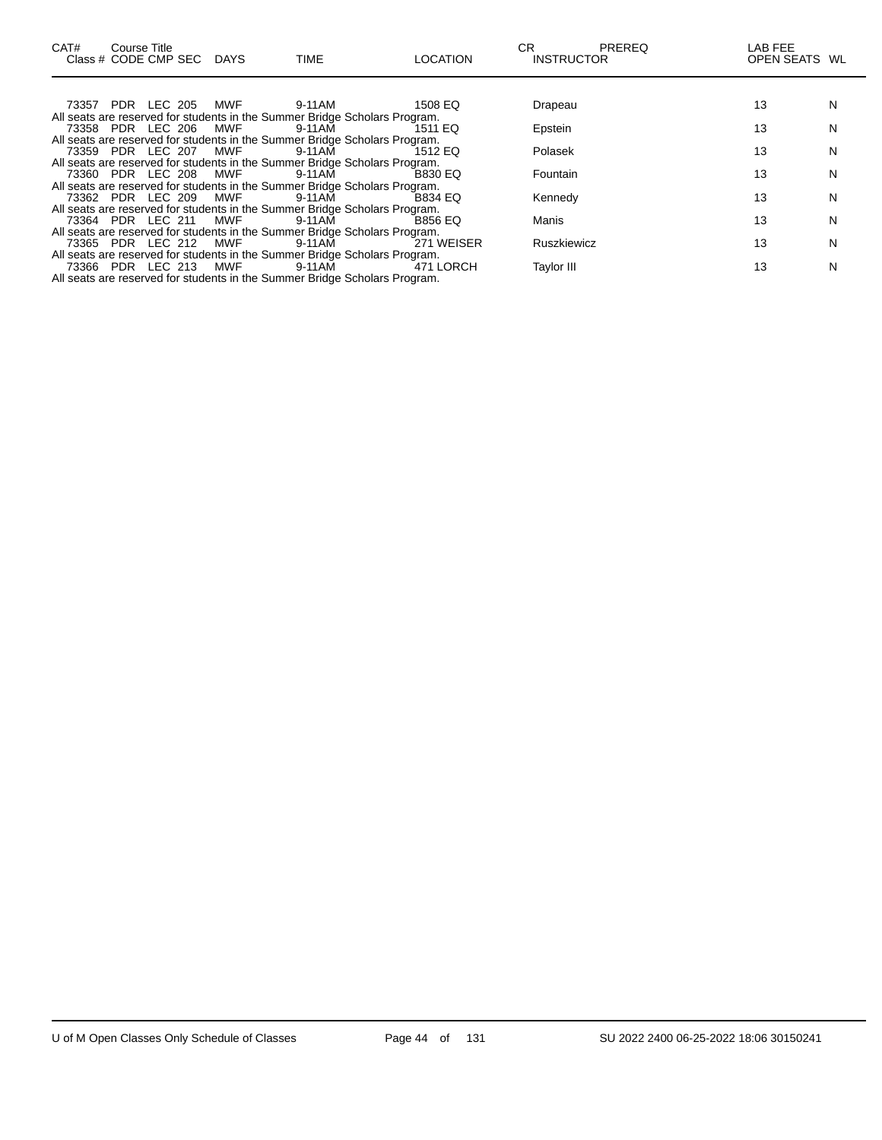| CAT# | Course Title<br>Class # CODE CMP SEC DAYS |     | <b>TIME</b>                                                                | <b>LOCATION</b> | CR<br><b>INSTRUCTOR</b> | <b>PREREQ</b> | LAB FEE<br>OPEN SEATS WL |   |
|------|-------------------------------------------|-----|----------------------------------------------------------------------------|-----------------|-------------------------|---------------|--------------------------|---|
|      |                                           |     |                                                                            |                 |                         |               |                          |   |
|      | 73357 PDR LEC 205                         | MWF | 9-11AM                                                                     | 1508 EQ         | Drapeau                 |               | 13                       | N |
|      |                                           |     | All seats are reserved for students in the Summer Bridge Scholars Program. |                 |                         |               |                          |   |
|      | 73358 PDR LEC 206                         | MWF | 9-11AM                                                                     | 1511 EQ         | Epstein                 |               | 13                       | N |
|      |                                           |     | All seats are reserved for students in the Summer Bridge Scholars Program. |                 |                         |               |                          |   |
|      | 73359 PDR LEC 207                         | MWF | 9-11AM                                                                     | 1512 EQ         | Polasek                 |               | 13                       | N |
|      |                                           |     | All seats are reserved for students in the Summer Bridge Scholars Program. |                 |                         |               |                          |   |
|      | 73360 PDR LEC 208                         | MWF | 9-11AM                                                                     | <b>B830 EQ</b>  | Fountain                |               | 13                       | N |
|      |                                           |     | All seats are reserved for students in the Summer Bridge Scholars Program. |                 |                         |               |                          |   |
|      | 73362 PDR LEC 209 MWF                     |     | 9-11AM                                                                     | B834 EQ         | Kennedy                 |               | 13                       | N |
|      |                                           |     | All seats are reserved for students in the Summer Bridge Scholars Program. |                 |                         |               |                          |   |
|      | 73364 PDR LEC 211                         | MWF | 9-11AM                                                                     | <b>B856 EQ</b>  | Manis                   |               | 13                       | N |
|      |                                           |     | All seats are reserved for students in the Summer Bridge Scholars Program. |                 |                         |               |                          |   |
|      | 73365 PDR LEC 212                         | MWF | 9-11AM                                                                     | 271 WEISER      | <b>Ruszkiewicz</b>      |               | 13                       | N |
|      |                                           |     | All seats are reserved for students in the Summer Bridge Scholars Program. |                 |                         |               |                          |   |
|      | 73366 PDR LEC 213                         | MWF | 9-11AM                                                                     | 471 LORCH       | <b>Taylor III</b>       |               | 13                       | N |
|      |                                           |     | All seats are reserved for students in the Summer Bridge Scholars Program. |                 |                         |               |                          |   |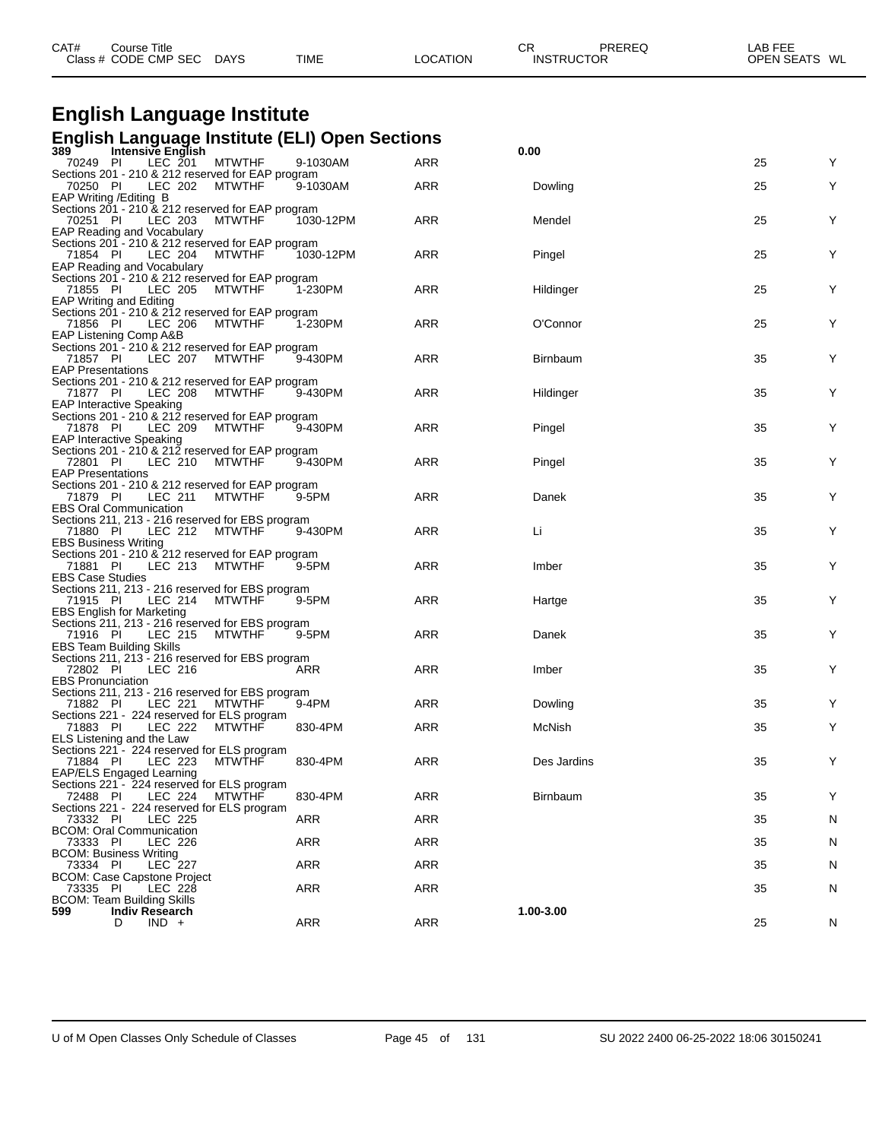| Class # CODE CMP SEC                                                                 | <b>DAYS</b>   | TIME       | <b>LOCATION</b> | <b>INSTRUCTOR</b> | OPEN SEATS WL |   |
|--------------------------------------------------------------------------------------|---------------|------------|-----------------|-------------------|---------------|---|
|                                                                                      |               |            |                 |                   |               |   |
| <b>English Language Institute</b>                                                    |               |            |                 |                   |               |   |
| <b>English Language Institute (ELI) Open Sections</b><br>389<br>Intensive English    |               |            |                 | 0.00              |               |   |
| LEC $201$<br>70249 PI                                                                | <b>MTWTHF</b> | 9-1030AM   | ARR             |                   | 25            | Y |
| Sections 201 - 210 & 212 reserved for EAP program<br>70250 PI<br>LEC 202             | <b>MTWTHF</b> | 9-1030AM   | <b>ARR</b>      | Dowling           | 25            | Y |
| EAP Writing / Editing B                                                              |               |            |                 |                   |               |   |
| Sections 201 - 210 & 212 reserved for EAP program<br>70251 PI<br>LEC 203             | <b>MTWTHF</b> | 1030-12PM  | <b>ARR</b>      | Mendel            | 25            | Υ |
| <b>EAP Reading and Vocabulary</b>                                                    |               |            |                 |                   |               |   |
| Sections 201 - 210 & 212 reserved for EAP program<br>71854 PI<br>LEC 204             | <b>MTWTHF</b> | 1030-12PM  | <b>ARR</b>      | Pingel            | 25            | Y |
| <b>EAP Reading and Vocabulary</b>                                                    |               |            |                 |                   |               |   |
| Sections 201 - 210 & 212 reserved for EAP program<br>71855 PI<br>LEC 205             | <b>MTWTHF</b> | 1-230PM    | <b>ARR</b>      | Hildinger         | 25            | Y |
| <b>EAP Writing and Editing</b>                                                       |               |            |                 |                   |               |   |
| Sections 201 - 210 & 212 reserved for EAP program<br><b>LEC 206</b><br>71856 PI      | <b>MTWTHF</b> | 1-230PM    | <b>ARR</b>      | O'Connor          | 25            | Y |
| EAP Listening Comp A&B                                                               |               |            |                 |                   |               |   |
| Sections 201 - 210 & 212 reserved for EAP program<br>71857 PI<br>LEC 207             | <b>MTWTHF</b> | 9-430PM    | <b>ARR</b>      | <b>Birnbaum</b>   | 35            | Y |
| <b>EAP Presentations</b><br>Sections 201 - 210 & 212 reserved for EAP program        |               |            |                 |                   |               |   |
| 71877 PI<br>LEC 208                                                                  | MTWTHF        | 9-430PM    | <b>ARR</b>      | Hildinger         | 35            | Y |
| <b>EAP Interactive Speaking</b><br>Sections 201 - 210 & 212 reserved for EAP program |               |            |                 |                   |               |   |
| 71878 PI<br>LEC 209                                                                  | <b>MTWTHF</b> | 9-430PM    | <b>ARR</b>      | Pingel            | 35            | Y |
| <b>EAP Interactive Speaking</b><br>Sections 201 - 210 & 212 reserved for EAP program |               |            |                 |                   |               |   |
| 72801 PI<br>LEC 210                                                                  | <b>MTWTHF</b> | 9-430PM    | <b>ARR</b>      | Pingel            | 35            | Y |
| <b>EAP Presentations</b><br>Sections 201 - 210 & 212 reserved for EAP program        |               |            |                 |                   |               |   |
| 71879 PI<br>LEC 211                                                                  | <b>MTWTHF</b> | 9-5PM      | ARR             | Danek             | 35            | Y |
| <b>EBS Oral Communication</b><br>Sections 211, 213 - 216 reserved for EBS program    |               |            |                 |                   |               |   |
| 71880 PI<br>LEC 212                                                                  | <b>MTWTHF</b> | 9-430PM    | <b>ARR</b>      | Li                | 35            | Y |
| <b>EBS Business Writing</b><br>Sections 201 - 210 & 212 reserved for EAP program     |               |            |                 |                   |               |   |
| 71881 PI<br>LEC 213<br><b>EBS Case Studies</b>                                       | MTWTHF        | 9-5PM      | <b>ARR</b>      | Imber             | 35            | Y |
| Sections 211, 213 - 216 reserved for EBS program                                     |               |            |                 |                   |               |   |
| LEC 214<br>71915 PI<br><b>EBS English for Marketing</b>                              | <b>MTWTHF</b> | 9-5PM      | <b>ARR</b>      | Hartge            | 35            | Y |
| Sections 211, 213 - 216 reserved for EBS program                                     |               |            |                 |                   |               |   |
| 71916 PI<br>LEC 215<br><b>EBS Team Building Skills</b>                               | <b>MTWTHF</b> | 9-5PM      | <b>ARR</b>      | Danek             | 35            | Υ |
| Sections 211, 213 - 216 reserved for EBS program                                     |               |            |                 |                   |               |   |
| 72802 PI<br>LEC 216<br><b>EBS Pronunciation</b>                                      |               | ARR        | <b>ARR</b>      | Imber             | 35            | Y |
| Sections 211, 213 - 216 reserved for EBS program                                     |               |            |                 |                   |               |   |
| 71882 PI<br>LEC 221 MTWTHF<br>Sections 221 - 224 reserved for ELS program            |               | 9-4PM      | ARR             | Dowling           | 35            | Y |
| 71883 PI<br>LEC 222                                                                  | <b>MTWTHF</b> | 830-4PM    | ARR             | McNish            | 35            | Y |
| ELS Listening and the Law<br>Sections 221 - 224 reserved for ELS program             |               |            |                 |                   |               |   |
| 71884 PI<br>LEC 223<br>EAP/ELS Engaged Learning                                      | <b>MTWTHF</b> | 830-4PM    | ARR             | Des Jardins       | 35            | Y |
| Sections 221 - 224 reserved for ELS program                                          |               |            |                 |                   |               |   |
| 72488 PI<br>LEC 224<br>Sections 221 - 224 reserved for ELS program                   | <b>MTWTHF</b> | 830-4PM    | ARR             | Birnbaum          | 35            | Y |
| 73332 PI<br>LEC 225                                                                  |               | <b>ARR</b> | ARR             |                   | 35            | N |
| <b>BCOM: Oral Communication</b><br>73333 PI<br>LEC 226                               |               | <b>ARR</b> | ARR             |                   | 35            | N |
| <b>BCOM: Business Writing</b>                                                        |               |            |                 |                   |               |   |
| 73334 PI<br><b>LEC 227</b><br>BCOM: Case Capstone Project                            |               | ARR        | ARR             |                   | 35            | N |
| 73335 PI<br>LEC 228                                                                  |               | <b>ARR</b> | ARR             |                   | 35            | N |
| <b>BCOM: Team Building Skills</b><br>599<br><b>Indiv Research</b>                    |               |            |                 | 1.00-3.00         |               |   |
| $IND +$<br>D                                                                         |               | <b>ARR</b> | ARR             |                   | 25            | N |
|                                                                                      |               |            |                 |                   |               |   |

CAT# Course Title Case CR PREREQ LAB FEE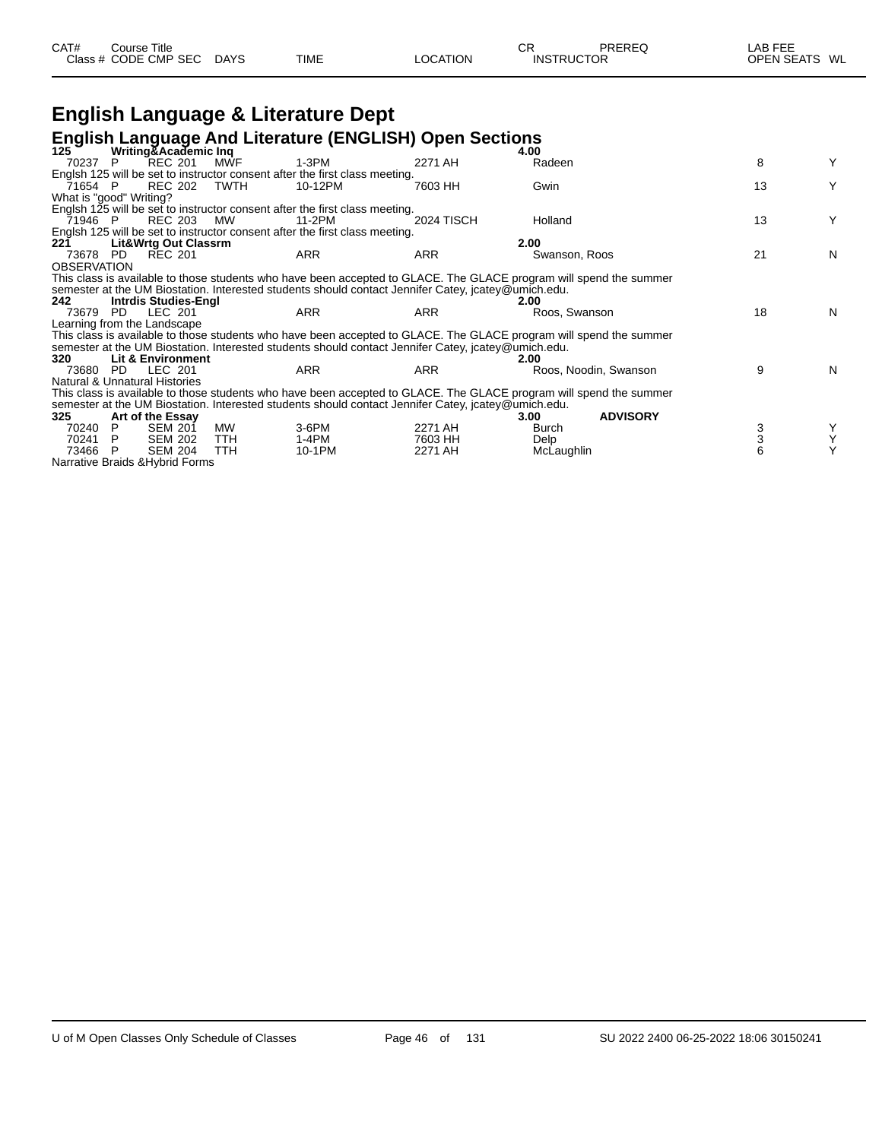| CAT#<br>Class | Title<br>Course<br>:ODE<br><b>CMP</b><br><b>SEC</b> | <b>DAYS</b> | <b>TIME</b> |  | ∼⊏<br>◡┍<br>NI <sup>C</sup> | TOR | AБ<br><b>MI</b><br>ገPF<br>w |
|---------------|-----------------------------------------------------|-------------|-------------|--|-----------------------------|-----|-----------------------------|
|---------------|-----------------------------------------------------|-------------|-------------|--|-----------------------------|-----|-----------------------------|

## **English Language & Literature Dept**

#### **English Language And Literature (ENGLISH) Open Sections**

| $125^\circ$        | Writing & Academic Inq          |            |                                                                                                                    |                   | 4.00          |                       |    |   |
|--------------------|---------------------------------|------------|--------------------------------------------------------------------------------------------------------------------|-------------------|---------------|-----------------------|----|---|
| 70237              | <b>REC 201</b><br>P             | MWF        | 1-3PM                                                                                                              | 2271 AH           | Radeen        |                       | 8  | Y |
|                    |                                 |            | Englsh 125 will be set to instructor consent after the first class meeting.                                        |                   |               |                       |    |   |
| 71654 P            | REC 202                         | TWTH       | 10-12PM                                                                                                            | 7603 HH           | Gwin          |                       | 13 | Υ |
|                    | What is "good" Writing?         |            |                                                                                                                    |                   |               |                       |    |   |
|                    |                                 |            | Englsh 125 will be set to instructor consent after the first class meeting.                                        |                   |               |                       |    |   |
| 71946 P            | REC 203                         | MW.        | 11-2PM                                                                                                             | <b>2024 TISCH</b> | Holland       |                       | 13 | Y |
|                    |                                 |            | Englsh 125 will be set to instructor consent after the first class meeting.                                        |                   |               |                       |    |   |
| 221                | <b>Lit&amp;Wrtg Out Classrm</b> |            |                                                                                                                    |                   | 2.00          |                       |    |   |
| 73678              | <b>REC 201</b><br>PD.           |            | <b>ARR</b>                                                                                                         | <b>ARR</b>        | Swanson, Roos |                       | 21 | N |
| <b>OBSERVATION</b> |                                 |            |                                                                                                                    |                   |               |                       |    |   |
|                    |                                 |            | This class is available to those students who have been accepted to GLACE. The GLACE program will spend the summer |                   |               |                       |    |   |
|                    |                                 |            | semester at the UM Biostation. Interested students should contact Jennifer Catey, jcatey@umich.edu.                |                   |               |                       |    |   |
| 242.               | Intrdis Studies-Engl            |            |                                                                                                                    |                   | 2.00          |                       |    |   |
| 73679              | LEC 201<br>PD.                  |            | ARR                                                                                                                | <b>ARR</b>        | Roos, Swanson |                       | 18 | N |
|                    | Learning from the Landscape     |            |                                                                                                                    |                   |               |                       |    |   |
|                    |                                 |            | This class is available to those students who have been accepted to GLACE. The GLACE program will spend the summer |                   |               |                       |    |   |
|                    |                                 |            | semester at the UM Biostation. Interested students should contact Jennifer Catey, jcatey@umich.edu.                |                   |               |                       |    |   |
| 320                | Lit & Environment               |            |                                                                                                                    |                   | 2.00          |                       |    |   |
| 73680              | LEC 201<br>PD.                  |            | ARR                                                                                                                | ARR               |               | Roos, Noodin, Swanson | 9  | N |
|                    | Natural & Unnatural Histories   |            |                                                                                                                    |                   |               |                       |    |   |
|                    |                                 |            | This class is available to those students who have been accepted to GLACE. The GLACE program will spend the summer |                   |               |                       |    |   |
|                    |                                 |            | semester at the UM Biostation. Interested students should contact Jennifer Catey, jcatey@umich.edu.                |                   |               |                       |    |   |
| 325                | Art of the Essay                |            |                                                                                                                    |                   | 3.00          | <b>ADVISORY</b>       |    |   |
| 70240              | <b>SEM 201</b><br>P             | МW         | 3-6PM                                                                                                              | 2271 AH           | Burch         |                       | 3  |   |
| 70241              | <b>SEM 202</b><br>P.            | TTH        | 1-4PM                                                                                                              | 7603 HH           | Delp          |                       | 3  | Υ |
| 73466 P            | <b>SEM 204</b>                  | <b>TTH</b> | 10-1PM                                                                                                             | 2271 AH           | McLaughlin    |                       | 6  | Υ |
|                    | Narrative Braids & Hybrid Forms |            |                                                                                                                    |                   |               |                       |    |   |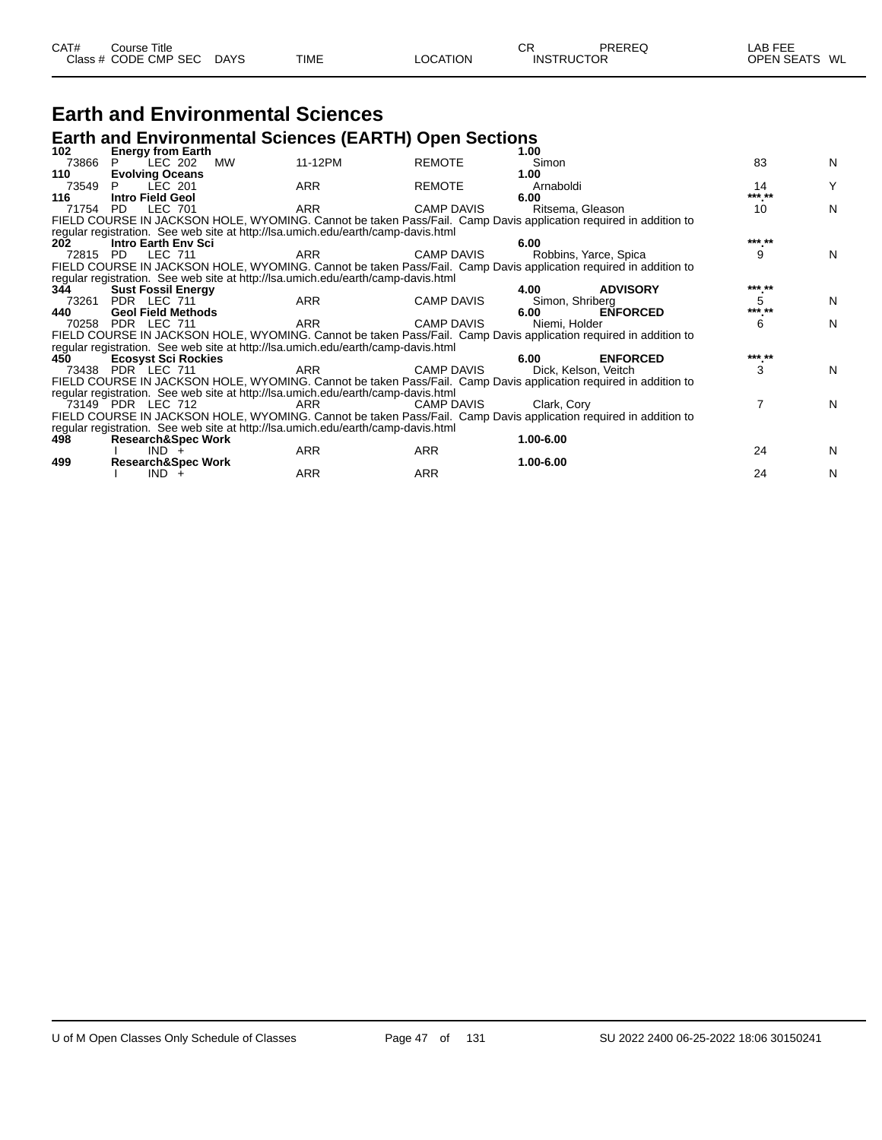| CAT# | Course Title<br>Class # CODE CMP SEC | <b>DAYS</b> | <b>TIME</b> | LOCATION | СF<br><b>INSTRUCTOR</b> | PREREQ | LAB FEE<br>OPEN SEATS WL |  |
|------|--------------------------------------|-------------|-------------|----------|-------------------------|--------|--------------------------|--|
|      |                                      |             |             |          |                         |        |                          |  |

#### **Earth and Environmental Sciences**

#### **Earth and Environmental Sciences (EARTH) Open Sections**

| 102 <sub>1</sub> | <b>Energy from Earth</b>      |                                                                                                                  |                   | 1.00                  |                 |        |   |
|------------------|-------------------------------|------------------------------------------------------------------------------------------------------------------|-------------------|-----------------------|-----------------|--------|---|
| 73866            | LEC 202                       | 11-12PM<br>MW                                                                                                    | <b>REMOTE</b>     | Simon                 |                 | 83     | N |
| 110              | <b>Evolving Oceans</b>        |                                                                                                                  |                   | 1.00                  |                 |        |   |
| 73549            | LEC 201<br>P.                 | <b>ARR</b>                                                                                                       | <b>REMOTE</b>     | Arnaboldi             |                 | 14     | Υ |
| 116              | Intro Field Geol              |                                                                                                                  |                   | 6.00                  |                 | *** ** |   |
| 71754            | LEC 701<br>PD.                | <b>ARR</b>                                                                                                       | <b>CAMP DAVIS</b> | Ritsema, Gleason      |                 | 10     | N |
|                  |                               | FIELD COURSE IN JACKSON HOLE, WYOMING. Cannot be taken Pass/Fail. Camp Davis application required in addition to |                   |                       |                 |        |   |
|                  |                               | regular registration. See web site at http://lsa.umich.edu/earth/camp-davis.html                                 |                   |                       |                 |        |   |
| 202              | Intro Earth Env Sci           |                                                                                                                  |                   | 6.00                  |                 | *** ** |   |
| 72815            | LEC 711<br>PD.                | <b>ARR</b>                                                                                                       | <b>CAMP DAVIS</b> | Robbins, Yarce, Spica |                 | 9      | N |
|                  |                               | FIELD COURSE IN JACKSON HOLE, WYOMING. Cannot be taken Pass/Fail. Camp Davis application required in addition to |                   |                       |                 |        |   |
|                  |                               | regular registration. See web site at http://lsa.umich.edu/earth/camp-davis.html                                 |                   |                       |                 |        |   |
| 344              | <b>Sust Fossil Energy</b>     |                                                                                                                  |                   | 4.00                  | <b>ADVISORY</b> | *** ** |   |
| 73261            | PDR LEC 711                   | <b>ARR</b>                                                                                                       | <b>CAMP DAVIS</b> | Simon, Shriberg       |                 | 5      | N |
| 440              | <b>Geol Field Methods</b>     |                                                                                                                  |                   | 6.00                  | <b>ENFORCED</b> | *** ** |   |
|                  | 70258 PDR LEC 711             | <b>ARR</b>                                                                                                       | <b>CAMP DAVIS</b> | Niemi, Holder         |                 | 6      | N |
|                  |                               | FIELD COURSE IN JACKSON HOLE, WYOMING. Cannot be taken Pass/Fail. Camp Davis application required in addition to |                   |                       |                 |        |   |
|                  |                               | regular registration. See web site at http://lsa.umich.edu/earth/camp-davis.html                                 |                   |                       |                 |        |   |
| 450              | <b>Ecosyst Sci Rockies</b>    |                                                                                                                  |                   | 6.00                  | <b>ENFORCED</b> | *** ** |   |
|                  | 73438 PDR LEC 711             | <b>ARR</b>                                                                                                       | <b>CAMP DAVIS</b> | Dick, Kelson, Veitch  |                 | 3      | N |
|                  |                               | FIELD COURSE IN JACKSON HOLE, WYOMING. Cannot be taken Pass/Fail. Camp Davis application required in addition to |                   |                       |                 |        |   |
|                  |                               | regular registration. See web site at http://lsa.umich.edu/earth/camp-davis.html                                 |                   |                       |                 |        |   |
|                  | 73149 PDR LEC 712             | ARR                                                                                                              | CAMP DAVIS        | Clark, Cory           |                 | 7      | N |
|                  |                               | FIELD COURSE IN JACKSON HOLE, WYOMING. Cannot be taken Pass/Fail. Camp Davis application required in addition to |                   |                       |                 |        |   |
|                  |                               | regular registration. See web site at http://lsa.umich.edu/earth/camp-davis.html                                 |                   |                       |                 |        |   |
| 498              | <b>Research&amp;Spec Work</b> |                                                                                                                  |                   | 1.00-6.00             |                 |        |   |
|                  | $IND +$                       | <b>ARR</b>                                                                                                       | <b>ARR</b>        |                       |                 | 24     | N |
| 499              | <b>Research&amp;Spec Work</b> |                                                                                                                  |                   | 1.00-6.00             |                 |        |   |
|                  | $IND +$                       | ARR                                                                                                              | <b>ARR</b>        |                       |                 | 24     | N |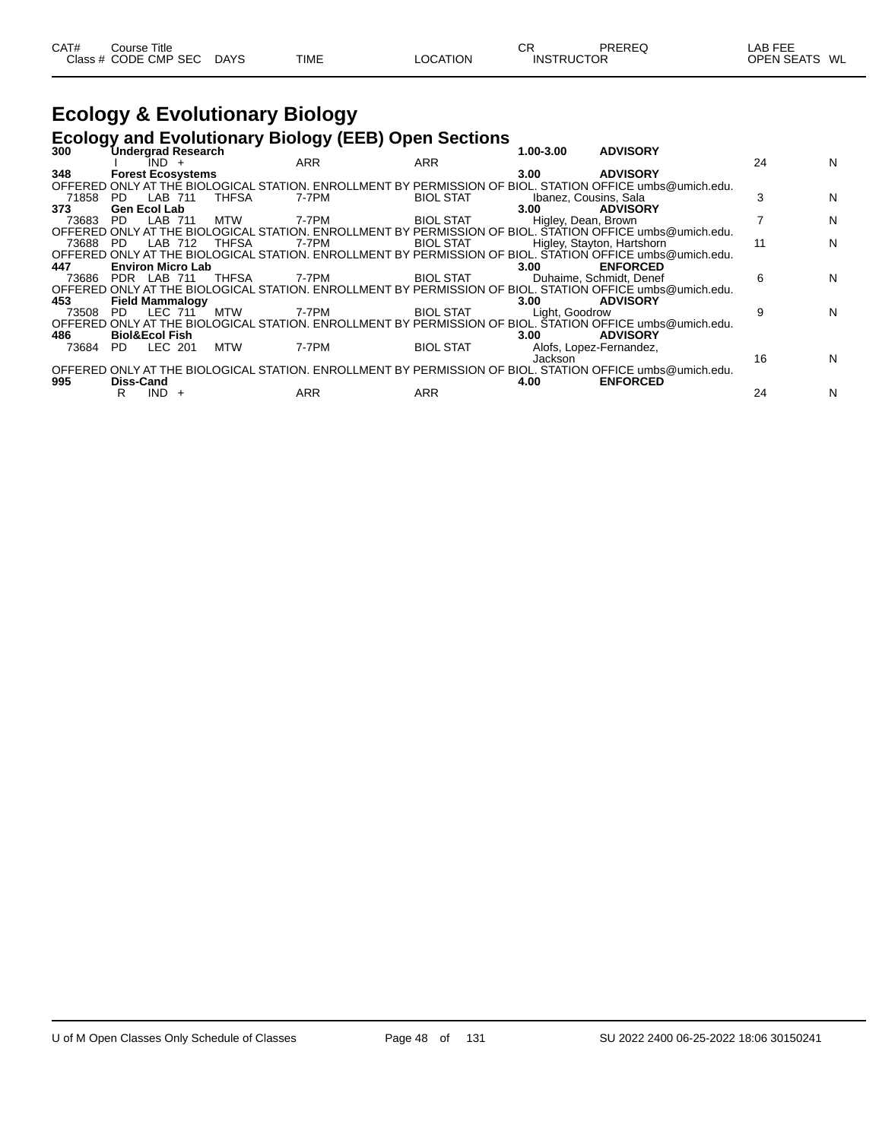| CAT# | Course Title         |             |             |          | ⌒冖<br>◡ | PREREQ            | LAB FEE       |
|------|----------------------|-------------|-------------|----------|---------|-------------------|---------------|
|      | Class # CODE CMP SEC | <b>DAYS</b> | <b>TIME</b> | LOCATION |         | <b>INSTRUCTOR</b> | OPEN SEATS WL |

## **Ecology & Evolutionary Biology**

#### **Ecology and Evolutionary Biology (EEB) Open Sections**

| 300   | Undergrad Research        |              | - -        |                  | 1.00-3.00             | <b>ADVISORY</b>                                                                                          |    |   |
|-------|---------------------------|--------------|------------|------------------|-----------------------|----------------------------------------------------------------------------------------------------------|----|---|
|       | ÎND +                     |              | <b>ARR</b> | <b>ARR</b>       |                       |                                                                                                          | 24 | N |
| 348   | <b>Forest Ecosystems</b>  |              |            |                  | 3.00                  | <b>ADVISORY</b>                                                                                          |    |   |
|       |                           |              |            |                  |                       | OFFERED ONLY AT THE BIOLOGICAL STATION. ENROLLMENT BY PERMISSION OF BIOL. STATION OFFICE umbs@umich.edu. |    |   |
| 71858 | LAB 711<br>PD.            | THFSA        | 7-7PM      | <b>BIOL STAT</b> | Ibanez, Cousins, Sala |                                                                                                          |    | N |
| 373   | Gen Ecol Lab              |              |            |                  | 3.00                  | <b>ADVISORY</b>                                                                                          |    |   |
| 73683 | LAB 711<br>PD.            | MTW          | 7-7PM      | <b>BIOL STAT</b> | Higley, Dean, Brown   |                                                                                                          |    | N |
|       |                           |              |            |                  |                       | OFFERED ONLY AT THE BIOLOGICAL STATION. ENROLLMENT BY PERMISSION OF BIOL. STATION OFFICE umbs@umich.edu. |    |   |
| 73688 | LAB<br>- PD<br>712        | THFSA        | 7-7PM      | <b>BIOL STAT</b> |                       | Higley, Stayton, Hartshorn                                                                               | 11 | N |
|       |                           |              |            |                  |                       | OFFERED ONLY AT THE BIOLOGICAL STATION. ENROLLMENT BY PERMISSION OF BIOL. STATION OFFICE umbs@umich.edu. |    |   |
| 447   | <b>Environ Micro Lab</b>  |              |            |                  | 3.00 <sub>1</sub>     | <b>ENFORCED</b>                                                                                          |    |   |
| 73686 | PDR LAB 711               | <b>THFSA</b> | 7-7PM      | <b>BIOL STAT</b> |                       | Duhaime, Schmidt, Denef                                                                                  | 6  | N |
|       |                           |              |            |                  |                       | OFFERED ONLY AT THE BIOLOGICAL STATION. ENROLLMENT BY PERMISSION OF BIOL. STATION OFFICE umbs@umich.edu. |    |   |
| 453   | <b>Field Mammalogy</b>    |              |            |                  | 3.00                  | <b>ADVISORY</b>                                                                                          |    |   |
| 73508 | LEC 711<br>PD.            | <b>MTW</b>   | 7-7PM      | <b>BIOL STAT</b> | Light, Goodrow        |                                                                                                          | 9  | N |
|       |                           |              |            |                  |                       | OFFERED ONLY AT THE BIOLOGICAL STATION. ENROLLMENT BY PERMISSION OF BIOL. STATION OFFICE umbs@umich.edu. |    |   |
| 486   | <b>Biol&amp;Ecol Fish</b> |              |            |                  | 3.00                  | <b>ADVISORY</b>                                                                                          |    |   |
| 73684 | LEC 201<br>PD.            | <b>MTW</b>   | 7-7PM      | <b>BIOL STAT</b> |                       | Alofs, Lopez-Fernandez,                                                                                  |    |   |
|       |                           |              |            |                  | Jackson               |                                                                                                          | 16 | N |
|       |                           |              |            |                  |                       | OFFERED ONLY AT THE BIOLOGICAL STATION. ENROLLMENT BY PERMISSION OF BIOL. STATION OFFICE umbs@umich.edu. |    |   |
| 995   | <b>Diss-Cand</b>          |              |            |                  | 4.00                  | <b>ENFORCED</b>                                                                                          |    |   |
|       | IND.<br>R                 |              | ARR        | ARR              |                       |                                                                                                          | 24 | N |
|       |                           |              |            |                  |                       |                                                                                                          |    |   |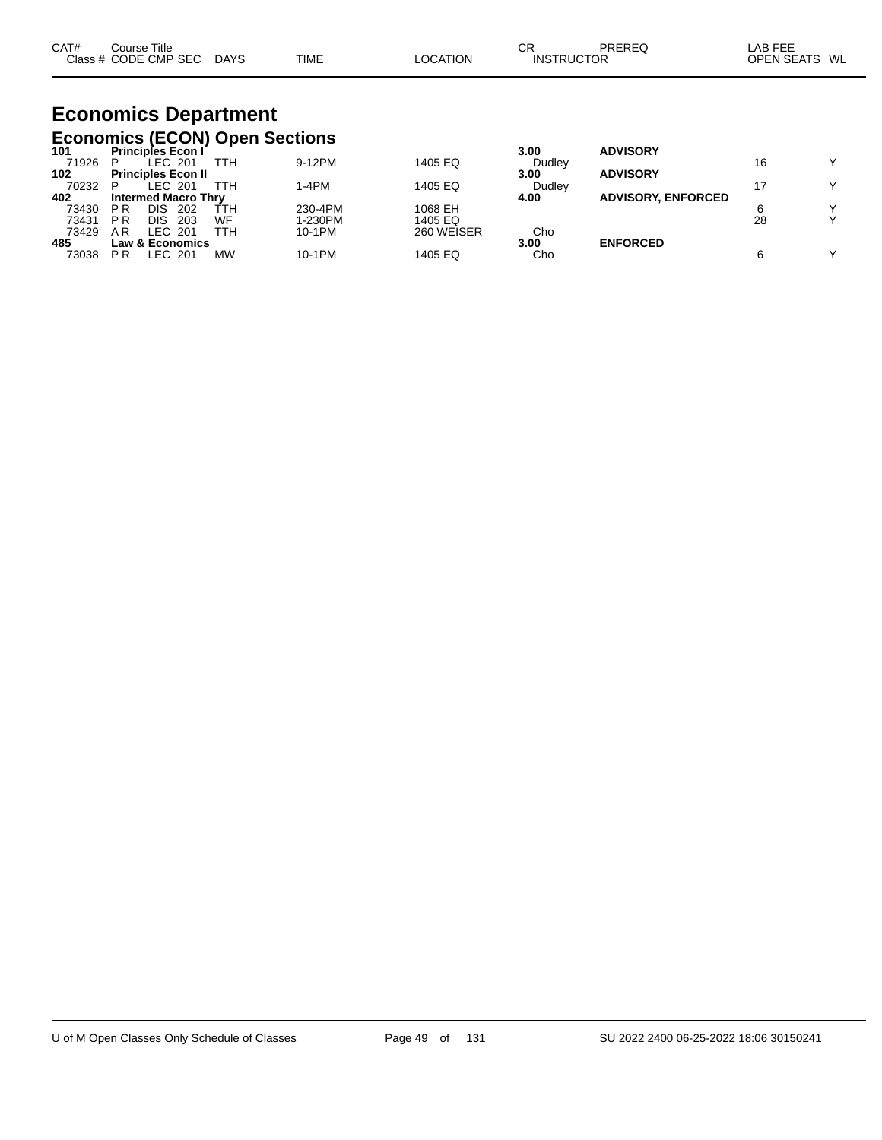| CAT# | Course Title         |             |             |          | СR                | PREREC | _AB FEE                 |  |
|------|----------------------|-------------|-------------|----------|-------------------|--------|-------------------------|--|
|      | Class # CODE CMP SEC | <b>DAYS</b> | <b>TIME</b> | LOCATION | <b>INSTRUCTOR</b> |        | <b>OPEN SEATS</b><br>WL |  |

# **Economics Department**

|       | <b>Economics (ECON) Open Sections</b> |     |         |            |        |                           |    |   |
|-------|---------------------------------------|-----|---------|------------|--------|---------------------------|----|---|
| 101   | <b>Principles Econ I</b>              |     |         |            | 3.00   | <b>ADVISORY</b>           |    |   |
| 71926 | LEC 201                               | ттн | 9-12PM  | 1405 EQ    | Dudley |                           | 16 |   |
| 102   | <b>Principles Econ II</b>             |     |         |            | 3.00   | <b>ADVISORY</b>           |    |   |
| 70232 | EC 201<br>P                           | ттн | 1-4PM   | 1405 EQ    | Dudley |                           |    | v |
| 402   | <b>Intermed Macro Thry</b>            |     |         |            | 4.00   | <b>ADVISORY, ENFORCED</b> |    |   |
| 73430 | DIS<br>P R<br>202                     | TTH | 230-4PM | 1068 EH    |        |                           |    |   |
| 73431 | P R<br><b>DIS</b><br>203              | WF  | 1-230PM | 1405 EQ    |        |                           | 28 |   |
| 73429 | A R<br>LEC 201                        | ттн | 10-1PM  | 260 WEISER | Cho    |                           |    |   |
| 485   | <b>Law &amp; Economics</b>            |     |         |            | 3.00   | <b>ENFORCED</b>           |    |   |
| 73038 | LEC 201<br>P R                        | MW  | 10-1PM  | 1405 EQ    | Cho    |                           |    |   |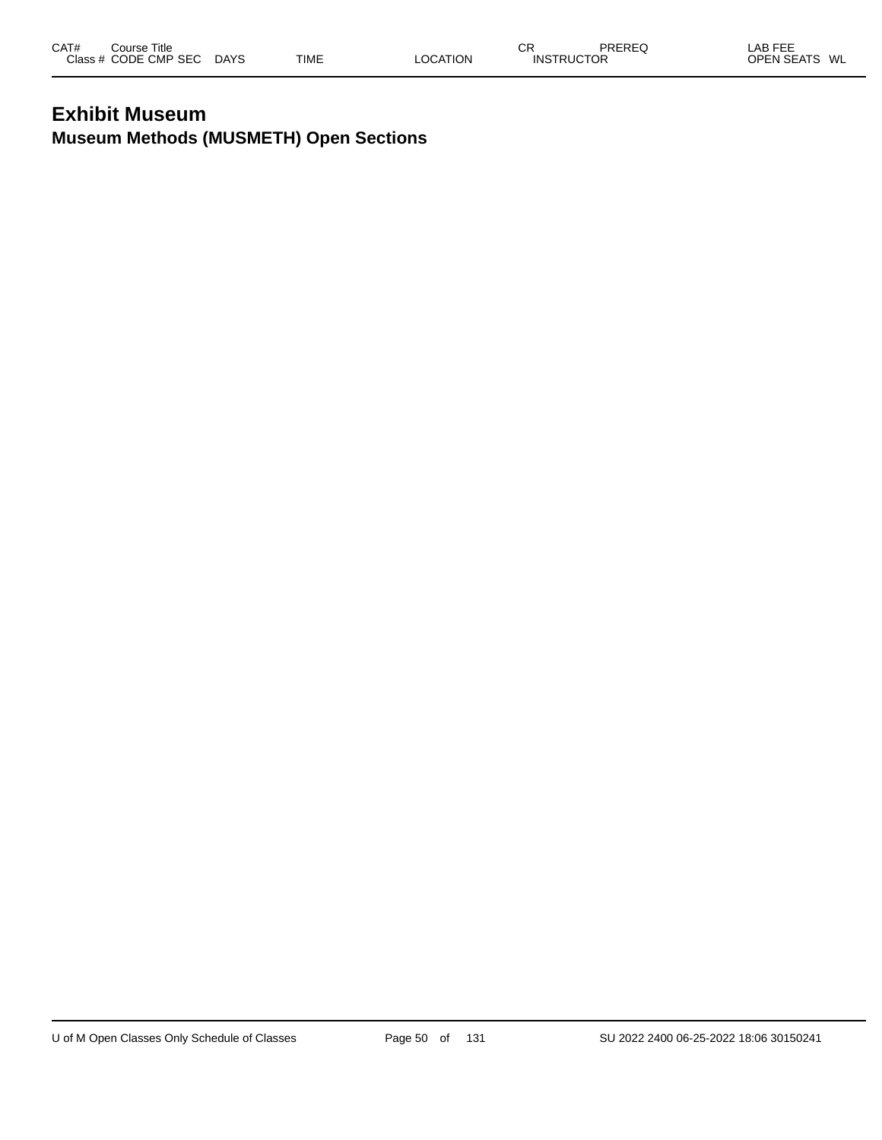#### **Exhibit Museum Museum Methods (MUSMETH) Open Sections**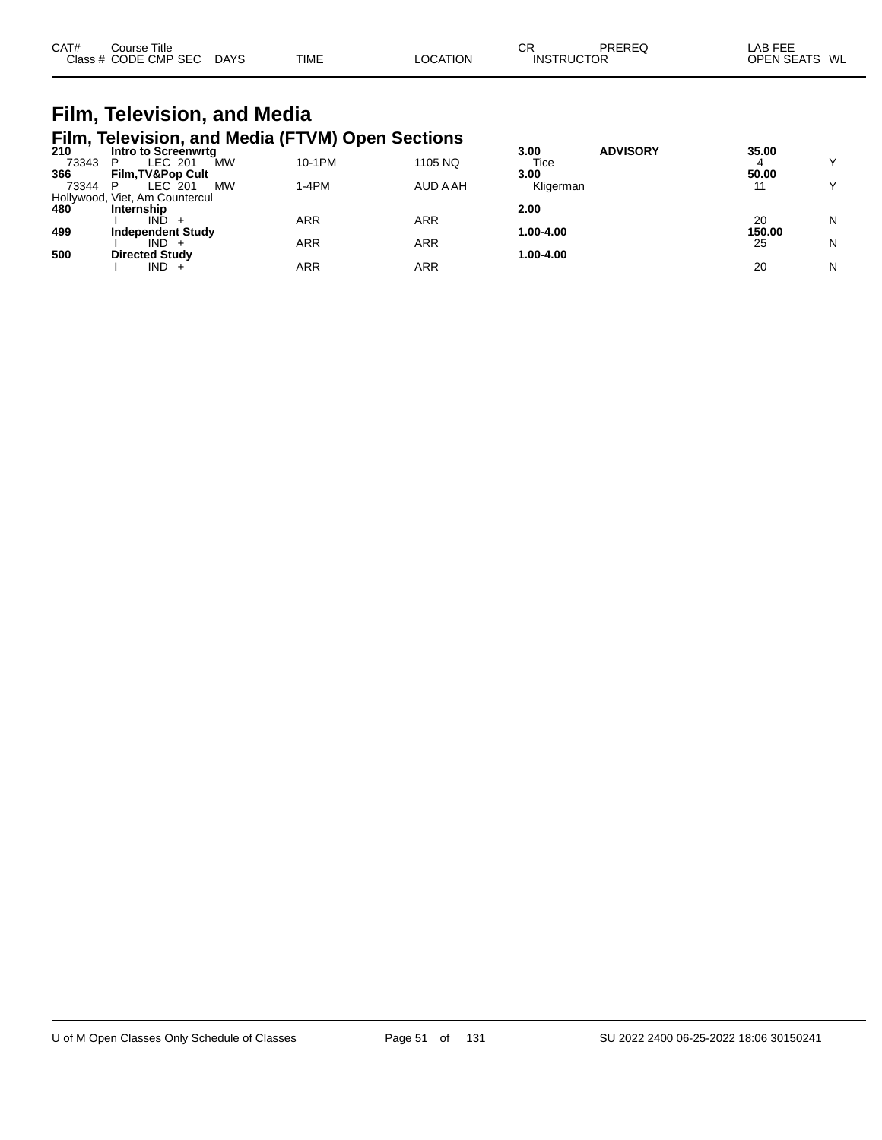| CAT#<br>Close. | Title<br>ourse:<br><b>CMP</b><br>SE.<br>חר. | DAYS | <b>TIME</b> | 77 | СF<br>IN! | ЮF | $- - -$<br>LAB<br>WL<br>)PI |
|----------------|---------------------------------------------|------|-------------|----|-----------|----|-----------------------------|
|----------------|---------------------------------------------|------|-------------|----|-----------|----|-----------------------------|

#### **Film, Television, and Media Film, Television, and Media (FTVM) Open Sections**

| 210   | Intro to Screenwrta            |         |          | <b>ADVISORY</b><br>3.00 | 35.00  |   |
|-------|--------------------------------|---------|----------|-------------------------|--------|---|
| 73343 | MW<br>LEC 201                  | 10-1PM  | 1105 NQ  | Tice                    |        |   |
| 366   | <b>Film, TV&amp;Pop Cult</b>   |         |          | 3.00                    | 50.00  |   |
| 73344 | <b>MW</b><br>LEC 201           | $1-4PM$ | AUD A AH | Kligerman               | 11     |   |
|       | Hollywood, Viet, Am Countercul |         |          |                         |        |   |
| 480   | Internship                     |         |          | 2.00                    |        |   |
|       | <b>IND</b>                     | ARR     | ARR      |                         | 20     | N |
| 499   | <b>Independent Study</b>       |         |          | 1.00-4.00               | 150.00 |   |
|       | $IND +$                        | ARR     | ARR      |                         | 25     | N |
| 500   | <b>Directed Study</b>          |         |          | 1.00-4.00               |        |   |
|       | $IND +$                        | ARR     | ARR      |                         | 20     | N |
|       |                                |         |          |                         |        |   |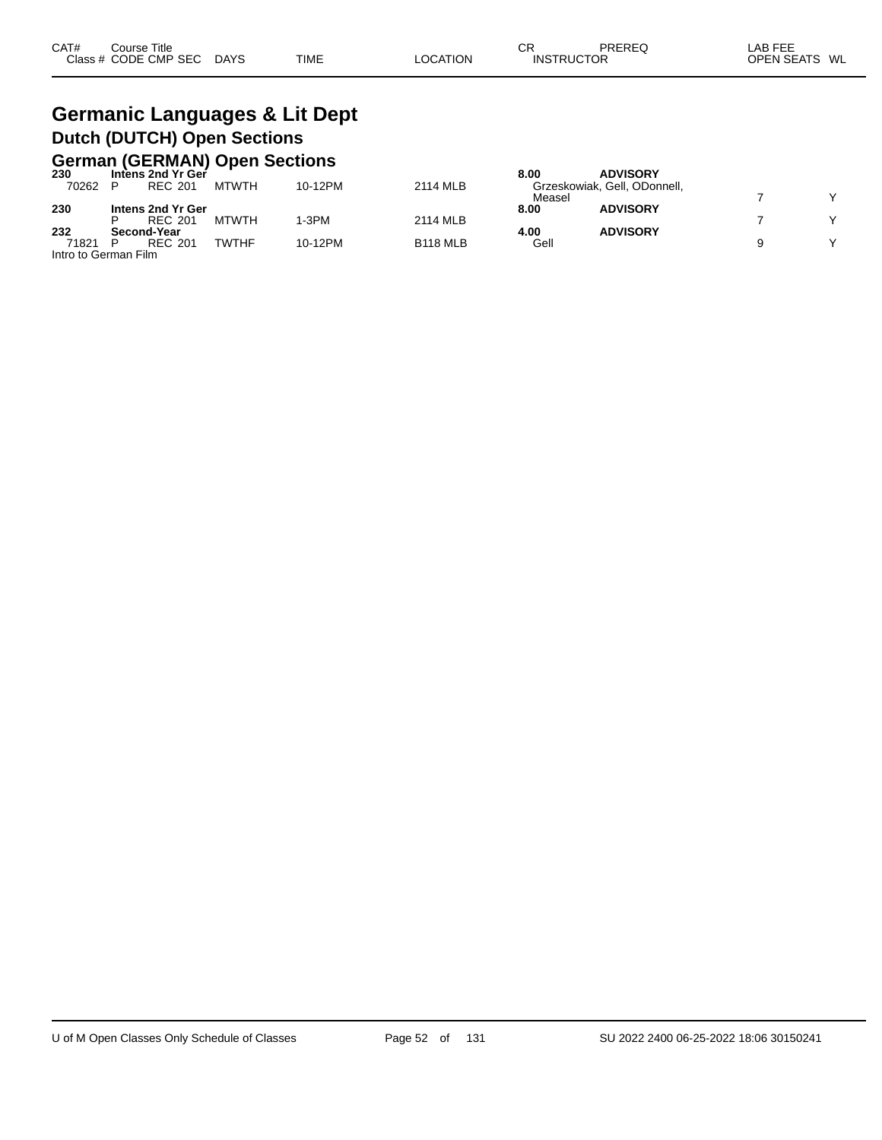#### **Germanic Languages & Lit Dept Dutch (DUTCH) Open Sections German (GERMAN) Open Sections**

|                      |             |                   | <u>UCHINII (ULINIMIT) UDCH UCCHUNG</u> |         |                 |        |                              |              |
|----------------------|-------------|-------------------|----------------------------------------|---------|-----------------|--------|------------------------------|--------------|
| 230                  |             | Intens 2nd Yr Ger |                                        |         |                 | 8.00   | <b>ADVISORY</b>              |              |
| 70262                |             | REC 201           | MTWTH                                  | 10-12PM | 2114 MLB        |        | Grzeskowiak, Gell, ODonnell, |              |
|                      |             |                   |                                        |         |                 | Measel |                              | $\checkmark$ |
| 230                  |             | Intens 2nd Yr Ger |                                        |         |                 | 8.00   | <b>ADVISORY</b>              |              |
|                      |             | REC 201           | <b>MTWTH</b>                           | I-3PM   | 2114 MLB        |        |                              | $\checkmark$ |
| 232                  | Second-Year |                   |                                        |         |                 | 4.00   | <b>ADVISORY</b>              |              |
| 71821                |             | <b>REC 201</b>    | <b>TWTHF</b>                           | 10-12PM | <b>B118 MLB</b> | Gell   |                              | $\checkmark$ |
| Intro to German Film |             |                   |                                        |         |                 |        |                              |              |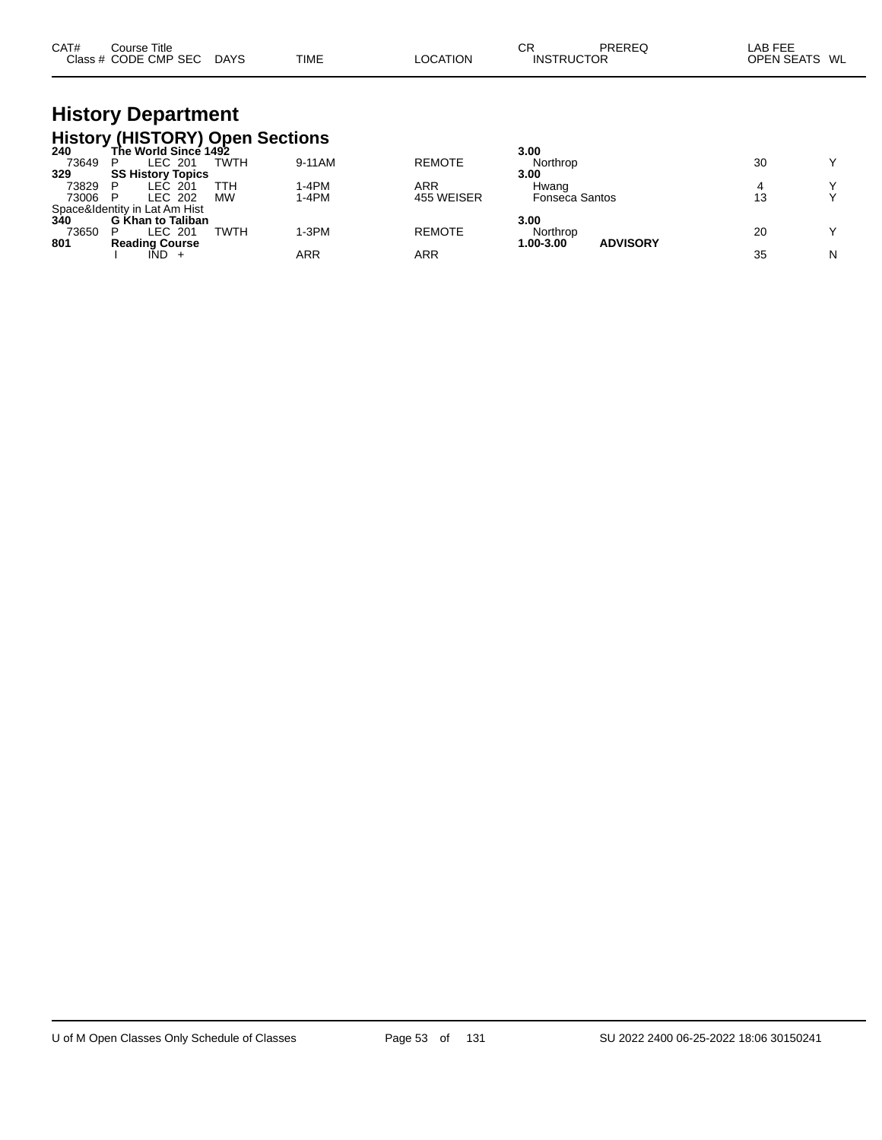| CAT# | Course Title         |      |             |          | СR                | PREREQ | LAB FEE       |
|------|----------------------|------|-------------|----------|-------------------|--------|---------------|
|      | Class # CODE CMP SEC | DAYS | <b>TIME</b> | LOCATION | <b>INSTRUCTOR</b> |        | OPEN SEATS WL |

# **History Department**

|       | <b>History (HISTORY) Open Sections</b>                        |             |            |               |                              |    |              |
|-------|---------------------------------------------------------------|-------------|------------|---------------|------------------------------|----|--------------|
| 240   | The World Since 1492                                          |             |            |               | 3.00                         |    |              |
| 73649 | LEC 201                                                       | <b>TWTH</b> | 9-11AM     | <b>REMOTE</b> | Northrop                     | 30 | $\vee$       |
| 329   | <b>SS History Topics</b>                                      |             |            |               | 3.00                         |    |              |
| 73829 | LEC :<br>-201<br>P                                            | TTH         | 1-4PM      | ARR           | Hwang                        | 4  | $\vee$       |
| 73006 | LEC 202<br>P                                                  | MW          | 1-4PM      | 455 WEISER    | <b>Fonseca Santos</b>        | 13 | $\checkmark$ |
|       | Space&Identity in Lat Am Hist<br>340 <b>G Khan to Taliban</b> |             |            |               |                              |    |              |
|       | <b>G Khan to Taliban</b>                                      |             |            |               | 3.00                         |    |              |
| 73650 | LEC 201                                                       | TWTH        | 1-3PM      | <b>REMOTE</b> | Northrop                     | 20 | $\vee$       |
| 801   | <b>Reading Course</b>                                         |             |            |               | <b>ADVISORY</b><br>1.00-3.00 |    |              |
|       | IND -                                                         |             | <b>ARR</b> | ARR           |                              | 35 | N            |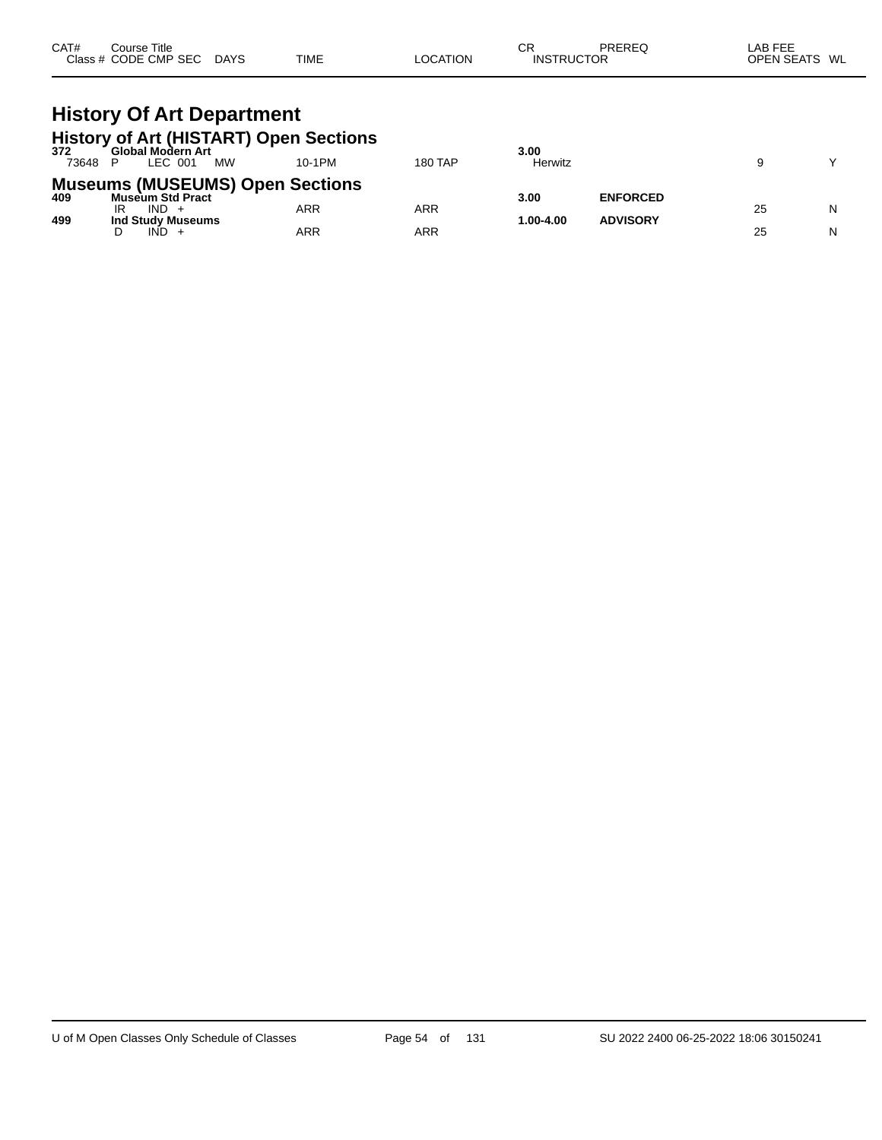| CAT# | $\mathop{\mathsf{course}}$ Title |             |             |          | СR                | PREREG | LAB FEE           |    |
|------|----------------------------------|-------------|-------------|----------|-------------------|--------|-------------------|----|
|      | Class # CODE CMP SEC             | <b>DAYS</b> | <b>TIME</b> | LOCATION | <b>INSTRUCTOR</b> |        | <b>OPEN SEATS</b> | WL |

#### **History Of Art Department History of Art (HISTART) Open Sections**

| 372   | Global Modern Art                      |        |         | 3.00      |                 |    |   |
|-------|----------------------------------------|--------|---------|-----------|-----------------|----|---|
| 73648 | <b>MW</b><br>LEC 001                   | 10-1PM | 180 TAP | Herwitz   |                 |    |   |
|       | <b>Museums (MUSEUMS) Open Sections</b> |        |         |           |                 |    |   |
| 409   | <b>Museum Std Pract</b>                |        |         | 3.00      | <b>ENFORCED</b> |    |   |
|       | IR<br>IND -                            | ARR    | ARR     |           |                 | 25 | N |
| 499   | Ind Study Museums                      |        |         | 1.00-4.00 | <b>ADVISORY</b> |    |   |
|       | IND.                                   | ARR    | ARR     |           |                 | 25 | N |
|       |                                        |        |         |           |                 |    |   |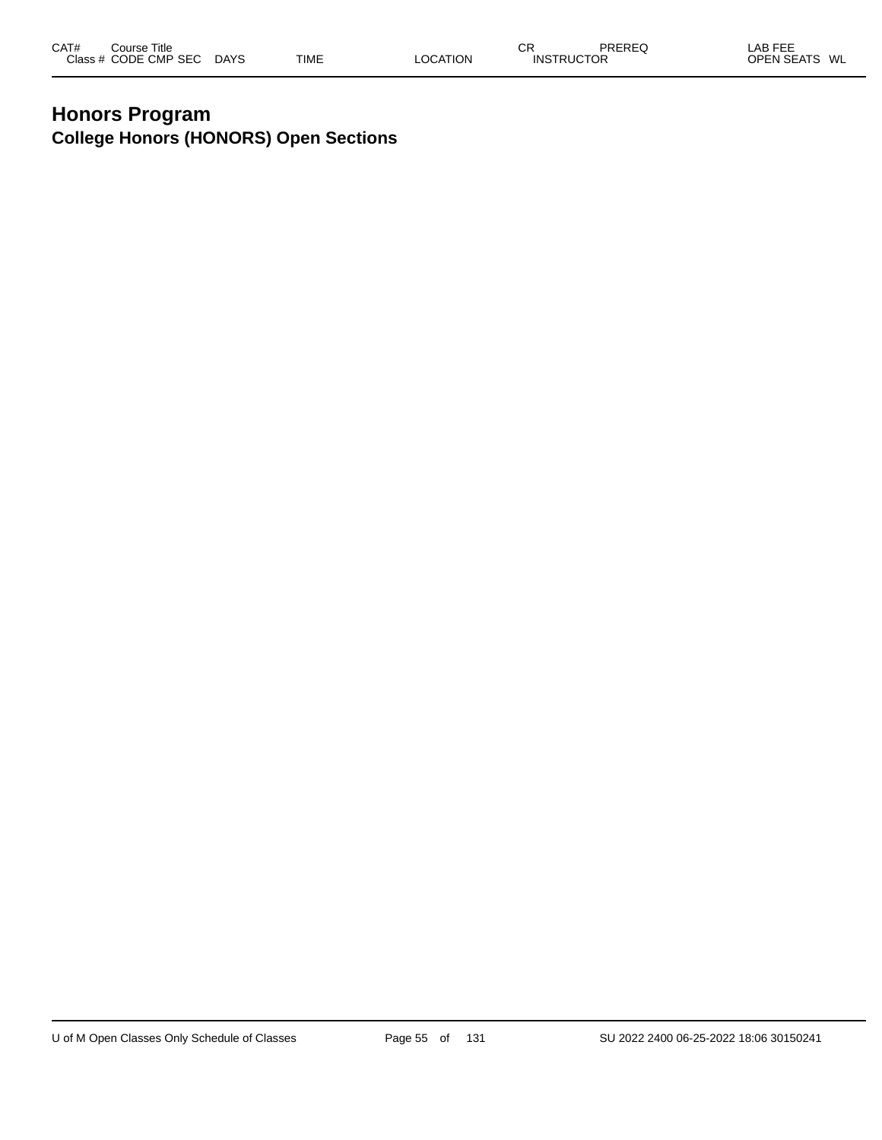#### **Honors Program College Honors (HONORS) Open Sections**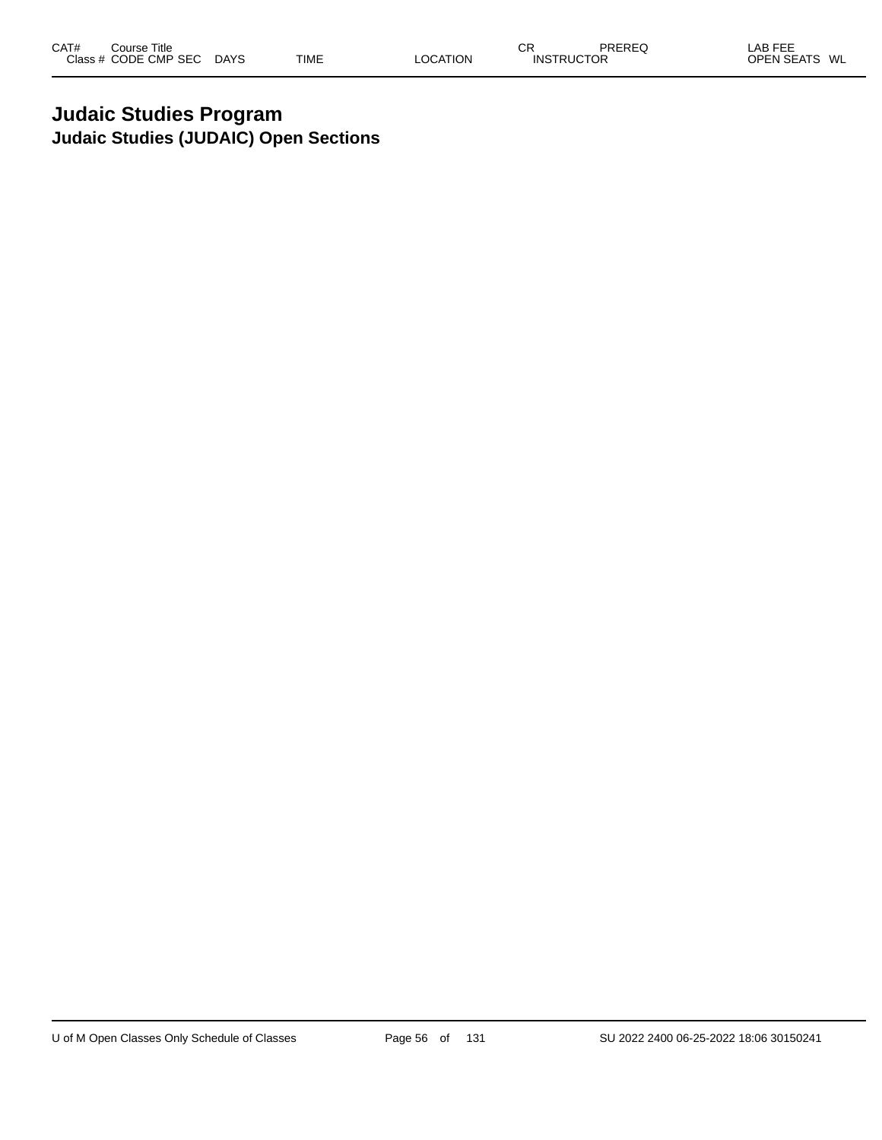#### **Judaic Studies Program Judaic Studies (JUDAIC) Open Sections**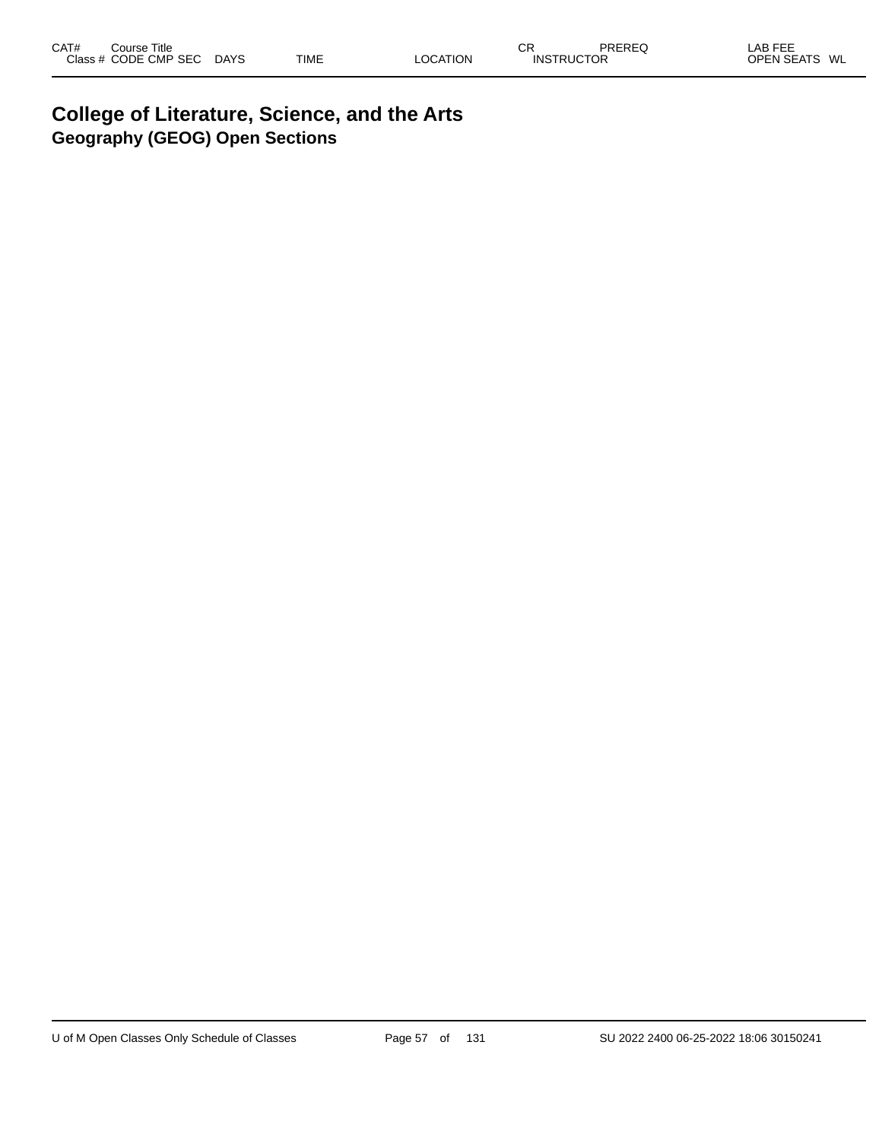#### **College of Literature, Science, and the Arts Geography (GEOG) Open Sections**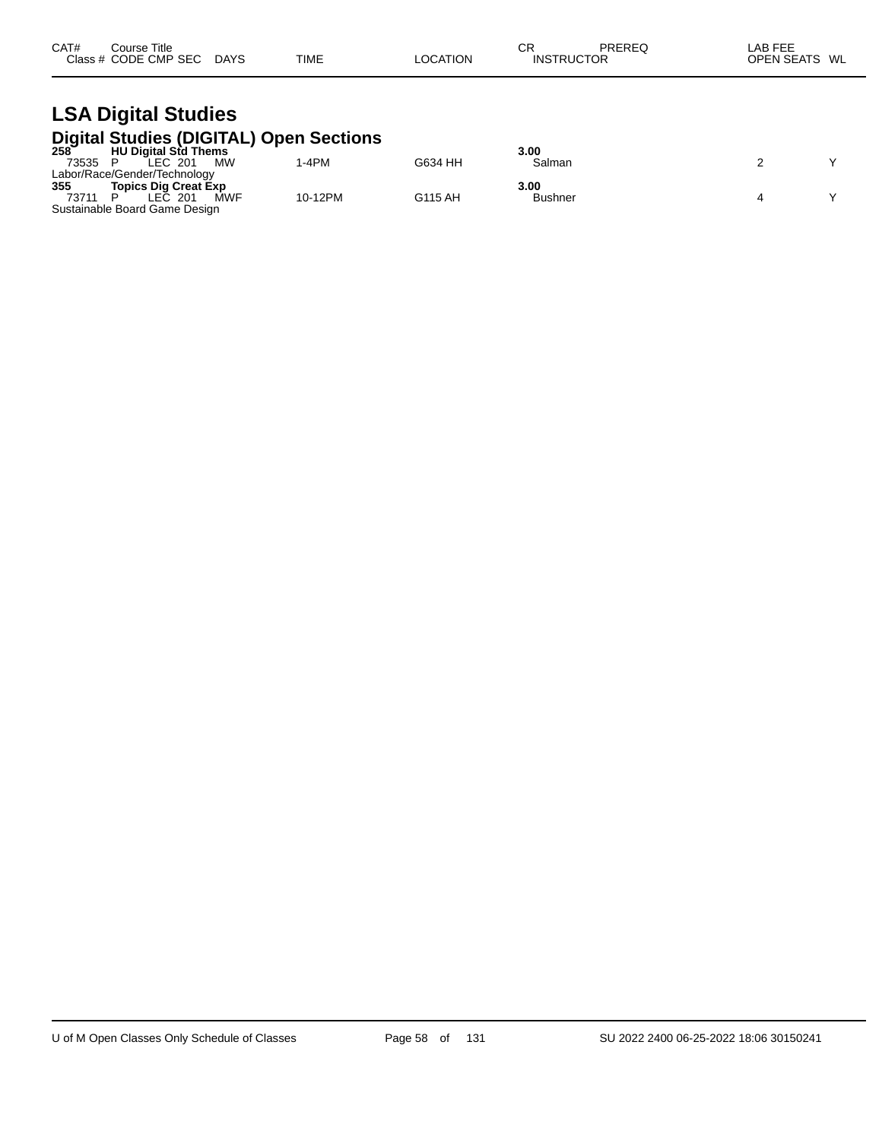| CAT# | Title<br>Course      |             |             |                 | СF                | PREREC | <b>LAB FEE</b>          |
|------|----------------------|-------------|-------------|-----------------|-------------------|--------|-------------------------|
|      | Class # CODE CMP SEC | <b>DAYS</b> | <b>TIME</b> | <b>LOCATION</b> | <b>INSTRUCTOR</b> |        | <b>OPEN SEATS</b><br>WL |

## **LSA Digital Studies Digital Studies (DIGITAL) Open Sections 258 HU Digital Std Thems 3.00**

| $258^{-}$ | <b>HU Digital Std Thems</b>   |         |         | 3.00           |  |
|-----------|-------------------------------|---------|---------|----------------|--|
| 73535     | <b>MW</b><br>LEC 201          | -4PM    | G634 HH | Salman         |  |
|           | Labor/Race/Gender/Technology  |         |         |                |  |
| 355       | <b>Topics Dig Creat Exp</b>   |         |         | 3.00           |  |
| 73711     | <b>MWF</b><br>_EC.<br>201     | 10-12PM | G115 AH | <b>Bushner</b> |  |
|           | Sustainable Board Game Design |         |         |                |  |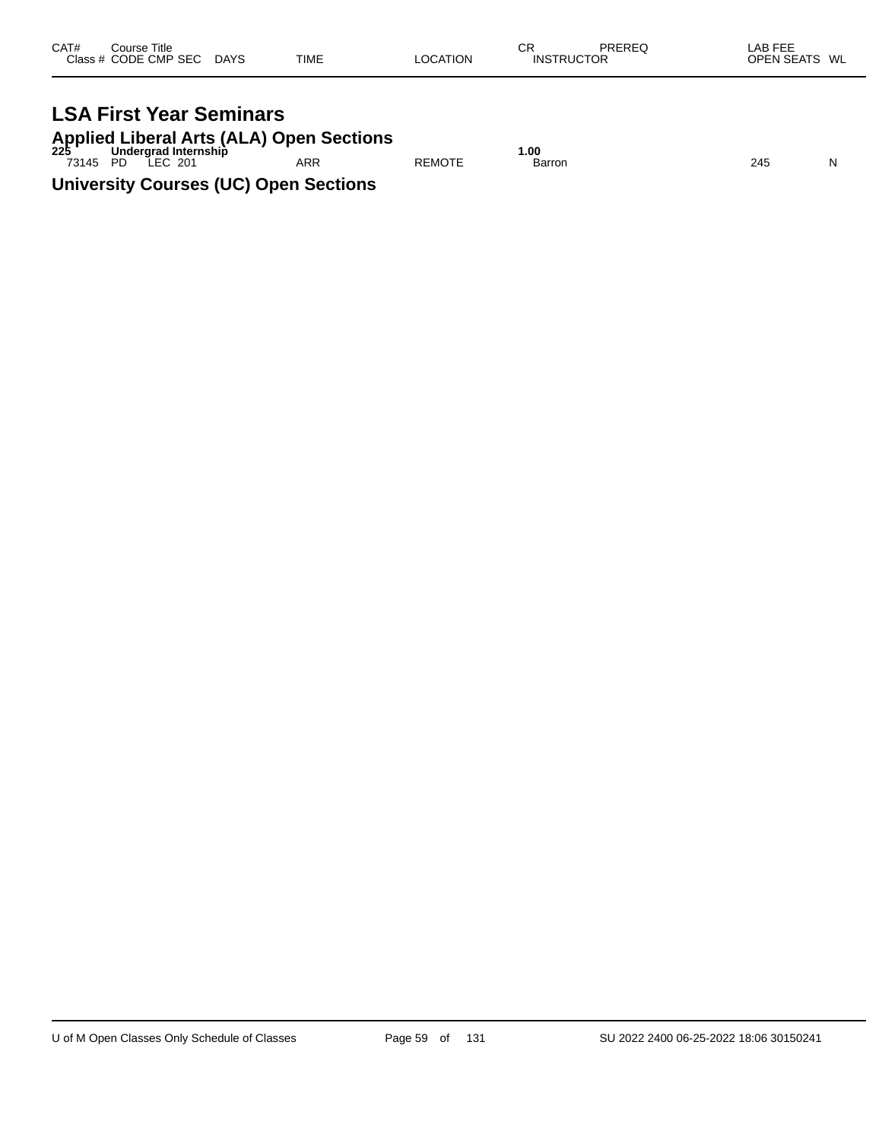| CAT# | Course Title         |             |             |          | СR                | PREREQ | LAB FEE       |  |
|------|----------------------|-------------|-------------|----------|-------------------|--------|---------------|--|
|      | Class # CODE CMP SEC | <b>DAYS</b> | <b>TIME</b> | LOCATION | <b>INSTRUCTOR</b> |        | OPEN SEATS WL |  |
|      |                      |             |             |          |                   |        |               |  |

# **LSA First Year Seminars**

**Applied Liberal Arts (ALA) Open Sections 225 Undergrad Internship 1.00**

73145 PD LEC 201 ARR REMOTE Barron 245 N **University Courses (UC) Open Sections**

U of M Open Classes Only Schedule of Classes Page 59 of 131 SU 2022 2400 06-25-2022 18:06 30150241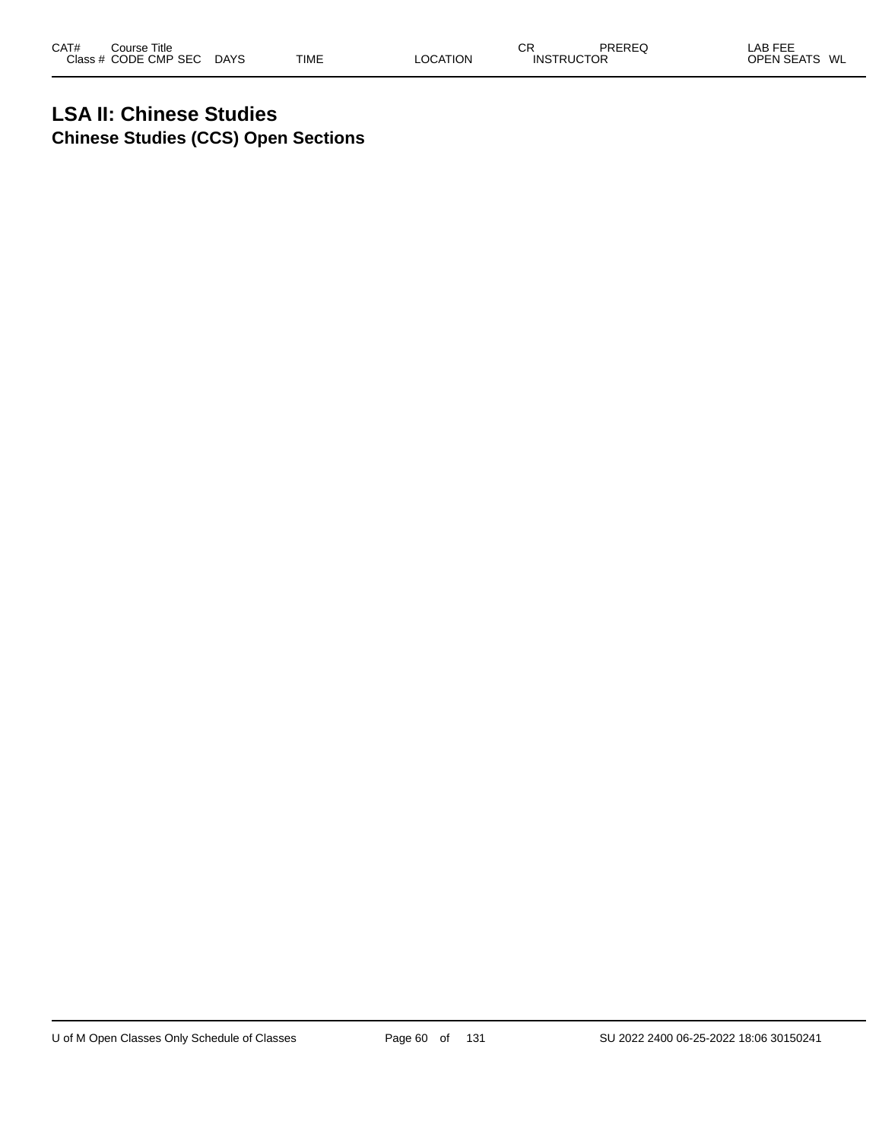#### **LSA II: Chinese Studies Chinese Studies (CCS) Open Sections**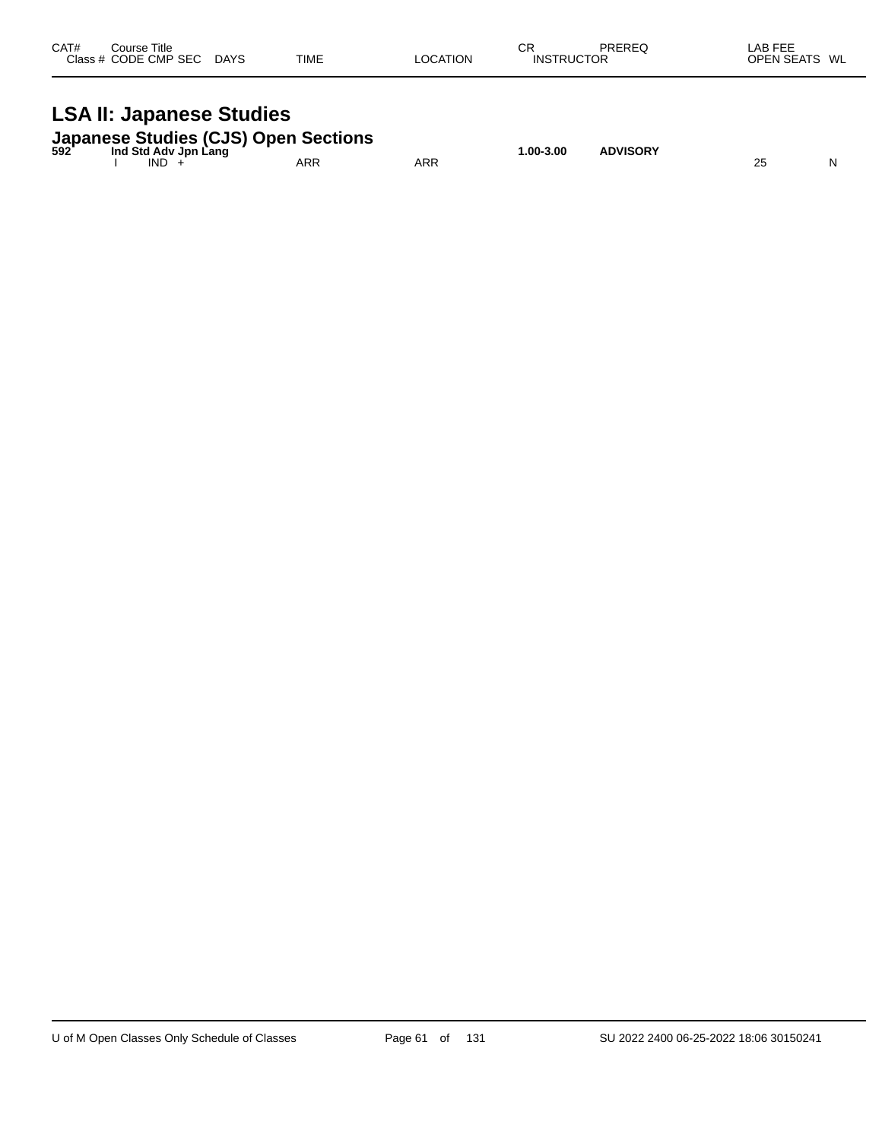| CAT#<br>Course Title<br>Class # CODE CMP SEC DAYS                                        | <b>TIME</b> | <b>LOCATION</b> | СR<br><b>INSTRUCTOR</b> | PREREQ          | LAB FEE<br>OPEN SEATS WL |
|------------------------------------------------------------------------------------------|-------------|-----------------|-------------------------|-----------------|--------------------------|
| <b>LSA II: Japanese Studies</b>                                                          |             |                 |                         |                 |                          |
| Japanese Studies (CJS) Open Sections<br>592 Ind Std Adv Jpn Lang<br>Ind Std Adv Jpn Lang |             |                 | 1.00-3.00               | <b>ADVISORY</b> |                          |

I IND + ARR ARR 25 N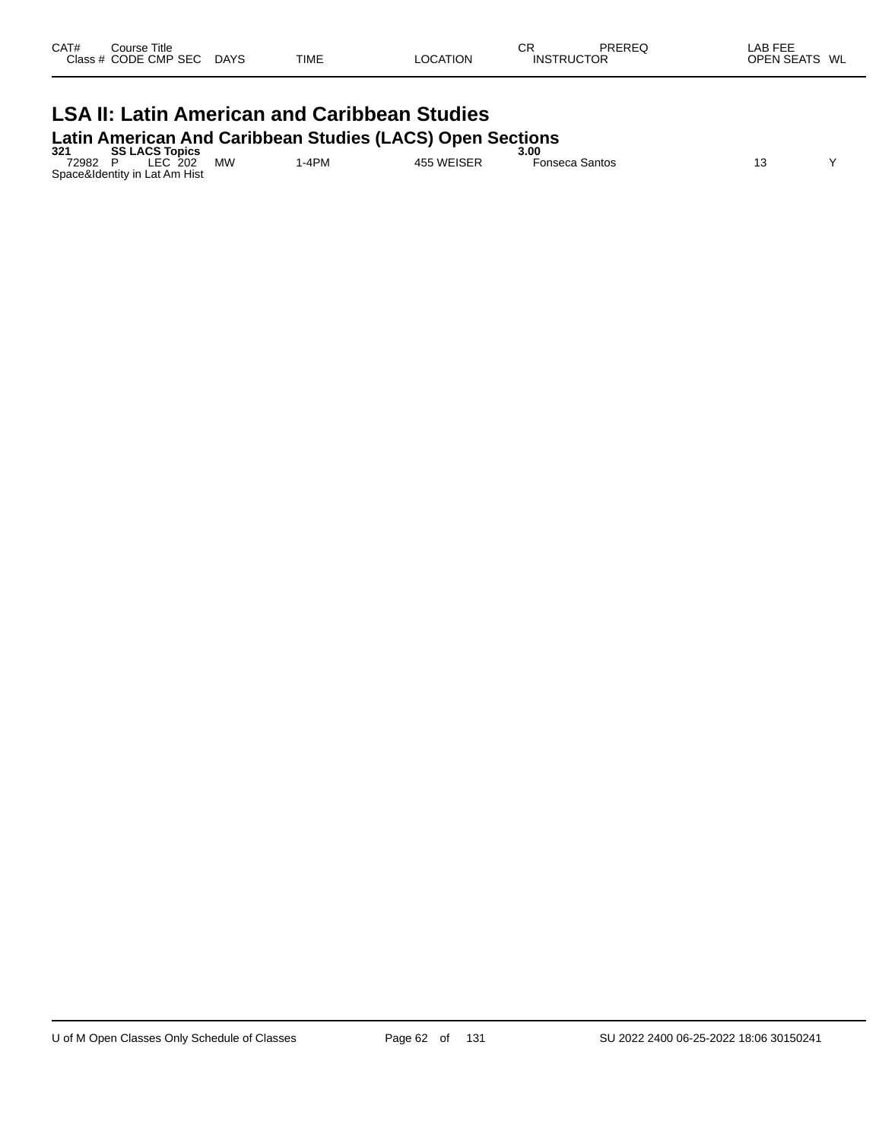| CAT#<br>Class | Course Title<br><b>CODE CMP SEC</b> | <b>DAYS</b> | <b>TIME</b> | OCATION | СR<br>INS | odcbcr<br>שטוער<br>"OR | AR FFF<br>-~<br><b>ODEN CEATS</b><br>WL<br>-- |
|---------------|-------------------------------------|-------------|-------------|---------|-----------|------------------------|-----------------------------------------------|
|               |                                     |             |             |         |           |                        |                                               |

#### **LSA II: Latin American and Caribbean Studies Latin American And Caribbean Studies (LACS) Open Sections**

| 321   | <b>SS LACS Topics</b>         |           |      |            | 3.00           |  |
|-------|-------------------------------|-----------|------|------------|----------------|--|
| 72982 | LEC 202                       | <b>MW</b> | -4PM | 455 WEISER | Fonseca Santos |  |
|       | Space&Identity in Lat Am Hist |           |      |            |                |  |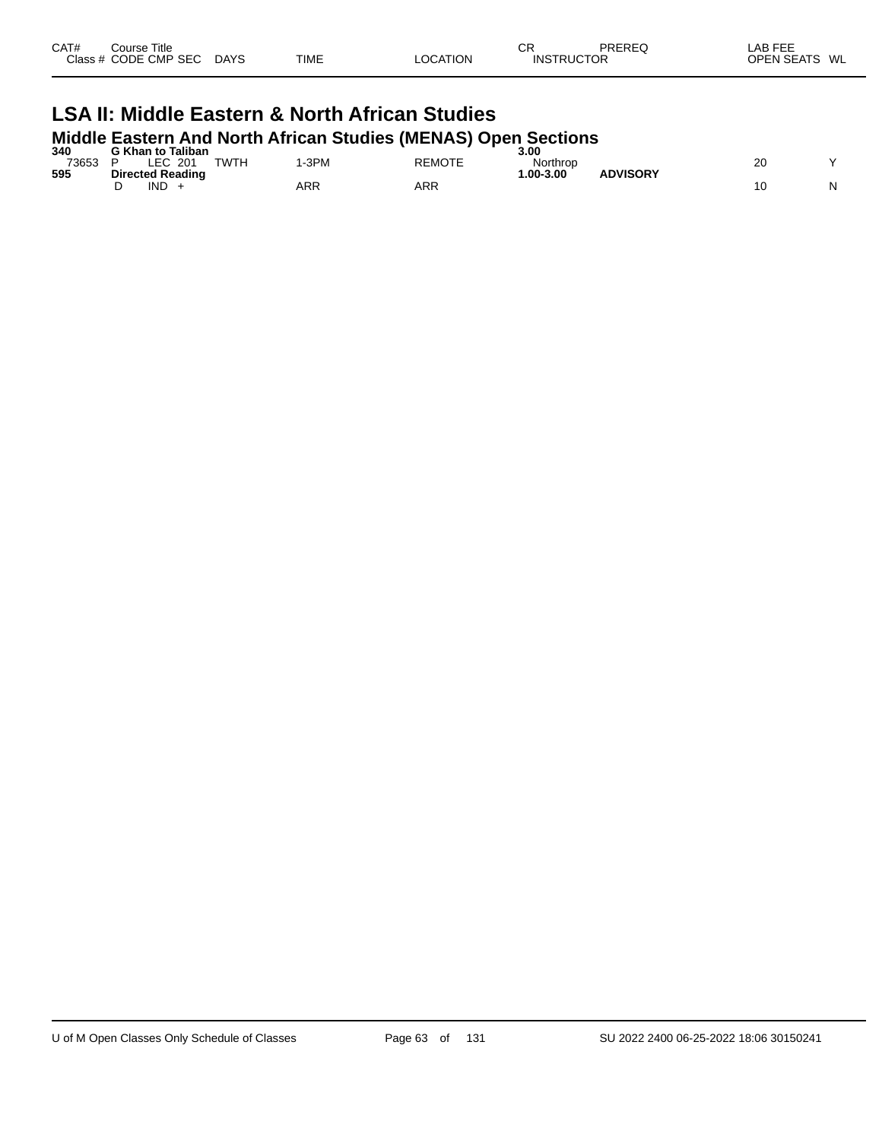| CAT# | Course Title         |             |             |          | СF                | PREREQ | LAB FEE           |    |
|------|----------------------|-------------|-------------|----------|-------------------|--------|-------------------|----|
|      | Class # CODE CMP SEC | <b>DAYS</b> | <b>TIME</b> | LOCATION | <b>INSTRUCTOR</b> |        | <b>OPEN SEATS</b> | WL |
|      |                      |             |             |          |                   |        |                   |    |

#### **LSA II: Middle Eastern & North African Studies Middle Eastern And North African Studies (MENAS) Open Sections**

| 340   | <b>G Khan to Taliban</b> |              |               | 3.00         |                 |          |   |
|-------|--------------------------|--------------|---------------|--------------|-----------------|----------|---|
| 73653 | LEC.<br>201              | TWTH<br>-3PM | <b>REMOTE</b> | Northrop     |                 | חר<br>∠∪ |   |
| 595   | <b>Directed Reading</b>  |              |               | $.00 - 3.00$ | <b>ADVISORY</b> |          |   |
|       | IND                      | ARR          | <b>ARR</b>    |              |                 |          | N |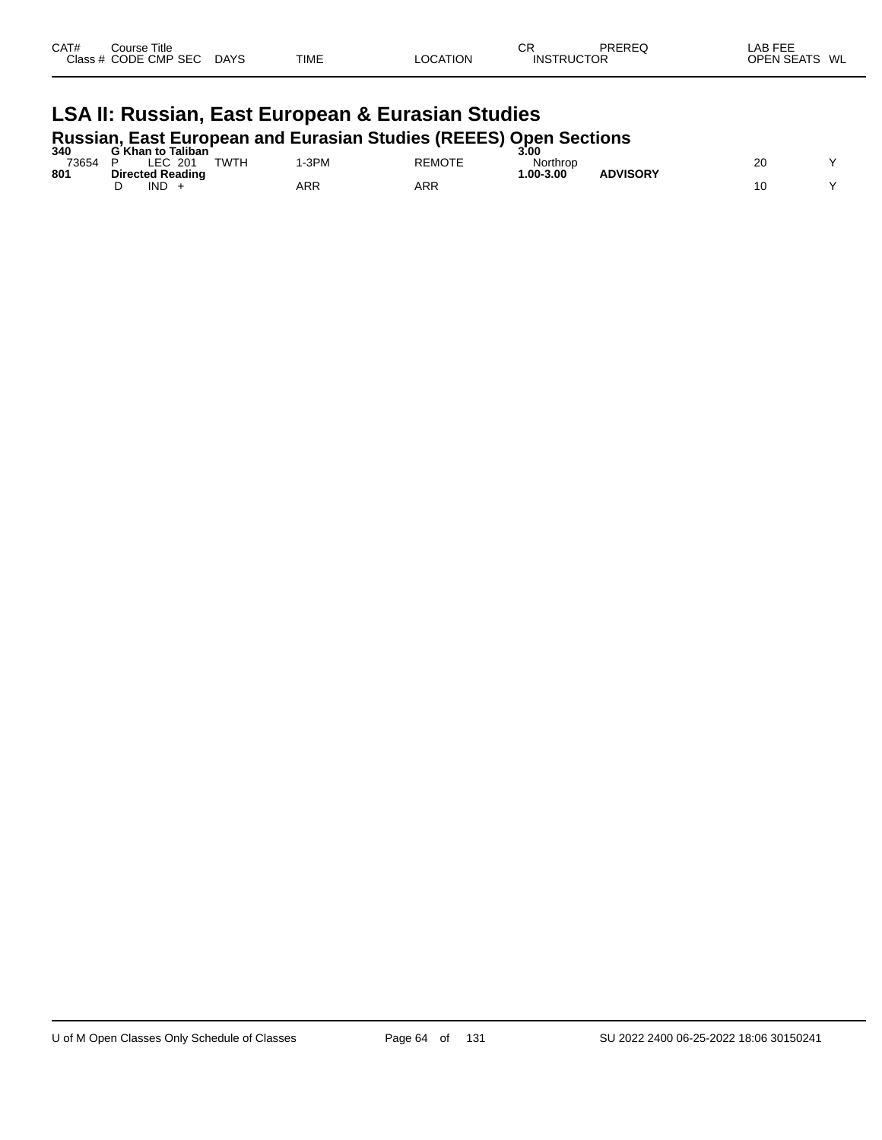| CAT# | Course Title<br>Class # CODE CMP SEC | <b>DAYS</b> | <b>TIME</b> | LOCATION | СF<br><b>INSTRUCTOR</b> | PREREQ | LAB FEE<br><b>OPEN SEATS</b> | WL |
|------|--------------------------------------|-------------|-------------|----------|-------------------------|--------|------------------------------|----|
|      |                                      |             |             |          |                         |        |                              |    |

# **LSA II: Russian, East European & Eurasian Studies Russian, East European and Eurasian Studies (REEES) Open Sections 340 G Khan to Taliban 3.00**

| 340   | G Khan to Taliban                |     |        | 3.00         |                 |          |  |
|-------|----------------------------------|-----|--------|--------------|-----------------|----------|--|
| 73654 | EC.<br><b>TWTH</b><br>201<br>∟⊏ບ | 3PM | REMOTE | Northrop     |                 | oc<br>۷J |  |
| 801   | <b>Directed Reading</b>          |     |        | $.00 - 3.00$ | <b>ADVISORY</b> |          |  |
|       | <b>IND</b>                       | ARR | ARR    |              |                 |          |  |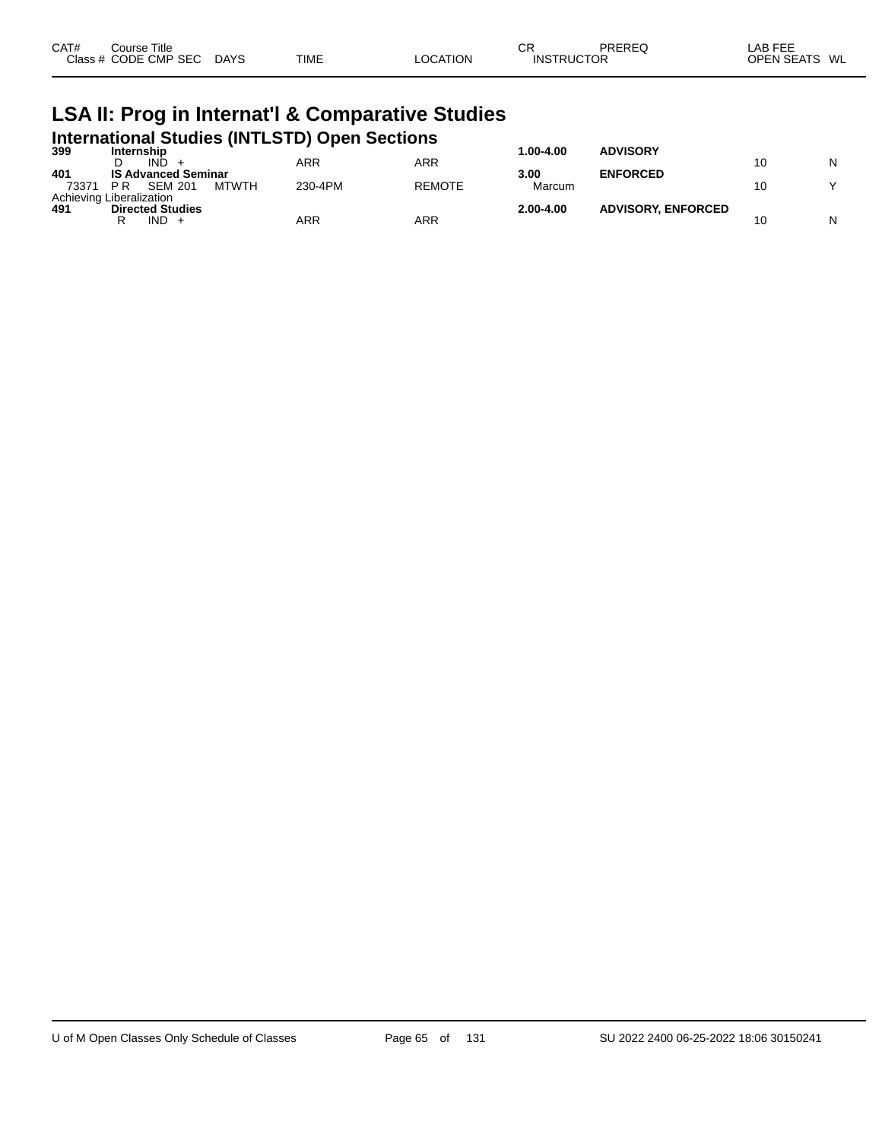| CAT# | Course Title         |             |             |          | ⌒冖<br>◡           | PREREQ | _AB FEE       |
|------|----------------------|-------------|-------------|----------|-------------------|--------|---------------|
|      | Class # CODE CMP SEC | <b>DAYS</b> | <b>TIME</b> | LOCATION | <b>INSTRUCTOR</b> |        | OPEN SEATS WL |

#### **LSA II: Prog in Internat'l & Comparative Studies International Studies (INTLSTD) Open Sections**

| 399   | Internship                            |         |               | 1.00-4.00     | <b>ADVISORY</b>           |    |   |
|-------|---------------------------------------|---------|---------------|---------------|---------------------------|----|---|
|       | IND.                                  | ARR     | ARR           |               |                           | 10 | N |
| 401   | <b>IS Advanced Seminar</b>            |         |               | 3.00          | <b>ENFORCED</b>           |    |   |
| 73371 | <b>MTWTH</b><br>P R<br><b>SEM 201</b> | 230-4PM | <b>REMOTE</b> | Marcum        |                           | 10 |   |
|       | Achieving Liberalization              |         |               |               |                           |    |   |
| 491   | <b>Directed Studies</b>               |         |               | $2.00 - 4.00$ | <b>ADVISORY, ENFORCED</b> |    |   |
|       | IND.                                  | ARR     | ARR           |               |                           | 10 | N |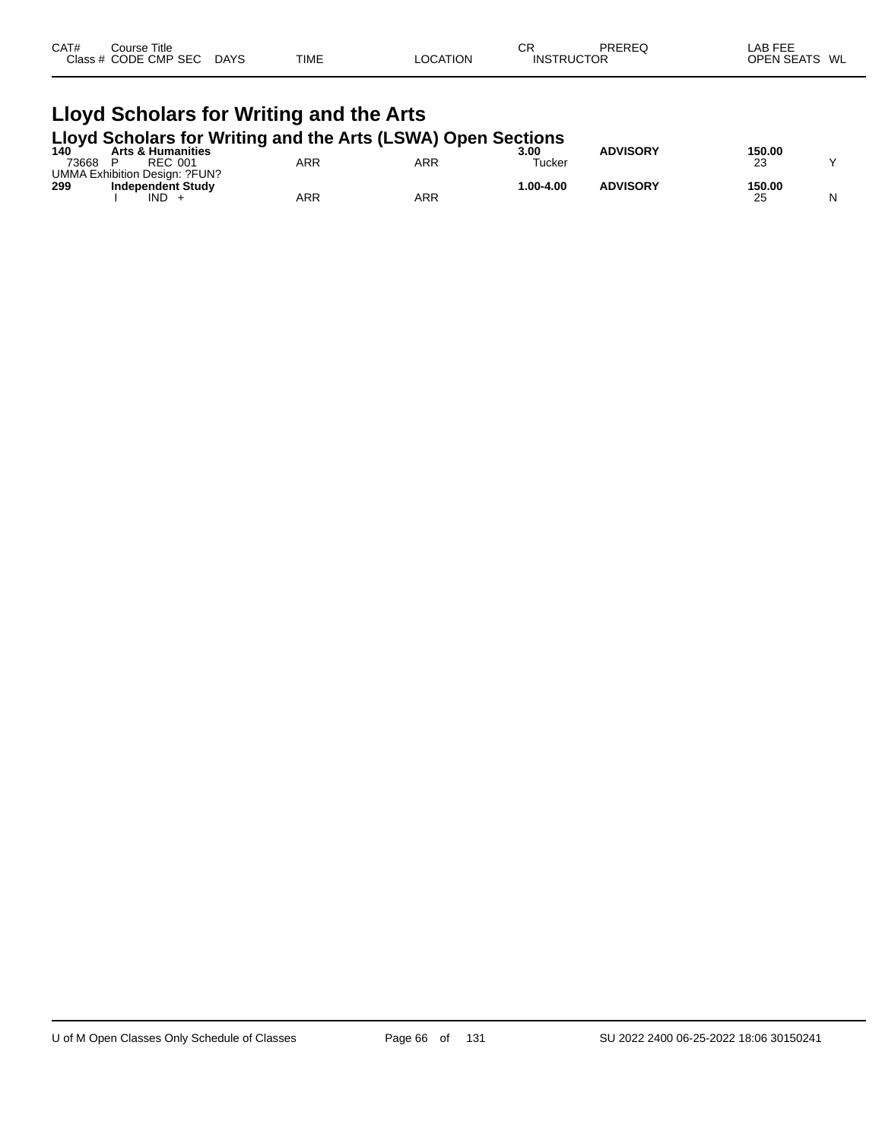| CAT# | Course Title<br>Class # CODE CMP SEC | <b>DAYS</b> | <b>TIME</b> | LOCATION | СF<br><b>INSTRUCTOR</b> | PREREQ | LAB FEE<br><b>OPEN SEATS</b> | WL |
|------|--------------------------------------|-------------|-------------|----------|-------------------------|--------|------------------------------|----|
|      |                                      |             |             |          |                         |        |                              |    |

# **Lloyd Scholars for Writing and the Arts**

|  | Lloyd Scholars for Writing and the Arts (LSWA) Open Sections |
|--|--------------------------------------------------------------|
|  |                                                              |

| 140   | <b>Arts &amp; Humanities</b>  | _          |     | 3.00         | <b>ADVISORY</b> | 150.00 |   |
|-------|-------------------------------|------------|-----|--------------|-----------------|--------|---|
| 73668 | <b>REC 001</b>                | ARR        | ARR | Tucker       |                 | 23     |   |
|       | UMMA Exhibition Design: ?FUN? |            |     |              |                 |        |   |
| 299   | <b>Independent Study</b>      |            |     | $.00 - 4.00$ | <b>ADVISORY</b> | 150.00 |   |
|       | <b>IND</b>                    | <b>ARR</b> | ARR |              |                 | 25     | N |
|       |                               |            |     |              |                 |        |   |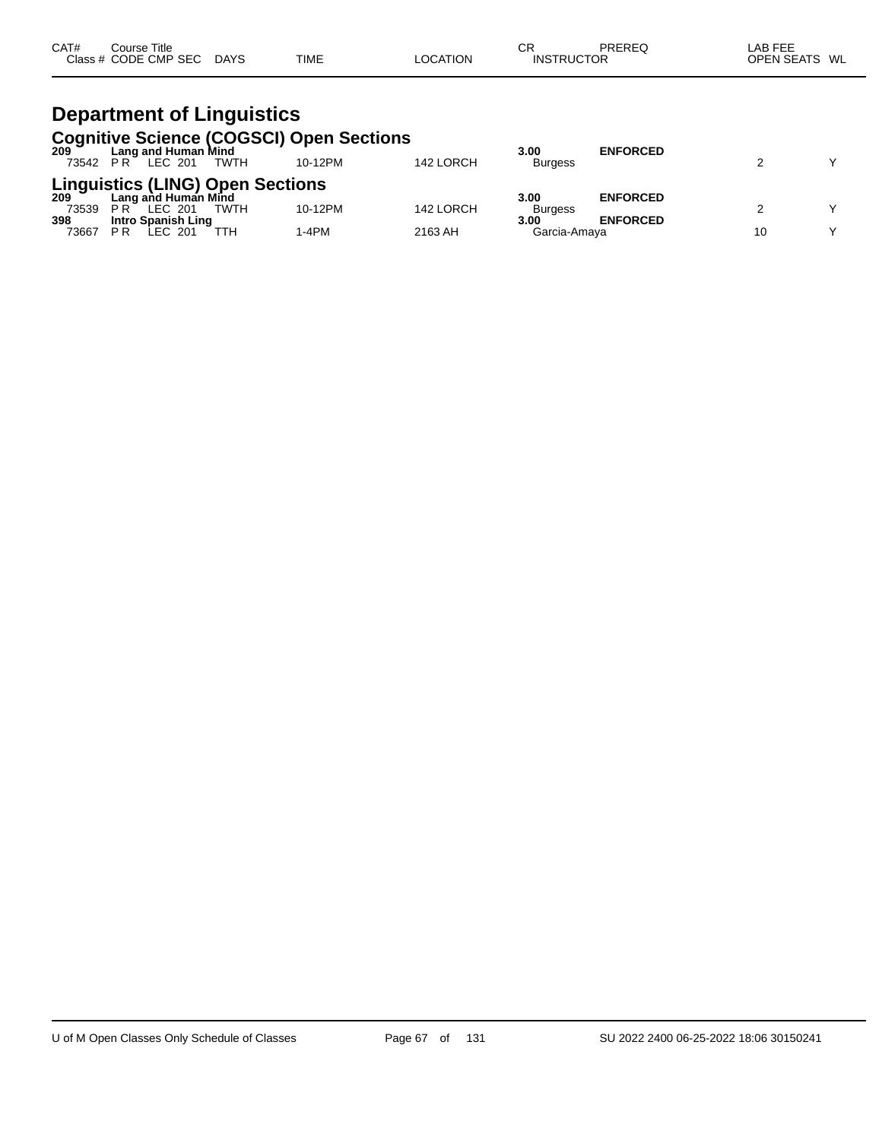| CAT# | Course Title         |             |             |          | СF                | PREREQ | LAB FEE       |
|------|----------------------|-------------|-------------|----------|-------------------|--------|---------------|
|      | Class # CODE CMP SEC | <b>DAYS</b> | <b>TIME</b> | LOCATION | <b>INSTRUCTOR</b> |        | OPEN SEATS WL |

#### **Department of Linguistics Cognitive Science (COGSCI) Open Sections**

| 209          | Lang and Human Mind<br>73542 PR LEC 201                     | TWTH | 10-12PM | 142 LORCH | 3.00<br><b>Burgess</b> | <b>ENFORCED</b> | $\checkmark$ |
|--------------|-------------------------------------------------------------|------|---------|-----------|------------------------|-----------------|--------------|
|              | Linguistics (LING) Open Sections<br>209 Lang and Human Mind |      |         |           | 3.00                   | <b>ENFORCED</b> |              |
| 73539        | PR<br>LEC 201                                               | TWTH | 10-12PM | 142 LORCH | <b>Burgess</b>         |                 | $\checkmark$ |
| 398<br>73667 | Intro Spanish Ling<br>P <sub>R</sub><br>LEC 201             |      | 1-4PM   | 2163 AH   | 3.00<br>Garcia-Amava   | <b>ENFORCED</b> | v            |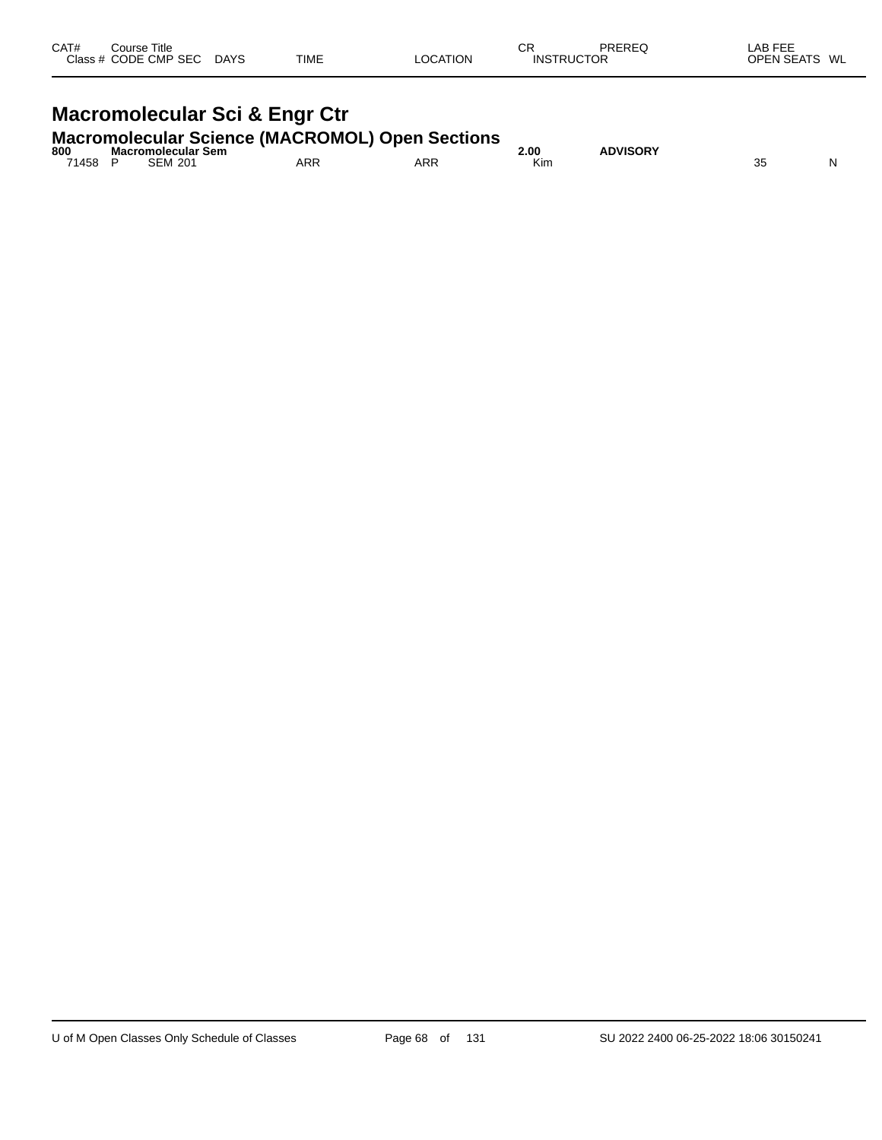| CAT#<br>Class $#$ | Course Title<br><b>CODE CMP SEC</b> | <b>DAYS</b> | <b>TIME</b> | <b>LOCATION</b> | СR<br><b>INSTRUCTOR</b> | PREREQ | LAB FEE<br><b>OPEN SEATS</b> | WL |
|-------------------|-------------------------------------|-------------|-------------|-----------------|-------------------------|--------|------------------------------|----|
|                   |                                     |             |             |                 |                         |        |                              |    |

# **Macromolecular Sci & Engr Ctr**

## **Macromolecular Science (MACROMOL) Open Sections 800 Macromolecular Sem 2.00 ADVISORY**

| 800   | Macromolecular Sem |     |     | 00.٤ | <b>\DVISORY</b> |           |   |
|-------|--------------------|-----|-----|------|-----------------|-----------|---|
| 71458 | <b>SEM 201</b>     | ARR | ARR | Kin. |                 | n r<br>vu | N |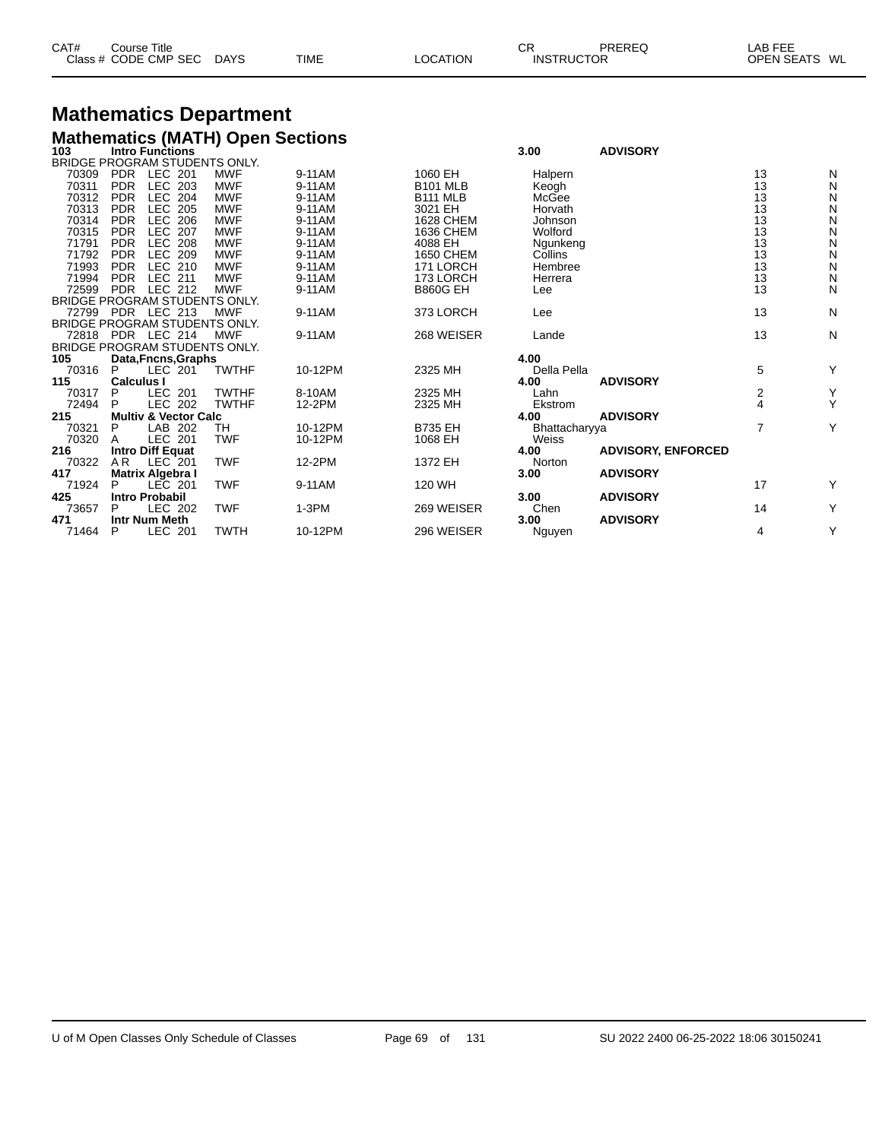| CAT# | Course Title         |             |             |                 | СR                | PREREQ | LAB FEE       |  |
|------|----------------------|-------------|-------------|-----------------|-------------------|--------|---------------|--|
|      | Class # CODE CMP SEC | <b>DAYS</b> | <b>TIME</b> | <b>LOCATION</b> | <b>INSTRUCTOR</b> |        | OPEN SEATS WL |  |

# **Mathematics Department**

|     | <b>Mathematics (MATH) Open Sections</b> |      |                 |
|-----|-----------------------------------------|------|-----------------|
| 103 | <b>Intro Functions</b>                  | 3.00 | <b>ADVISORY</b> |

|       |                   | <br>BRIDGE PROGRAM STUDENTS ONLY. |              |         |                 |               | .                         |                |   |
|-------|-------------------|-----------------------------------|--------------|---------|-----------------|---------------|---------------------------|----------------|---|
| 70309 | <b>PDR</b>        | LEC 201                           | <b>MWF</b>   | 9-11AM  | 1060 EH         | Halpern       |                           | 13             | N |
| 70311 | <b>PDR</b>        | LEC 203                           | <b>MWF</b>   | 9-11AM  | <b>B101 MLB</b> | Keogh         |                           | 13             | N |
| 70312 | <b>PDR</b>        | <b>LEC 204</b>                    | <b>MWF</b>   | 9-11AM  | <b>B111 MLB</b> | McGee         |                           | 13             | N |
| 70313 | <b>PDR</b>        | <b>LEC 205</b>                    | <b>MWF</b>   | 9-11AM  | 3021 EH         | Horvath       |                           | 13             | N |
| 70314 | <b>PDR</b>        | <b>LEC 206</b>                    | <b>MWF</b>   | 9-11AM  | 1628 CHEM       | Johnson       |                           | 13             | N |
| 70315 | <b>PDR</b>        | <b>LEC 207</b>                    | <b>MWF</b>   | 9-11AM  | 1636 CHEM       | Wolford       |                           | 13             | N |
| 71791 | <b>PDR</b>        | LEC 208                           | <b>MWF</b>   | 9-11AM  | 4088 EH         | Ngunkeng      |                           | 13             | N |
| 71792 | <b>PDR</b>        | LEC 209                           | <b>MWF</b>   | 9-11AM  | 1650 CHEM       | Collins       |                           | 13             | N |
| 71993 | <b>PDR</b>        | LEC 210                           | <b>MWF</b>   | 9-11AM  | 171 LORCH       | Hembree       |                           | 13             | N |
| 71994 | <b>PDR</b>        | LEC 211                           | <b>MWF</b>   | 9-11AM  | 173 LORCH       | Herrera       |                           | 13             | N |
| 72599 | <b>PDR</b>        | LEC 212                           | <b>MWF</b>   | 9-11AM  | <b>B860G EH</b> | Lee           |                           | 13             | N |
|       |                   | BRIDGE PROGRAM STUDENTS ONLY.     |              |         |                 |               |                           |                |   |
|       |                   | 72799 PDR LEC 213                 | <b>MWF</b>   | 9-11AM  | 373 LORCH       | Lee           |                           | 13             | N |
|       |                   | BRIDGE PROGRAM STUDENTS ONLY.     |              |         |                 |               |                           |                |   |
| 72818 |                   | PDR LEC 214                       | <b>MWF</b>   | 9-11AM  | 268 WEISER      | Lande         |                           | 13             | N |
|       |                   | BRIDGE PROGRAM STUDENTS ONLY.     |              |         |                 |               |                           |                |   |
| 105   |                   | Data, Fncns, Graphs               |              |         |                 | 4.00          |                           |                |   |
| 70316 | P                 | LEC 201                           | <b>TWTHF</b> | 10-12PM | 2325 MH         | Della Pella   |                           | 5              | Y |
| 115   | <b>Calculus I</b> |                                   |              |         |                 | 4.00          | <b>ADVISORY</b>           |                |   |
| 70317 | P                 | LEC 201                           | <b>TWTHF</b> | 8-10AM  | 2325 MH         | Lahn          |                           | 2              | Υ |
| 72494 | P                 | <b>LEC 202</b>                    | <b>TWTHF</b> | 12-2PM  | 2325 MH         | Ekstrom       |                           | 4              | Y |
| 215   |                   | <b>Multiv &amp; Vector Calc</b>   |              |         |                 | 4.00          | <b>ADVISORY</b>           |                |   |
| 70321 | P                 | LAB 202                           | TH           | 10-12PM | <b>B735 EH</b>  | Bhattacharyya |                           | $\overline{7}$ | Y |
| 70320 | A                 | <b>LEC 201</b>                    | <b>TWF</b>   | 10-12PM | 1068 EH         | Weiss         |                           |                |   |
| 216   |                   | <b>Intro Diff Equat</b>           |              |         |                 | 4.00          | <b>ADVISORY, ENFORCED</b> |                |   |
| 70322 | A <sub>R</sub>    | LEC 201                           | <b>TWF</b>   | 12-2PM  | 1372 EH         | Norton        |                           |                |   |
| 417   |                   | <b>Matrix Algebra I</b>           |              |         |                 | 3.00          | <b>ADVISORY</b>           |                |   |
| 71924 | P                 | <b>LEC 201</b>                    | <b>TWF</b>   | 9-11AM  | 120 WH          |               |                           | 17             | Y |
| 425   |                   | <b>Intro Probabil</b>             |              |         |                 | 3.00          | <b>ADVISORY</b>           |                |   |
| 73657 | P                 | LEC 202                           | <b>TWF</b>   | $1-3PM$ | 269 WEISER      | Chen          |                           | 14             | Y |
| 471   |                   | Intr Num Meth                     |              |         |                 | 3.00          | <b>ADVISORY</b>           |                |   |
| 71464 | P                 | LEC 201                           | <b>TWTH</b>  | 10-12PM | 296 WEISER      | Nguyen        |                           | 4              | Y |
|       |                   |                                   |              |         |                 |               |                           |                |   |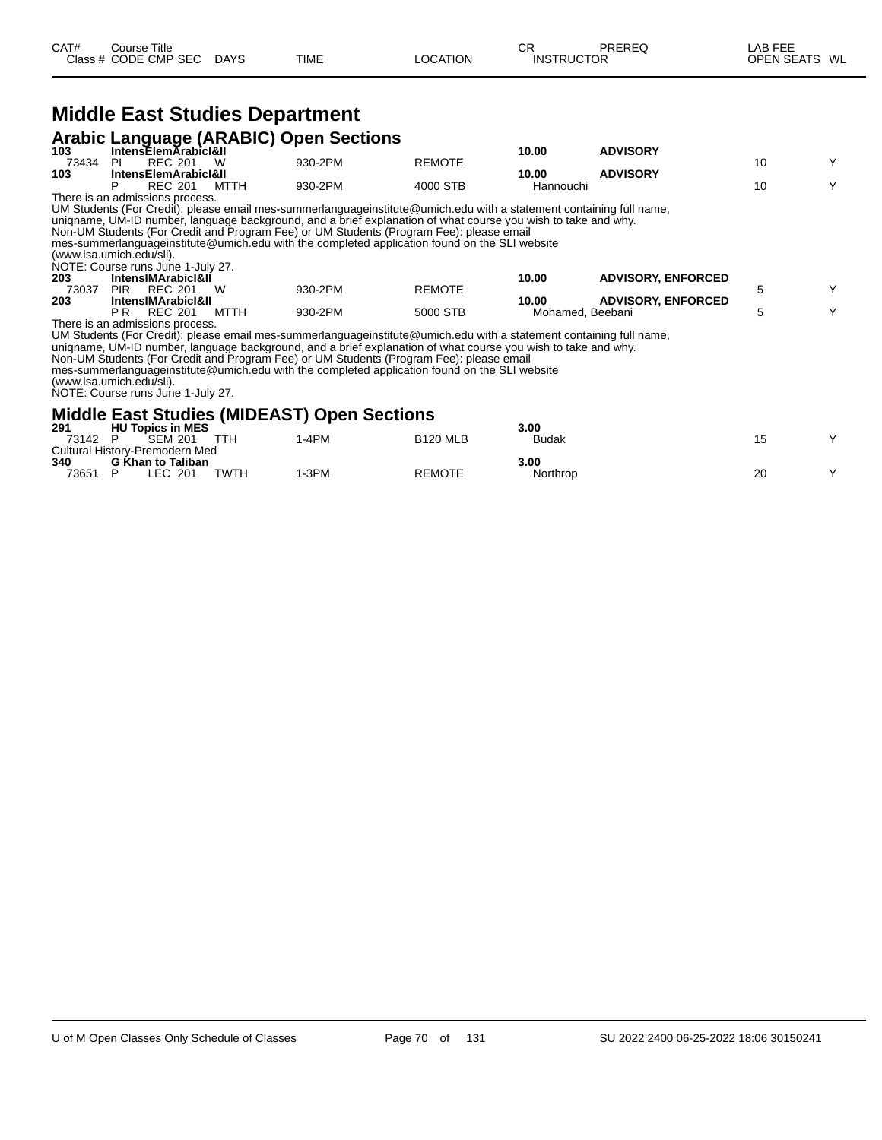#### **Middle East Studies Department**

|       |                                 |      | <b>Arabic Language (ARABIC) Open Sections</b> |               |           |                 |  |
|-------|---------------------------------|------|-----------------------------------------------|---------------|-----------|-----------------|--|
| 103   | IntensElemArabicI&II            |      |                                               |               | 10.00     | <b>ADVISORY</b> |  |
| 73434 | <b>REC 201</b>                  | W    | 930-2PM                                       | <b>REMOTE</b> |           |                 |  |
| 103   | <b>IntensElemArabicI&amp;II</b> |      |                                               |               | 10.00     | <b>ADVISORY</b> |  |
|       | <b>REC 201</b>                  | MTTH | 930-2PM                                       | 4000 STB      | Hannouchi |                 |  |

There is an admissions process. UM Students (For Credit): please email mes-summerlanguageinstitute@umich.edu with a statement containing full name,

uniqname, UM-ID number, language background, and a brief explanation of what course you wish to take and why.

Non-UM Students (For Credit and Program Fee) or UM Students (Program Fee): please email

mes-summerlanguageinstitute@umich.edu with the completed application found on the SLI website

| (www.lsa.umich.edu/sli). |  |
|--------------------------|--|
|                          |  |

NOTE: Course runs June 1-July 27.

| 203   | <b>IntensIMArabicI&amp;II</b>    |      |         |          | 10.00            | <b>ADVISORY, ENFORCED</b> |  |
|-------|----------------------------------|------|---------|----------|------------------|---------------------------|--|
| 73037 | W<br>PIR<br>REC 201              |      | 930-2PM | REMOTE   |                  |                           |  |
| 203   | IntensIMArabicI&II               |      |         |          | 10.00            | <b>ADVISORY, ENFORCED</b> |  |
|       | <b>REC 201</b><br>РR             | MTTH | 930-2PM | 5000 STB | Mohamed, Beebani |                           |  |
|       | 天地 シング・シーム シーム けいきょうきょう こうしょうしょう |      |         |          |                  |                           |  |

There is an admissions process.

UM Students (For Credit): please email mes-summerlanguageinstitute@umich.edu with a statement containing full name,

uniqname, UM-ID number, language background, and a brief explanation of what course you wish to take and why.

Non-UM Students (For Credit and Program Fee) or UM Students (Program Fee): please email

mes-summerlanguageinstitute@umich.edu with the completed application found on the SLI website

(www.lsa.umich.edu/sli). NOTE: Course runs June 1-July 27.

#### **Middle East Studies (MIDEAST) Open Sections**

| 291   | <b>HU Topics in MES</b>        |      |        |                 | 3.00         |    |  |
|-------|--------------------------------|------|--------|-----------------|--------------|----|--|
| 73142 | <b>SEM 201</b>                 | TTH  | $-4PM$ | <b>B120 MLB</b> | <b>Budak</b> |    |  |
|       | Cultural History-Premodern Med |      |        |                 |              |    |  |
| 340   | G Khan to Taliban              |      |        |                 | 3.00         |    |  |
| 73651 | LEC 201                        | TWTH | -3PM   | <b>REMOTE</b>   | Northrop     | 20 |  |
|       |                                |      |        |                 |              |    |  |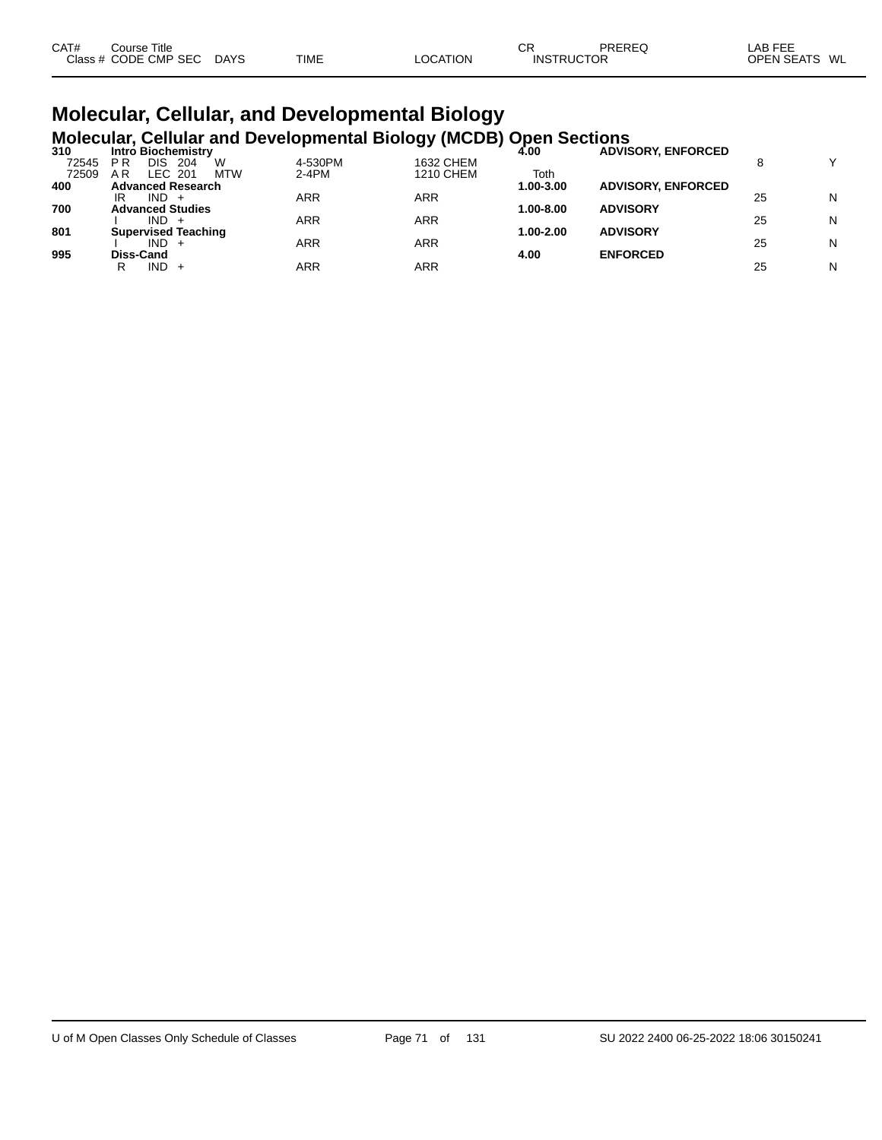| CAT# | Course Title         |             |             |          | СF                | PREREQ | LAB FEE       |
|------|----------------------|-------------|-------------|----------|-------------------|--------|---------------|
|      | Class # CODE CMP SEC | <b>DAYS</b> | <b>TIME</b> | LOCATION | <b>INSTRUCTOR</b> |        | OPEN SEATS WL |

#### **Molecular, Cellular, and Developmental Biology Molecular, Cellular and Developmental Biology (MCDB) Open Sections**

| <b>Intro Biochemistry</b>                  |         | JJ 1      | 4.00      | <b>ADVISORY, ENFORCED</b> |    |              |
|--------------------------------------------|---------|-----------|-----------|---------------------------|----|--------------|
| W<br>P <sub>R</sub><br>DIS<br>72545<br>204 | 4-530PM | 1632 CHEM |           |                           |    | $\checkmark$ |
| LEC 201<br><b>MTW</b><br>A R               | $2-4PM$ | 1210 CHEM | Toth      |                           |    |              |
| <b>Advanced Research</b>                   |         |           | 1.00-3.00 | <b>ADVISORY, ENFORCED</b> |    |              |
| IND.<br>IR<br>$+$                          | ARR     | ARR       |           |                           | 25 | N            |
| <b>Advanced Studies</b>                    |         |           | 1.00-8.00 | <b>ADVISORY</b>           |    |              |
| IND.                                       | ARR     | ARR       |           |                           | 25 | N            |
| <b>Supervised Teaching</b>                 |         |           | 1.00-2.00 | <b>ADVISORY</b>           |    |              |
| $IND +$                                    | ARR     | ARR       |           |                           | 25 | N            |
| Diss-Cand                                  |         |           | 4.00      | <b>ENFORCED</b>           |    |              |
| IND.<br>R<br>$+$                           | ARR     | ARR       |           |                           | 25 | N            |
|                                            |         |           |           |                           |    |              |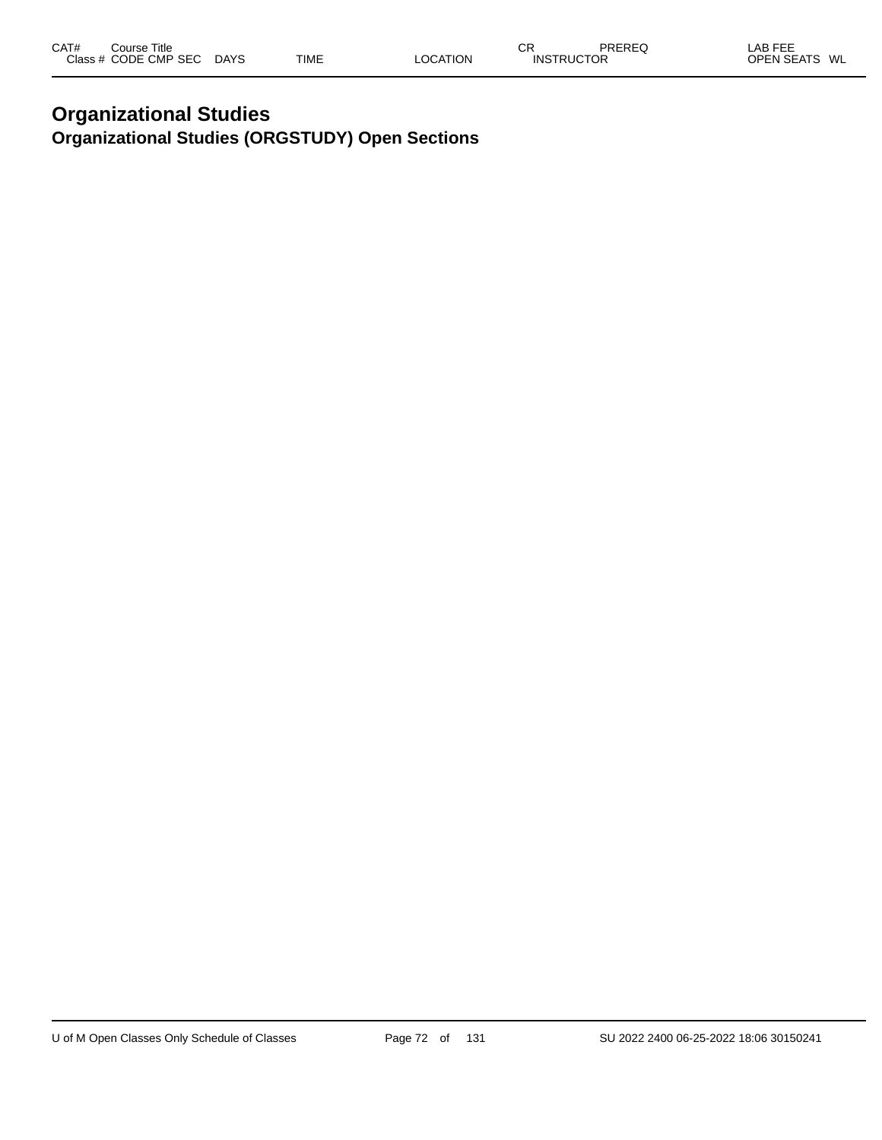#### **Organizational Studies Organizational Studies (ORGSTUDY) Open Sections**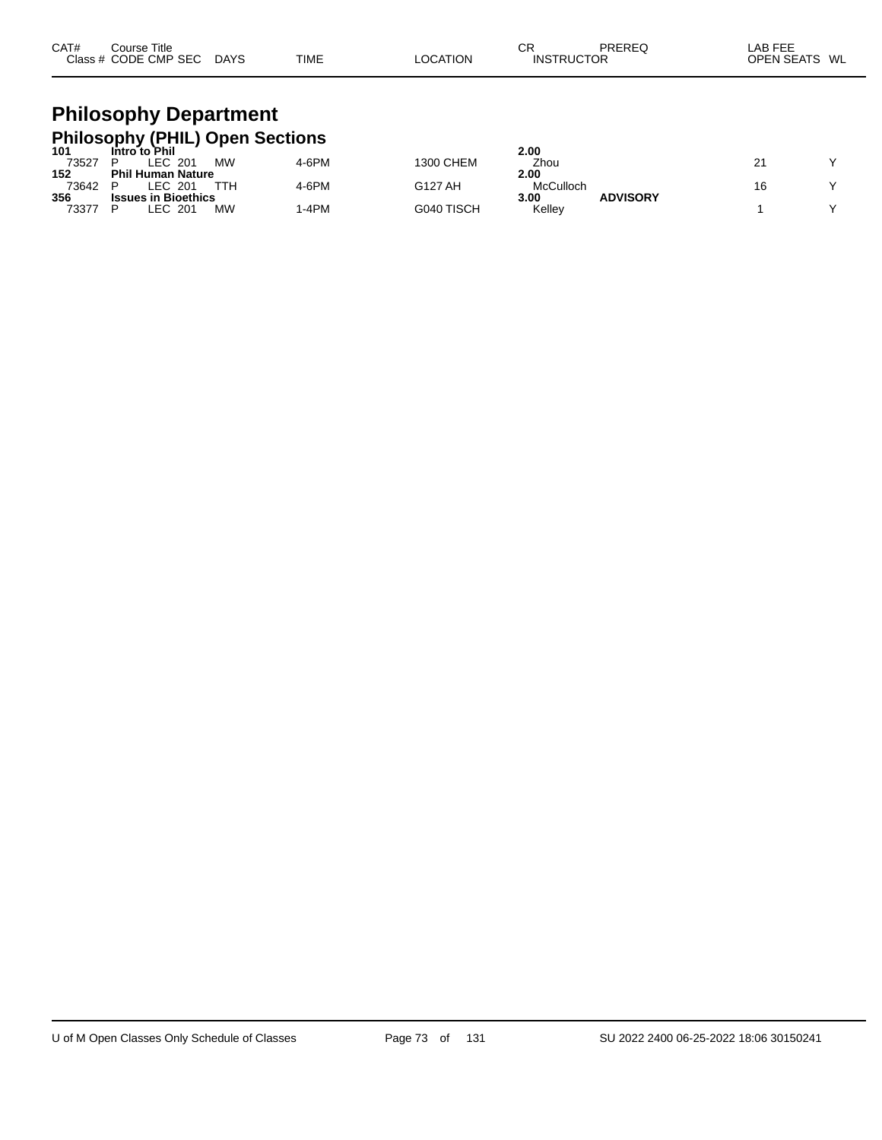| CAT#<br>Title<br>Course |                       |             |                | СR | PREREC            | $\lambda$ $\sim$ $\sim$ $\sim$ $\sim$<br>AB.<br>--- |
|-------------------------|-----------------------|-------------|----------------|----|-------------------|-----------------------------------------------------|
| Class # CODE CMP SEC    | <b>DAYS</b><br>$\sim$ | <b>TIME</b> | <b>OCATION</b> |    | <b>INSTRUCTOR</b> | <b>OPEN SEATS</b><br>WL                             |

# **Philosophy Department Philosophy (PHIL) Open Sections 101 Intro to Phil 2.00**

| 101   | Intro to Phil              |       |            | 2.00      |                 |           |
|-------|----------------------------|-------|------------|-----------|-----------------|-----------|
| 73527 | <b>MW</b><br>.EC<br>201    | 4-6PM | 1300 CHEM  | Zhou      |                 | $\sqrt{}$ |
| 152   | <b>Phil Human Nature</b>   |       |            | 2.00      |                 |           |
| 73642 | _EC.<br>201                | 4-6PM | G127 AH    | McCulloch |                 | $\sqrt{}$ |
| 356   | <b>Issues in Bioethics</b> |       |            | 3.00      | <b>ADVISORY</b> |           |
| 73377 | <b>MW</b><br>.EC<br>201    | -4PM  | G040 TISCH | Kelley    |                 | $\sqrt{}$ |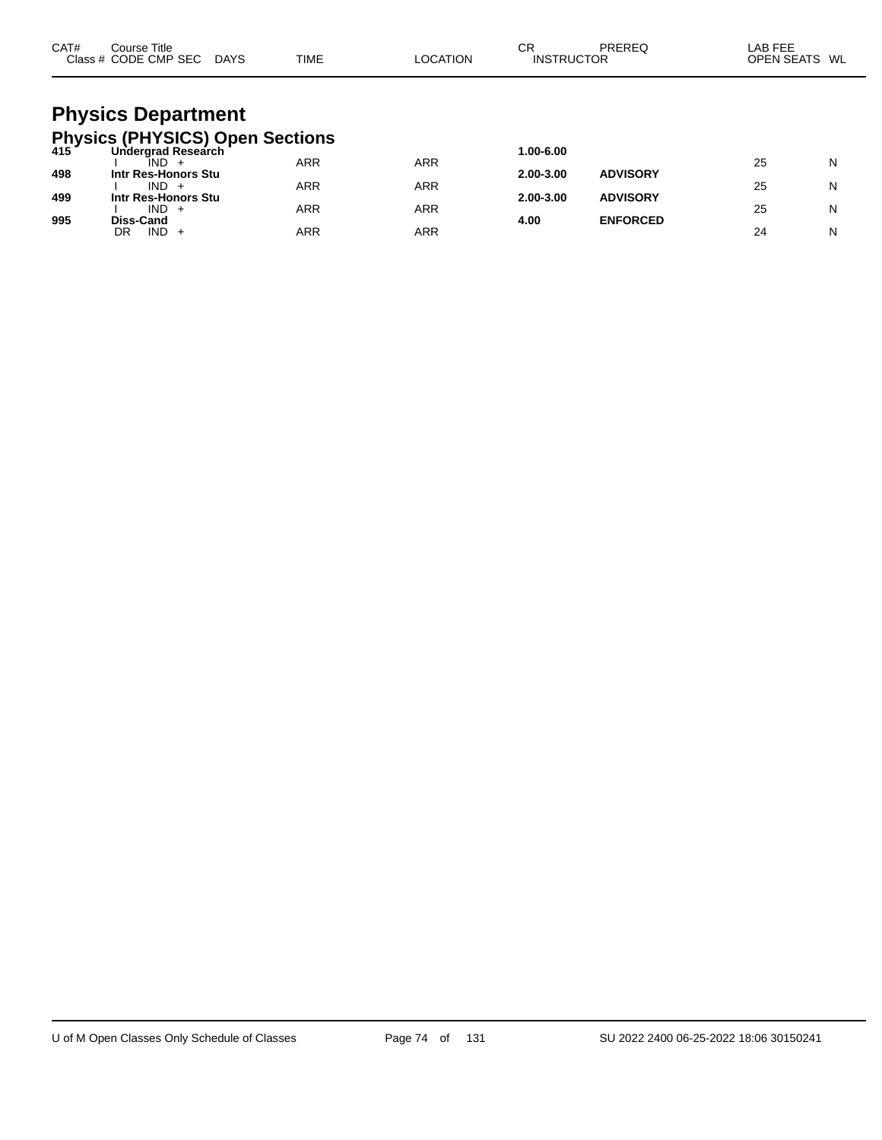| CAT# | Course Title<br>Class # CODE CMP SEC DAYS                                                                                  | <b>TIME</b> | LOCATION   | CR<br><b>INSTRUCTOR</b> | PREREQ          | LAB FEE<br>OPEN SEATS WL |   |
|------|----------------------------------------------------------------------------------------------------------------------------|-------------|------------|-------------------------|-----------------|--------------------------|---|
|      | <b>Physics Department</b><br><b>Physics (PHYSICS) Open Sections</b><br>415 Undergrad Research<br><b>Undergrad Research</b> |             |            | 1.00-6.00               |                 |                          |   |
|      | ÎND -                                                                                                                      | <b>ARR</b>  | <b>ARR</b> |                         |                 | 25                       | N |
| 498  | Intr Res-Honors Stu                                                                                                        |             |            | 2.00-3.00               | <b>ADVISORY</b> |                          |   |
| 499  | $IND +$<br>Intr Res-Honors Stu                                                                                             | ARR         | <b>ARR</b> | 2.00-3.00               | <b>ADVISORY</b> | 25                       | N |
|      | $IND +$                                                                                                                    | ARR         | <b>ARR</b> |                         |                 | 25                       | N |
| 995  | Diss-Cand                                                                                                                  |             |            | 4.00                    | <b>ENFORCED</b> |                          |   |
|      | IND.<br>DR<br>$+$                                                                                                          | ARR         | <b>ARR</b> |                         |                 | 24                       | N |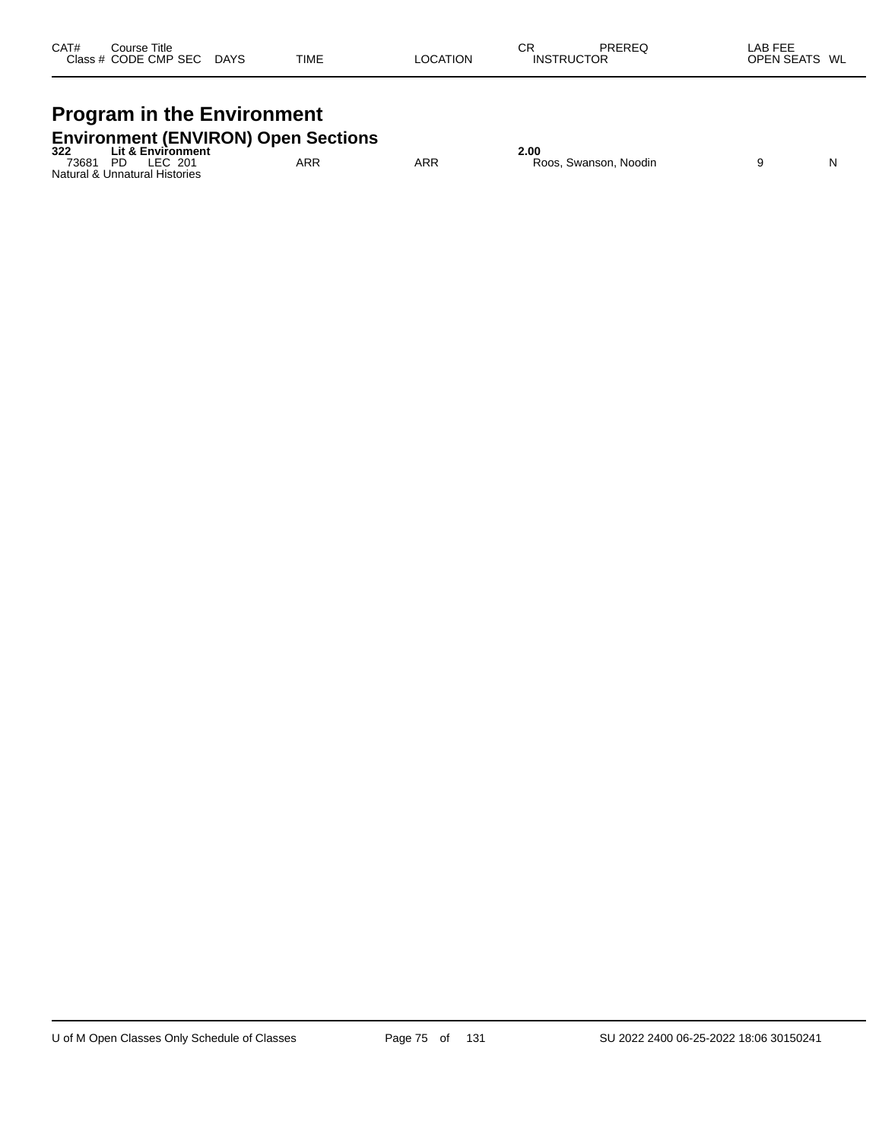| CAT# | Course Title         |             |             |          | СR                | PREREQ | _AB FEE                 |
|------|----------------------|-------------|-------------|----------|-------------------|--------|-------------------------|
|      | Class # CODE CMP SEC | <b>DAYS</b> | <b>TIME</b> | LOCATION | <b>INSTRUCTOR</b> |        | WL<br><b>OPEN SEATS</b> |
|      |                      |             |             |          |                   |        |                         |

# **Program in the Environment**

|          | <b>Environment (ENVIRON) Open Sections</b> |     |     |                       |  |
|----------|--------------------------------------------|-----|-----|-----------------------|--|
| 322      | <b>Lit &amp; Environment</b>               |     |     | 2.00                  |  |
| 73681 PD | LEC 201                                    | ARR | ARR | Roos, Swanson, Noodin |  |
|          | Natural & Unnatural Histories              |     |     |                       |  |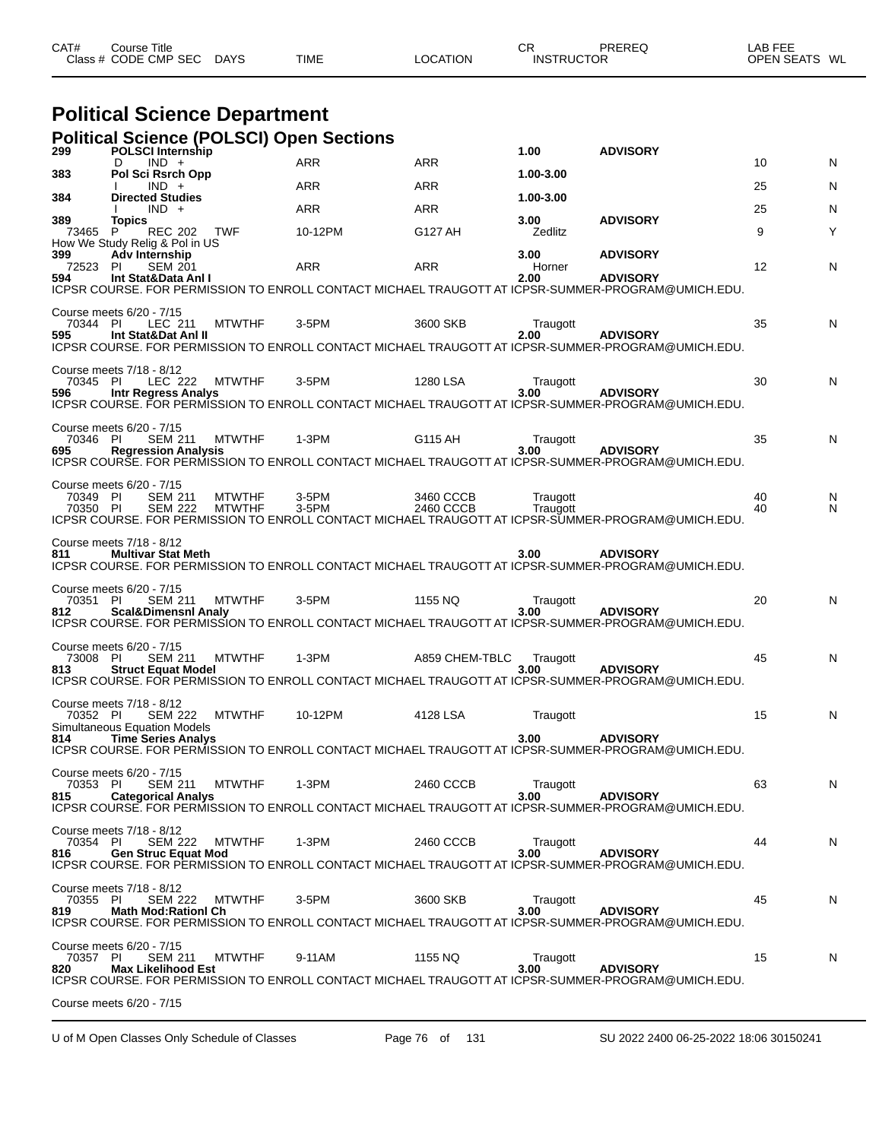| CAT#<br>Title<br>Course |             |             |                 | СF | PREREC            | LAB FEF                 |
|-------------------------|-------------|-------------|-----------------|----|-------------------|-------------------------|
| Class # CODE CMP SEC    | <b>DAYS</b> | <b>TIME</b> | <b>LOCATION</b> |    | <b>INSTRUCTOR</b> | <b>OPEN SEATS</b><br>WL |

# **Political Science Department**

|  |  | <b>Political Science (POLSCI) Open Sections</b> |
|--|--|-------------------------------------------------|
|  |  |                                                 |

| 299                    | <b>POLSCI Internship</b>                                                                                | - - 1                          |                |                        | 1.00                   | <b>ADVISORY</b>                                                                                                                          |          |        |
|------------------------|---------------------------------------------------------------------------------------------------------|--------------------------------|----------------|------------------------|------------------------|------------------------------------------------------------------------------------------------------------------------------------------|----------|--------|
| 383                    | $IND +$<br>D<br>Pol Sci Rsrch Opp                                                                       |                                | ARR            | <b>ARR</b>             | 1.00-3.00              |                                                                                                                                          | 10       | N      |
| 384                    | $IND +$<br><b>Directed Studies</b>                                                                      |                                | <b>ARR</b>     | ARR                    | 1.00-3.00              |                                                                                                                                          | 25       | N      |
|                        | $IND +$                                                                                                 |                                | ARR            | ARR                    |                        | <b>ADVISORY</b>                                                                                                                          | 25       | N      |
| 389<br>73465           | <b>Topics</b><br><b>REC 202</b><br>P<br>How We Study Relig & Pol in US                                  | TWF                            | 10-12PM        | G127 AH                | 3.00<br>Zedlitz        |                                                                                                                                          | 9        | Υ      |
| 399<br>72523 PI<br>594 | Adv Internship<br><b>SEM 201</b><br>Int Stat&Data Anl I                                                 |                                | ARR            | ARR                    | 3.00<br>Horner<br>2.00 | <b>ADVISORY</b><br><b>ADVISORY</b><br>ICPSR COURSE. FOR PERMISSION TO ENROLL CONTACT MICHAEL TRAUGOTT AT ICPSR-SUMMER-PROGRAM@UMICH.EDU. | 12       | N      |
| 70344 PI<br>595        | Course meets 6/20 - 7/15<br>LEC 211<br>Int Stat&Dat Anl II                                              | <b>MTWTHF</b>                  | 3-5PM          | 3600 SKB               | Traugott<br>2.00       | <b>ADVISORY</b><br>ICPSR COURSE. FOR PERMISSION TO ENROLL CONTACT MICHAEL TRAUGOTT AT ICPSR-SUMMER-PROGRAM@UMICH.EDU.                    | 35       | N      |
| 70345 PI<br>596        | Course meets 7/18 - 8/12<br><b>Intr Regress Analys</b>                                                  | LEC 222 MTWTHF                 | $3-5$ PM       | 1280 LSA               | Traugott<br>3.00       | <b>ADVISORY</b><br>ICPSR COURSE. FOR PERMISSION TO ENROLL CONTACT MICHAEL TRAUGOTT AT ICPSR-SUMMER-PROGRAM@UMICH.EDU.                    | 30       | N      |
| 70346 PI<br>695        | Course meets 6/20 - 7/15<br><b>SEM 211</b><br><b>Regression Analysis</b>                                | <b>MTWTHF</b>                  | $1-3PM$        | G115 AH                | Traugott<br>3.00       | <b>ADVISORY</b><br>ICPSR COURSE. FOR PERMISSION TO ENROLL CONTACT MICHAEL TRAUGOTT AT ICPSR-SUMMER-PROGRAM@UMICH.EDU.                    | 35       | N      |
| 70349 PI<br>70350 PI   | Course meets 6/20 - 7/15<br><b>SEM 211</b><br><b>SEM 222</b>                                            | <b>MTWTHF</b><br><b>MTWTHF</b> | 3-5PM<br>3-5PM | 3460 CCCB<br>2460 CCCB | Traugott<br>Traugott   | ICPSR COURSE. FOR PERMISSION TO ENROLL CONTACT MICHAEL TRAUGOTT AT ICPSR-SUMMER-PROGRAM@UMICH.EDU.                                       | 40<br>40 | N<br>N |
| 811                    | Course meets 7/18 - 8/12<br><b>Multivar Stat Meth</b>                                                   |                                |                |                        | 3.00                   | <b>ADVISORY</b><br>ICPSR COURSE. FOR PERMISSION TO ENROLL CONTACT MICHAEL TRAUGOTT AT ICPSR-SUMMER-PROGRAM@UMICH.EDU.                    |          |        |
| 70351 PI<br>812        | Course meets 6/20 - 7/15<br>SEM 211<br><b>Scal&amp;Dimensnl Analy</b>                                   | <b>MTWTHF</b>                  | 3-5PM          | 1155 NQ                | Traugott<br>3.00       | <b>ADVISORY</b><br>ICPSR COURSE. FOR PERMISSION TO ENROLL CONTACT MICHAEL TRAUGOTT AT ICPSR-SUMMER-PROGRAM@UMICH.EDU.                    | 20       | N      |
| 73008 PI<br>813        | Course meets 6/20 - 7/15<br><b>SEM 211</b><br><b>Struct Equat Model</b>                                 | MTWTHF                         | 1-3PM          | A859 CHEM-TBLC         | Traugott<br>3.00       | <b>ADVISORY</b><br>ICPSR COURSE. FOR PERMISSION TO ENROLL CONTACT MICHAEL TRAUGOTT AT ICPSR-SUMMER-PROGRAM@UMICH.EDU.                    | 45       | N      |
| 70352 PI<br>814        | Course meets 7/18 - 8/12<br><b>SEM 222</b><br>Simultaneous Equation Models<br><b>Time Series Analys</b> | <b>MTWTHF</b>                  | 10-12PM        | 4128 LSA               | Traugott<br>3.00       | <b>ADVISORY</b><br>ICPSR COURSE. FOR PERMISSION TO ENROLL CONTACT MICHAEL TRAUGOTT AT ICPSR-SUMMER-PROGRAM@UMICH.EDU.                    | 15       | N      |
| 70353 PI<br>815        | Course meets 6/20 - 7/15<br><b>SEM 211</b><br><b>Categorical Analys</b>                                 | <b>MTWTHF</b>                  | 1-3PM          | 2460 CCCB              | Traugott<br>3.00       | <b>ADVISORY</b><br>ICPSR COURSE. FOR PERMISSION TO ENROLL CONTACT MICHAEL TRAUGOTT AT ICPSR-SUMMER-PROGRAM@UMICH.EDU.                    | 63       | N      |
| 70354 PI<br>816        | Course meets 7/18 - 8/12<br><b>SEM 222</b><br><b>Gen Struc Equat Mod</b>                                | <b>MTWTHF</b>                  | $1-3PM$        | 2460 CCCB              | Traugott<br>3.00       | <b>ADVISORY</b><br>ICPSR COURSE. FOR PERMISSION TO ENROLL CONTACT MICHAEL TRAUGOTT AT ICPSR-SUMMER-PROGRAM@UMICH.EDU.                    | 44       | N      |
| 70355 PI<br>819        | Course meets 7/18 - 8/12<br><b>SEM 222</b><br><b>Math Mod:Rationl Ch</b>                                | <b>MTWTHF</b>                  | 3-5PM          | 3600 SKB               | Traugott<br>3.00       | <b>ADVISORY</b><br>ICPSR COURSE. FOR PERMISSION TO ENROLL CONTACT MICHAEL TRAUGOTT AT ICPSR-SUMMER-PROGRAM@UMICH.EDU.                    | 45       | N      |
| 70357 PI<br>820        | Course meets 6/20 - 7/15<br><b>SEM 211</b><br><b>Max Likelihood Est</b>                                 | <b>MTWTHF</b>                  | 9-11AM         | 1155 NQ                | Traugott<br>3.00       | <b>ADVISORY</b><br>ICPSR COURSE. FOR PERMISSION TO ENROLL CONTACT MICHAEL TRAUGOTT AT ICPSR-SUMMER-PROGRAM@UMICH.EDU.                    | 15       | N      |
|                        | Course meets 6/20 - 7/15                                                                                |                                |                |                        |                        |                                                                                                                                          |          |        |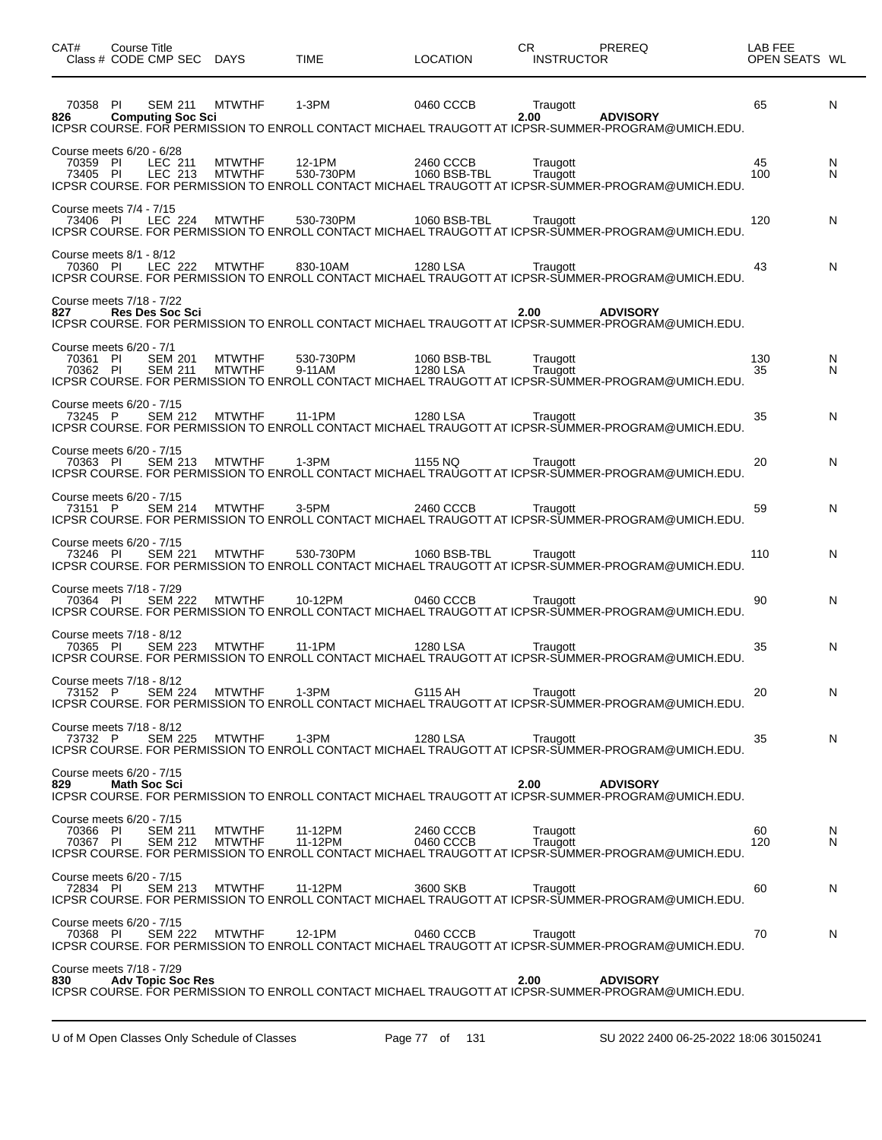| CAT#                                             | Course Title<br>Class # CODE CMP SEC DAYS |                                     |                                | <b>TIME</b>         | <b>LOCATION</b>           | CR   | <b>INSTRUCTOR</b>    | PREREQ                                                                                                                                                            | LAB FEE<br>OPEN SEATS WL |        |
|--------------------------------------------------|-------------------------------------------|-------------------------------------|--------------------------------|---------------------|---------------------------|------|----------------------|-------------------------------------------------------------------------------------------------------------------------------------------------------------------|--------------------------|--------|
| 70358 PI<br>826                                  |                                           | SEM 211<br><b>Computing Soc Sci</b> | <b>MTWTHF</b>                  | 1-3PM               | 0460 CCCB                 |      | Traugott<br>2.00     | <b>ADVISORY</b><br>ICPSR COURSE. FOR PERMISSION TO ENROLL CONTACT MICHAEL TRAUGOTT AT ICPSR-SUMMER-PROGRAM@UMICH.EDU.                                             | 65                       | N      |
| Course meets 6/20 - 6/28<br>70359 PI<br>73405 PI |                                           | LEC 211<br>LEC 213                  | <b>MTWTHF</b><br><b>MTWTHF</b> | 12-1PM<br>530-730PM | 2460 CCCB<br>1060 BSB-TBL |      | Traugott<br>Traugott | ICPSR COURSE. FOR PERMISSION TO ENROLL CONTACT MICHAEL TRAUGOTT AT ICPSR-SUMMER-PROGRAM@UMICH.EDU.                                                                | 45<br>100                | N<br>N |
| Course meets 7/4 - 7/15                          |                                           |                                     |                                |                     |                           |      |                      | 73406 PI LEC 224 MTWTHF 530-730PM 1060 BSB-TBL Traugott<br>ICPSR COURSE. FOR PERMISSION TO ENROLL CONTACT MICHAEL TRAUGOTT AT ICPSR-SUMMER-PROGRAM@UMICH.EDU.     | 120                      | N      |
| Course meets 8/1 - 8/12<br>70360 PI              |                                           |                                     | LEC 222 MTWTHF                 | 830-10AM            | 1280 LSA                  |      | Traugott             | ICPSR COURSE. FOR PERMISSION TO ENROLL CONTACT MICHAEL TRAUGOTT AT ICPSR-SUMMER-PROGRAM@UMICH.EDU.                                                                | 43                       | N      |
| Course meets 7/18 - 7/22<br>827                  |                                           | <b>Res Des Soc Sci</b>              |                                |                     |                           | 2.00 |                      | <b>ADVISORY</b><br>ICPSR COURSE. FOR PERMISSION TO ENROLL CONTACT MICHAEL TRAUGOTT AT ICPSR-SUMMER-PROGRAM@UMICH.EDU.                                             |                          |        |
| Course meets 6/20 - 7/1<br>70361 PI<br>70362 PI  |                                           | <b>SEM 201</b><br><b>SEM 211</b>    | <b>MTWTHF</b><br><b>MTWTHF</b> | 530-730PM<br>9-11AM | 1060 BSB-TBL<br>1280 LSA  |      | Traugott<br>Traugott | ICPSR COURSE. FOR PERMISSION TO ENROLL CONTACT MICHAEL TRAUGOTT AT ICPSR-SUMMER-PROGRAM@UMICH.EDU.                                                                | 130<br>35                | N<br>N |
| Course meets 6/20 - 7/15<br>73245 P              |                                           | <b>SEM 212</b>                      | <b>MTWTHF</b>                  | 11-1PM              | 1280 LSA                  |      | Traugott             | ICPSR COURSE. FOR PERMISSION TO ENROLL CONTACT MICHAEL TRAUGOTT AT ICPSR-SUMMER-PROGRAM@UMICH.EDU.                                                                | 35                       | N      |
| Course meets 6/20 - 7/15<br>70363 PI             |                                           | <b>SEM 213</b>                      | MTWTHF                         | 1-3PM               | 1155 NQ                   |      | Traugott             | ICPSŘ ČOURSE. FOR PERMISSION TO ENROLL CONTACT MICHAEL TRAUGOTT AT ICPSR-SUMMER-PROGRAM@UMICH.EDU.                                                                | 20                       | N      |
| Course meets 6/20 - 7/15<br>73151 P              |                                           | SEM 214                             | MTWTHF                         | $3-5PM$             | 2460 CCCB                 |      | Traugott             | ICPSR COURSE. FOR PERMISSION TO ENROLL CONTACT MICHAEL TRAUGOTT AT ICPSR-SUMMER-PROGRAM@UMICH.EDU.                                                                | 59                       | N      |
| Course meets 6/20 - 7/15<br>73246 PI             |                                           | <b>SEM 221</b>                      | <b>MTWTHF</b>                  | 530-730PM           | 1060 BSB-TBL              |      | Traugott             | ICPSR COURSE. FOR PERMISSION TO ENROLL CONTACT MICHAEL TRAUGOTT AT ICPSR-SUMMER-PROGRAM@UMICH.EDU.                                                                | 110                      | N      |
| Course meets 7/18 - 7/29                         |                                           | <b>SEM 222</b>                      |                                |                     |                           |      |                      | 70364 PI SEM 222 MTWTHF 10-12PM 0460 CCCB Traugott Traugott<br>ICPSR COURSE. FOR PERMISSION TO ENROLL CONTACT MICHAEL TRAUGOTT AT ICPSR-SUMMER-PROGRAM@UMICH.EDU. | 90                       | N      |
| Course meets 7/18 - 8/12<br>70365 PI             |                                           | <b>SEM 223</b>                      | <b>MTWTHF</b>                  | 11-1PM              | 1280 LSA                  |      | Traugott             | ICPSR COURSE. FOR PERMISSION TO ENROLL CONTACT MICHAEL TRAUGOTT AT ICPSR-SUMMER-PROGRAM@UMICH.EDU.                                                                | 35                       | N      |
| Course meets 7/18 - 8/12                         |                                           |                                     | 73152 P SEM 224 MTWTHF 1-3PM   |                     | G115 AH                   |      | Traugott             | ICPSR COURSE. FOR PERMISSION TO ENROLL CONTACT MICHAEL TRAUGOTT AT ICPSR-SUMMER-PROGRAM@UMICH.EDU.                                                                | 20                       | N      |
| Course meets 7/18 - 8/12<br>73732 P              |                                           | <b>SEM 225</b>                      | <b>MTWTHF</b>                  | 1-3PM               | 1280 LSA                  |      | Traugott             | ICPSR COURSE. FOR PERMISSION TO ENROLL CONTACT MICHAEL TRAUGOTT AT ICPSR-SUMMER-PROGRAM@UMICH.EDU.                                                                | 35                       | N      |
| Course meets 6/20 - 7/15<br>829                  |                                           | <b>Math Soc Sci</b>                 |                                |                     |                           | 2.00 |                      | <b>ADVISORY</b><br>ICPSR COURSE. FOR PERMISSION TO ENROLL CONTACT MICHAEL TRAUGOTT AT ICPSR-SUMMER-PROGRAM@UMICH.EDU.                                             |                          |        |
| Course meets 6/20 - 7/15<br>70366 PI<br>70367 PI |                                           | <b>SEM 211</b><br>SEM 212           | <b>MTWTHF</b><br><b>MTWTHF</b> | 11-12PM<br>11-12PM  | 2460 CCCB<br>0460 CCCB    |      | Traugott<br>Traugott | ICPSR COURSE. FOR PERMISSION TO ENROLL CONTACT MICHAEL TRAUGOTT AT ICPSR-SUMMER-PROGRAM@UMICH.EDU.                                                                | 60<br>120                | N<br>N |
| Course meets 6/20 - 7/15<br>72834 PI             |                                           | <b>SEM 213</b>                      | <b>MTWTHF</b>                  | 11-12PM             | 3600 SKB                  |      | Traugott             | ICPSR COURSE. FOR PERMISSION TO ENROLL CONTACT MICHAEL TRAUGOTT AT ICPSR-SUMMER-PROGRAM@UMICH.EDU.                                                                | 60                       | N      |
| Course meets 6/20 - 7/15<br>70368 PI             |                                           | <b>SEM 222</b>                      | <b>MTWTHF</b>                  | 12-1PM              | 0460 CCCB                 |      | Traugott             | ICPSR COURSE. FOR PERMISSION TO ENROLL CONTACT MICHAEL TRAUGOTT AT ICPSR-SUMMER-PROGRAM@UMICH.EDU.                                                                | 70                       | N      |
| Course meets 7/18 - 7/29<br>830                  |                                           | <b>Adv Topic Soc Res</b>            |                                |                     |                           | 2.00 |                      | <b>ADVISORY</b><br>ICPSR COURSE. FOR PERMISSION TO ENROLL CONTACT MICHAEL TRAUGOTT AT ICPSR-SUMMER-PROGRAM@UMICH.EDU.                                             |                          |        |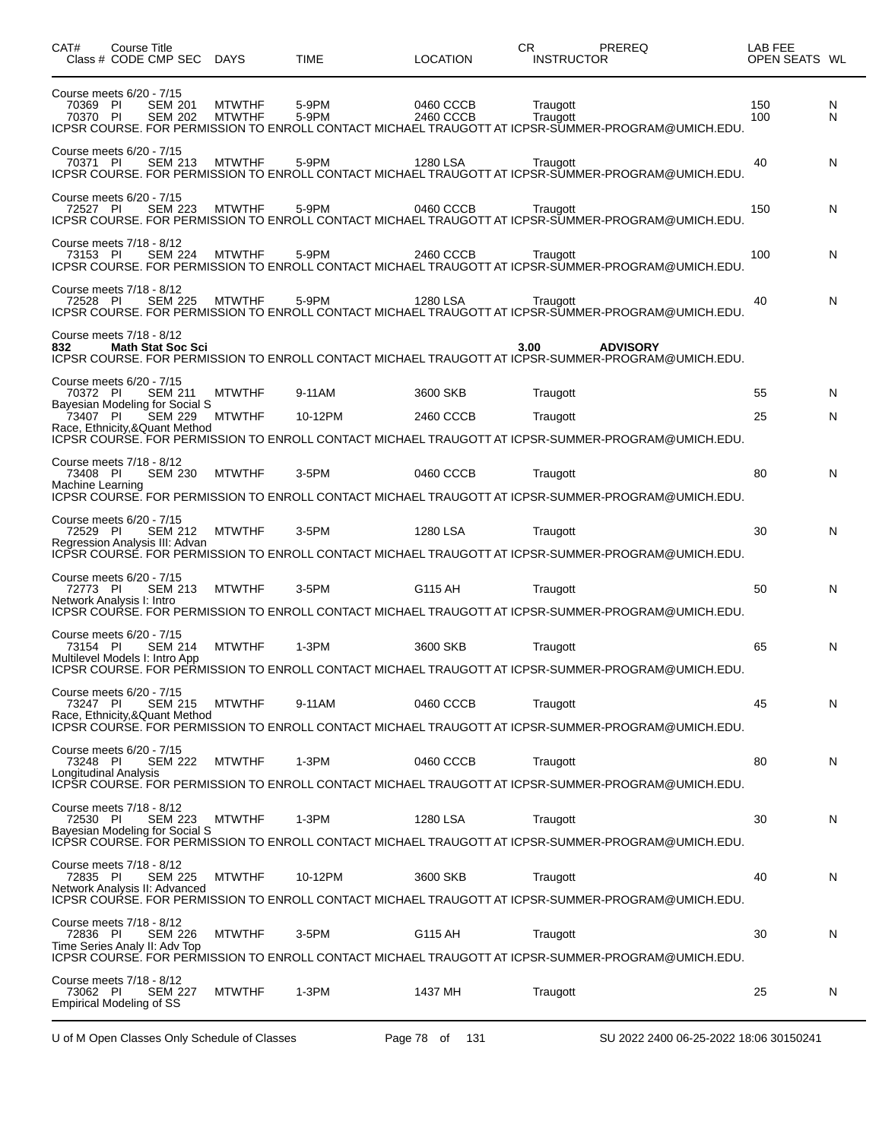| CAT#                                                                    | <b>Course Title</b><br>Class # CODE CMP SEC DAYS |                                  |                          |                                | <b>TIME</b>    | <b>LOCATION</b>        | СR<br>PREREQ<br><b>INSTRUCTOR</b>                                                                                             | LAB FEE<br>OPEN SEATS WL |        |
|-------------------------------------------------------------------------|--------------------------------------------------|----------------------------------|--------------------------|--------------------------------|----------------|------------------------|-------------------------------------------------------------------------------------------------------------------------------|--------------------------|--------|
| Course meets 6/20 - 7/15<br>70369 PI<br>70370 PI                        |                                                  | <b>SEM 201</b><br><b>SEM 202</b> |                          | <b>MTWTHF</b><br><b>MTWTHF</b> | 5-9PM<br>5-9PM | 0460 CCCB<br>2460 CCCB | Traugott<br>Traugott<br>ICPSR COURSE. FOR PERMISSION TO ENROLL CONTACT MICHAEL TRAUGOTT AT ICPSR-SUMMER-PROGRAM@UMICH.EDU.    | 150<br>100               | N<br>N |
| Course meets 6/20 - 7/15<br>70371 PI                                    |                                                  | <b>SEM 213</b>                   |                          | <b>MTWTHF</b>                  | 5-9PM          | 1280 LSA               | Traugott<br>ICPSR COURSE. FOR PERMISSION TO ENROLL CONTACT MICHAEL TRAUGOTT AT ICPSR-SUMMER-PROGRAM@UMICH.EDU.                | 40                       | N      |
| Course meets 6/20 - 7/15<br>72527 PI                                    |                                                  | <b>SEM 223</b>                   |                          | <b>MTWTHF</b>                  | 5-9PM          | 0460 CCCB              | Traugott<br>ICPSR COURSE. FOR PERMISSION TO ENROLL CONTACT MICHAEL TRAUGOTT AT ICPSR-SUMMER-PROGRAM@UMICH.EDU.                | 150                      | N      |
| Course meets 7/18 - 8/12<br>73153 PI                                    |                                                  | <b>SEM 224</b>                   |                          | <b>MTWTHF</b>                  | 5-9PM          | 2460 CCCB              | Traugott<br>ICPSR COURSE. FOR PERMISSION TO ENROLL CONTACT MICHAEL TRAUGOTT AT ICPSR-SUMMER-PROGRAM@UMICH.EDU.                | 100                      | N      |
| Course meets 7/18 - 8/12<br>72528 PI                                    |                                                  | <b>SEM 225</b>                   |                          | <b>MTWTHF</b>                  | 5-9PM          | 1280 LSA               | Traugott<br>ICPSR COURSE. FOR PERMISSION TO ENROLL CONTACT MICHAEL TRAUGOTT AT ICPSR-SUMMER-PROGRAM@UMICH.EDU.                | 40                       | N      |
| Course meets 7/18 - 8/12<br>832                                         |                                                  |                                  | <b>Math Stat Soc Sci</b> |                                |                |                        | 3.00<br><b>ADVISORY</b><br>ICPSR COURSE. FOR PERMISSION TO ENROLL CONTACT MICHAEL TRAUGOTT AT ICPSR-SUMMER-PROGRAM@UMICH.EDU. |                          |        |
| Course meets 6/20 - 7/15<br>70372 PI                                    |                                                  | <b>SEM 211</b>                   |                          | <b>MTWTHF</b>                  | 9-11AM         | 3600 SKB               | Traugott                                                                                                                      | 55                       | N      |
| Bayesian Modeling for Social S<br>73407 PI                              |                                                  | <b>SEM 229</b>                   |                          | <b>MTWTHF</b>                  | 10-12PM        | 2460 CCCB              | Traugott                                                                                                                      | 25                       | N      |
| Race, Ethnicity, & Quant Method                                         |                                                  |                                  |                          |                                |                |                        | ICPSR COURSE. FOR PERMISSION TO ENROLL CONTACT MICHAEL TRAUGOTT AT ICPSR-SUMMER-PROGRAM@UMICH.EDU.                            |                          |        |
| Course meets 7/18 - 8/12<br>73408 PI                                    |                                                  | <b>SEM 230</b>                   |                          | <b>MTWTHF</b>                  | 3-5PM          | 0460 CCCB              | Traugott                                                                                                                      | 80                       | N      |
| Machine Learning                                                        |                                                  |                                  |                          |                                |                |                        | ICPSR COURSE. FOR PERMISSION TO ENROLL CONTACT MICHAEL TRAUGOTT AT ICPSR-SUMMER-PROGRAM@UMICH.EDU.                            |                          |        |
| Course meets 6/20 - 7/15                                                |                                                  |                                  |                          |                                |                |                        |                                                                                                                               |                          |        |
| 72529 PI<br>Regression Analysis III: Advan                              |                                                  | <b>SEM 212</b>                   |                          | <b>MTWTHF</b>                  | 3-5PM          | 1280 LSA               | Traugott                                                                                                                      | 30                       | N      |
|                                                                         |                                                  |                                  |                          |                                |                |                        | ICPSR COURSE. FOR PERMISSION TO ENROLL CONTACT MICHAEL TRAUGOTT AT ICPSR-SUMMER-PROGRAM@UMICH.EDU.                            |                          |        |
| Course meets 6/20 - 7/15<br>72773 PI                                    |                                                  | <b>SEM 213</b>                   |                          | <b>MTWTHF</b>                  | 3-5PM          | G115 AH                | Traugott                                                                                                                      | 50                       | N      |
| Network Analysis I: Intro                                               |                                                  |                                  |                          |                                |                |                        | ICPSR COURSE. FOR PERMISSION TO ENROLL CONTACT MICHAEL TRAUGOTT AT ICPSR-SUMMER-PROGRAM@UMICH.EDU.                            |                          |        |
| Course meets 6/20 - 7/15<br>73154 PI                                    |                                                  | <b>SEM 214</b>                   |                          | <b>MTWTHF</b>                  | 1-3PM          | 3600 SKB               | Traugott                                                                                                                      | 65                       | N      |
| Multilevel Models I: Intro App                                          |                                                  |                                  |                          |                                |                |                        | ICPSR COURSE. FOR PERMISSION TO ENROLL CONTACT MICHAEL TRAUGOTT AT ICPSR-SUMMER-PROGRAM@UMICH.EDU.                            |                          |        |
| Course meets 6/20 - 7/15                                                |                                                  |                                  |                          |                                |                |                        |                                                                                                                               |                          |        |
| 73247 PI<br>Race, Ethnicity, & Quant Method                             |                                                  | <b>SEM 215</b>                   |                          | <b>MTWTHF</b>                  | 9-11AM         | 0460 CCCB              | Traugott                                                                                                                      | 45                       | N      |
|                                                                         |                                                  |                                  |                          |                                |                |                        | ICPSR COURSE. FOR PERMISSION TO ENROLL CONTACT MICHAEL TRAUGOTT AT ICPSR-SUMMER-PROGRAM@UMICH.EDU.                            |                          |        |
| Course meets 6/20 - 7/15<br>73248 PI                                    |                                                  | <b>SEM 222</b>                   |                          | <b>MTWTHF</b>                  | 1-3PM          | 0460 CCCB              | Traugott                                                                                                                      | 80                       | N      |
| Longitudinal Analysis                                                   |                                                  |                                  |                          |                                |                |                        | ICPŠR COURSE. FOR PERMISSION TO ENROLL CONTACT MICHAEL TRAUGOTT AT ICPSR-SUMMER-PROGRAM@UMICH.EDU.                            |                          |        |
| Course meets 7/18 - 8/12<br>72530 PI                                    |                                                  |                                  | SEM 223                  | MTWTHF                         | 1-3PM          | 1280 LSA               | Traugott                                                                                                                      | 30                       | N      |
| Bavesian Modeling for Social S                                          |                                                  |                                  |                          |                                |                |                        | ICPSR COURSE. FOR PERMISSION TO ENROLL CONTACT MICHAEL TRAUGOTT AT ICPSR-SUMMER-PROGRAM@UMICH.EDU.                            |                          |        |
| Course meets 7/18 - 8/12                                                |                                                  |                                  |                          |                                |                |                        |                                                                                                                               |                          |        |
| 72835 PI<br>Network Analysis II: Advanced                               |                                                  | <b>SEM 225</b>                   |                          | <b>MTWTHF</b>                  | 10-12PM        | 3600 SKB               | Traugott                                                                                                                      | 40                       | N      |
| Course meets 7/18 - 8/12                                                |                                                  |                                  |                          |                                |                |                        | ICPSR COURSE. FOR PERMISSION TO ENROLL CONTACT MICHAEL TRAUGOTT AT ICPSR-SUMMER-PROGRAM@UMICH.EDU.                            |                          |        |
| 72836 PI<br>Time Series Analy II: Adv Top                               |                                                  | <b>SEM 226</b>                   |                          | <b>MTWTHF</b>                  | $3-5$ PM       | G115 AH                | Traugott                                                                                                                      | 30                       | N      |
|                                                                         |                                                  |                                  |                          |                                |                |                        | ICPSR COURSE. FOR PERMISSION TO ENROLL CONTACT MICHAEL TRAUGOTT AT ICPSR-SUMMER-PROGRAM@UMICH.EDU.                            |                          |        |
| Course meets 7/18 - 8/12<br>73062 PI<br><b>Empirical Modeling of SS</b> |                                                  | <b>SEM 227</b>                   |                          | <b>MTWTHF</b>                  | 1-3PM          | 1437 MH                | Traugott                                                                                                                      | 25                       | N      |

U of M Open Classes Only Schedule of Classes Page 78 of 131 SU 2022 2400 06-25-2022 18:06 30150241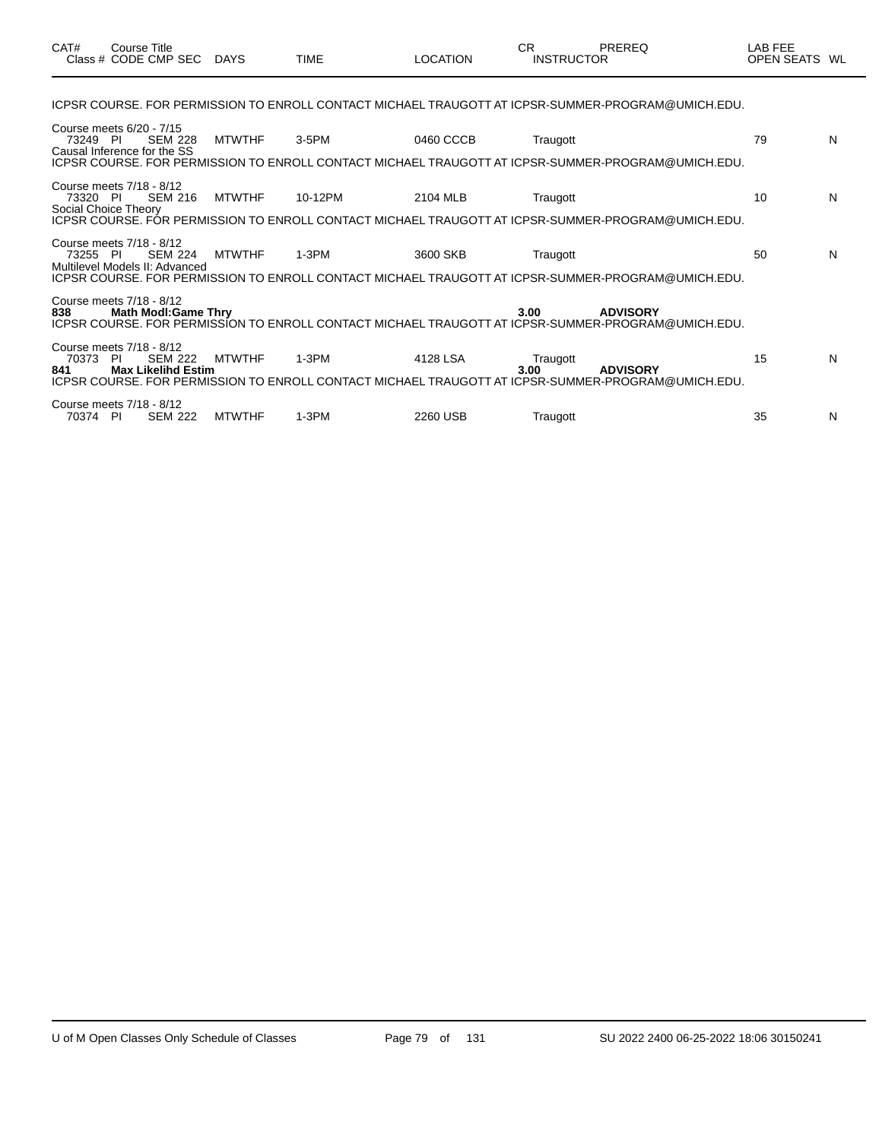| CAT#                             | Course Title<br>Class # CODE CMP SEC                                           | <b>DAYS</b>   | <b>TIME</b> | <b>LOCATION</b> | <b>CR</b><br><b>INSTRUCTOR</b> | PREREQ                                                                                                                | <b>LAB FEE</b><br>OPEN SEATS WL |   |
|----------------------------------|--------------------------------------------------------------------------------|---------------|-------------|-----------------|--------------------------------|-----------------------------------------------------------------------------------------------------------------------|---------------------------------|---|
|                                  |                                                                                |               |             |                 |                                | ICPSR COURSE. FOR PERMISSION TO ENROLL CONTACT MICHAEL TRAUGOTT AT ICPSR-SUMMER-PROGRAM@UMICH.EDU.                    |                                 |   |
| 73249 PI                         | Course meets 6/20 - 7/15<br><b>SEM 228</b><br>Causal Inference for the SS      | <b>MTWTHF</b> | $3-5$ PM    | 0460 CCCB       | Traugott                       | ICPSR COURSE. FOR PERMISSION TO ENROLL CONTACT MICHAEL TRAUGOTT AT ICPSR-SUMMER-PROGRAM@UMICH.EDU.                    | 79                              | N |
| 73320 PI<br>Social Choice Theory | Course meets 7/18 - 8/12<br><b>SEM 216</b>                                     | <b>MTWTHF</b> | 10-12PM     | 2104 MLB        | Traugott                       | ICPSR COURSE. FOR PERMISSION TO ENROLL CONTACT MICHAEL TRAUGOTT AT ICPSR-SUMMER-PROGRAM@UMICH.EDU.                    | 10                              | N |
| 73255 PI                         | Course meets 7/18 - 8/12<br><b>SEM 224</b><br>Multilevel Models II: Advanced   | <b>MTWTHF</b> | $1-3PM$     | 3600 SKB        | Traugott                       | ICPSR COURSE. FOR PERMISSION TO ENROLL CONTACT MICHAEL TRAUGOTT AT ICPSR-SUMMER-PROGRAM@UMICH.EDU.                    | 50                              | N |
| 838                              | Course meets 7/18 - 8/12<br><b>Math Modl:Game Thry</b>                         |               |             |                 | 3.00                           | <b>ADVISORY</b><br>ICPSR COURSE. FOR PERMISSION TO ENROLL CONTACT MICHAEL TRAUGOTT AT ICPSR-SUMMER-PROGRAM@UMICH.EDU. |                                 |   |
| 70373<br>841                     | Course meets 7/18 - 8/12<br>-PI<br><b>SEM 222</b><br><b>Max Likelihd Estim</b> | <b>MTWTHF</b> | $1-3PM$     | 4128 LSA        | Traugott<br>3.00               | <b>ADVISORY</b><br>ICPSR COURSE. FOR PERMISSION TO ENROLL CONTACT MICHAEL TRAUGOTT AT ICPSR-SUMMER-PROGRAM@UMICH.EDU. | 15                              | N |
| 70374 PI                         | Course meets 7/18 - 8/12<br><b>SEM 222</b>                                     | <b>MTWTHF</b> | $1-3PM$     | 2260 USB        | Traugott                       |                                                                                                                       | 35                              | N |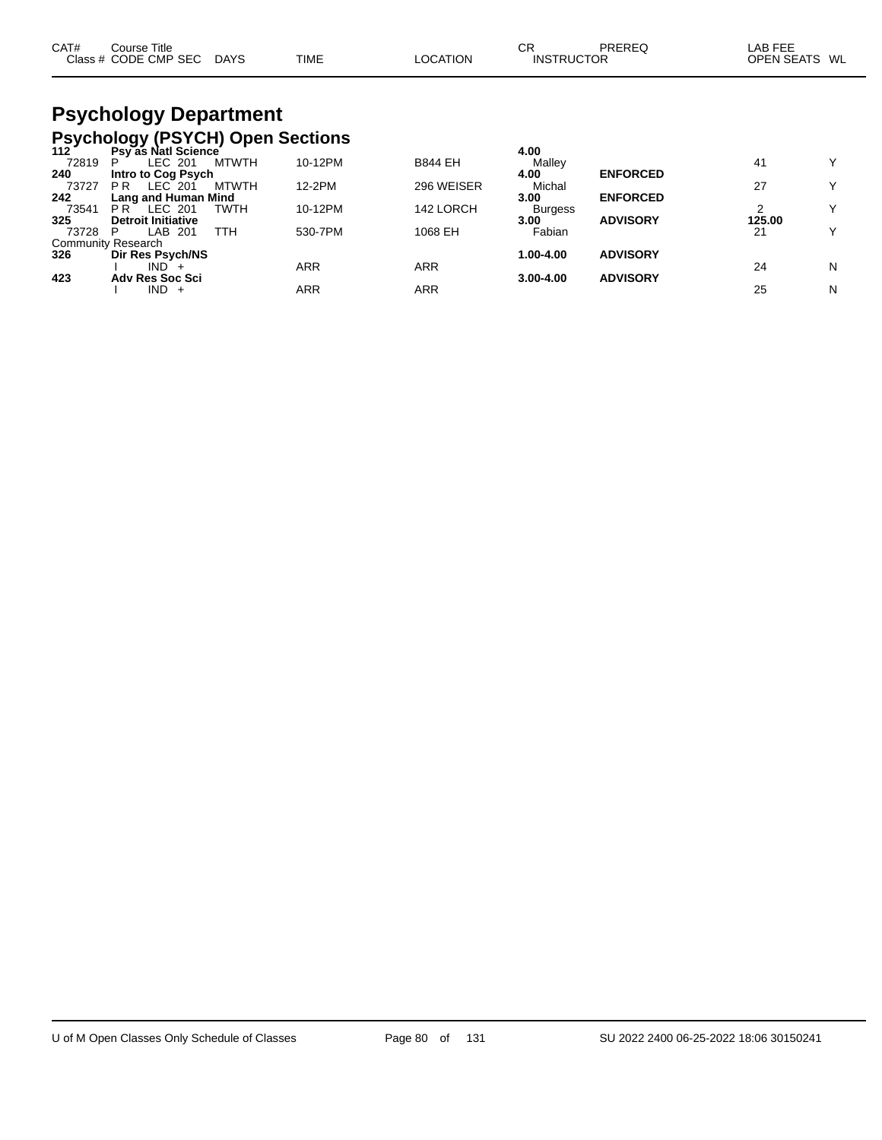| CAT# | Course Title<br>Class # CODE CMP SEC | <b>DAYS</b> | TIME | LOCATION | СF<br><b>INSTRUCTOR</b> | PREREC | _AB FEE<br><b>OPEN SEATS</b> | WL |
|------|--------------------------------------|-------------|------|----------|-------------------------|--------|------------------------------|----|
|      |                                      |             |      |          |                         |        |                              |    |

# **Psychology Department Psychology (PSYCH) Open Sections 112 Psy as Natl Science 4.00**

| 112   | Psy as Nati Science       |              |         |                | 4.00           |                 |        |              |
|-------|---------------------------|--------------|---------|----------------|----------------|-----------------|--------|--------------|
| 72819 | LEC 201<br>P              | <b>MTWTH</b> | 10-12PM | <b>B844 EH</b> | Malley         |                 | 41     | Y            |
| 240   | Intro to Cog Psych        |              |         |                | 4.00           | <b>ENFORCED</b> |        |              |
| 73727 | LEC 201<br>P R            | <b>MTWTH</b> | 12-2PM  | 296 WEISER     | Michal         |                 | 27     | Y            |
| 242   | Lang and Human Mind       |              |         |                | 3.00           | <b>ENFORCED</b> |        |              |
| 73541 | LEC 201<br>P R            | <b>TWTH</b>  | 10-12PM | 142 LORCH      | <b>Burgess</b> |                 |        | Y            |
| 325   | <b>Detroit Initiative</b> |              |         |                | 3.00           | <b>ADVISORY</b> | 125.00 |              |
| 73728 | LAB 201                   | TTH          | 530-7PM | 1068 EH        | Fabian         |                 | 21     | $\checkmark$ |
|       | <b>Community Research</b> |              |         |                |                |                 |        |              |
| 326   | Dir Res Psych/NS          |              |         |                | 1.00-4.00      | <b>ADVISORY</b> |        |              |
|       | IND -                     |              | ARR     | ARR            |                |                 | 24     | N            |
| 423   | <b>Adv Res Soc Sci</b>    |              |         |                | $3.00 - 4.00$  | <b>ADVISORY</b> |        |              |
|       | IND -<br>$+$              |              | ARR     | ARR            |                |                 | 25     | N            |
|       |                           |              |         |                |                |                 |        |              |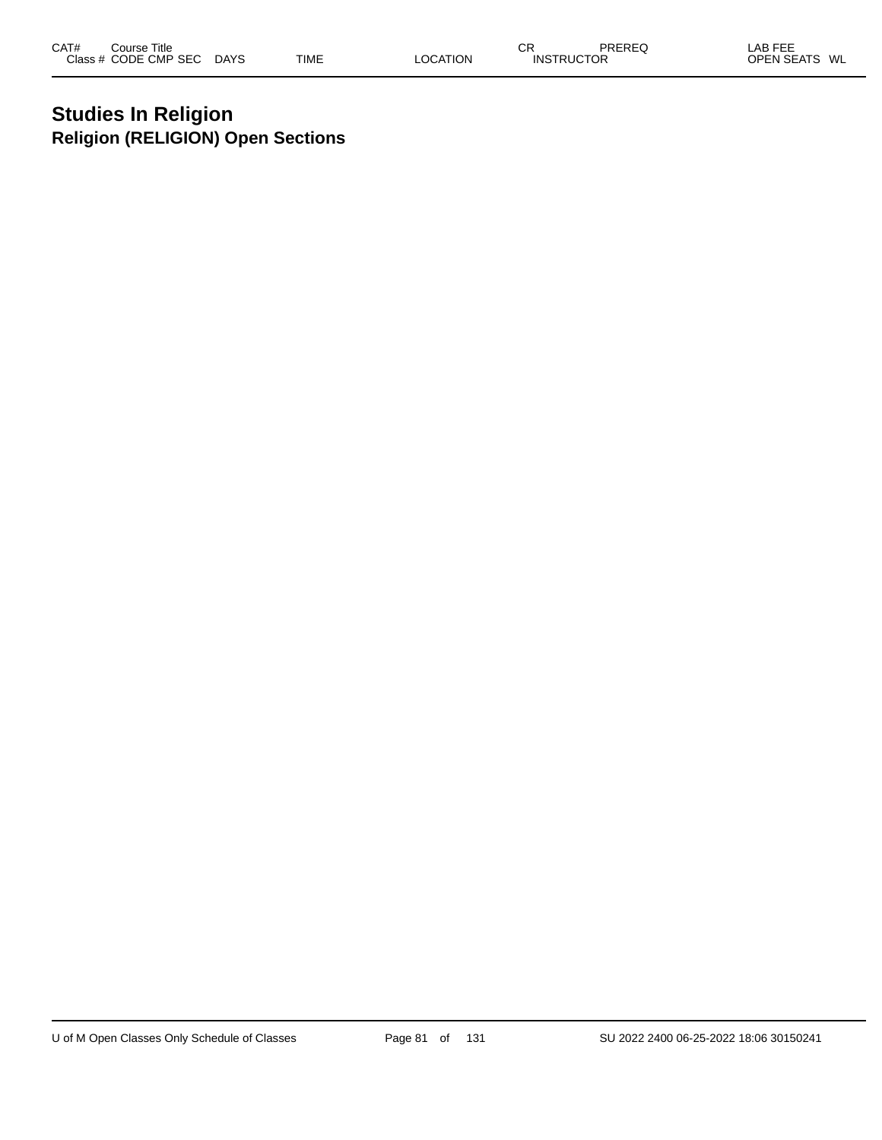# **Studies In Religion Religion (RELIGION) Open Sections**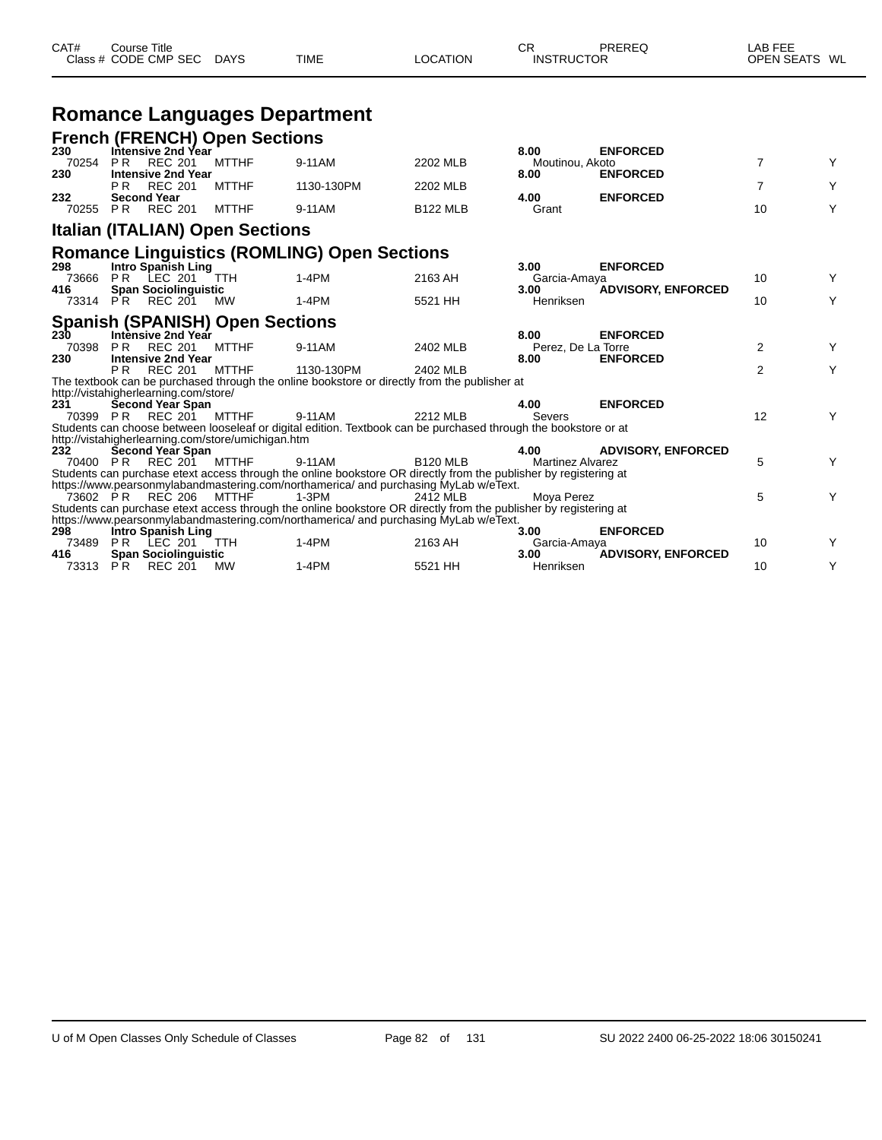| CAT#                | <b>Course Title</b> | Class # CODE CMP SEC DAYS                                         |                                                    | <b>TIME</b>                                                                                                                                                                                                         | <b>LOCATION</b> | CR<br><b>INSTRUCTOR</b>            | PREREQ                             | LAB FEE<br>OPEN SEATS WL |   |
|---------------------|---------------------|-------------------------------------------------------------------|----------------------------------------------------|---------------------------------------------------------------------------------------------------------------------------------------------------------------------------------------------------------------------|-----------------|------------------------------------|------------------------------------|--------------------------|---|
|                     |                     |                                                                   |                                                    | <b>Romance Languages Department</b>                                                                                                                                                                                 |                 |                                    |                                    |                          |   |
|                     |                     |                                                                   | <b>French (FRENCH) Open Sections</b>               |                                                                                                                                                                                                                     |                 |                                    |                                    |                          |   |
| 230<br>70254<br>230 | PR                  | Intensive 2nd Year<br><b>REC 201</b><br><b>Intensive 2nd Year</b> | <b>MTTHF</b>                                       | 9-11AM                                                                                                                                                                                                              | 2202 MLB        | 8.00<br>Moutinou, Akoto<br>8.00    | <b>ENFORCED</b><br><b>ENFORCED</b> | $\overline{7}$           | Y |
|                     | P <sub>R</sub>      | <b>REC 201</b>                                                    | <b>MTTHF</b>                                       | 1130-130PM                                                                                                                                                                                                          | 2202 MLB        |                                    |                                    | $\overline{7}$           | Y |
| 232<br>70255 PR     | <b>Second Year</b>  | <b>REC 201</b>                                                    | <b>MTTHF</b>                                       | 9-11AM                                                                                                                                                                                                              | <b>B122 MLB</b> | 4.00<br>Grant                      | <b>ENFORCED</b>                    | 10                       | Y |
|                     |                     |                                                                   | <b>Italian (ITALIAN) Open Sections</b>             |                                                                                                                                                                                                                     |                 |                                    |                                    |                          |   |
| 298                 |                     | Intro Spanish Ling                                                |                                                    | <b>Romance Linguistics (ROMLING) Open Sections</b>                                                                                                                                                                  |                 | 3.00                               | <b>ENFORCED</b>                    |                          |   |
| 73666               |                     | PR LEC 201                                                        | <b>TTH</b>                                         | $1-4PM$                                                                                                                                                                                                             | 2163 AH         | Garcia-Amaya                       |                                    | 10                       | Y |
| 416                 |                     | <b>Span Sociolinguistic</b><br>73314 PR REC 201                   | <b>MW</b>                                          | $1-4PM$                                                                                                                                                                                                             | 5521 HH         | 3.00<br>Henriksen                  | <b>ADVISORY, ENFORCED</b>          | 10                       | Υ |
|                     |                     |                                                                   | <b>Spanish (SPANISH) Open Sections</b>             |                                                                                                                                                                                                                     |                 |                                    |                                    |                          |   |
| 230<br>70398<br>230 | PR.                 | Intènsive 2nd Year<br><b>REC 201</b><br><b>Intensive 2nd Year</b> | <b>MTTHF</b>                                       | 9-11AM                                                                                                                                                                                                              | 2402 MLB        | 8.00<br>Perez, De La Torre<br>8.00 | <b>ENFORCED</b><br><b>ENFORCED</b> | $\overline{2}$           | Y |
|                     | P <sub>R</sub>      | <b>REC 201</b>                                                    | <b>MTTHF</b>                                       | 1130-130PM                                                                                                                                                                                                          | 2402 MLB        |                                    |                                    | $\overline{2}$           | Y |
|                     |                     | http://vistahigherlearning.com/store/                             |                                                    | The textbook can be purchased through the online bookstore or directly from the publisher at                                                                                                                        |                 |                                    |                                    |                          |   |
| 231<br>70399 PR     |                     | Second Year Span<br>REC 201 MTTHF                                 |                                                    | 9-11AM<br>Students can choose between looseleaf or digital edition. Textbook can be purchased through the bookstore or at                                                                                           | 2212 MLB        | 4.00<br>Severs                     | <b>ENFORCED</b>                    | 12                       | Y |
|                     |                     |                                                                   | http://vistahigherlearning.com/store/umichigan.htm |                                                                                                                                                                                                                     |                 |                                    |                                    |                          |   |
| 232<br>70400 PR     |                     | <b>Second Year Span</b><br>REC 201 MTTHF                          |                                                    | 9-11AM                                                                                                                                                                                                              | <b>B120 MLB</b> | 4.00<br><b>Martinez Alvarez</b>    | <b>ADVISORY, ENFORCED</b>          | 5                        | Y |
|                     |                     | 73602 PR REC 206                                                  | MTTHF                                              | Students can purchase etext access through the online bookstore OR directly from the publisher by registering at<br>https://www.pearsonmylabandmastering.com/northamerica/ and purchasing MyLab w/eText.<br>$1-3PM$ | 2412 MLB        | Moya Perez                         |                                    | 5                        | Y |
|                     |                     |                                                                   |                                                    | Students can purchase etext access through the online bookstore OR directly from the publisher by registering at                                                                                                    |                 |                                    |                                    |                          |   |
| 298                 |                     | <b>Intro Spanish Ling</b>                                         |                                                    | https://www.pearsonmylabandmastering.com/northamerica/ and purchasing MyLab w/eText.                                                                                                                                |                 | 3.00                               | <b>ENFORCED</b>                    |                          |   |
| 73489<br>416        | PR                  | LEC 201<br><b>Span Sociolinguistic</b>                            | <b>TTH</b>                                         | $1-4PM$                                                                                                                                                                                                             | 2163 AH         | Garcia-Amaya<br>3.00               | <b>ADVISORY, ENFORCED</b>          | 10                       | Y |
| 73313 PR            |                     | <b>REC 201</b>                                                    | МW                                                 | $1-4PM$                                                                                                                                                                                                             | 5521 HH         | Henriksen                          |                                    | 10                       | Y |

 $\overline{\phantom{0}}$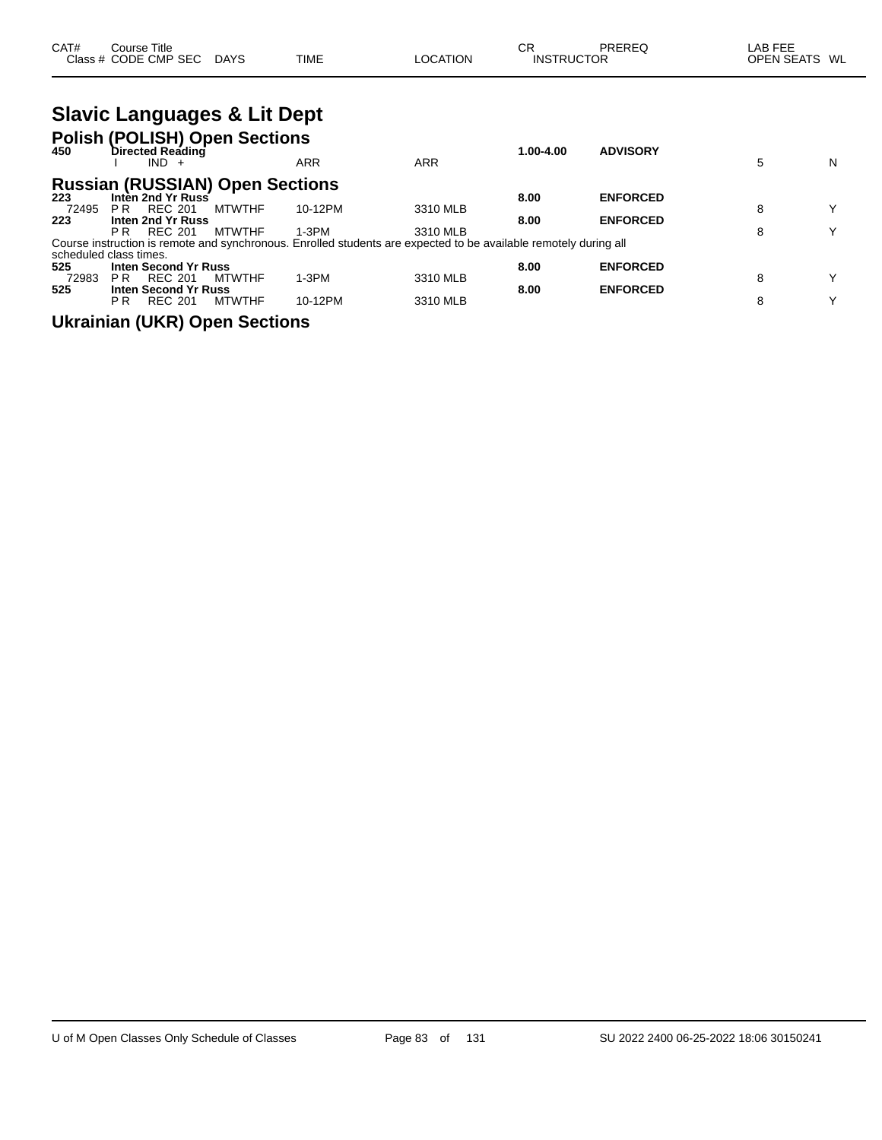| CAT# | Title<br>Course      |             |             |          | $\sim$<br>◡◠      | PRERE | LAB FEE                 |
|------|----------------------|-------------|-------------|----------|-------------------|-------|-------------------------|
|      | Class # CODE CMP SEC | <b>DAYS</b> | <b>TIME</b> | LOCATION | <b>INSTRUCTOR</b> |       | <b>OPEN SEATS</b><br>WL |

|       | <b>Slavic Languages &amp; Lit Dept</b><br>Polish (POLISH) Open Sections<br>450 Directed Reading<br>$IND +$ |               | <b>ARR</b>                                                                                                       | <b>ARR</b> | $1.00 - 4.00$ | <b>ADVISORY</b> | 5 | N |
|-------|------------------------------------------------------------------------------------------------------------|---------------|------------------------------------------------------------------------------------------------------------------|------------|---------------|-----------------|---|---|
|       | <b>Russian (RUSSIAN) Open Sections</b>                                                                     |               |                                                                                                                  |            |               |                 |   |   |
| 223   | Inten 2nd Yr Russ                                                                                          |               |                                                                                                                  |            | 8.00          | <b>ENFORCED</b> |   |   |
| 72495 | <b>REC 201</b><br>PR.                                                                                      | <b>MTWTHF</b> | 10-12PM                                                                                                          | 3310 MLB   |               |                 | 8 | Y |
| 223   | Inten 2nd Yr Russ                                                                                          |               |                                                                                                                  |            | 8.00          | <b>ENFORCED</b> |   |   |
|       | <b>REC 201</b><br>P R                                                                                      | <b>MTWTHF</b> | $1-3PM$                                                                                                          | 3310 MLB   |               |                 | 8 | Υ |
|       |                                                                                                            |               | Course instruction is remote and synchronous. Enrolled students are expected to be available remotely during all |            |               |                 |   |   |
|       | scheduled class times.                                                                                     |               |                                                                                                                  |            |               |                 |   |   |
| 525   | <b>Inten Second Yr Russ</b>                                                                                |               |                                                                                                                  |            | 8.00          | <b>ENFORCED</b> |   |   |
| 72983 | <b>REC 201</b><br>P R                                                                                      | <b>MTWTHF</b> | $1-3PM$                                                                                                          | 3310 MLB   |               |                 | 8 | Y |
| 525   | <b>Inten Second Yr Russ</b>                                                                                |               |                                                                                                                  |            | 8.00          | <b>ENFORCED</b> |   |   |
|       | <b>REC 201</b><br>РR                                                                                       | <b>MTWTHF</b> | 10-12PM                                                                                                          | 3310 MLB   |               |                 | 8 | v |
|       |                                                                                                            |               |                                                                                                                  |            |               |                 |   |   |

**Ukrainian (UKR) Open Sections**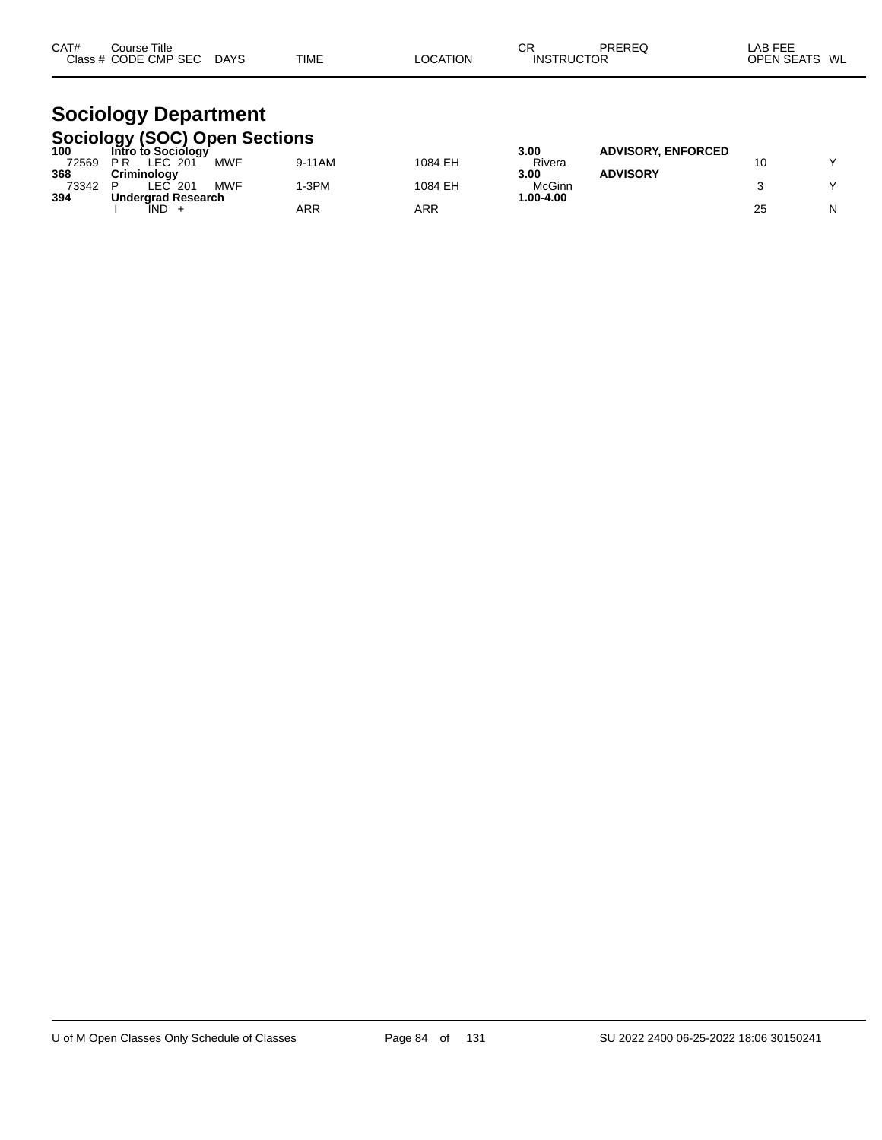| CAT# | Course Title         |             |             |          | СF                | PREREQ | LAB FEE                 |
|------|----------------------|-------------|-------------|----------|-------------------|--------|-------------------------|
|      | Class # CODE CMP SEC | <b>DAYS</b> | <b>TIME</b> | LOCATION | <b>INSTRUCTOR</b> |        | WL<br><b>OPEN SEATS</b> |
|      |                      |             |             |          |                   |        |                         |

#### **Sociology Department Sociology (SOC) Open Sections**

| -----<br>100 | Intro to Sociology        |            |        |         | 3.00          | <b>ADVISORY, ENFORCED</b> |  |
|--------------|---------------------------|------------|--------|---------|---------------|---------------------------|--|
| 72569        | LEC 201<br>P R            | <b>MWF</b> | 9-11AM | 1084 EH | Rivera        |                           |  |
| 368          | Criminoloav               |            |        |         | 3.00          | <b>ADVISORY</b>           |  |
| 73342        | _EC<br>201                | <b>MWF</b> | -3PM   | 1084 EH | McGinn        |                           |  |
| 394          | <b>Undergrad Research</b> |            |        |         | $1.00 - 4.00$ |                           |  |
|              | IND                       |            | ARR    | ARR     |               |                           |  |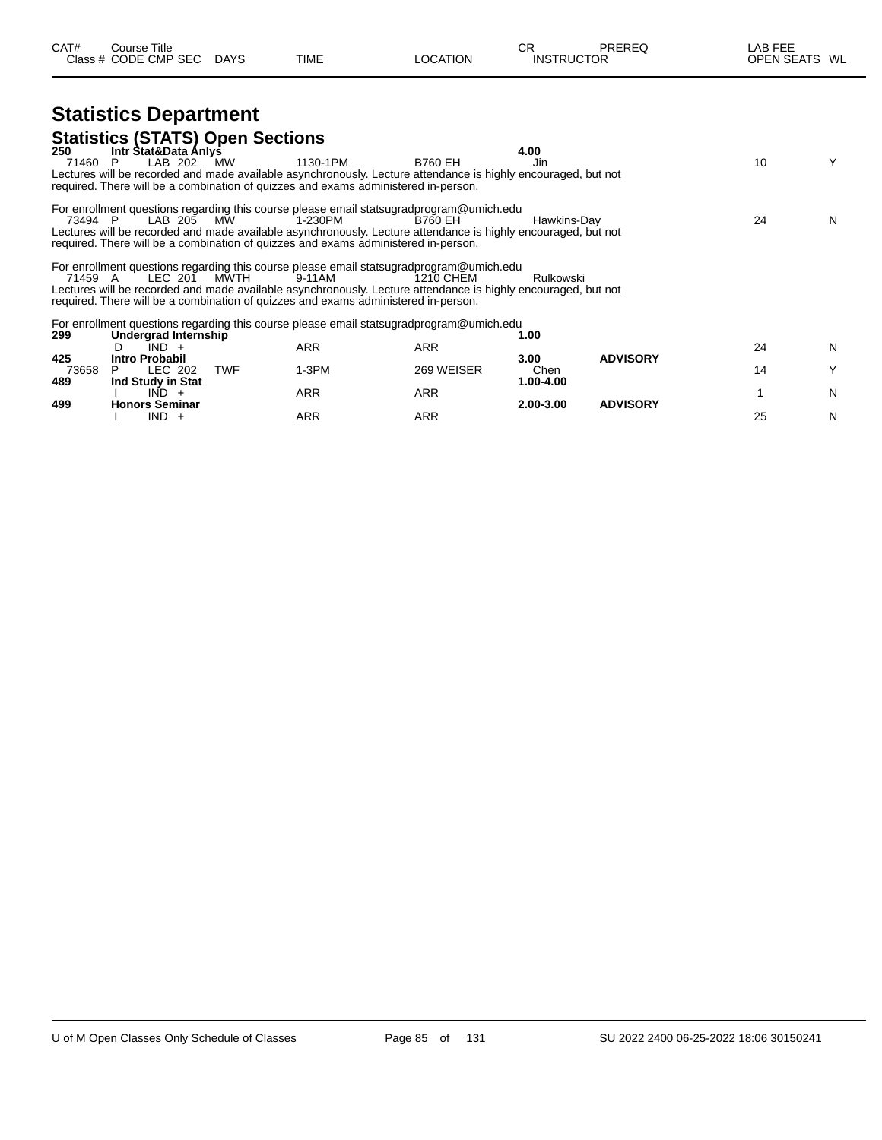| CAT# | ourse Titleٽ         |             |             |          | ⌒冖<br>◡┍          | PREREQ | LAB FEE    |      |
|------|----------------------|-------------|-------------|----------|-------------------|--------|------------|------|
|      | Class # CODE CMP SEC | <b>DAYS</b> | <b>TIME</b> | LOCATION | <b>INSTRUCTOR</b> |        | OPEN SEATS | : WL |

# **Statistics Department**

| P.                    |                                                   |                                                                                                |                                                                |                                                                                                                                                                                                                                                                                                |                                                                                                                                                                                                                                                                                                                           |                                                                                                                                                                                                                                                                                                                                                                                   | Y        |
|-----------------------|---------------------------------------------------|------------------------------------------------------------------------------------------------|----------------------------------------------------------------|------------------------------------------------------------------------------------------------------------------------------------------------------------------------------------------------------------------------------------------------------------------------------------------------|---------------------------------------------------------------------------------------------------------------------------------------------------------------------------------------------------------------------------------------------------------------------------------------------------------------------------|-----------------------------------------------------------------------------------------------------------------------------------------------------------------------------------------------------------------------------------------------------------------------------------------------------------------------------------------------------------------------------------|----------|
|                       |                                                   |                                                                                                |                                                                |                                                                                                                                                                                                                                                                                                |                                                                                                                                                                                                                                                                                                                           |                                                                                                                                                                                                                                                                                                                                                                                   |          |
| 73494 P               |                                                   | 1-230PM                                                                                        | B760 EH                                                        |                                                                                                                                                                                                                                                                                                |                                                                                                                                                                                                                                                                                                                           | 24                                                                                                                                                                                                                                                                                                                                                                                | N        |
| 71459 A               |                                                   | 9-11AM                                                                                         | 1210 CHEM                                                      | Rulkowski                                                                                                                                                                                                                                                                                      |                                                                                                                                                                                                                                                                                                                           |                                                                                                                                                                                                                                                                                                                                                                                   |          |
|                       |                                                   |                                                                                                |                                                                |                                                                                                                                                                                                                                                                                                |                                                                                                                                                                                                                                                                                                                           |                                                                                                                                                                                                                                                                                                                                                                                   |          |
| $IND +$<br>D          |                                                   | <b>ARR</b>                                                                                     | <b>ARR</b>                                                     |                                                                                                                                                                                                                                                                                                |                                                                                                                                                                                                                                                                                                                           | 24                                                                                                                                                                                                                                                                                                                                                                                | N        |
| <b>Intro Probabil</b> |                                                   |                                                                                                |                                                                | 3.00                                                                                                                                                                                                                                                                                           | <b>ADVISORY</b>                                                                                                                                                                                                                                                                                                           |                                                                                                                                                                                                                                                                                                                                                                                   | Υ        |
| Ind Study in Stat     |                                                   |                                                                                                |                                                                | 1.00-4.00                                                                                                                                                                                                                                                                                      |                                                                                                                                                                                                                                                                                                                           |                                                                                                                                                                                                                                                                                                                                                                                   |          |
| $IND +$               |                                                   | ARR                                                                                            | <b>ARR</b>                                                     |                                                                                                                                                                                                                                                                                                |                                                                                                                                                                                                                                                                                                                           |                                                                                                                                                                                                                                                                                                                                                                                   | N        |
| $IND +$               |                                                   | ARR                                                                                            | <b>ARR</b>                                                     |                                                                                                                                                                                                                                                                                                |                                                                                                                                                                                                                                                                                                                           | 25                                                                                                                                                                                                                                                                                                                                                                                | N        |
|                       | LAB 202<br>LEC 202<br>P.<br><b>Honors Seminar</b> | Intr Stat&Data Anlys<br>MW<br>LAB 205 MW<br>LEC 201 MWTH<br>Undergrad Internship<br><b>TWF</b> | <b>Statistics (STATS) Open Sections</b><br>1130-1PM<br>$1-3PM$ | <b>B760 EH</b><br>required. There will be a combination of quizzes and exams administered in-person.<br>required. There will be a combination of quizzes and exams administered in-person.<br>required. There will be a combination of quizzes and exams administered in-person.<br>269 WEISER | 4.00<br>Jin<br>For enrollment questions regarding this course please email statsugradprogram@umich.edu<br>For enrollment questions regarding this course please email statsugradprogram@umich.edu<br>For enrollment questions regarding this course please email statsugradprogram@umich.edu<br>1.00<br>Chen<br>2.00-3.00 | Lectures will be recorded and made available asynchronously. Lecture attendance is highly encouraged, but not<br>Hawkins-Dav<br>Lectures will be recorded and made available asynchronously. Lecture attendance is highly encouraged, but not<br>Lectures will be recorded and made available asynchronously. Lecture attendance is highly encouraged, but not<br><b>ADVISORY</b> | 10<br>14 |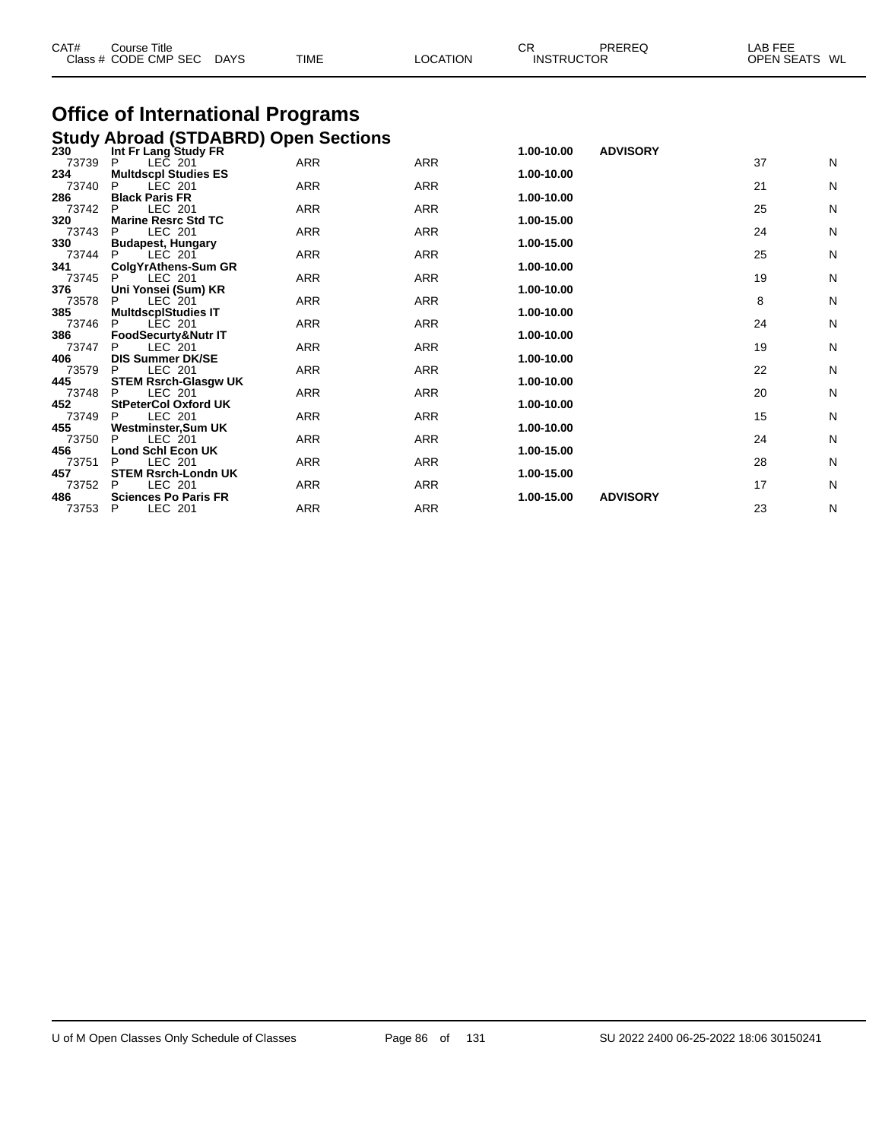| CAT# | Course Title<br>Class # CODE CMP SEC DAYS                                              | TIME | <b>LOCATION</b> | СR<br><b>INSTRUCTOR</b> | <b>PREREQ</b> | LAB FEE<br>OPEN SEATS WL |
|------|----------------------------------------------------------------------------------------|------|-----------------|-------------------------|---------------|--------------------------|
|      | <b>Office of International Programs</b><br><b>Study Abroad (STDABRD) Open Sections</b> |      |                 |                         |               |                          |

| 230   | Int Fr Lang Study FR        |            |            | 1.00-10.00 | <b>ADVISORY</b> |    |              |
|-------|-----------------------------|------------|------------|------------|-----------------|----|--------------|
| 73739 | LEC 201<br>P.               | ARR        | <b>ARR</b> |            |                 | 37 | N            |
| 234   | <b>Multdscpl Studies ES</b> |            |            | 1.00-10.00 |                 |    |              |
| 73740 | LEC 201<br>P                | ARR        | ARR        |            |                 | 21 | N            |
| 286   | <b>Black Paris FR</b>       |            |            | 1.00-10.00 |                 |    |              |
| 73742 | LEC 201<br>P.               | <b>ARR</b> | ARR        |            |                 | 25 | N            |
| 320   | <b>Marine Resrc Std TC</b>  |            |            | 1.00-15.00 |                 |    |              |
| 73743 | LEC 201<br>P                | ARR        | <b>ARR</b> |            |                 | 24 | N            |
| 330   | <b>Budapest, Hungary</b>    |            |            | 1.00-15.00 |                 |    |              |
| 73744 | P<br>LEC 201                | <b>ARR</b> | <b>ARR</b> |            |                 | 25 | $\mathsf{N}$ |
| 341   | ColgYrAthens-Sum GR         |            |            | 1.00-10.00 |                 |    |              |
| 73745 | LEC 201<br>P                | ARR        | ARR        |            |                 | 19 | N            |
| 376   | Uni Yonsei (Sum) KR         |            |            | 1.00-10.00 |                 |    |              |
| 73578 | P<br>LEC 201                | ARR        | <b>ARR</b> |            |                 | 8  | N            |
| 385   | <b>MultdscplStudies IT</b>  |            |            | 1.00-10.00 |                 |    |              |
| 73746 | LEC 201<br>P                | <b>ARR</b> | <b>ARR</b> |            |                 | 24 | $\mathsf{N}$ |
| 386   | FoodSecurty&Nutr IT         |            |            | 1.00-10.00 |                 |    |              |
| 73747 | LEC 201<br>P                | <b>ARR</b> | <b>ARR</b> |            |                 | 19 | N            |
| 406   | <b>DIS Summer DK/SE</b>     |            |            | 1.00-10.00 |                 |    |              |
| 73579 | LEC 201<br>P                | ARR        | ARR        |            |                 | 22 | N            |
| 445   | <b>STEM Rsrch-Glasgw UK</b> |            |            | 1.00-10.00 |                 |    |              |
| 73748 | LEC 201<br>P                | <b>ARR</b> | <b>ARR</b> |            |                 | 20 | N            |
| 452   | <b>StPeterCol Oxford UK</b> |            |            | 1.00-10.00 |                 |    |              |
| 73749 | LEC 201<br>P                | <b>ARR</b> | <b>ARR</b> |            |                 | 15 | N            |
| 455   | Westminster, Sum UK         |            |            | 1.00-10.00 |                 |    |              |
| 73750 | LEC 201<br>P                | ARR        | <b>ARR</b> |            |                 | 24 | N            |
| 456   | <b>Lond Schl Econ UK</b>    |            |            | 1.00-15.00 |                 |    |              |
| 73751 | LEC 201<br>P                | ARR        | ARR        |            |                 | 28 | N            |
| 457   | <b>STEM Rsrch-Londn UK</b>  |            |            | 1.00-15.00 |                 |    |              |
| 73752 | LEC 201<br>P                | <b>ARR</b> | <b>ARR</b> |            |                 | 17 | N            |
| 486   | <b>Sciences Po Paris FR</b> |            |            | 1.00-15.00 | <b>ADVISORY</b> |    |              |
| 73753 | LEC 201<br>P                | ARR        | <b>ARR</b> |            |                 | 23 | N            |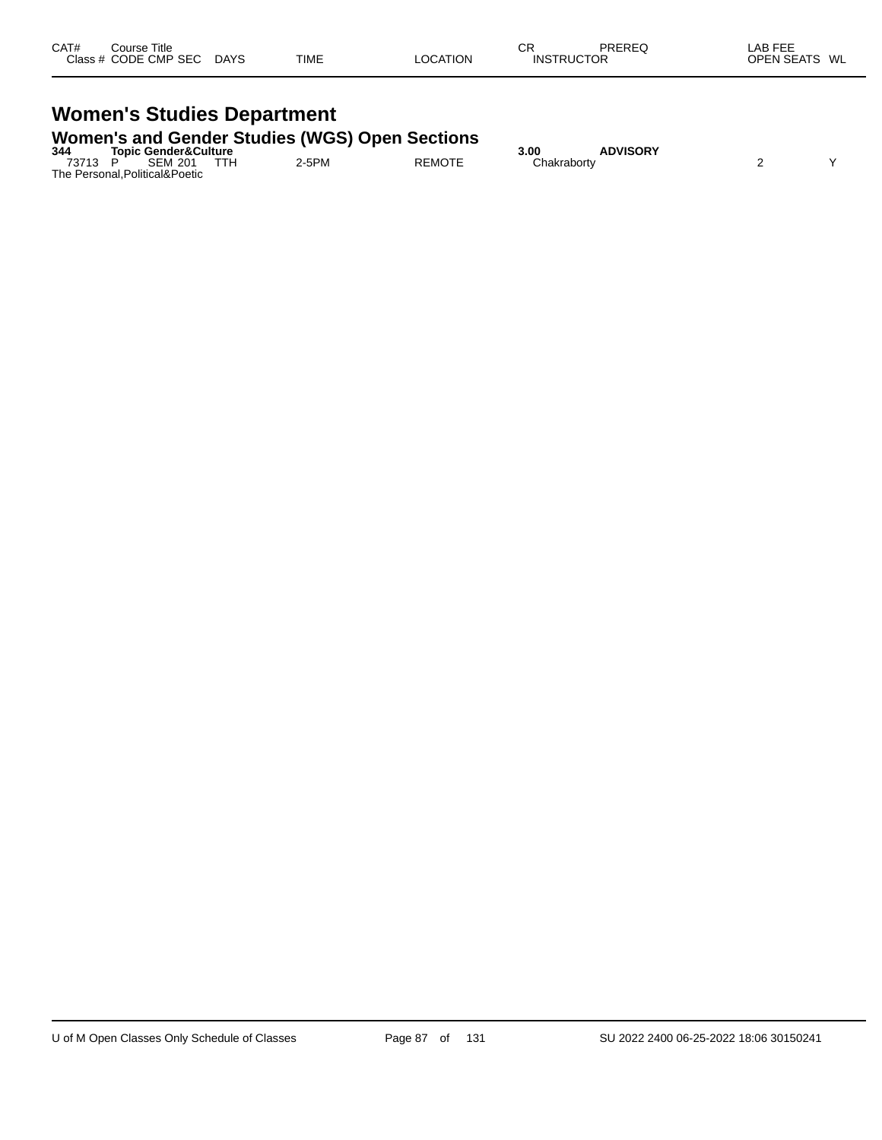| CAT# | Course Title         |             |             |          | СR                | PREREQ | LAB FEE       |  |
|------|----------------------|-------------|-------------|----------|-------------------|--------|---------------|--|
|      | Class # CODE CMP SEC | <b>DAYS</b> | <b>TIME</b> | LOCATION | <b>INSTRUCTOR</b> |        | OPEN SEATS WL |  |
|      |                      |             |             |          |                   |        |               |  |

# **Women's Studies Department**

#### **Women's and Gender Studies (WGS) Open Sections**

| 344   | <b>Topic Gender&amp;Culture</b> |     |       |               | 3.00        | <b>ADVISORY</b> |  |
|-------|---------------------------------|-----|-------|---------------|-------------|-----------------|--|
| 73713 | <b>SEM 201</b>                  | TTH | 2-5PM | <b>REMOTE</b> | Chakrabortv |                 |  |
|       | The Personal, Political& Poetic |     |       |               |             |                 |  |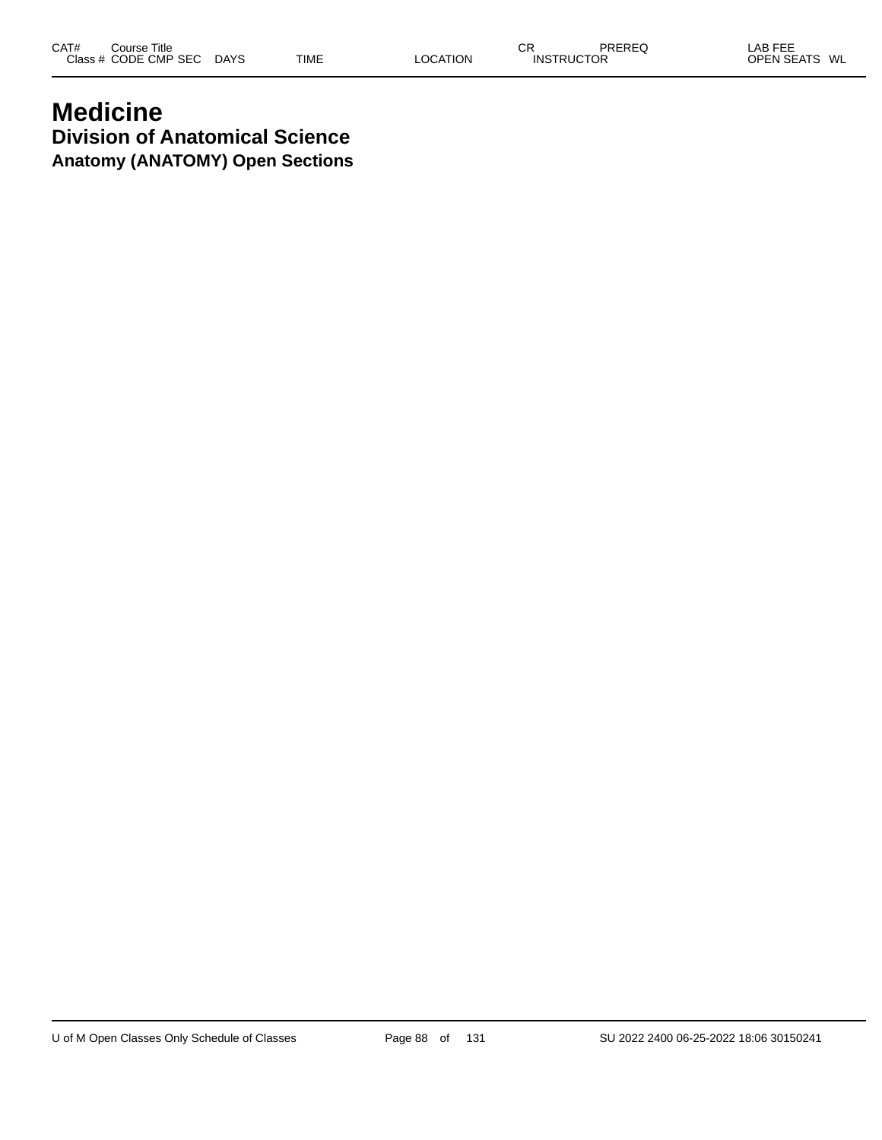# **Medicine Division of Anatomical Science Anatomy (ANATOMY) Open Sections**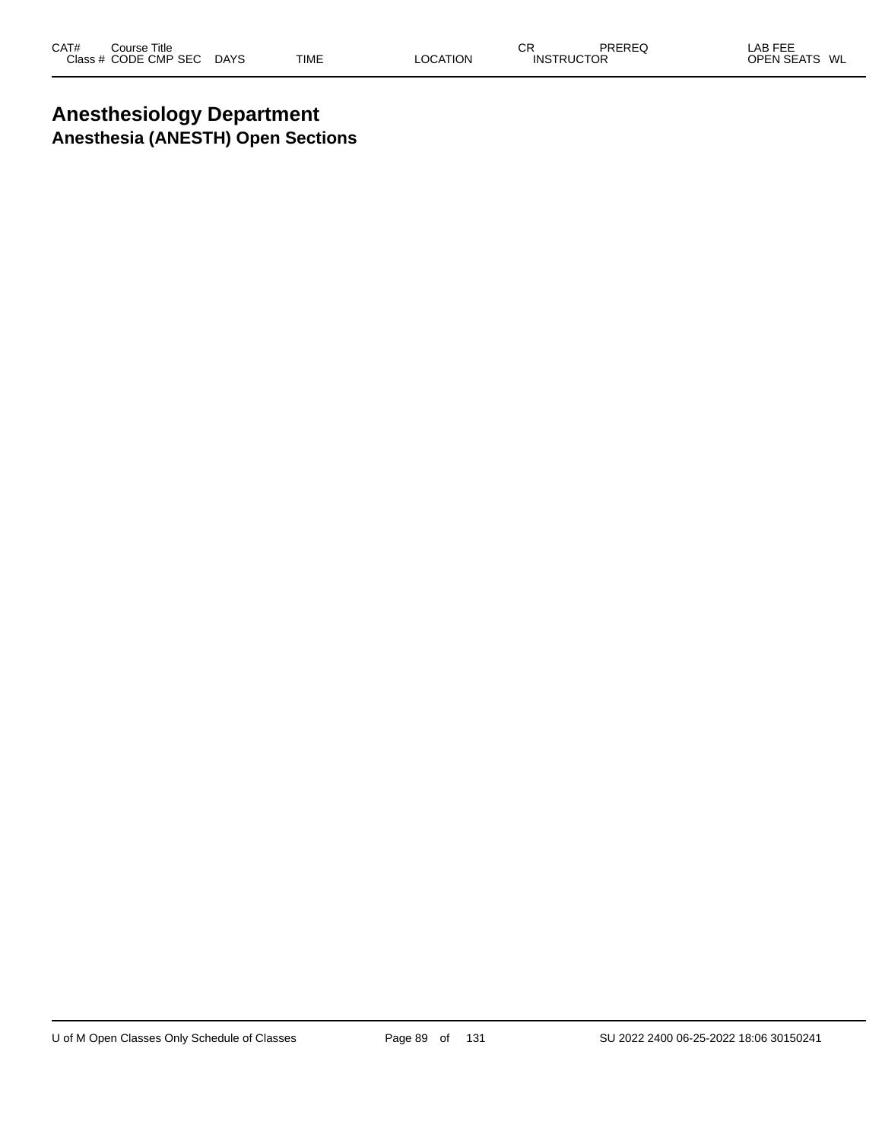# **Anesthesiology Department Anesthesia (ANESTH) Open Sections**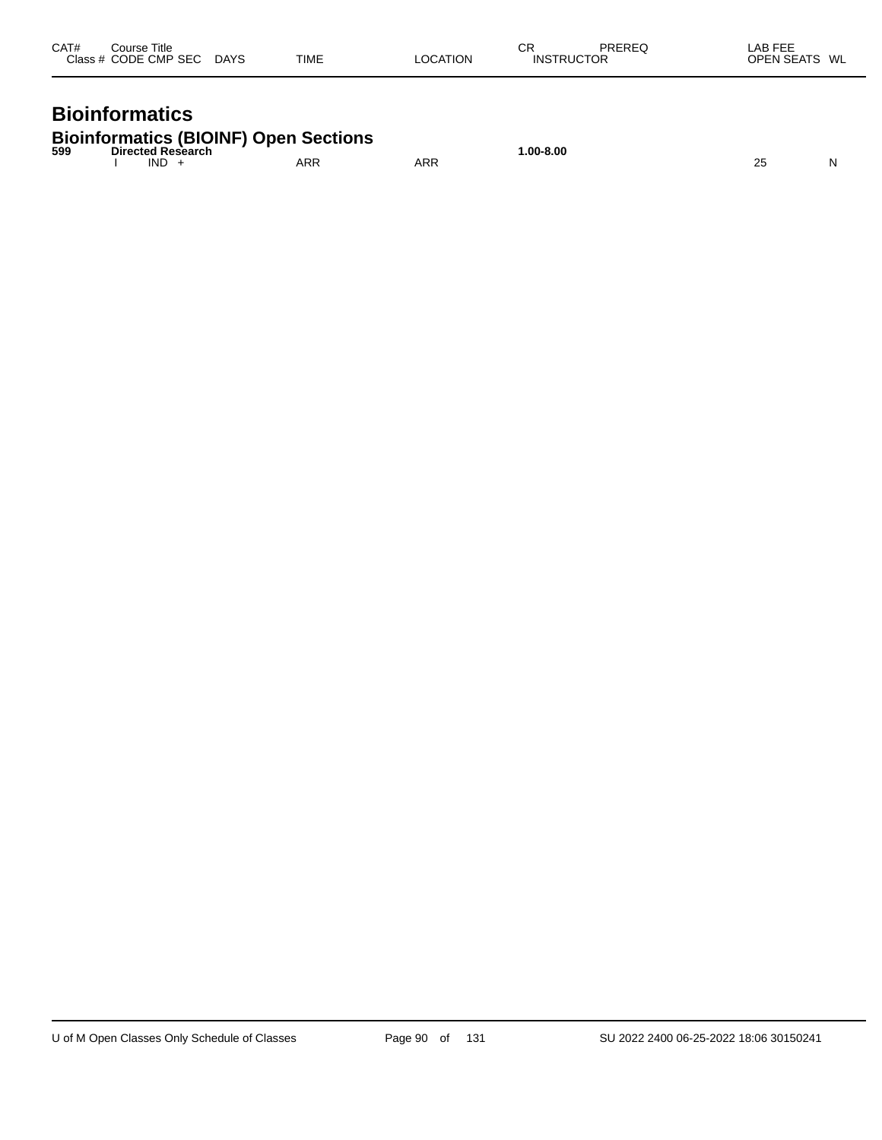| CAT# | Course Title<br>Class # CODE CMP SEC | <b>DAYS</b> | TIME | LOCATION | СR<br><b>INSTRUCTOR</b> | PREREQ | LAB FEE<br><b>OPEN SEATS</b><br>WL |
|------|--------------------------------------|-------------|------|----------|-------------------------|--------|------------------------------------|
|      |                                      |             |      |          |                         |        |                                    |

# **Bioinformatics**

| <b>Bioinformatics (BIOINF) Open Sections</b> |  |  |
|----------------------------------------------|--|--|
|                                              |  |  |

| 599 | . .<br><b>Directed</b><br><b>KASAT</b><br>.<br>. |                   |     | $.00 - 8.00$<br>. |                   |   |
|-----|--------------------------------------------------|-------------------|-----|-------------------|-------------------|---|
|     | IND                                              | <b>ADF</b><br>ARN | ARR |                   | ົ<br>∸∽<br>$\sim$ | N |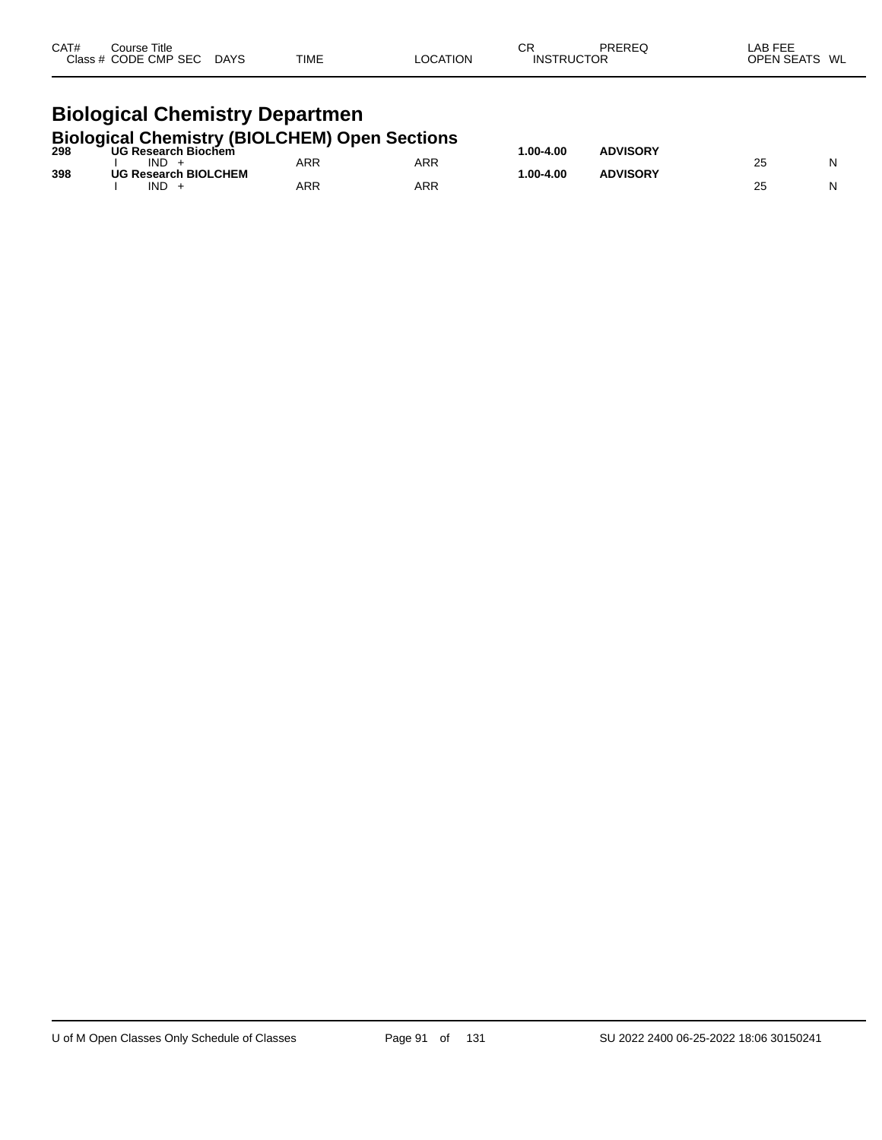| CAT# | Course Title<br>Class # CODE CMP SEC DAYS                                       | <b>TIME</b> | LOCATION   | СR<br><b>INSTRUCTOR</b> | PREREQ          | LAB FEE<br>OPEN SEATS WL |   |
|------|---------------------------------------------------------------------------------|-------------|------------|-------------------------|-----------------|--------------------------|---|
|      | <b>Biological Chemistry Departmen</b>                                           |             |            |                         |                 |                          |   |
|      | <b>Biological Chemistry (BIOLCHEM) Open Sections</b><br>298 UG Research Biochem |             |            |                         |                 |                          |   |
|      | $IND +$                                                                         | ARR         | <b>ARR</b> | 1.00-4.00               | <b>ADVISORY</b> | 25                       | N |
| 398  | <b>UG Research BIOLCHEM</b>                                                     |             |            | 1.00-4.00               | <b>ADVISORY</b> |                          |   |
|      | $IND +$                                                                         | ARR         | <b>ARR</b> |                         |                 | 25                       | N |

 $\overline{\phantom{0}}$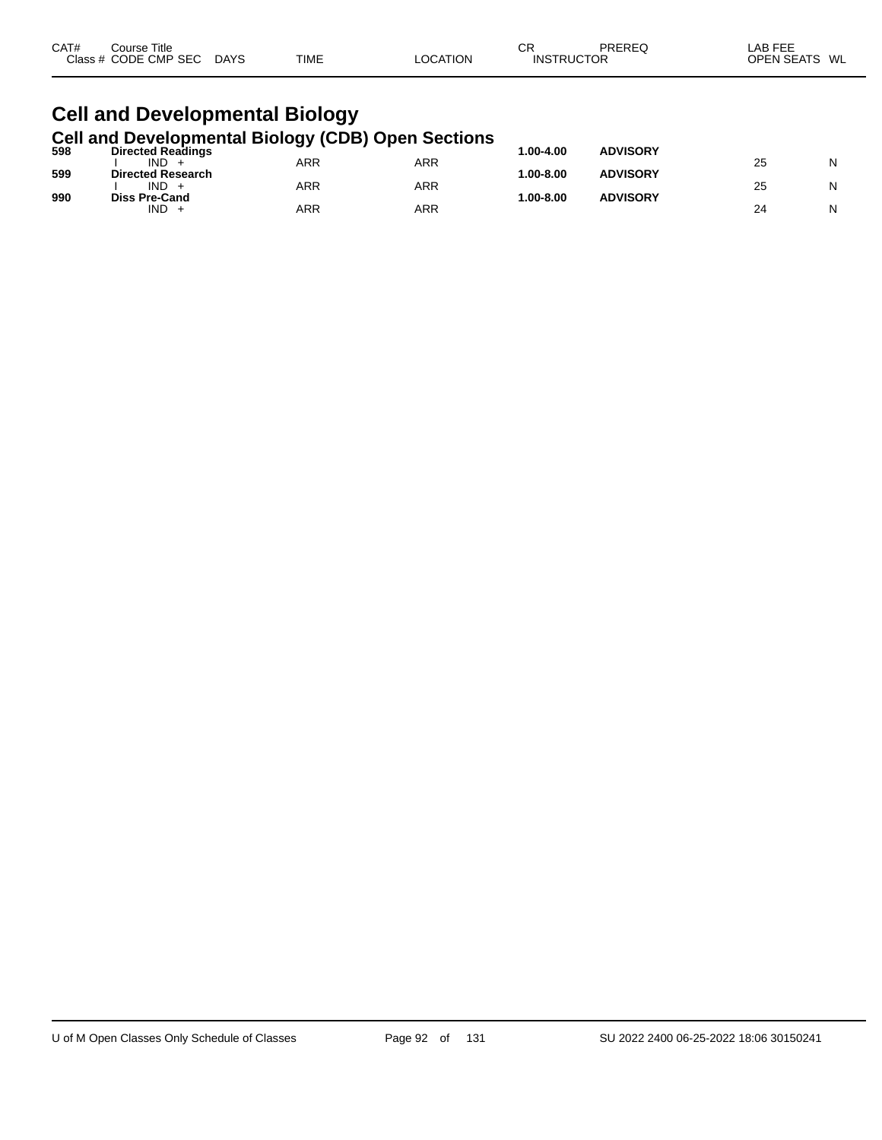| CAT#<br>Course Title<br>Class # CODE CMP SEC DAYS                                                       | TIME | LOCATION | CR<br><b>INSTRUCTOR</b> | PREREQ          | LAB FEE<br>OPEN SEATS WL |  |  |  |  |
|---------------------------------------------------------------------------------------------------------|------|----------|-------------------------|-----------------|--------------------------|--|--|--|--|
| <b>Cell and Developmental Biology</b>                                                                   |      |          |                         |                 |                          |  |  |  |  |
| <b>Cell and Developmental Biology (CDB) Open Sections</b><br><b>Directed Readings</b><br>598<br>$IND +$ | ARR  | ARR      | $1.00 - 4.00$           | <b>ADVISORY</b> | N<br>25                  |  |  |  |  |

|     | __<br><b>IND</b>                       | <b>ARR</b> | <b>ARR</b> |            |                 | 25 | N |
|-----|----------------------------------------|------------|------------|------------|-----------------|----|---|
| 599 | <b>Directed Research</b><br><b>IND</b> | ARR        | <b>ARR</b> | $.00-8.00$ | <b>ADVISORY</b> | 25 | N |
| 990 | <b>Diss Pre-Cand</b>                   |            |            | $.00-8.00$ | <b>ADVISORY</b> |    |   |
|     | <b>IND</b>                             | ARR        | ARR        |            |                 | 24 | N |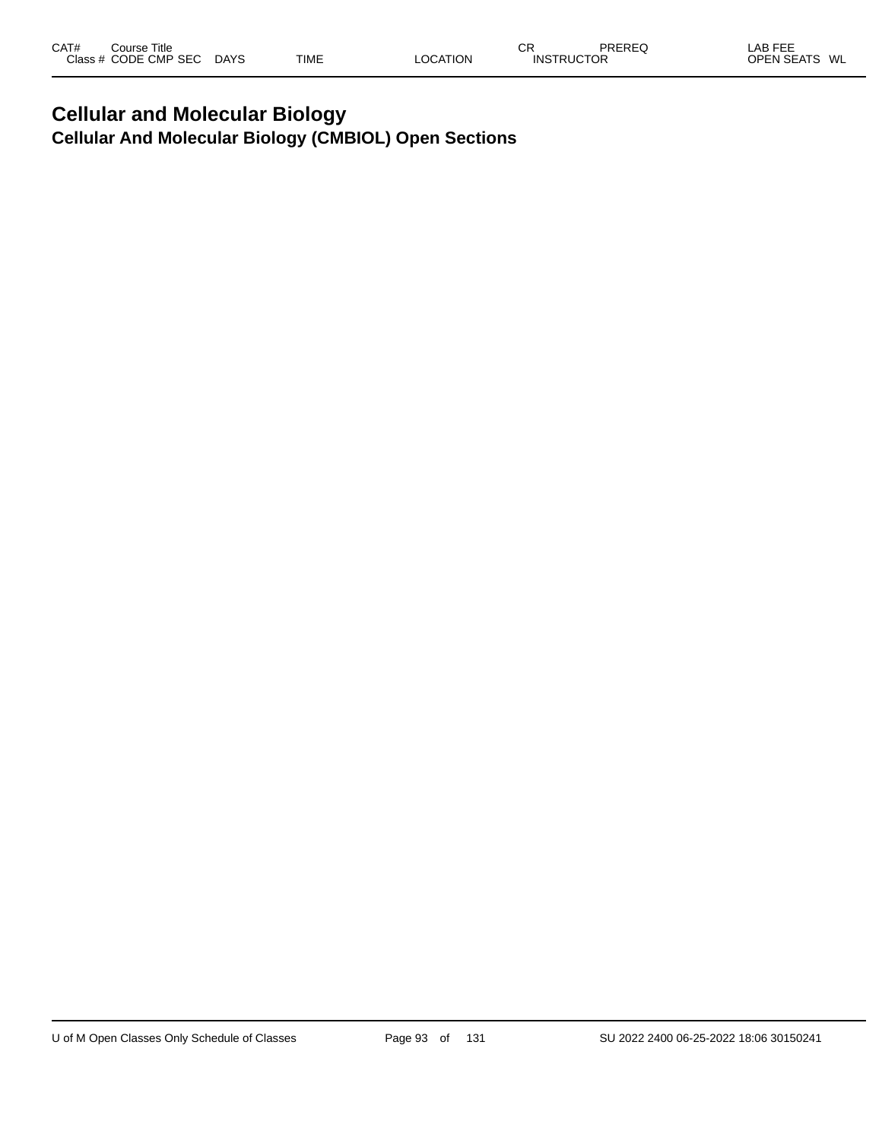# **Cellular and Molecular Biology Cellular And Molecular Biology (CMBIOL) Open Sections**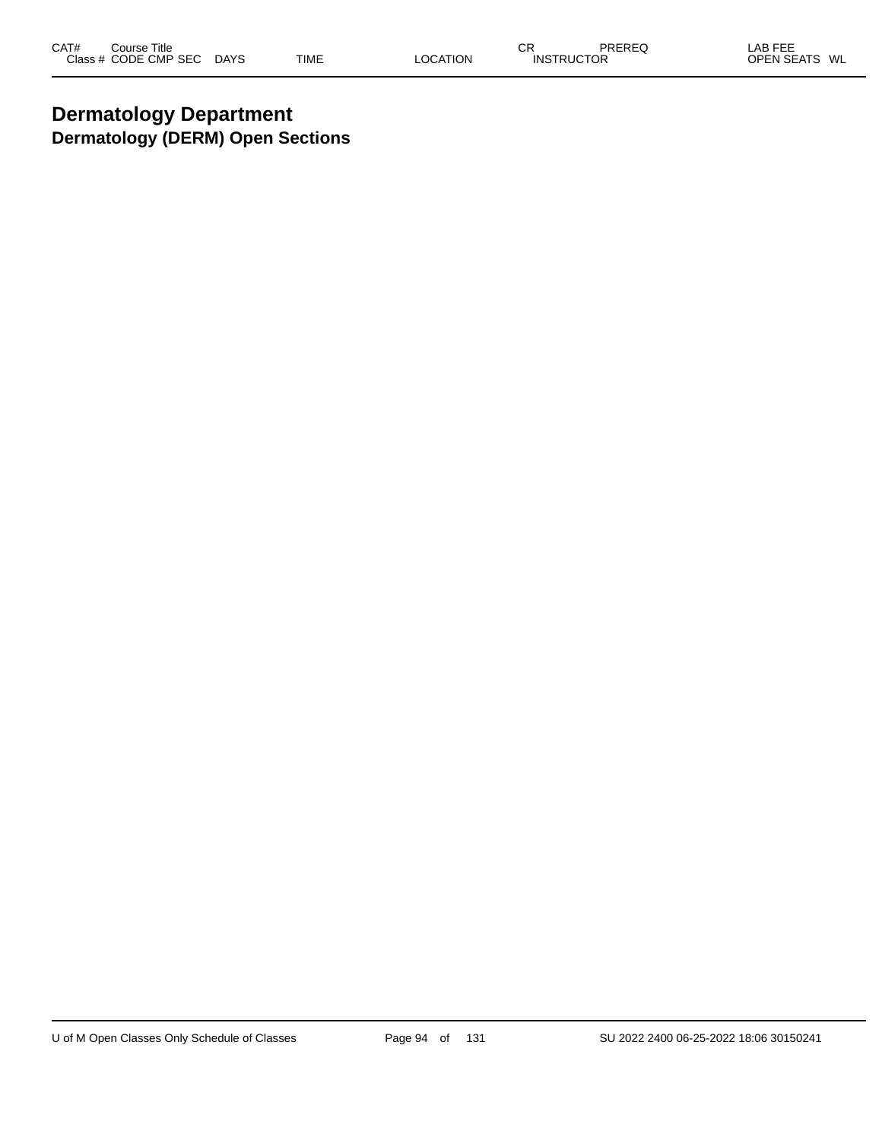# **Dermatology Department Dermatology (DERM) Open Sections**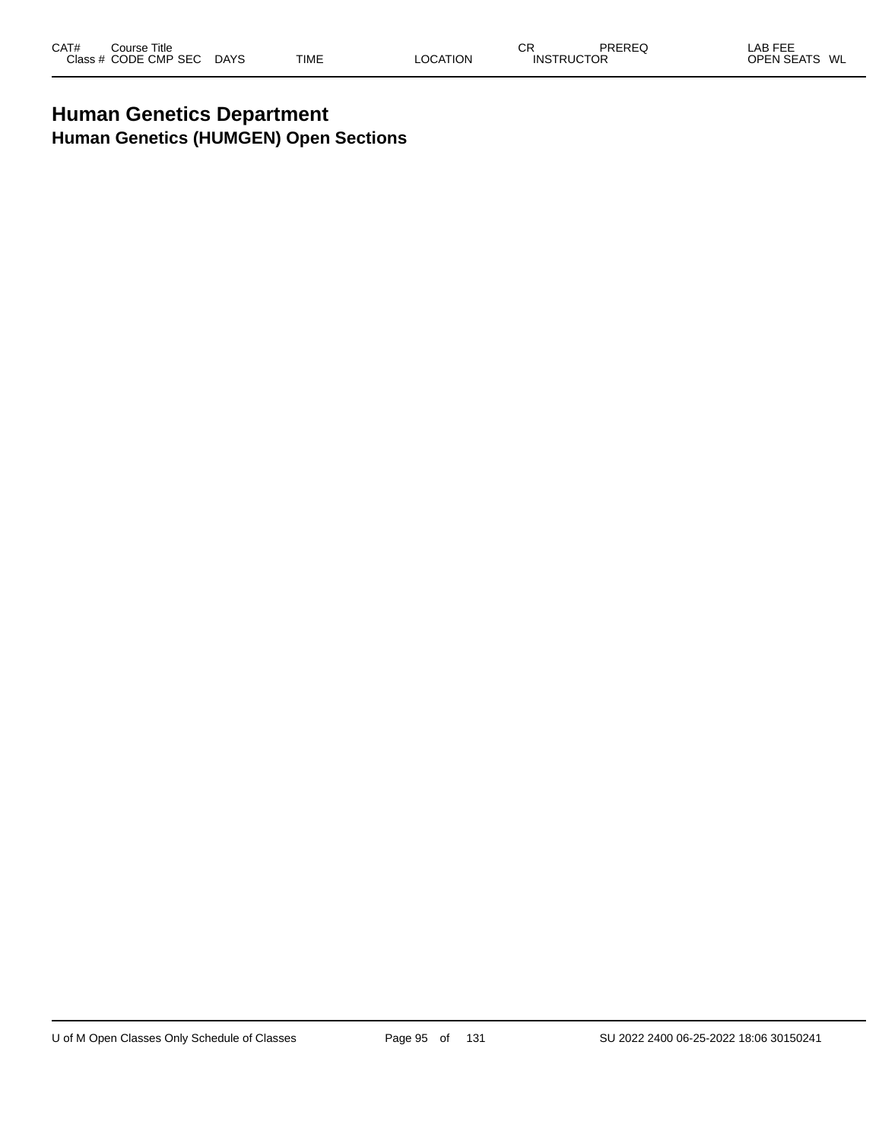# **Human Genetics Department Human Genetics (HUMGEN) Open Sections**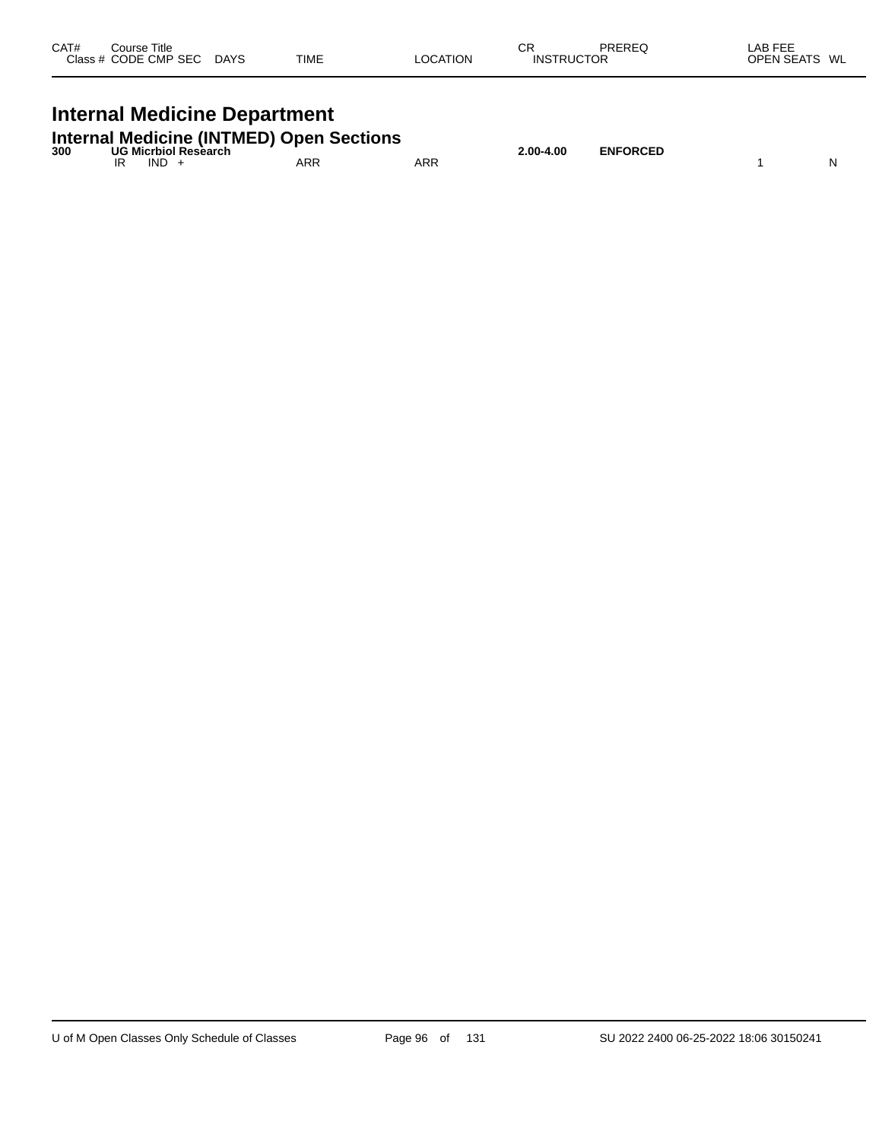| CAT# | Course Title<br>Class # CODE CMP SEC | <b>DAYS</b> | <b>TIME</b> | <b>LOCATION</b> | СR<br><b>INSTRUCTOR</b> | <b>PREREQ</b> | _AB FEE<br><b>OPEN SEATS</b><br>WL |
|------|--------------------------------------|-------------|-------------|-----------------|-------------------------|---------------|------------------------------------|
|      |                                      |             |             |                 |                         |               |                                    |

# **Internal Medicine Department**

| <b>Internal Medicine (INTMED) Open Sections</b> |  |  |
|-------------------------------------------------|--|--|
|-------------------------------------------------|--|--|

|     |     |                      | <b>Internal Medicine (INTMED) Open Sections</b> |     |           |                 |    |
|-----|-----|----------------------|-------------------------------------------------|-----|-----------|-----------------|----|
| 300 | IND | UG Micrbiol Research | ARR                                             | ARR | 2.00-4.00 | <b>ENFORCED</b> | N. |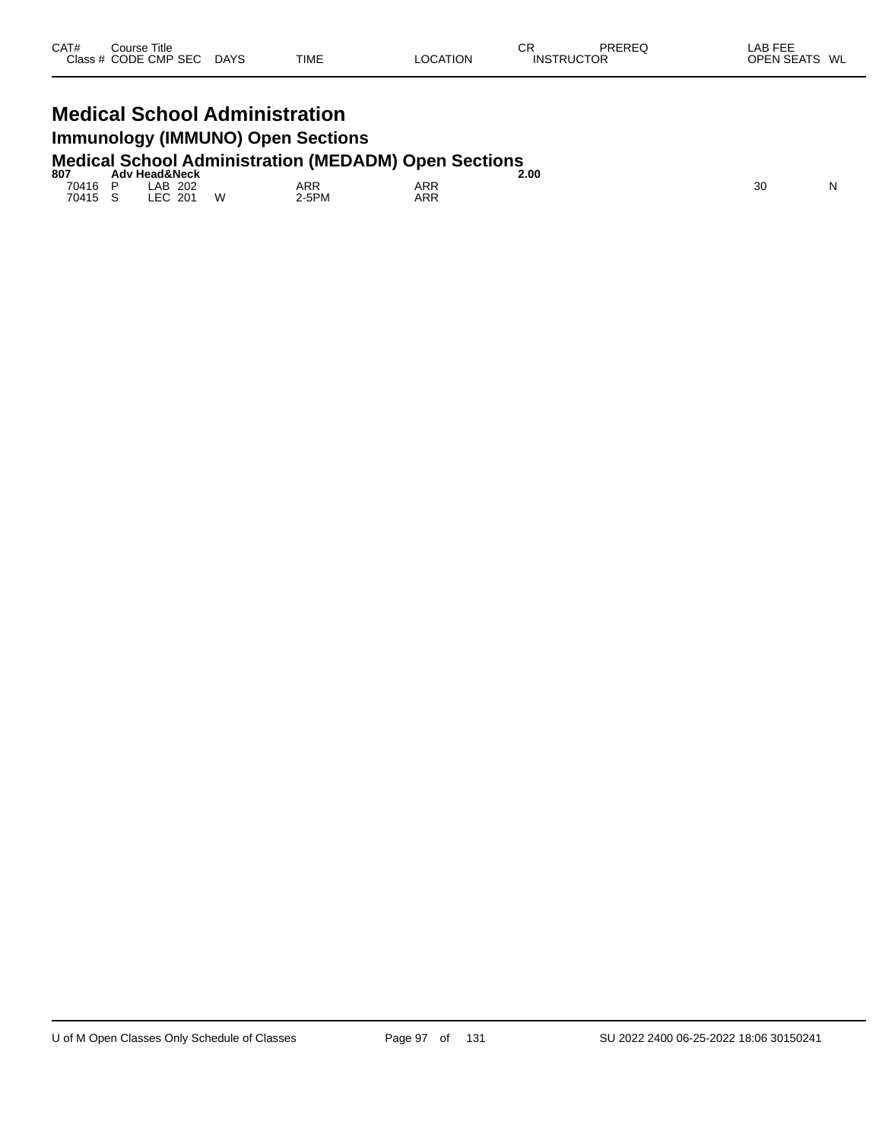# **Medical School Administration Immunology (IMMUNO) Open Sections Medical School Administration (MEDADM) Open Sections 807 Adv Head&Neck 2.00**

| 807   | Adv Head&Neck               |   |            |     | 2.00 |    |          |
|-------|-----------------------------|---|------------|-----|------|----|----------|
| 70416 | 202<br>.AB                  |   | <b>ARR</b> | ARR |      | 30 | N<br>. . |
| 70415 | . FO<br>201<br>$\sim$<br>__ | W | -5PM       | ARR |      |    |          |
|       |                             |   |            |     |      |    |          |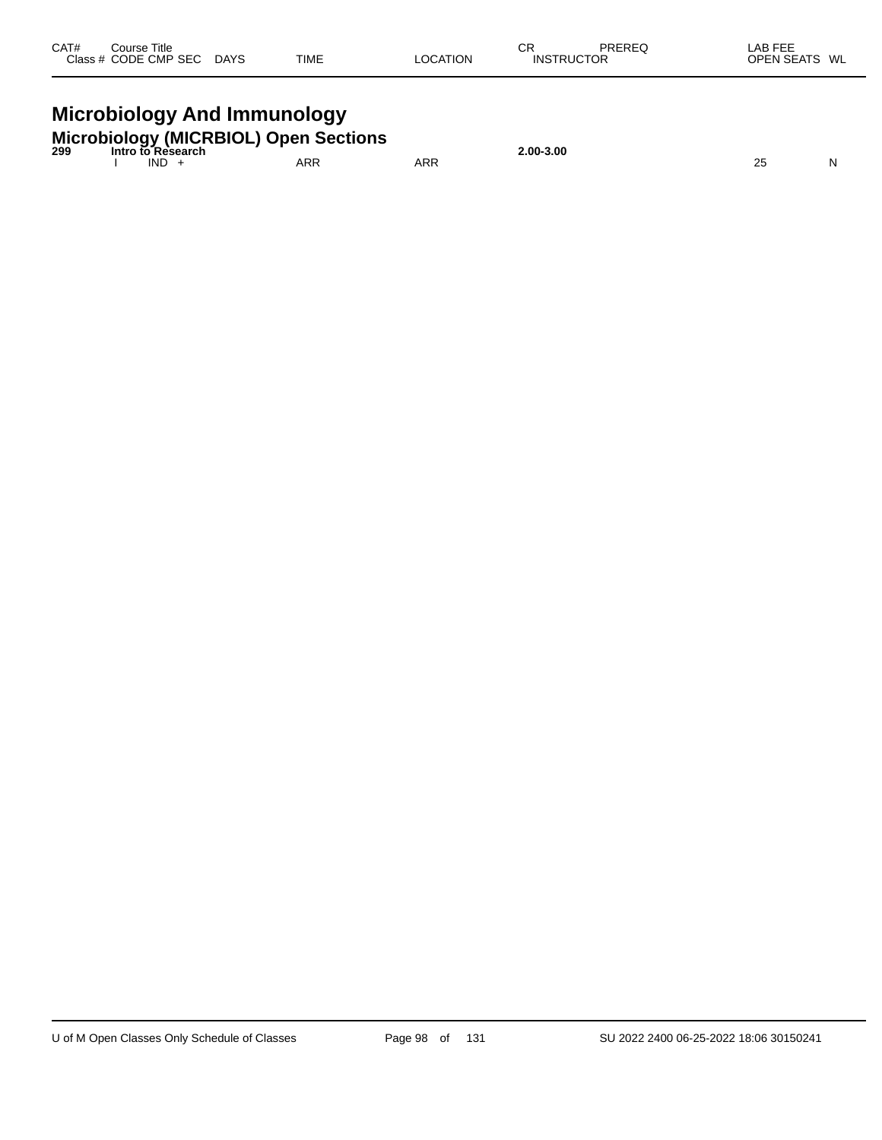| CAT#<br>Course Title<br>Class # CODE CMP SEC DAYS | TIME | <b>LOCATION</b> | СR<br><b>INSTRUCTOR</b> | <b>PREREQ</b> | LAB FEE<br>OPEN SEATS WL |
|---------------------------------------------------|------|-----------------|-------------------------|---------------|--------------------------|
| Missolialem: And Improvement                      |      |                 |                         |               |                          |

#### **Microbiology And Immunology**

| <b>Microbiology (MICRBIOL) Open Sections</b><br>299 Intro to Research |            |     |     | 2.00-3.00 |  |
|-----------------------------------------------------------------------|------------|-----|-----|-----------|--|
|                                                                       | <b>IND</b> | ARR | ARR |           |  |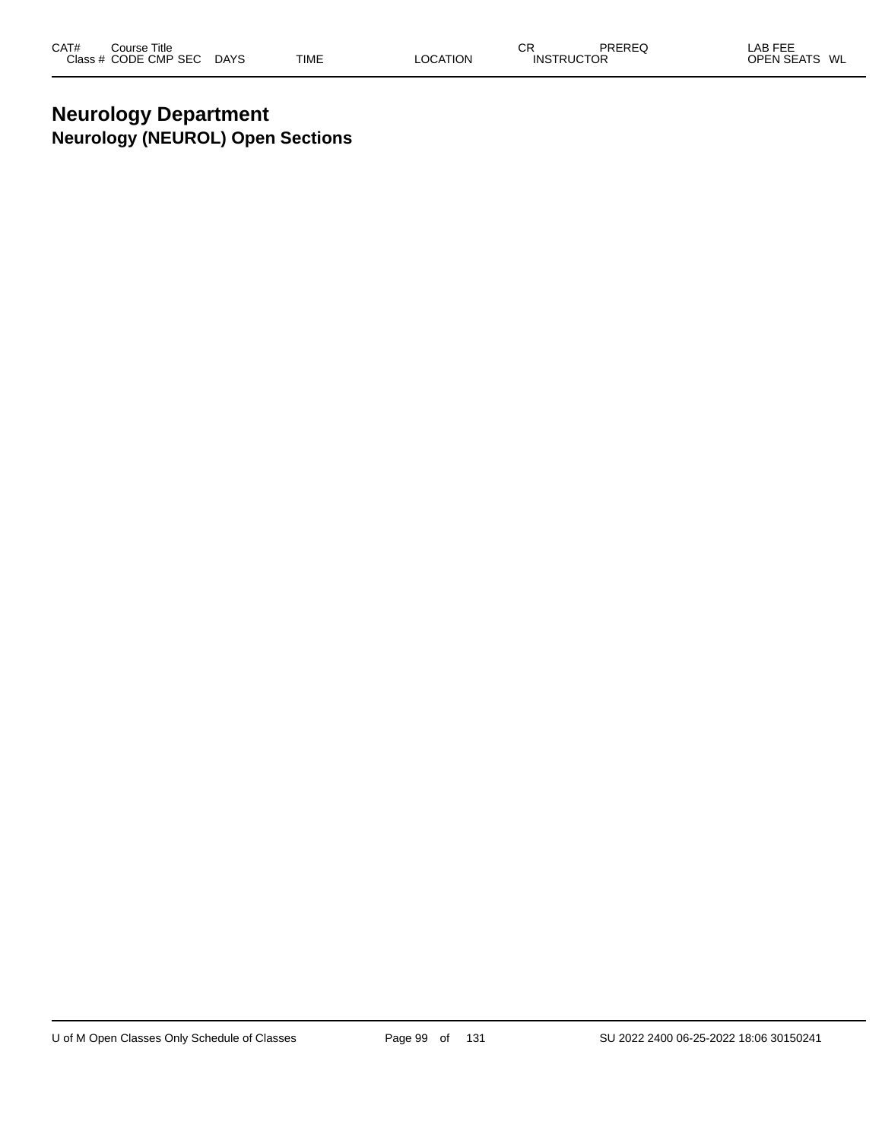# **Neurology Department Neurology (NEUROL) Open Sections**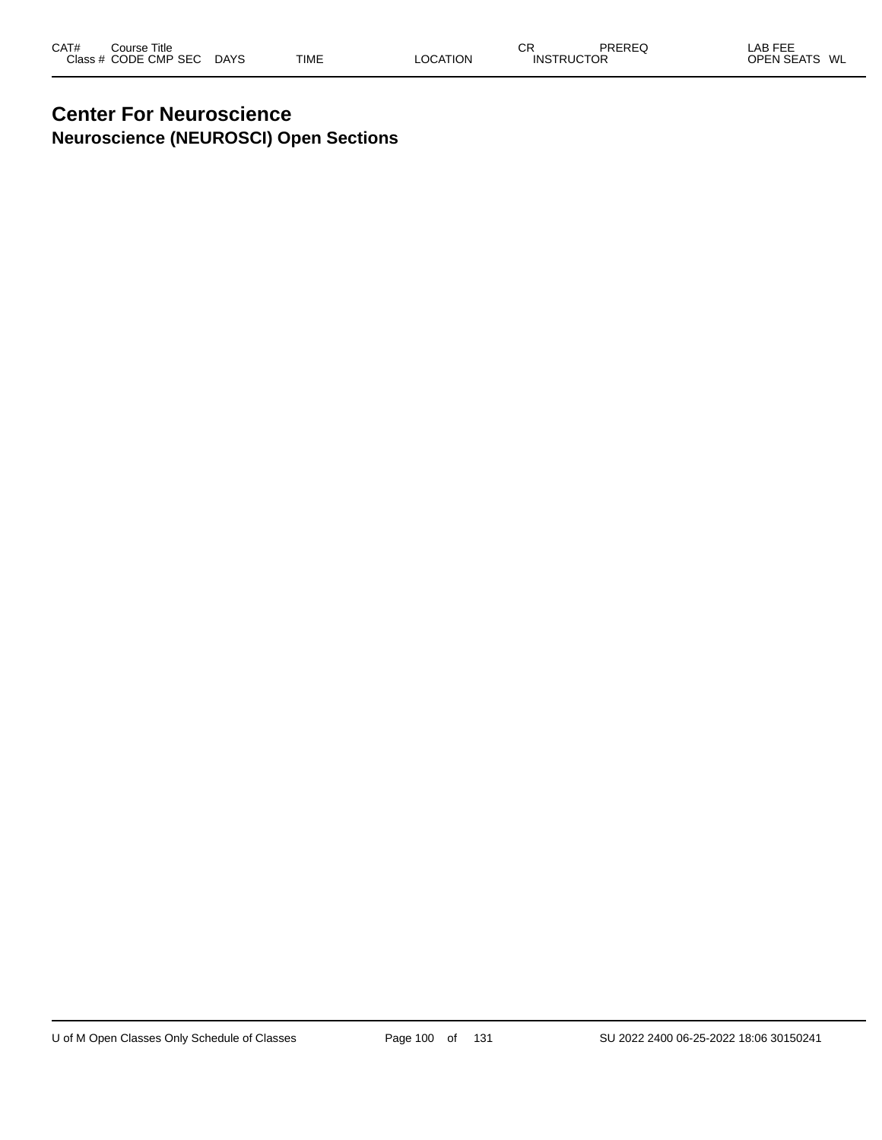#### **Center For Neuroscience Neuroscience (NEUROSCI) Open Sections**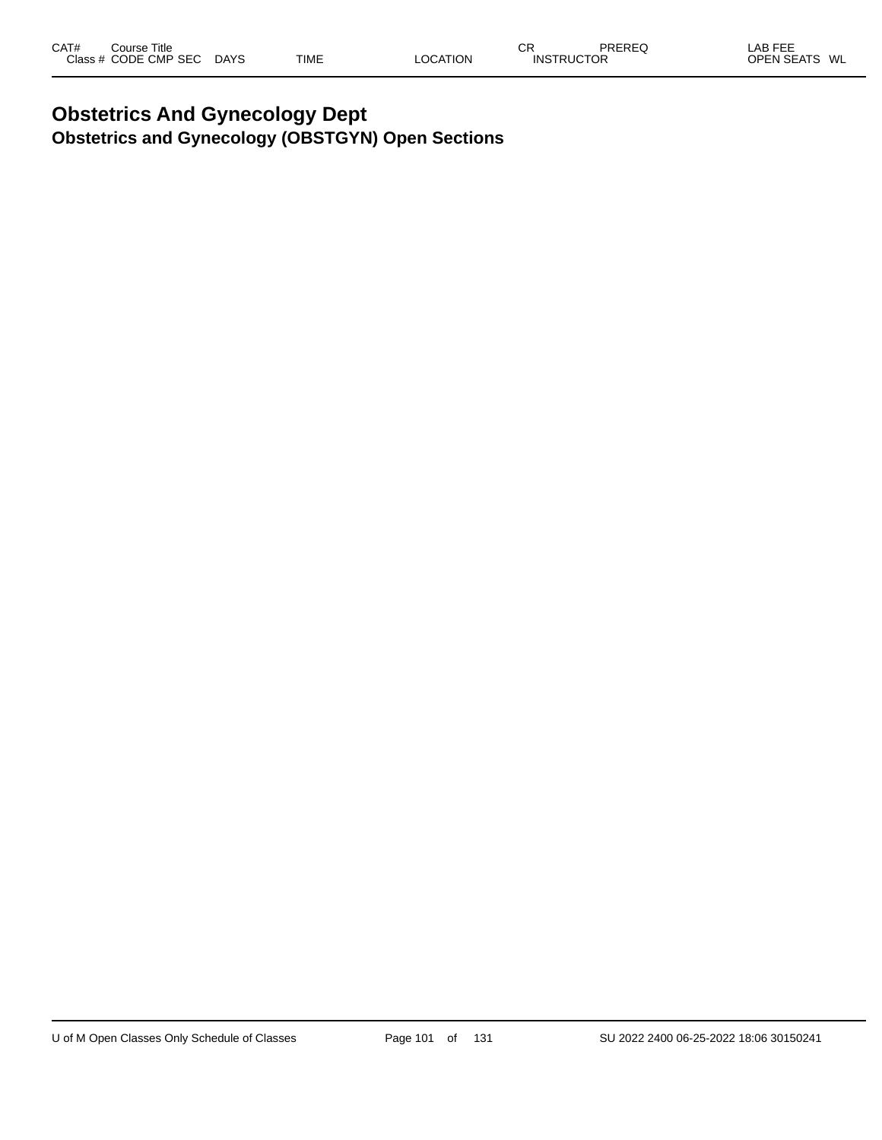# **Obstetrics And Gynecology Dept Obstetrics and Gynecology (OBSTGYN) Open Sections**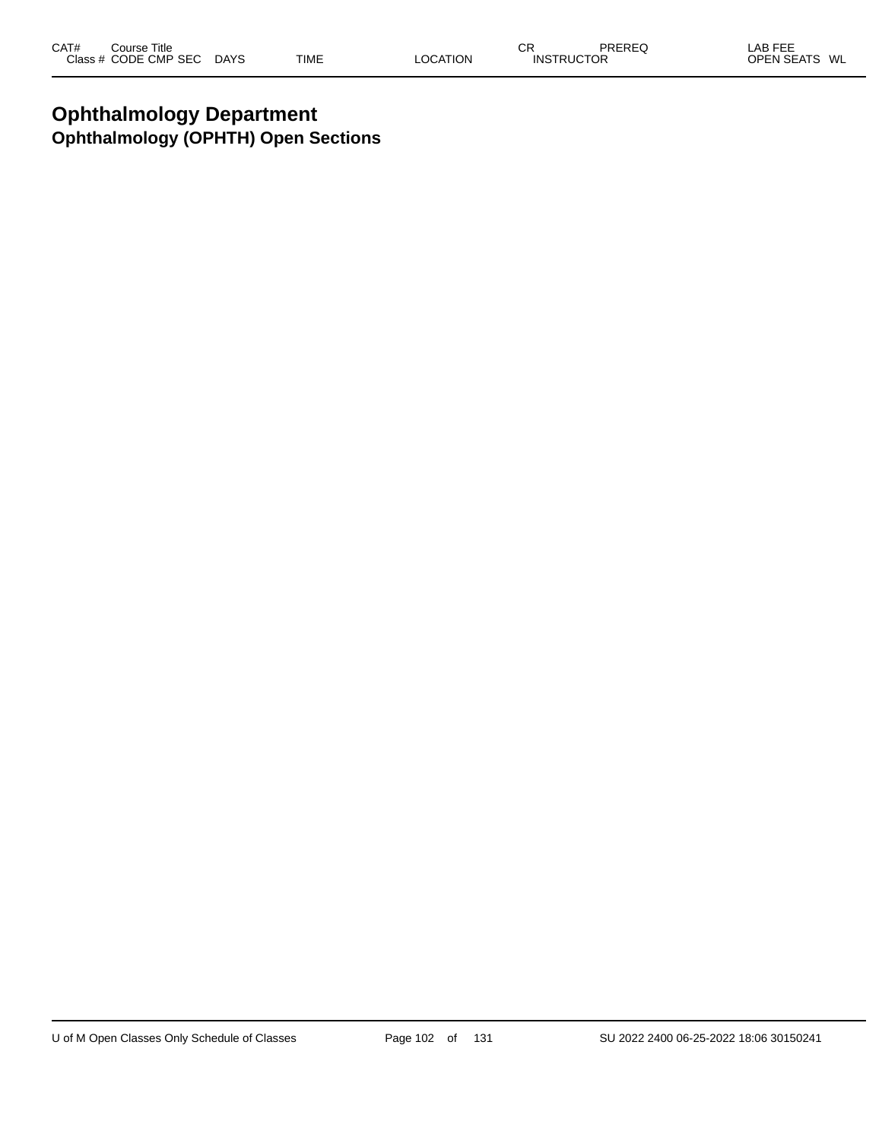# **Ophthalmology Department Ophthalmology (OPHTH) Open Sections**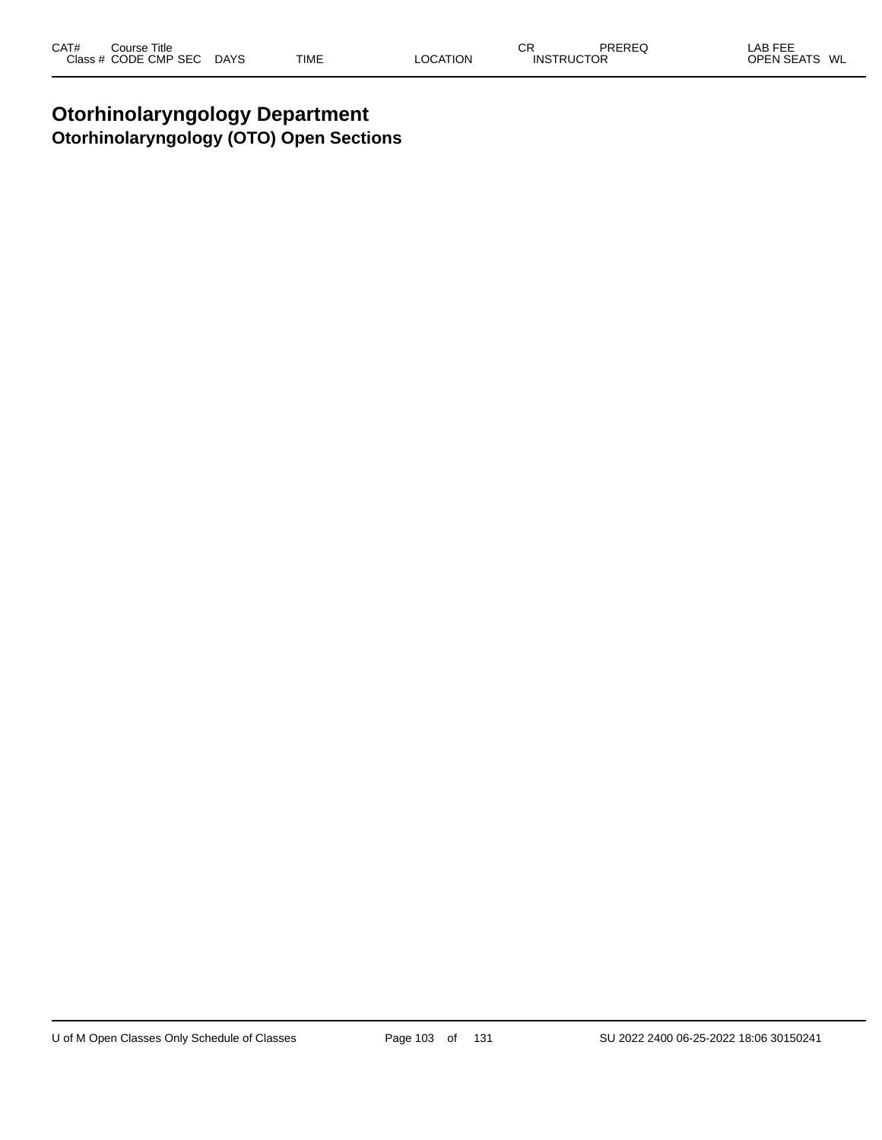# **Otorhinolaryngology Department Otorhinolaryngology (OTO) Open Sections**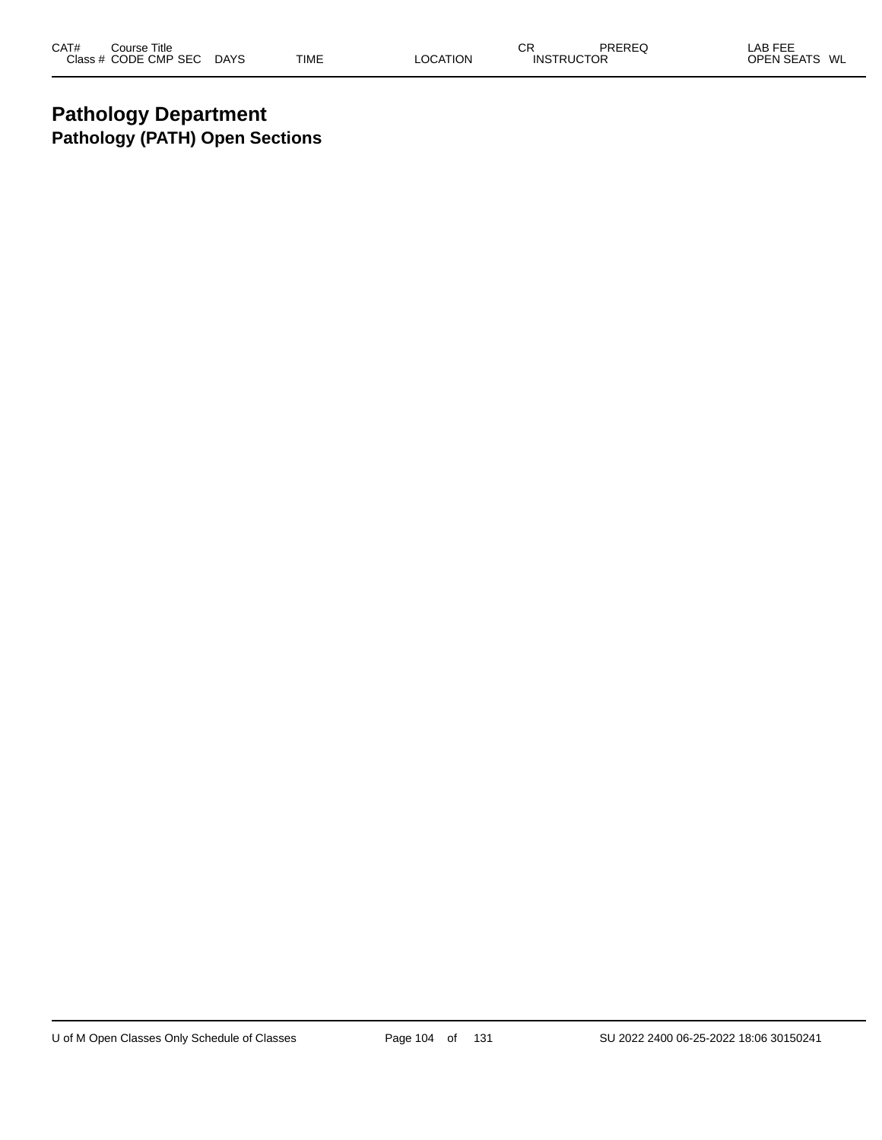# **Pathology Department Pathology (PATH) Open Sections**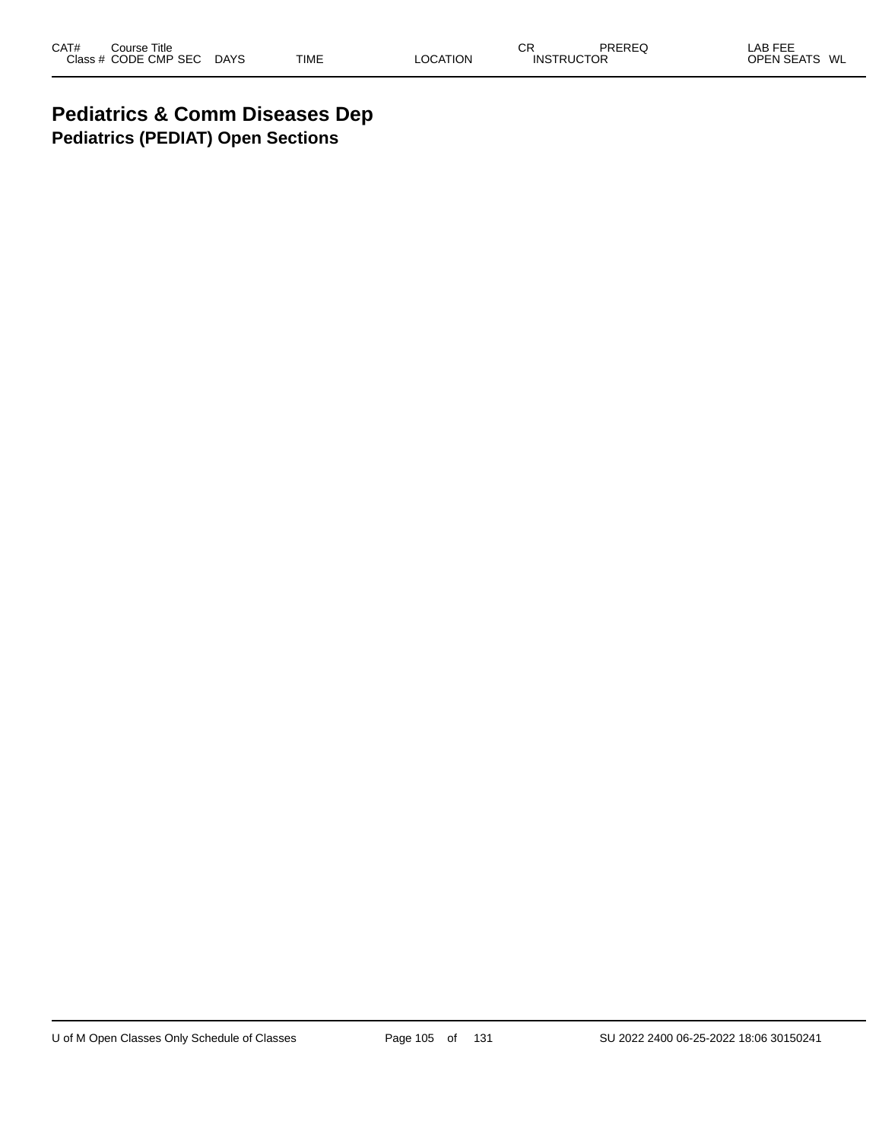# **Pediatrics & Comm Diseases Dep Pediatrics (PEDIAT) Open Sections**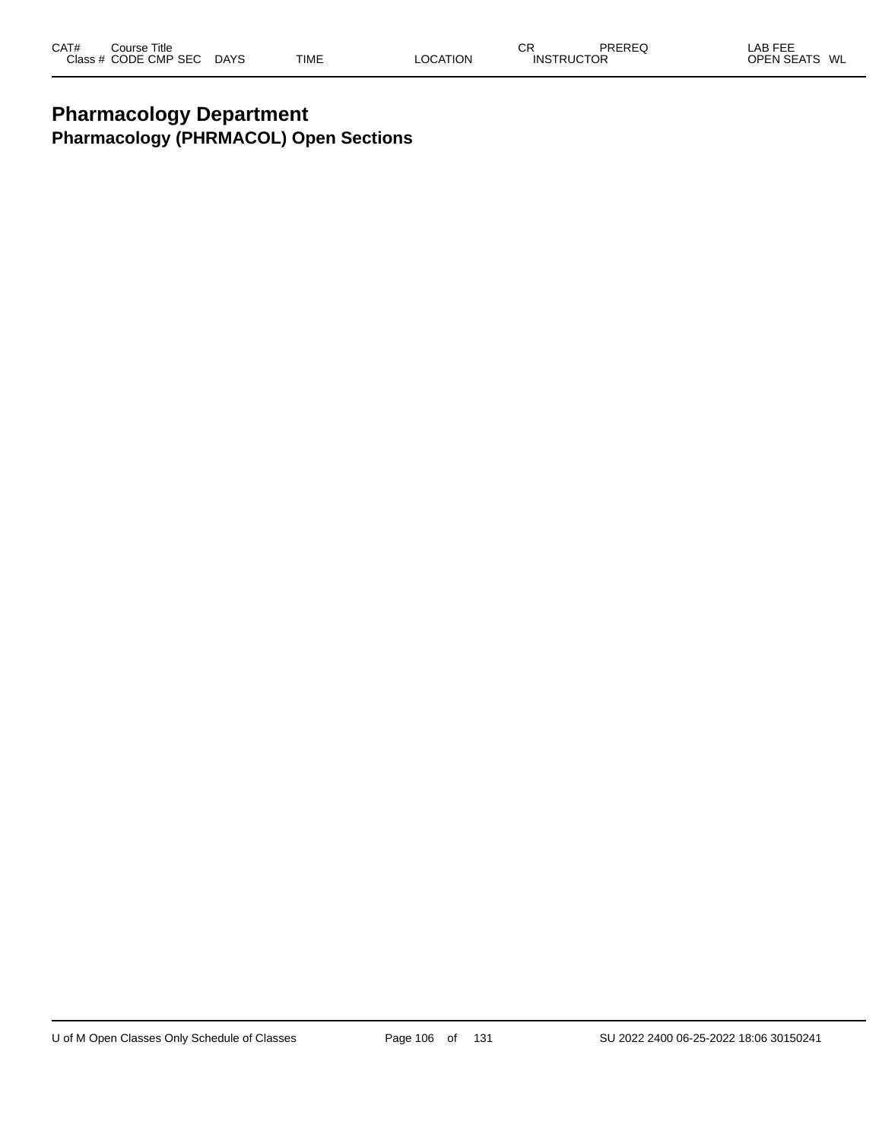# **Pharmacology Department Pharmacology (PHRMACOL) Open Sections**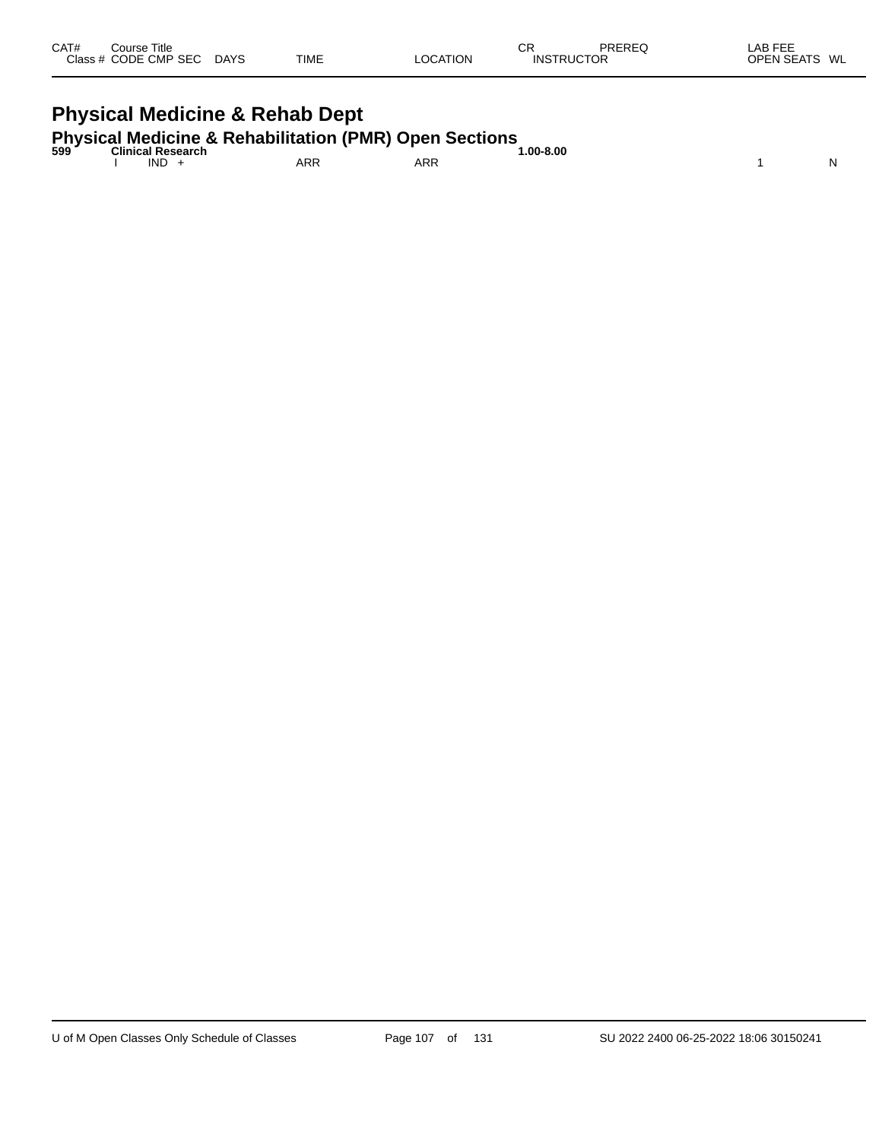| CAT#<br>Course Title<br>Class # CODE CMP SEC | <b>DAYS</b> | TIME | LOCATION | СR<br><b>INSTRUCTOR</b> | PREREQ | LAB FEE<br>OPEN SEATS<br>WL |
|----------------------------------------------|-------------|------|----------|-------------------------|--------|-----------------------------|
|                                              |             |      |          |                         |        |                             |

# **Physical Medicine & Rehab Dept Physical Medicine & Rehabilitation (PMR) Open Sections 599 Clinical Research 1.00-8.00**

| 599 | Clinical Research |     |            | 1.00-8.00 |   |
|-----|-------------------|-----|------------|-----------|---|
|     | <b>IND</b>        | ARR | <b>ARR</b> |           | N |
|     |                   |     |            |           |   |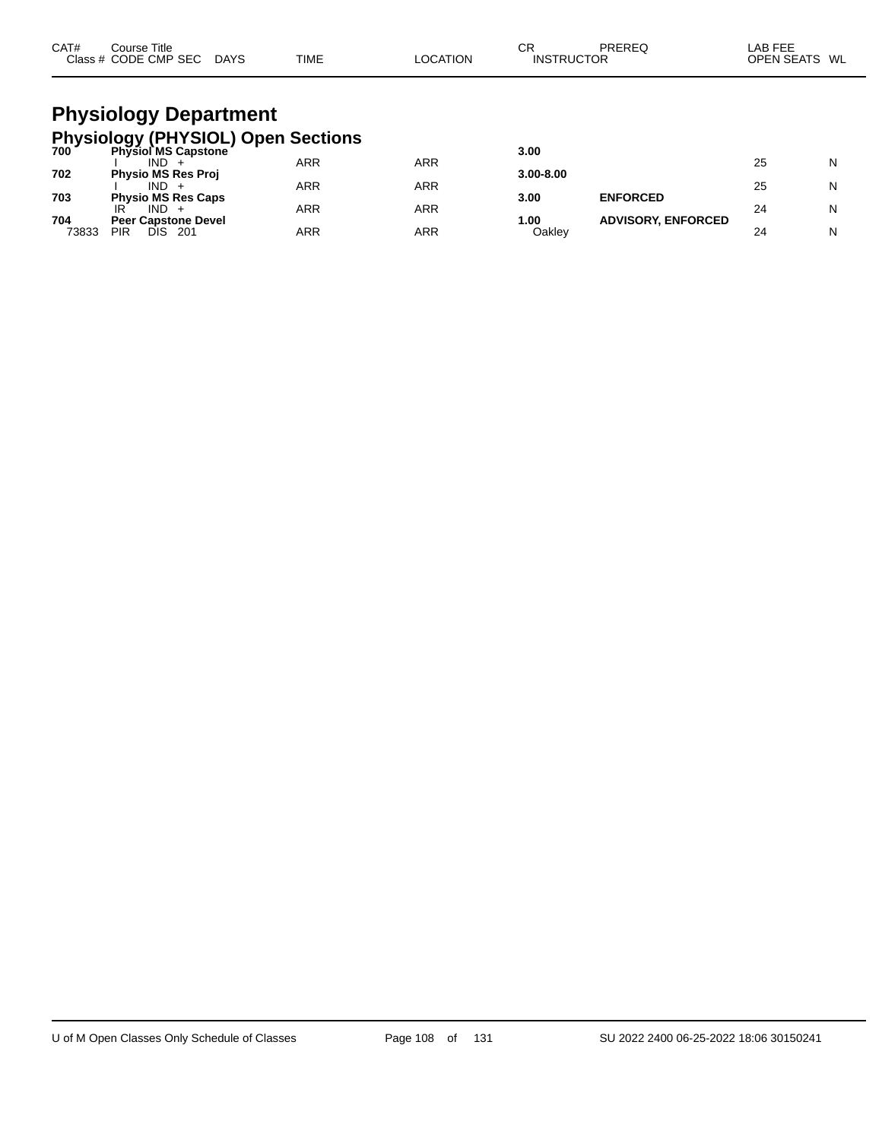| CAT# | Course Title<br>Class # CODE CMP SEC | <b>DAYS</b> | <b>TIME</b> | <b>OCATION</b> | СR<br><b>INSTRUCTOR</b> | PREREQ | LAB FEE<br><b>OPEN SEATS</b> | WL |
|------|--------------------------------------|-------------|-------------|----------------|-------------------------|--------|------------------------------|----|
|      |                                      |             |             |                |                         |        |                              |    |

#### **Physiology Department Physiology (PHYSIOL) Open Sections**

| <b>Physiol MS Capstone</b> |                                                                                     |                   | 3.00              |                        |                                              |    |
|----------------------------|-------------------------------------------------------------------------------------|-------------------|-------------------|------------------------|----------------------------------------------|----|
| IND.                       | ARR                                                                                 | ARR               |                   |                        | 25                                           | N  |
| <b>Physio MS Res Proj</b>  |                                                                                     |                   | $3.00 - 8.00$     |                        |                                              |    |
| IND.                       |                                                                                     |                   |                   |                        | 25                                           | N  |
|                            |                                                                                     |                   |                   |                        |                                              |    |
|                            |                                                                                     |                   |                   |                        |                                              | N  |
|                            |                                                                                     |                   |                   |                        |                                              |    |
| 201                        |                                                                                     |                   |                   |                        | 24                                           | N  |
|                            | <b>Physio MS Res Caps</b><br>IR<br>IND.<br><b>Peer Capstone Devel</b><br>PIR<br>DIS | ARR<br>ARR<br>ARR | ARR<br>ARR<br>ARR | 3.00<br>1.00<br>Oaklev | <b>ENFORCED</b><br><b>ADVISORY, ENFORCED</b> | 24 |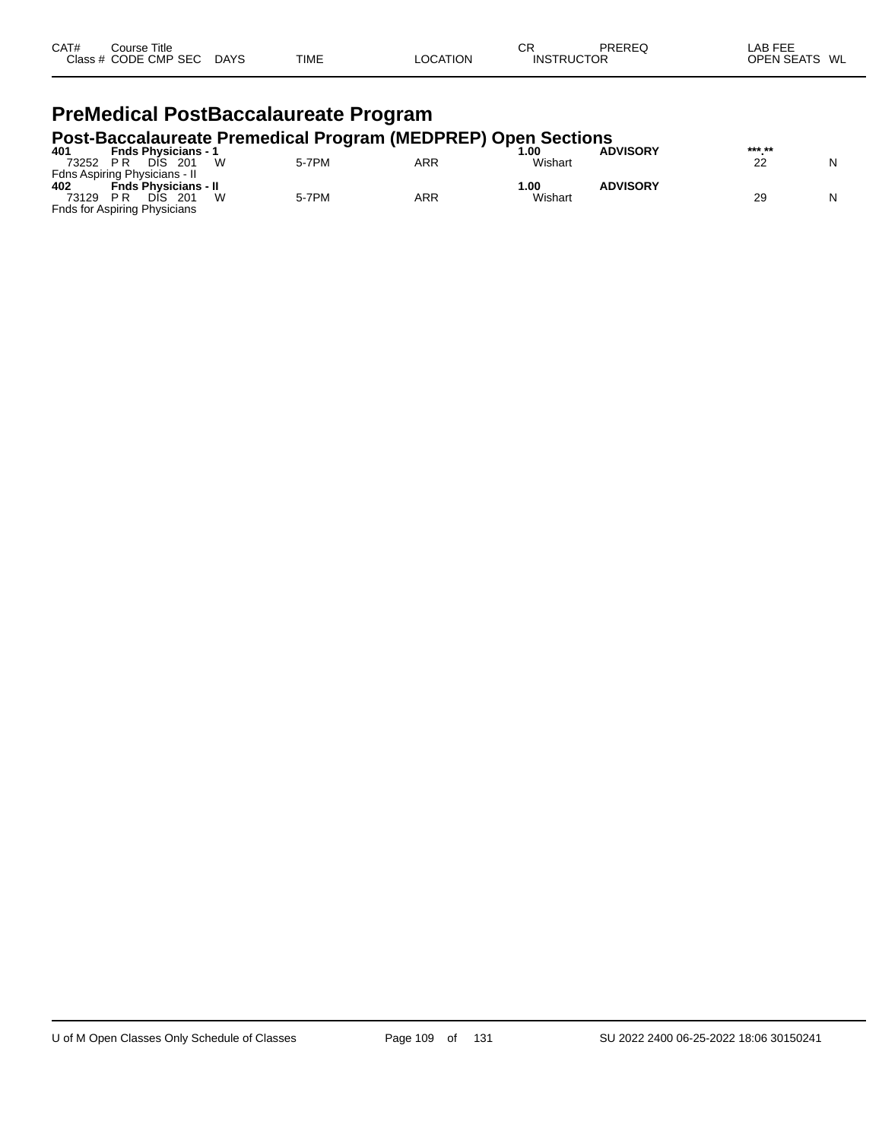| CAT# | Course Title<br>Class # CODE CMP SEC | <b>DAYS</b> | <b>TIME</b> | LOCATION | ⌒冖<br>◡<br><b>INSTRUCTOR</b> | PREREQ | LAB FEE<br><b>OPEN SEATS</b><br>WL |
|------|--------------------------------------|-------------|-------------|----------|------------------------------|--------|------------------------------------|
|      |                                      |             |             |          |                              |        |                                    |

# **PreMedical PostBaccalaureate Program**

# **Post-Baccalaureate Premedical Program (MEDPREP) Open Sections 401 Fnds Physicians - 1 1.00 ADVISORY \*\*\*.\*\***

| 401   | <b>Fnds Physicians -</b>            |       |     | 00. ،   | <b>ADVISORY</b> | *** ** |   |
|-------|-------------------------------------|-------|-----|---------|-----------------|--------|---|
| 73252 | W<br>DIS<br>201<br>P R              | 5-7PM | ARR | Wishart |                 | ົ      | N |
|       | Fdns Aspiring Physicians - II       |       |     |         |                 |        |   |
| 402   | <b>Fnds Physicians - II</b>         |       |     | 1.00    | <b>ADVISORY</b> |        |   |
| 73129 | W<br>РR<br>201<br>DIS               | 5-7PM | ARR | Wishart |                 | 29     | N |
|       | <b>Fnds for Aspiring Physicians</b> |       |     |         |                 |        |   |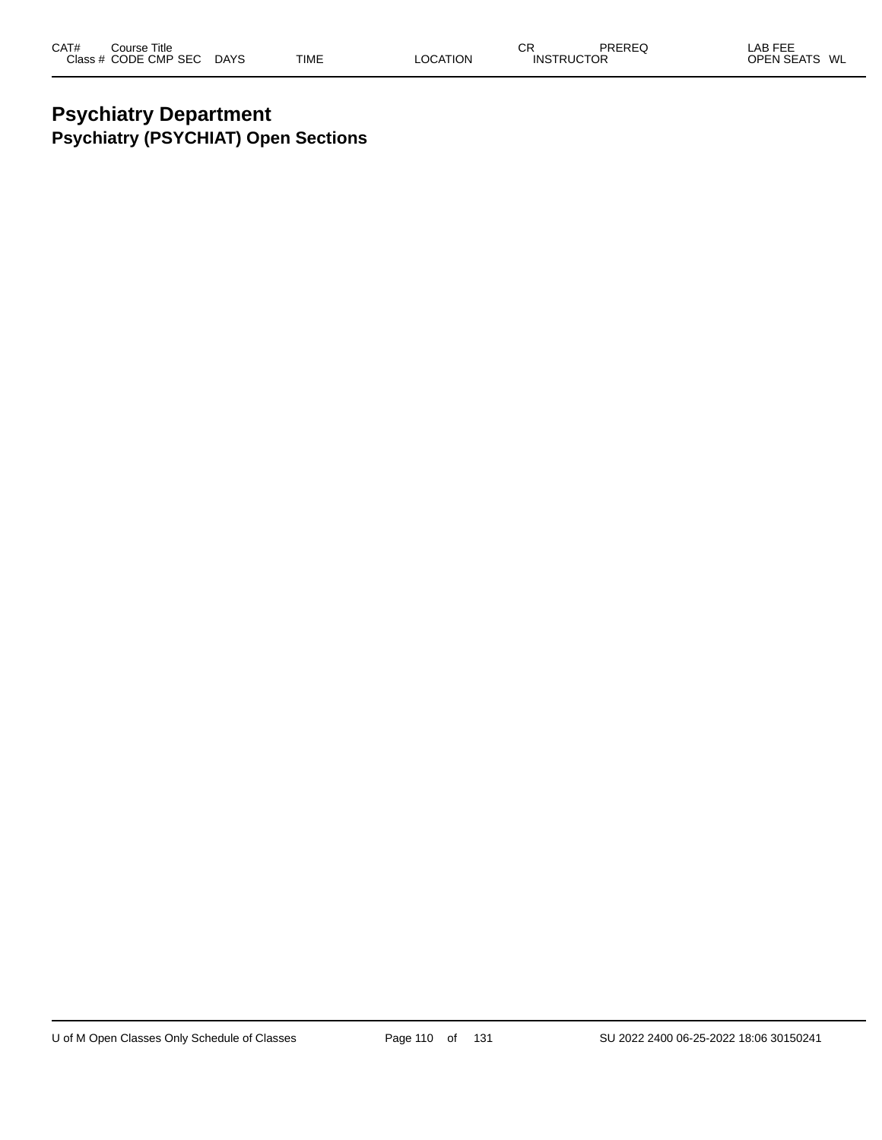## **Psychiatry Department Psychiatry (PSYCHIAT) Open Sections**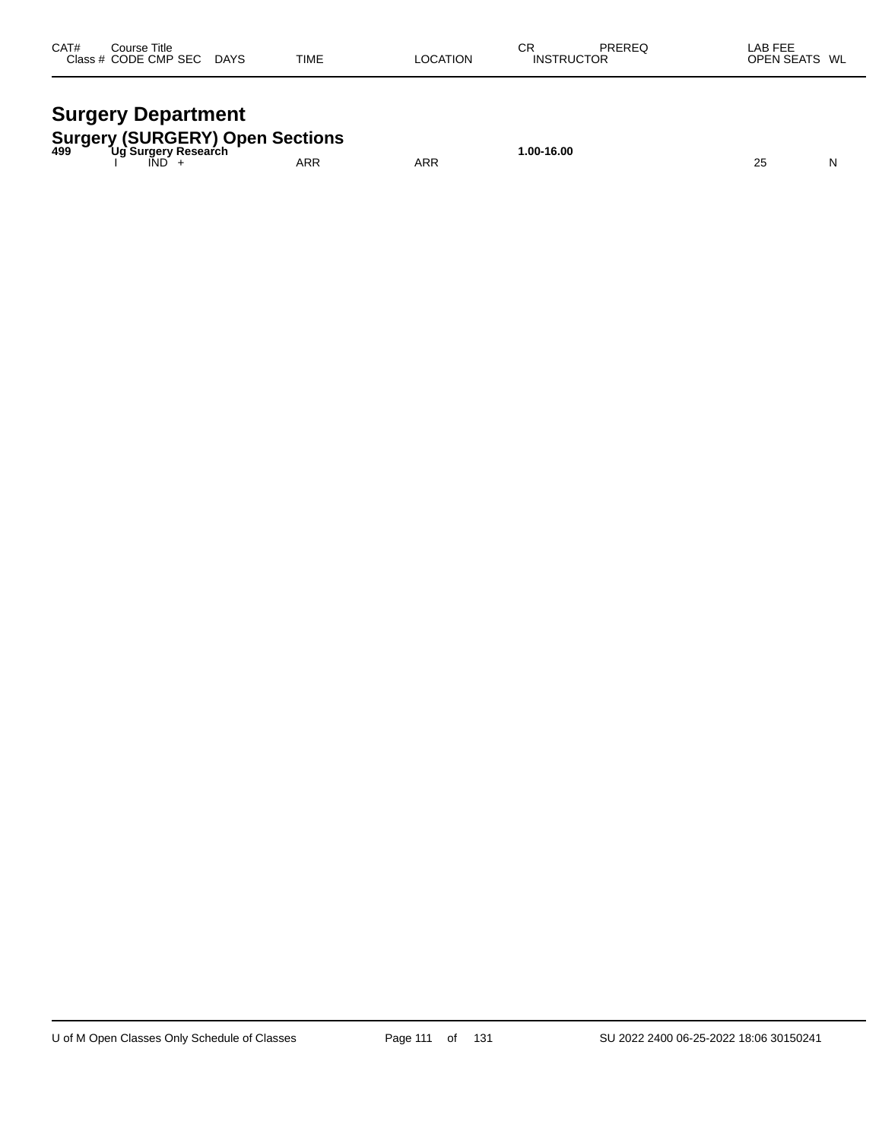| CAT# | Course Title<br>Class # CODE CMP SEC | <b>DAYS</b> | <b>TIME</b> | LOCATION | СR<br><b>INSTRUCTOR</b> | PREREQ | LAB FEE<br>OPEN SEATS WL |
|------|--------------------------------------|-------------|-------------|----------|-------------------------|--------|--------------------------|
|      |                                      |             |             |          |                         |        |                          |

# **Surgery Department**

| <b>Surgery (SURGERY) Open Sections</b><br><sup>499</sup> Ug Surgery Research |     |     | .00-16.00 |  |
|------------------------------------------------------------------------------|-----|-----|-----------|--|
| <b>IND</b>                                                                   | ARR | ARR |           |  |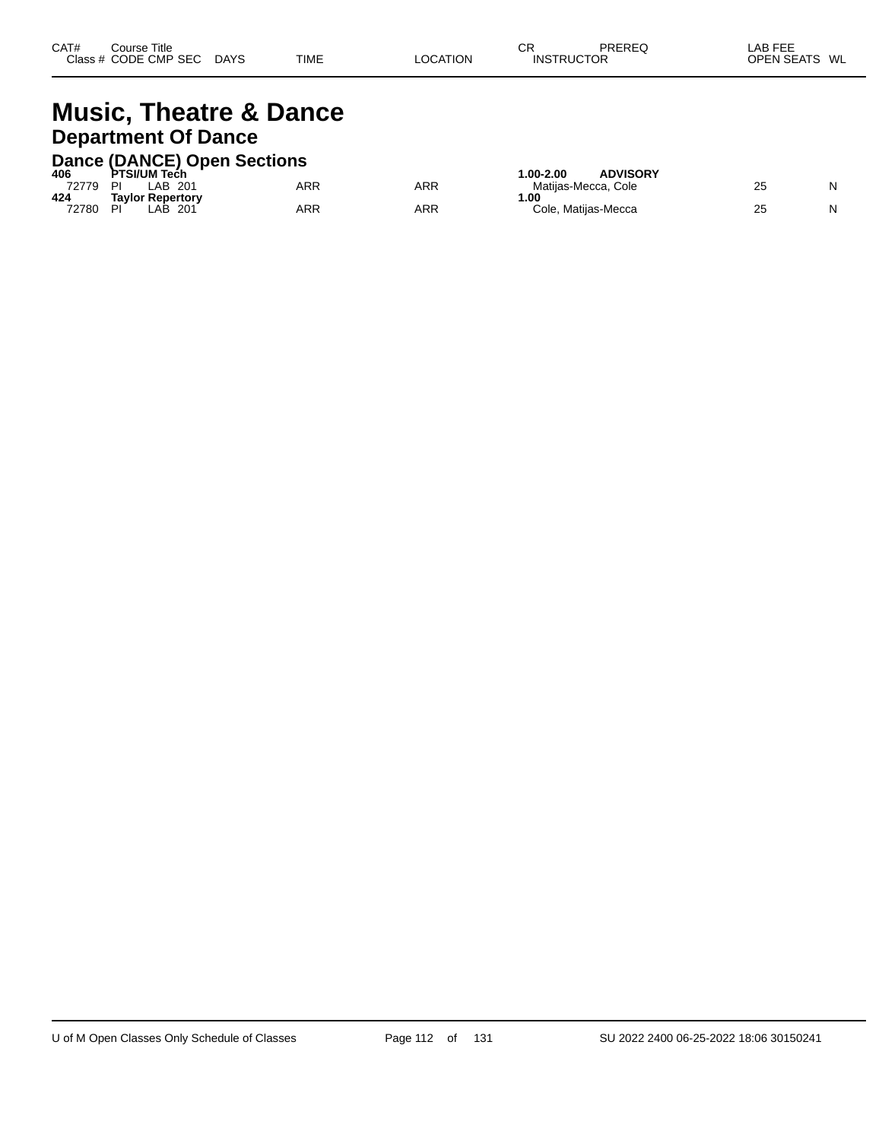| CAT#      | Title<br>$\mathsf{\dot{\cup}}$ ourse $^{\mathsf{\tau}}$ |             |             |                 | ⌒冖<br>◡           | PREREQ | _AB FEE<br>--           |  |
|-----------|---------------------------------------------------------|-------------|-------------|-----------------|-------------------|--------|-------------------------|--|
| Class $#$ | CODE CMP<br>SEC                                         | <b>DAYS</b> | <b>TIME</b> | <b>LOCATION</b> | <b>INSTRUCTOR</b> |        | <b>OPEN SEATS</b><br>WL |  |
|           |                                                         |             |             |                 |                   |        |                         |  |

#### **Music, Theatre & Dance Department Of Dance Dance (DANCE) Open Sections 406 PTSI/UM Tech 1.00-2.00 ADVISORY** 72779 PI LAB 201 ARR ARR Matijas-Mecca, Cole 25 N **424 Taylor Repertory 1.00** 72780 PI LAB 201 ARR ARR Cole, Matijas-Mecca 25 N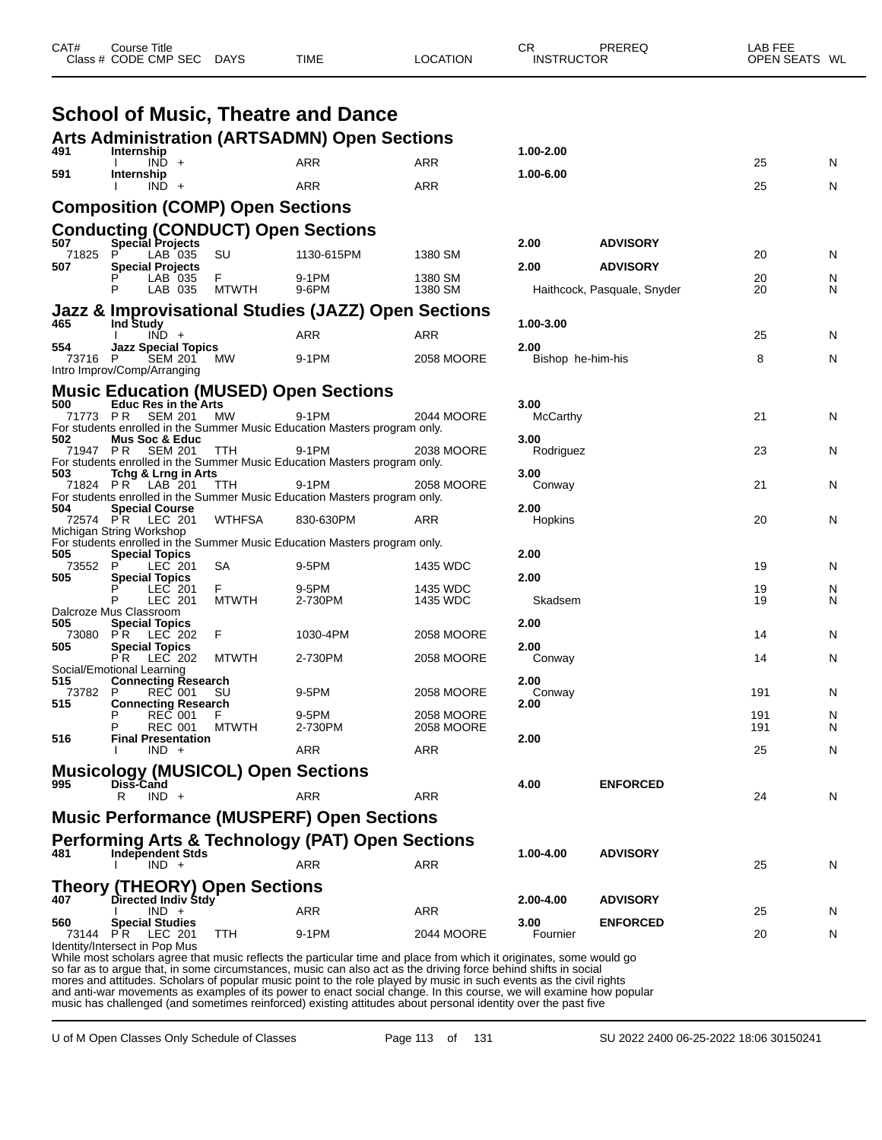| CAT#           | Course Title<br>Class # CODE CMP SEC DAYS     |              | <b>TIME</b>                                                                        | <b>LOCATION</b>                                                | CR<br><b>INSTRUCTOR</b> | PREREQ                      | LAB FEE<br>OPEN SEATS WL |   |
|----------------|-----------------------------------------------|--------------|------------------------------------------------------------------------------------|----------------------------------------------------------------|-------------------------|-----------------------------|--------------------------|---|
|                |                                               |              | <b>School of Music, Theatre and Dance</b>                                          |                                                                |                         |                             |                          |   |
|                |                                               |              | <b>Arts Administration (ARTSADMN) Open Sections</b>                                |                                                                |                         |                             |                          |   |
| 491            | Internship<br>$IND +$                         |              | <b>ARR</b>                                                                         | ARR                                                            | 1.00-2.00               |                             | 25                       | N |
| 591            | Internship<br>$IND +$                         |              | ARR                                                                                | <b>ARR</b>                                                     | 1.00-6.00               |                             | 25                       | N |
|                | <b>Composition (COMP) Open Sections</b>       |              |                                                                                    |                                                                |                         |                             |                          |   |
|                | <b>Conducting (CONDUCT) Open Sections</b>     |              |                                                                                    |                                                                |                         |                             |                          |   |
| 507<br>71825   | <b>Special Projects</b><br>P.<br>LAB 035      | SU           | 1130-615PM                                                                         | 1380 SM                                                        | 2.00                    | <b>ADVISORY</b>             | 20                       | N |
| 507            | <b>Special Projects</b><br>LAB 035            | F.           | 9-1PM                                                                              | 1380 SM                                                        | 2.00                    | <b>ADVISORY</b>             | 20                       | N |
|                | P<br>LAB 035                                  | <b>MTWTH</b> | 9-6PM                                                                              | 1380 SM                                                        |                         | Haithcock, Pasquale, Snyder | 20                       | N |
|                |                                               |              |                                                                                    | <b>Jazz &amp; Improvisational Studies (JAZZ) Open Sections</b> |                         |                             |                          |   |
| 465            | <b>Ind Study</b><br>$IND +$                   |              | <b>ARR</b>                                                                         | <b>ARR</b>                                                     | 1.00-3.00               |                             | 25                       | N |
| 554<br>73716 P | <b>Jazz Special Topics</b><br><b>SEM 201</b>  | МW           | 9-1PM                                                                              | 2058 MOORE                                                     | 2.00                    | Bishop he-him-his           | 8                        | N |
|                | Intro Improv/Comp/Arranging                   |              |                                                                                    |                                                                |                         |                             |                          |   |
| 500            | <b>Educ Res in the Arts</b>                   |              | <b>Music Education (MUSED) Open Sections</b>                                       |                                                                | 3.00                    |                             |                          |   |
|                | 71773 PR<br><b>SEM 201</b>                    | МW           | 9-1PM<br>For students enrolled in the Summer Music Education Masters program only. | 2044 MOORE                                                     | <b>McCarthy</b>         |                             | 21                       | N |
| 502            | <b>Mus Soc &amp; Educ</b>                     |              |                                                                                    |                                                                | 3.00                    |                             |                          |   |
| 71947 PR       | <b>SEM 201</b>                                | <b>TTH</b>   | 9-1PM<br>For students enrolled in the Summer Music Education Masters program only. | 2038 MOORE                                                     | Rodriguez               |                             | 23                       | N |
| 503            | Tchg & Lrng in Arts<br>71824 PR LAB 201       | <b>TTH</b>   | 9-1PM                                                                              | 2058 MOORE                                                     | 3.00<br>Conway          |                             | 21                       | N |
| 504            | <b>Special Course</b>                         |              | For students enrolled in the Summer Music Education Masters program only.          |                                                                | 2.00                    |                             |                          |   |
| 72574 PR       | LEC 201<br>Michigan String Workshop           | WTHFSA       | 830-630PM                                                                          | ARR                                                            | Hopkins                 |                             | 20                       | N |
|                |                                               |              | For students enrolled in the Summer Music Education Masters program only.          |                                                                |                         |                             |                          |   |
| 505<br>73552   | <b>Special Topics</b><br>LEC 201<br>P         | SA           | 9-5PM                                                                              | 1435 WDC                                                       | 2.00                    |                             | 19                       | N |
| 505            | <b>Special Topics</b><br>LEC 201              | F.           | 9-5PM                                                                              | 1435 WDC                                                       | 2.00                    |                             | 19                       | N |
|                | Р<br>LEC 201<br>Dalcroze Mus Classroom        | <b>MTWTH</b> | 2-730PM                                                                            | 1435 WDC                                                       | Skadsem                 |                             | 19                       | N |
| 505<br>73080   | <b>Special Topics</b><br><b>PR LEC 202</b>    | F            | 1030-4PM                                                                           | 2058 MOORE                                                     | 2.00                    |                             | 14                       | N |
| 505            | <b>Special Topics</b><br>P R<br>LEC 202       |              | 2-730PM                                                                            | 2058 MOORE                                                     | 2.00                    |                             | 14                       | N |
|                | Social/Emotional Learning                     | <b>MTWTH</b> |                                                                                    |                                                                | Conway                  |                             |                          |   |
| 515<br>73782   | <b>Connecting Research</b><br>P<br>REC 001 SU |              | 9-5PM                                                                              | 2058 MOORE                                                     | 2.00<br>Conway          |                             | 191                      | N |
| 515            | <b>Connecting Research</b><br><b>REC 001</b>  |              | 9-5PM                                                                              | 2058 MOORE                                                     | 2.00                    |                             | 191                      | N |
| 516            | <b>REC 001</b><br><b>Final Presentation</b>   | <b>MTWTH</b> | 2-730PM                                                                            | 2058 MOORE                                                     | 2.00                    |                             | 191                      | N |
|                | $IND +$                                       |              | ARR                                                                                | ARR                                                            |                         |                             | 25                       | N |
|                | <b>Musicology (MUSICOL) Open Sections</b>     |              |                                                                                    |                                                                |                         |                             |                          |   |
| 995            | Diss-Cand<br>R<br>$IND +$                     |              | ARR                                                                                | <b>ARR</b>                                                     | 4.00                    | <b>ENFORCED</b>             | 24                       | N |
|                |                                               |              | <b>Music Performance (MUSPERF) Open Sections</b>                                   |                                                                |                         |                             |                          |   |
|                |                                               |              | <b>Performing Arts &amp; Technology (PAT) Open Sections</b>                        |                                                                |                         |                             |                          |   |
| 481            | <b>Independent Stds</b><br>$IND +$            |              | ARR                                                                                | ARR                                                            | 1.00-4.00               | <b>ADVISORY</b>             | 25                       | N |
|                | <b>Theory (THEORY) Open Sections</b>          |              |                                                                                    |                                                                |                         |                             |                          |   |
| 407            | Directed Indiv Stdy                           |              |                                                                                    |                                                                | 2.00-4.00               | <b>ADVISORY</b>             |                          |   |
| 560            | $IND +$<br><b>Special Studies</b>             |              | ARR                                                                                | ARR                                                            | 3.00                    | <b>ENFORCED</b>             | 25                       | N |
| 73144 PR       | LEC 201<br>Identity/Intersect in Pop Mus      | TTH          | 9-1PM                                                                              | 2044 MOORE                                                     | Fournier                |                             | 20                       | N |

While most scholars agree that music reflects the particular time and place from which it originates, some would go so far as to argue that, in some circumstances, music can also act as the driving force behind shifts in social mores and attitudes. Scholars of popular music point to the role played by music in such events as the civil rights and anti-war movements as examples of its power to enact social change. In this course, we will examine how popular music has challenged (and sometimes reinforced) existing attitudes about personal identity over the past five

U of M Open Classes Only Schedule of Classes Page 113 of 131 SU 2022 2400 06-25-2022 18:06 30150241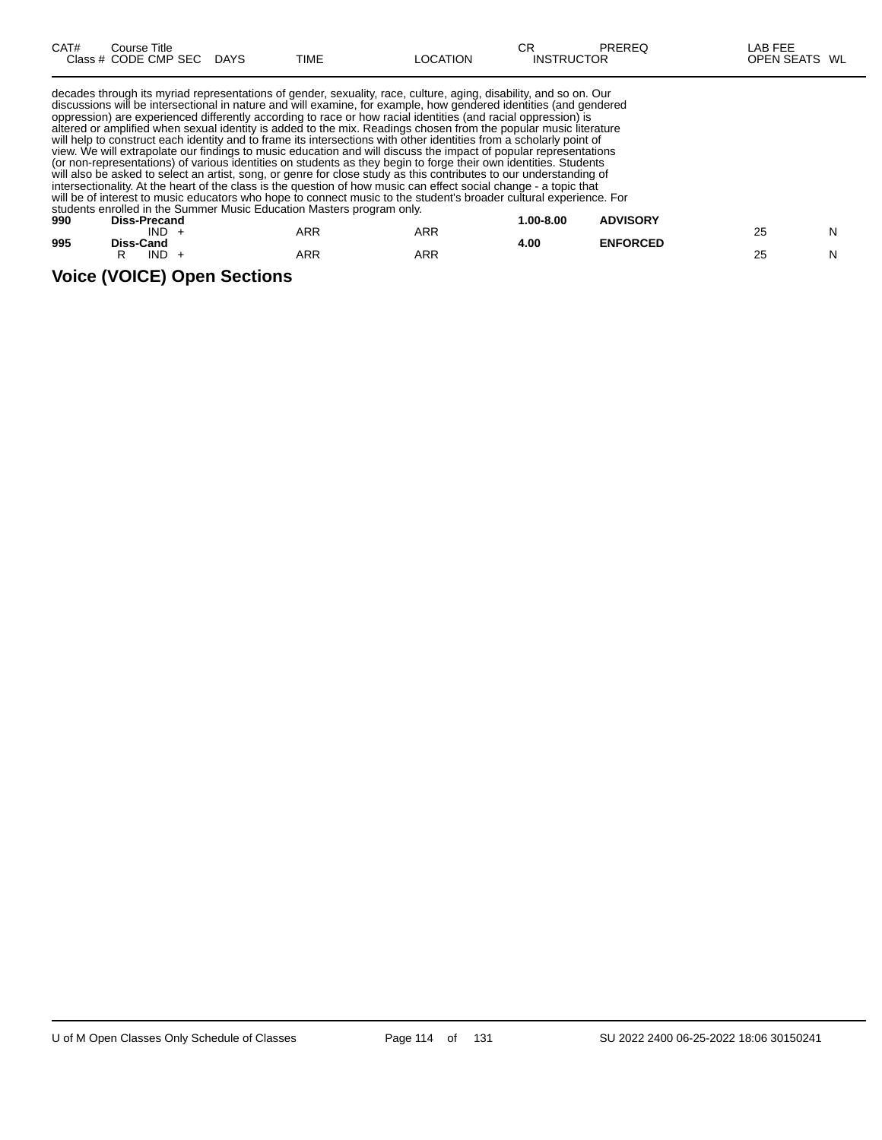| CAT# | Course Title         |             |      |                 | СF                | PREREQ | _AB FEE                 |
|------|----------------------|-------------|------|-----------------|-------------------|--------|-------------------------|
|      | Class # CODE CMP SEC | <b>DAYS</b> | TIME | <b>LOCATION</b> | <b>INSTRUCTOR</b> |        | <b>OPEN SEATS</b><br>WL |
|      |                      |             |      |                 |                   |        |                         |

decades through its myriad representations of gender, sexuality, race, culture, aging, disability, and so on. Our discussions will be intersectional in nature and will examine, for example, how gendered identities (and gendered oppression) are experienced differently according to race or how racial identities (and racial oppression) is altered or amplified when sexual identity is added to the mix. Readings chosen from the popular music literature will help to construct each identity and to frame its intersections with other identities from a scholarly point of view. We will extrapolate our findings to music education and will discuss the impact of popular representations (or non-representations) of various identities on students as they begin to forge their own identities. Students will also be asked to select an artist, song, or genre for close study as this contributes to our understanding of intersectionality. At the heart of the class is the question of how music can effect social change - a topic that will be of interest to music educators who hope to connect music to the student's broader cultural experience. For students enrolled in the Summer Music Education Masters program only. **990 Diss-Precand 1.00-8.00 ADVISORY**

| Diss-Precand |                                |     | .uu-o.uu | <b>ADVISURT</b> |                 | N  |
|--------------|--------------------------------|-----|----------|-----------------|-----------------|----|
|              |                                |     |          |                 |                 |    |
| IND          | ARR                            | ARR |          |                 | 25              | N  |
|              | <b>IND</b><br><b>Diss-Cand</b> | ARR | ARR      | 4.00            | <b>ENFORCED</b> | 25 |

#### **Voice (VOICE) Open Sections**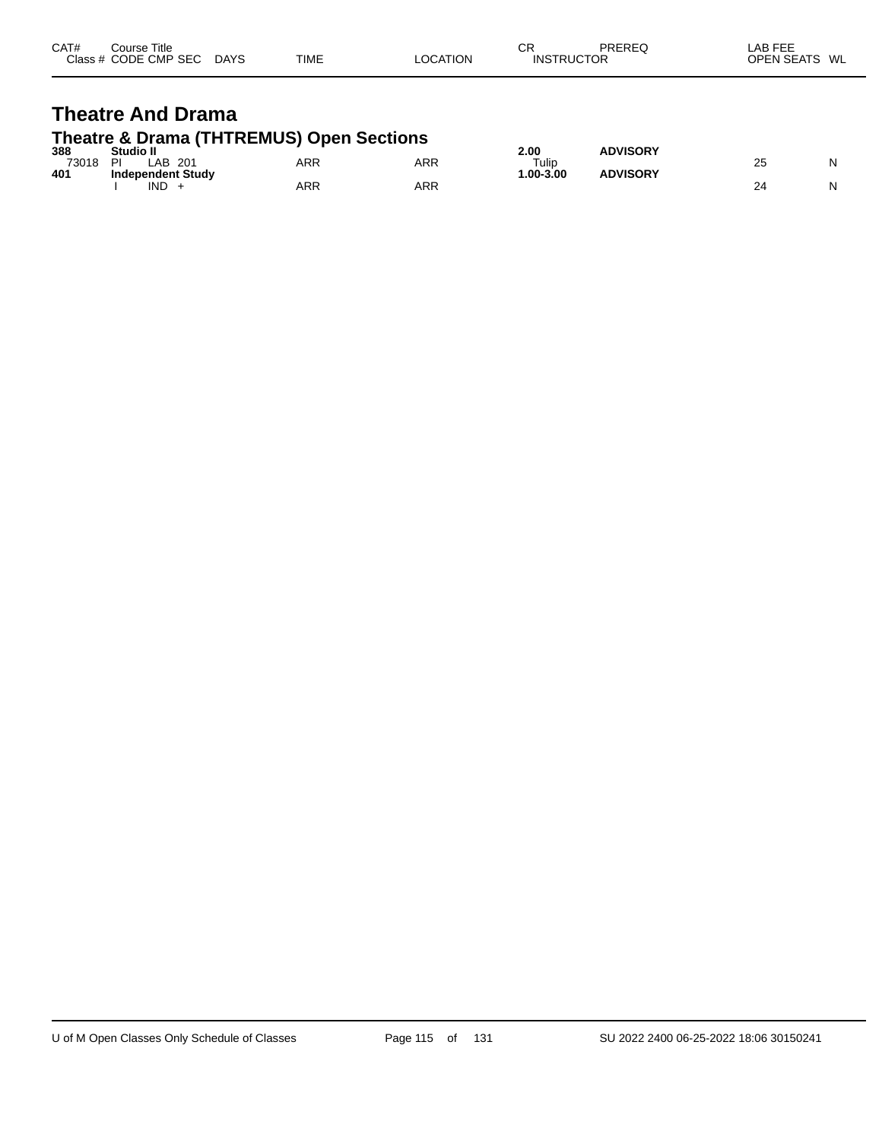| CAT# | Course Title<br>Class # CODE CMP SEC | <b>DAYS</b> | <b>TIME</b> | LOCATION | СR<br><b>INSTRUCTOR</b> | PREREQ | LAB FEE<br><b>OPEN SEATS</b> | WL |
|------|--------------------------------------|-------------|-------------|----------|-------------------------|--------|------------------------------|----|
|      |                                      |             |             |          |                         |        |                              |    |

## **Theatre And Drama Theatre & Drama (THTREMUS) Open Sections**

| 388   | Studio II                |            |            | 2.00         | <b>ADVISORY</b> |                 |  |
|-------|--------------------------|------------|------------|--------------|-----------------|-----------------|--|
| 73018 | DI<br>LAB<br>201         | <b>ARR</b> | <b>ARR</b> | Tulip        |                 | <b>00</b><br>2J |  |
| 401   | <b>Independent Study</b> |            |            | $.00 - 3.00$ | <b>ADVISORY</b> |                 |  |
|       | IND                      | <b>ARR</b> | ARR        |              |                 |                 |  |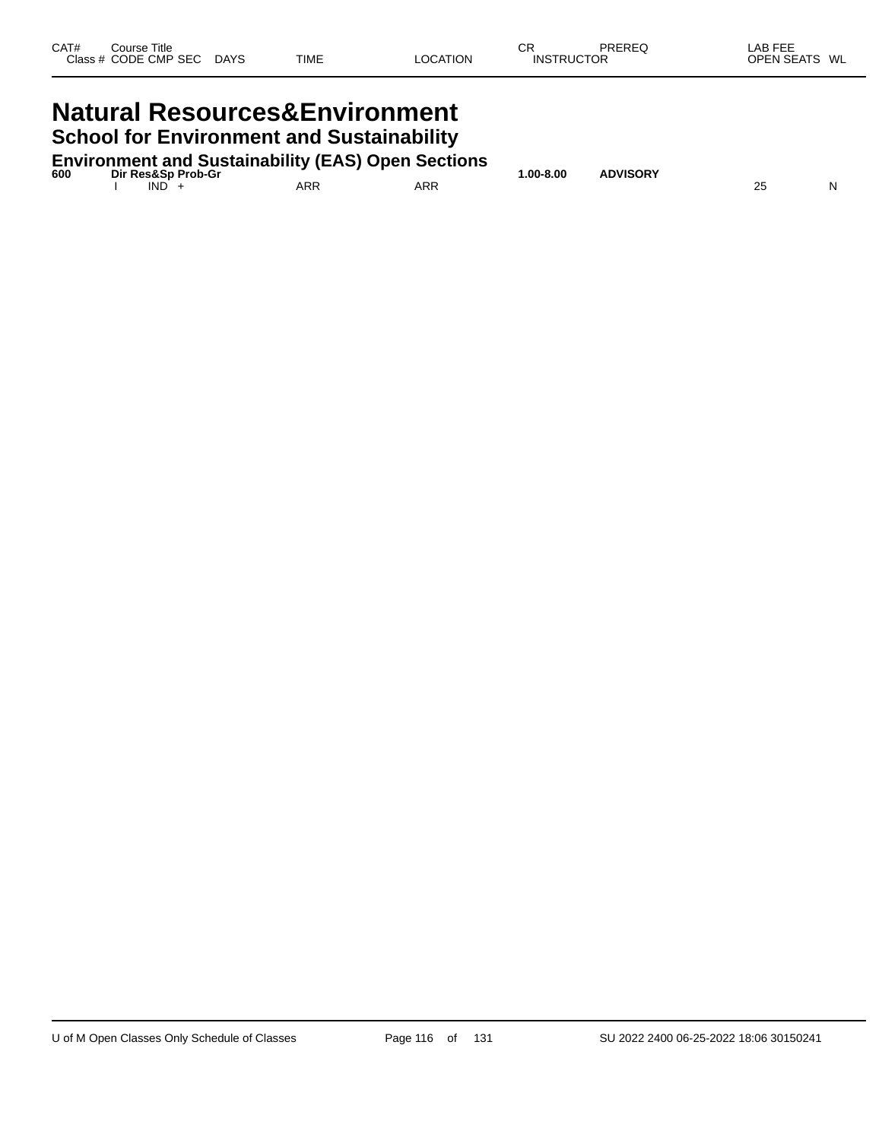# **Natural Resources&Environment School for Environment and Sustainability**

| 600 | Dir Res&Sp Prob-Gr | <b>Environment and Sustainability (EAS) Open Sections</b> |     | 1.00-8.00 | <b>ADVISORY</b> |  |
|-----|--------------------|-----------------------------------------------------------|-----|-----------|-----------------|--|
|     | IND <sup>1</sup>   | ARR                                                       | ARR |           |                 |  |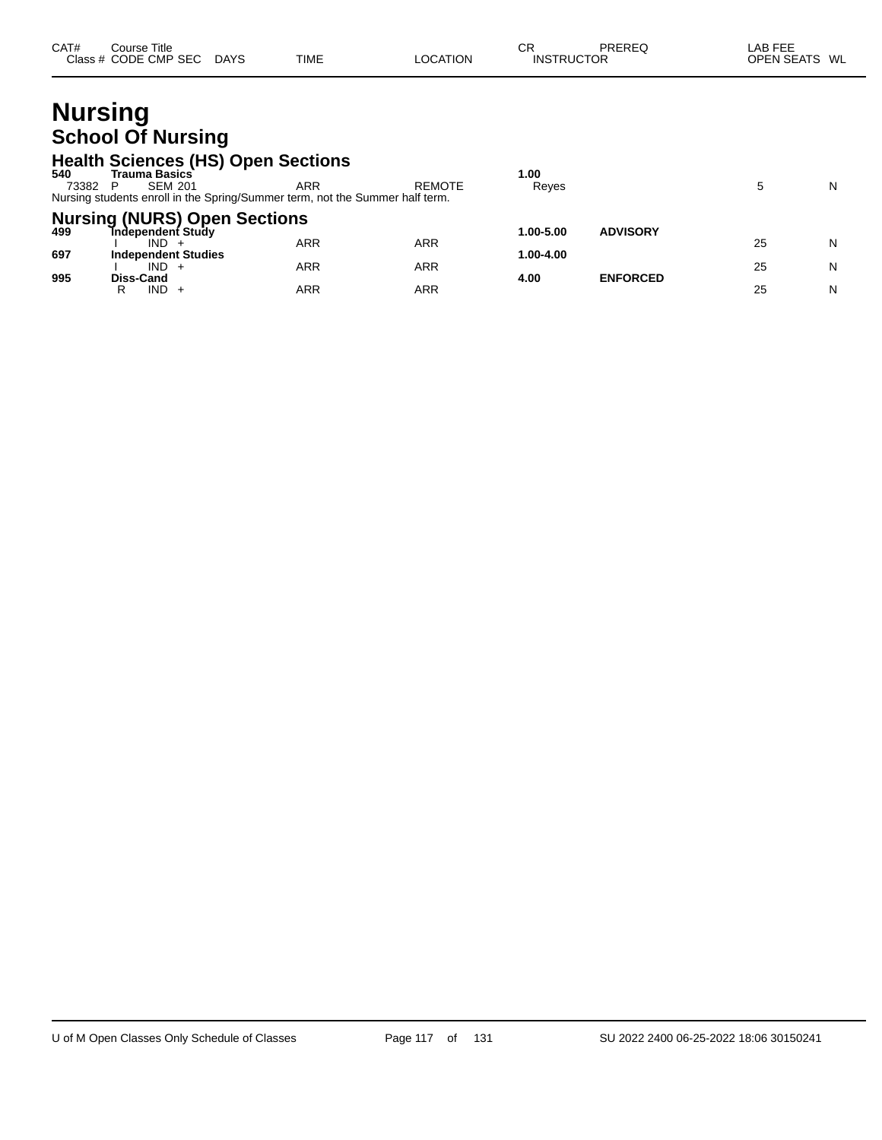| CAT# | Course Title         |             |             |          | СR                | PREREQ | _AB FEE       |  |
|------|----------------------|-------------|-------------|----------|-------------------|--------|---------------|--|
|      | Class # CODE CMP SEC | <b>DAYS</b> | <b>TIME</b> | LOCATION | <b>INSTRUCTOR</b> |        | OPEN SEATS WL |  |

# **Nursing School Of Nursing**

### **Health Sciences (HS) Open Sections**

| 540<br>73382 | Trauma Basics`<br><b>SEM 201</b><br>Nursing students enroll in the Spring/Summer term, not the Summer half term. | ARR        | <b>REMOTE</b> | 00.،<br>Reyes |                 |    | N |
|--------------|------------------------------------------------------------------------------------------------------------------|------------|---------------|---------------|-----------------|----|---|
| 499          | <b>Nursing (NURS) Open Sections</b><br><b>Tndependent Study</b>                                                  |            |               | 1.00-5.00     | <b>ADVISORY</b> |    |   |
| 697          | IND.<br><b>Independent Studies</b>                                                                               | ARR        | ARR           | 1.00-4.00     |                 | 25 | N |
| 995          | $IND +$<br>Diss-Cand                                                                                             | <b>ARR</b> | ARR           | 4.00          | <b>ENFORCED</b> | 25 | N |
|              | IND.<br>R                                                                                                        | ARR        | ARR           |               |                 | 25 | N |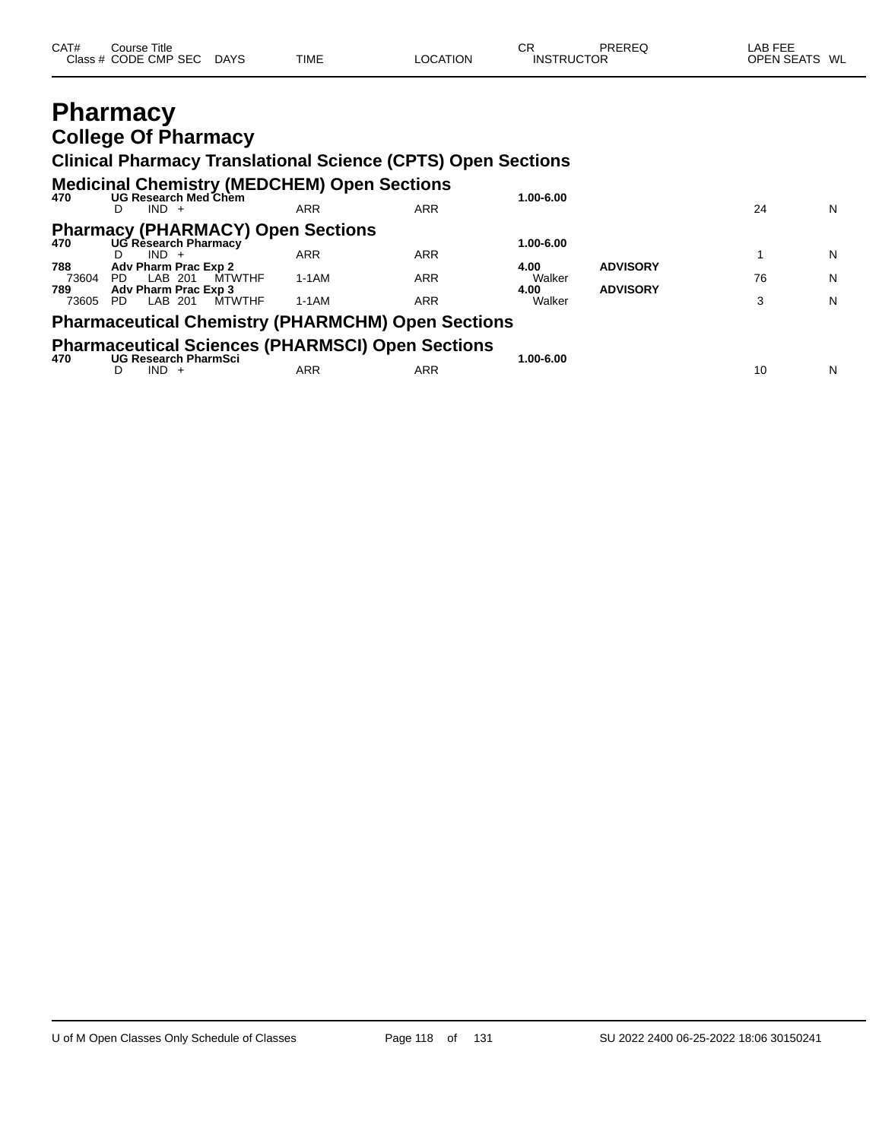| CAT#<br>Course Title<br>Class # CODE CMP SEC DAYS | <b>TIME</b> | <b>LOCATION</b> | СR<br><b>INSTRUCTOR</b> | PRERFO | LAB FEE<br>OPEN SEATS WL |  |
|---------------------------------------------------|-------------|-----------------|-------------------------|--------|--------------------------|--|
| <b>Pharmacy</b>                                   |             |                 |                         |        |                          |  |

## **Pharmacy College Of Pharmacy**

# **Clinical Pharmacy Translational Science (CPTS) Open Sections**

| 470          | <b>Medicinal Chemistry (MEDCHEM) Open Sections</b><br>UG Research Med Chem             | 1.00-6.00  |            |                |                 |    |   |
|--------------|----------------------------------------------------------------------------------------|------------|------------|----------------|-----------------|----|---|
|              | $IND +$<br>D                                                                           | ARR        | <b>ARR</b> |                |                 | 24 | N |
| 470          | <b>Pharmacy (PHARMACY) Open Sections</b><br>UG Research Pharmacy                       |            |            | 1.00-6.00      |                 |    |   |
| 788          | $IND +$<br>Adv Pharm Prac Exp 2                                                        | <b>ARR</b> | <b>ARR</b> | 4.00           | <b>ADVISORY</b> |    | N |
| 73604<br>789 | <b>MTWTHF</b><br>LAB 201<br>PD.<br>Adv Pharm Prac Exp 3                                | 1-1AM      | <b>ARR</b> | Walker<br>4.00 | <b>ADVISORY</b> | 76 | N |
| 73605        | <b>MTWTHF</b><br>LAB 201<br>PD.                                                        | $1-1AM$    | ARR        | Walker         |                 | 3  | N |
|              | <b>Pharmaceutical Chemistry (PHARMCHM) Open Sections</b>                               |            |            |                |                 |    |   |
| 470          | <b>Pharmaceutical Sciences (PHARMSCI) Open Sections</b><br><b>UG Research PharmSci</b> |            |            | 1.00-6.00      |                 |    |   |
|              | $IND +$<br>D                                                                           | ARR        | ARR        |                |                 | 10 | N |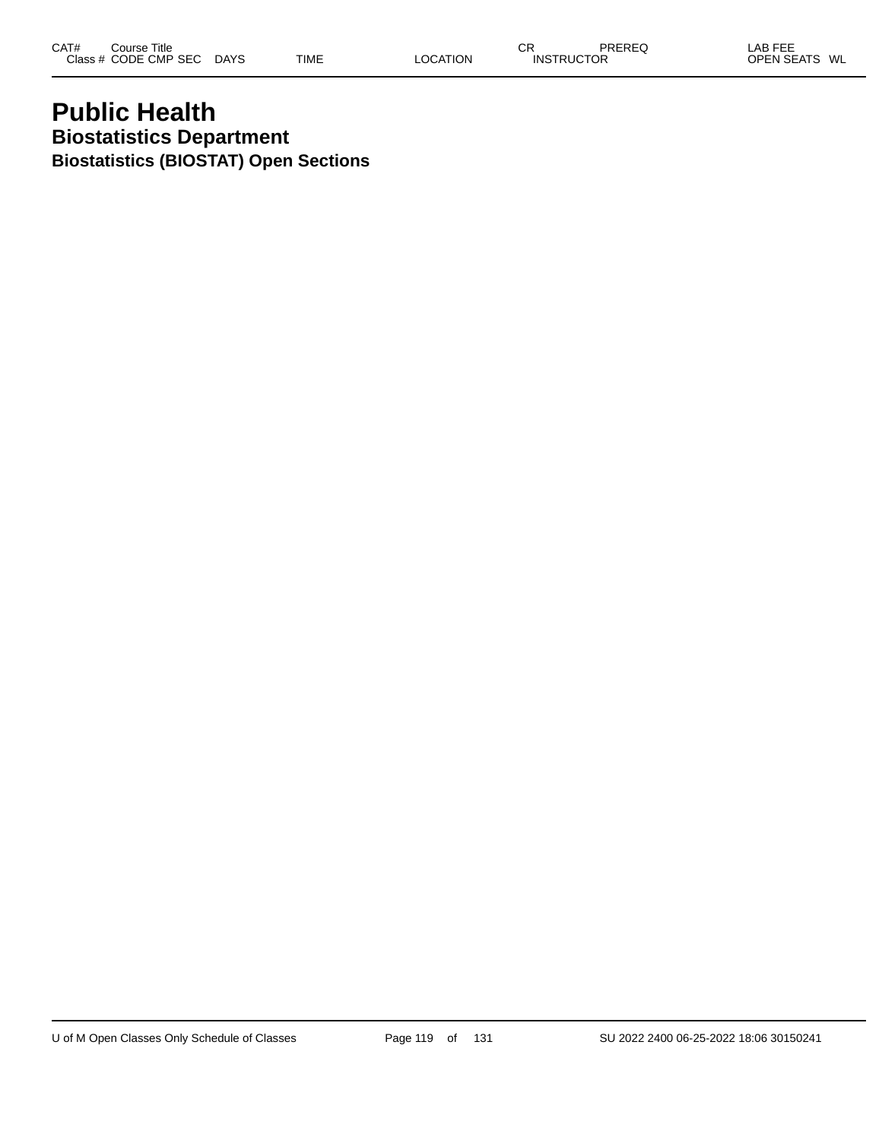# **Public Health Biostatistics Department Biostatistics (BIOSTAT) Open Sections**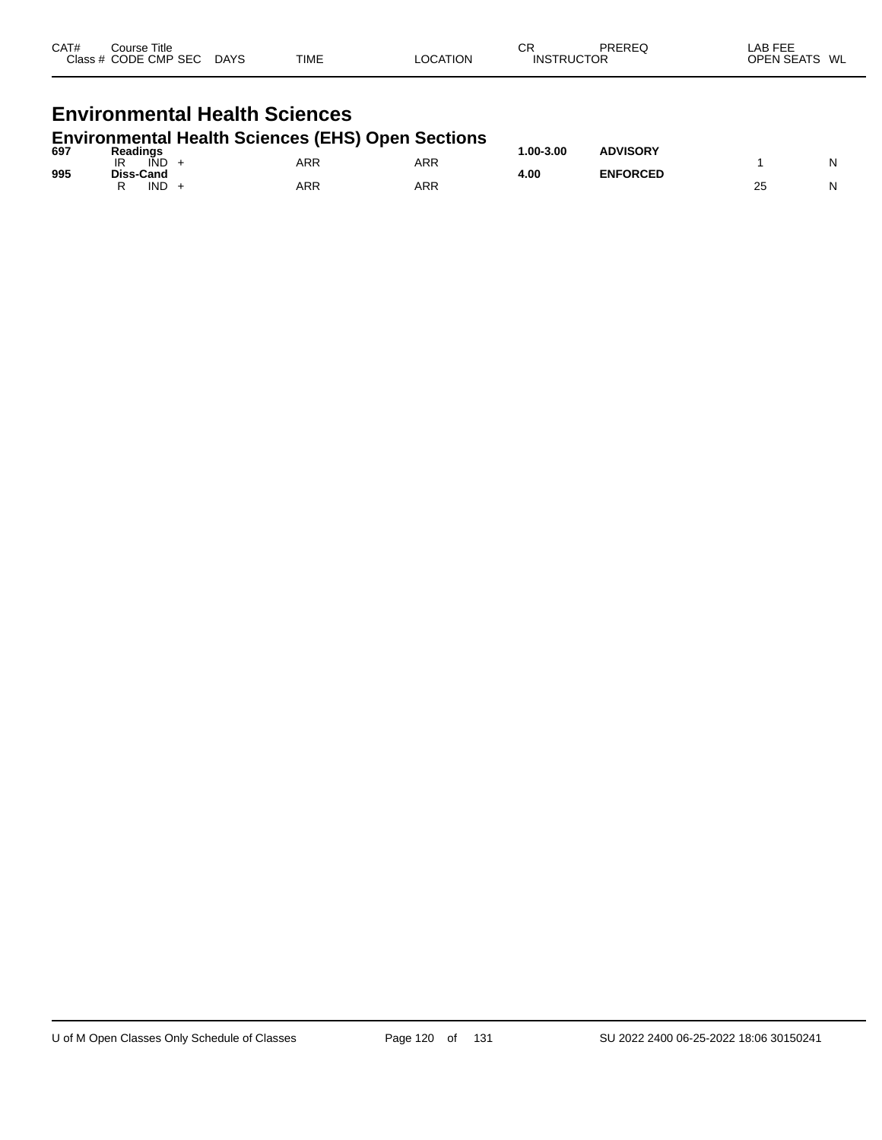| CAT#<br>Course Title<br>Class # CODE CMP SEC DAYS        |  | TIME | <b>LOCATION</b> | CR<br><b>INSTRUCTOR</b> | PRERFO | LAB FEE<br>OPEN SEATS WL |  |  |  |  |
|----------------------------------------------------------|--|------|-----------------|-------------------------|--------|--------------------------|--|--|--|--|
| <b>Environmental Health Sciences</b>                     |  |      |                 |                         |        |                          |  |  |  |  |
| <b>Environmental Health Sciences (EHS) Open Sections</b> |  |      |                 |                         |        |                          |  |  |  |  |

| 697 | <b>Readings</b>        |     |            | $.00 - 3.00$ | <b>ADVISORY</b> |    |    |
|-----|------------------------|-----|------------|--------------|-----------------|----|----|
| 995 | IR<br>IND<br>Diss-Cand | ARR | ARR        | 4.00         | <b>ENFORCED</b> |    | NI |
|     | IND                    | ARR | <b>ARR</b> |              |                 | ∠≎ | NI |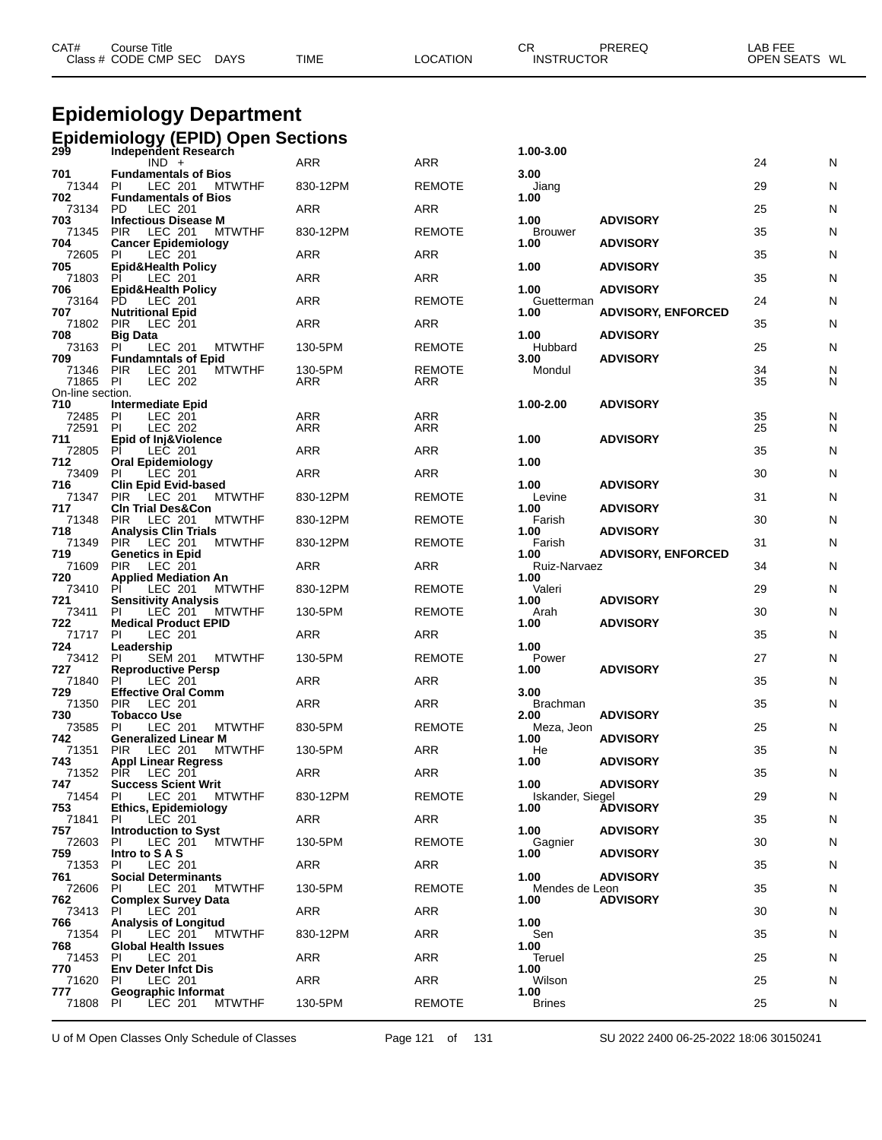| CAT# | Course Title<br>Class # CODE CMP SEC | <b>DAYS</b> | <b>TIME</b> | LOCATION | ◠⊏<br>◡┍<br><b>INSTRUCTOR</b> | <b>PREREQ</b> | _AB FEE<br>OPEN SEATS WL |  |
|------|--------------------------------------|-------------|-------------|----------|-------------------------------|---------------|--------------------------|--|
|      |                                      |             |             |          |                               |               |                          |  |

# **Epidemiology Department**

|                       | <b>Epidemiology (EPID) Open Sections</b><br>299 Independent Research  |                |                      |                        |                           |                 |        |
|-----------------------|-----------------------------------------------------------------------|----------------|----------------------|------------------------|---------------------------|-----------------|--------|
|                       | $IND +$                                                               | <b>ARR</b>     | <b>ARR</b>           | 1.00-3.00              |                           | 24              | N      |
| 701                   | <b>Fundamentals of Bios</b>                                           |                |                      | 3.00                   |                           |                 |        |
| 71344<br>702          | PI<br>LEC 201<br>MTWTHF<br><b>Fundamentals of Bios</b>                | 830-12PM       | <b>REMOTE</b>        | Jiang<br>1.00          |                           | 29              | N      |
| 73134                 | <b>LEC 201</b><br>PD                                                  | ARR            | ARR                  |                        |                           | 25              | N      |
| 703<br>71345          | <b>Infectious Disease M</b><br><b>PIR</b><br>LEC 201<br><b>MTWTHF</b> | 830-12PM       | <b>REMOTE</b>        | 1.00<br><b>Brouwer</b> | <b>ADVISORY</b>           | 35              | N      |
| 704                   | <b>Cancer Epidemiology</b>                                            | <b>ARR</b>     | ARR                  | 1.00                   | <b>ADVISORY</b>           | 35              | N      |
| 72605 PI<br>705       | LEC 201<br><b>Epid&amp;Health Policy</b>                              |                |                      | 1.00                   | <b>ADVISORY</b>           |                 |        |
| 71803 PI<br>706       | LEC 201<br><b>Epid&amp;Health Policy</b>                              | ARR            | ARR                  | 1.00                   | <b>ADVISORY</b>           | 35              | N      |
| 73164                 | PD<br>LEC 201                                                         | <b>ARR</b>     | <b>REMOTE</b>        | Guetterman             |                           | 24              | N      |
| 707<br>71802          | <b>Nutritional Epid</b><br><b>PIR</b><br>LEC 201                      | <b>ARR</b>     | ARR                  | 1.00                   | <b>ADVISORY, ENFORCED</b> | 35              | N      |
| 708                   | <b>Big Data</b>                                                       |                |                      | 1.00                   | <b>ADVISORY</b>           |                 |        |
| 73163<br>709          | <b>MTWTHF</b><br>PI<br>LEC 201<br><b>Fundamntals of Epid</b>          | 130-5PM        | <b>REMOTE</b>        | Hubbard<br>3.00        | <b>ADVISORY</b>           | 25              | N      |
| 71346 PIR<br>71865 PI | <b>MTWTHF</b><br>LEC 201<br>LEC 202                                   | 130-5PM<br>ARR | <b>REMOTE</b><br>ARR | Mondul                 |                           | 34<br>35        | N<br>N |
| On-line section.      |                                                                       |                |                      |                        |                           |                 |        |
| 710                   | <b>Intermediate Epid</b><br>PI<br>LEC 201                             | ARR            | <b>ARR</b>           | 1.00-2.00              | <b>ADVISORY</b>           |                 | N      |
| 72485<br>72591        | PI<br><b>LEC 202</b>                                                  | ARR            | <b>ARR</b>           |                        |                           | $\frac{35}{25}$ | N      |
| 711<br>72805          | Epid of Inj&Violence<br>PI<br>LEC 201                                 | ARR            | ARR                  | 1.00                   | <b>ADVISORY</b>           | 35              | N      |
| 712<br>73409          | <b>Oral Epidemiology</b><br>PI<br>LEC 201                             | <b>ARR</b>     | ARR                  | 1.00                   |                           | 30              | N      |
| 716                   | <b>Clin Epid Evid-based</b>                                           |                |                      | 1.00                   | <b>ADVISORY</b>           |                 |        |
| 71347 PIR<br>717      | LEC 201<br><b>MTWTHF</b><br><b>CIn Trial Des&amp;Con</b>              | 830-12PM       | <b>REMOTE</b>        | Levine<br>1.00         | <b>ADVISORY</b>           | 31              | N      |
| 71348                 | <b>LEC 201</b><br>PIR<br><b>MTWTHF</b>                                | 830-12PM       | <b>REMOTE</b>        | Farish                 |                           | 30              | N      |
| 718<br>71349          | <b>Analysis Clin Trials</b><br>PIR LEC 201<br><b>MTWTHF</b>           | 830-12PM       | <b>REMOTE</b>        | 1.00<br>Farish         | <b>ADVISORY</b>           | 31              | N      |
| 719<br>71609          | <b>Genetics in Epid</b><br><b>PIR</b>                                 |                | ARR                  | 1.00<br>Ruiz-Narvaez   | <b>ADVISORY, ENFORCED</b> | 34              |        |
| 720                   | LEC 201<br><b>Applied Mediation An</b>                                | ARR            |                      | 1.00                   |                           |                 | N      |
| 73410<br>721          | PI<br>LEC 201<br><b>MTWTHF</b><br><b>Sensitivity Analysis</b>         | 830-12PM       | <b>REMOTE</b>        | Valeri<br>1.00         | <b>ADVISORY</b>           | 29              | N      |
| 73411                 | LEC 201<br><b>MTWTHF</b><br>PI.                                       | 130-5PM        | <b>REMOTE</b>        | Arah                   |                           | 30              | N      |
| 722 Me<br>71717 PI    | <b>Medical Product EPID</b><br>LEC 201                                | ARR            | ARR                  | 1.00                   | <b>ADVISORY</b>           | 35              | N      |
| 724                   | Leadership<br><b>SEM 201</b>                                          | 130-5PM        | <b>REMOTE</b>        | 1.00                   |                           | 27              | N      |
| 73412 PI<br>727       | <b>MTWTHF</b><br><b>Reproductive Persp</b>                            |                |                      | Power<br>1.00          | <b>ADVISORY</b>           |                 |        |
| 71840<br>729          | PI<br>LEC 201<br><b>Effective Oral Comm</b>                           | ARR            | ARR                  | 3.00                   |                           | 35              | N      |
| 71350 PIR             | LEC 201                                                               | <b>ARR</b>     | <b>ARR</b>           | <b>Brachman</b>        |                           | 35              | N      |
| 730<br>73585          | <b>Tobacco Use</b><br>LEC 201<br>PI<br><b>MTWTHF</b>                  | 830-5PM        | <b>REMOTE</b>        | 2.00<br>Meza, Jeon     | <b>ADVISORY</b>           | 25              | N      |
| 742<br>71351          | <b>Generalized Linear M</b><br><b>PIR</b><br>LEC 201<br><b>MTWTHF</b> | 130-5PM        | <b>ARR</b>           | 1.00<br>He             | <b>ADVISORY</b>           | 35              | N      |
| 743                   | <b>Appl Linear Regress</b>                                            |                |                      | 1.00                   | <b>ADVISORY</b>           |                 |        |
| 71352<br>747          | PIR LEC 201<br><b>Success Scient Writ</b>                             | ARR            | <b>ARR</b>           | 1.00                   | <b>ADVISORY</b>           | 35              | N      |
| 71454                 | LEC 201<br><b>MTWTHF</b><br>PI                                        | 830-12PM       | <b>REMOTE</b>        | Iskander, Siegel       |                           | 29              | N      |
| 753<br>71841          | <b>Ethics, Epidemiology</b><br>LEC 201<br>PI.                         | ARR            | ARR                  | 1.00                   | <b>ADVISORY</b>           | 35              | N      |
| 757<br>72603          | <b>Introduction to Syst</b><br>PI.                                    |                | <b>REMOTE</b>        | 1.00                   | <b>ADVISORY</b>           |                 |        |
| 759                   | LEC 201<br><b>MTWTHF</b><br>Intro to SAS                              | 130-5PM        |                      | Gagnier<br>1.00        | <b>ADVISORY</b>           | 30              | N      |
| 71353<br>761          | LEC 201<br>PI.<br><b>Social Determinants</b>                          | ARR            | ARR                  | 1.00                   | <b>ADVISORY</b>           | 35              | N      |
| 72606                 | <b>MTWTHF</b><br>PI.<br>LEC 201                                       | 130-5PM        | <b>REMOTE</b>        | Mendes de Leon         |                           | 35              | N      |
| 762<br>73413          | <b>Complex Survey Data</b><br>-PI<br>LEC 201                          | ARR            | ARR                  | 1.00                   | <b>ADVISORY</b>           | 30              | N      |
| 766                   | <b>Analysis of Longitud</b>                                           |                |                      | 1.00                   |                           |                 |        |
| 71354<br>768          | LEC 201<br><b>MTWTHF</b><br>-PI<br><b>Global Health Issues</b>        | 830-12PM       | ARR                  | Sen<br>1.00            |                           | 35              | N      |
| 71453<br>770          | LEC 201<br>PI.<br><b>Env Deter Infct Dis</b>                          | ARR            | ARR                  | Teruel<br>1.00         |                           | 25              | N      |
| 71620                 | LEC 201<br><b>PI</b>                                                  | ARR            | ARR                  | Wilson                 |                           | 25              | N      |
| 777<br>71808          | Geographic Informat<br>PL<br>LEC 201<br><b>MTWTHF</b>                 | 130-5PM        | <b>REMOTE</b>        | 1.00<br><b>Brines</b>  |                           | 25              | N      |
|                       |                                                                       |                |                      |                        |                           |                 |        |

U of M Open Classes Only Schedule of Classes Page 121 of 131 SU 2022 2400 06-25-2022 18:06 30150241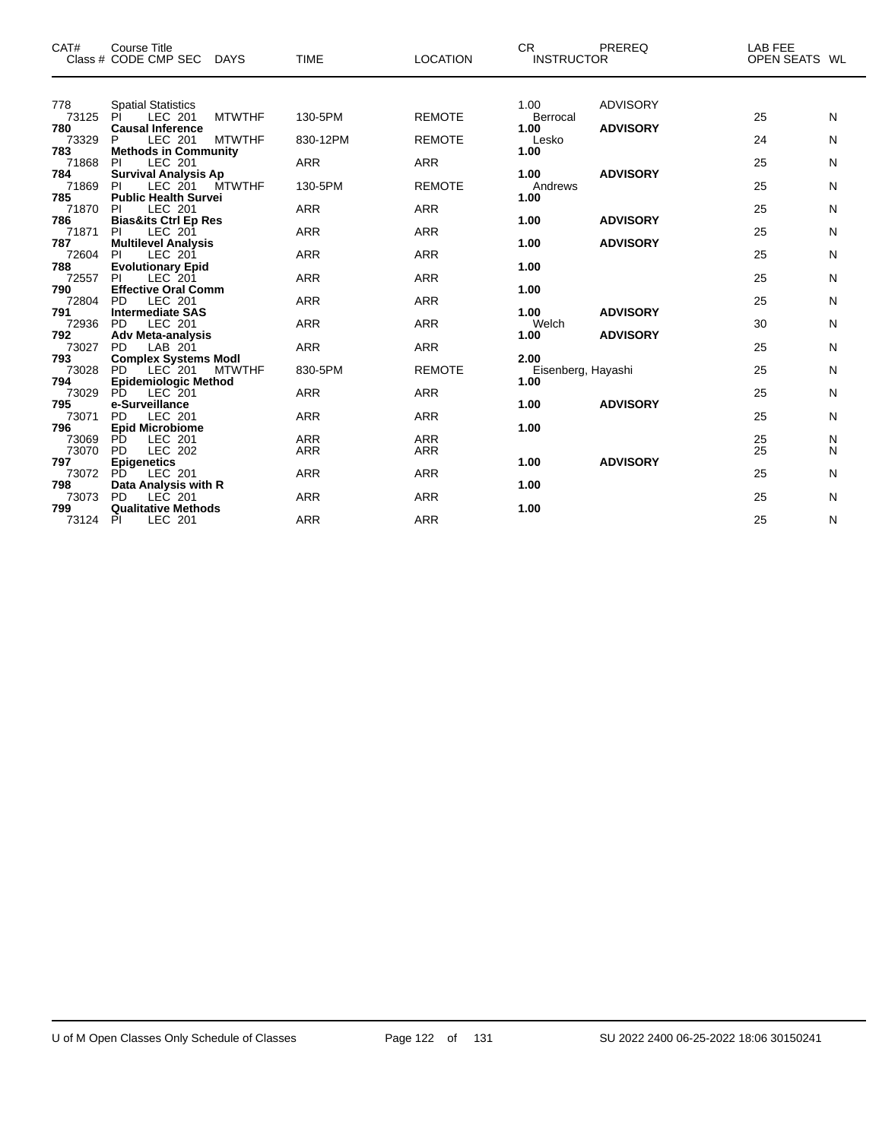| CAT#         | Course Title<br>Class # CODE CMP SEC<br><b>DAYS</b>           | <b>TIME</b> | <b>LOCATION</b> | <b>CR</b><br>PREREQ<br><b>INSTRUCTOR</b> | LAB FEE<br>OPEN SEATS WL |
|--------------|---------------------------------------------------------------|-------------|-----------------|------------------------------------------|--------------------------|
|              |                                                               |             |                 |                                          |                          |
| 778<br>73125 | <b>Spatial Statistics</b><br><b>MTWTHF</b><br>PI<br>LEC 201   | 130-5PM     | <b>REMOTE</b>   | <b>ADVISORY</b><br>1.00<br>Berrocal      | 25<br>N                  |
| 780          | <b>Causal Inference</b>                                       |             |                 | 1.00<br><b>ADVISORY</b>                  |                          |
| 73329        | <b>MTWTHF</b><br>P<br>LEC 201                                 | 830-12PM    | <b>REMOTE</b>   | Lesko                                    | 24<br>N                  |
| 783          | <b>Methods in Community</b>                                   |             |                 | 1.00                                     |                          |
| 71868<br>784 | PI<br>LEC 201                                                 | <b>ARR</b>  | <b>ARR</b>      |                                          | 25<br>N                  |
| 71869        | <b>Survival Analysis Ap</b><br><b>MTWTHF</b><br>PI<br>LEC 201 | 130-5PM     | <b>REMOTE</b>   | <b>ADVISORY</b><br>1.00<br>Andrews       | 25<br>N                  |
| 785          | <b>Public Health Survei</b>                                   |             |                 | 1.00                                     |                          |
| 71870        | LEC 201<br>PI                                                 | <b>ARR</b>  | <b>ARR</b>      |                                          | 25<br>N                  |
| 786          | <b>Bias&amp;its Ctrl Ep Res</b>                               |             |                 | 1.00<br><b>ADVISORY</b>                  |                          |
| 71871<br>787 | PI<br>LEC 201                                                 | <b>ARR</b>  | <b>ARR</b>      | 1.00                                     | 25<br>N                  |
| 72604        | <b>Multilevel Analysis</b><br>PI<br><b>LEC 201</b>            | <b>ARR</b>  | <b>ARR</b>      | <b>ADVISORY</b>                          | 25<br>N                  |
| 788          | <b>Evolutionary Epid</b>                                      |             |                 | 1.00                                     |                          |
| 72557        | LEC 201<br>PI                                                 | <b>ARR</b>  | <b>ARR</b>      |                                          | 25<br>N                  |
| 790          | <b>Effective Oral Comm</b>                                    |             |                 | 1.00                                     |                          |
| 72804        | <b>PD</b><br>LEC 201                                          | <b>ARR</b>  | <b>ARR</b>      |                                          | 25<br>N                  |
| 791<br>72936 | <b>Intermediate SAS</b><br><b>PD</b><br>LEC 201               | <b>ARR</b>  | <b>ARR</b>      | <b>ADVISORY</b><br>1.00<br>Welch         | 30<br>N                  |
| 792          | <b>Adv Meta-analysis</b>                                      |             |                 | <b>ADVISORY</b><br>1.00                  |                          |
| 73027        | <b>PD</b><br>LAB 201                                          | <b>ARR</b>  | <b>ARR</b>      |                                          | 25<br>N                  |
| 793          | <b>Complex Systems Modl</b>                                   |             |                 | 2.00                                     |                          |
| 73028        | <b>PD</b><br>LEC 201<br><b>MTWTHF</b>                         | 830-5PM     | <b>REMOTE</b>   | Eisenberg, Hayashi                       | 25<br>N                  |
| 794<br>73029 | <b>Epidemiologic Method</b><br>LEC 201<br>PD.                 | <b>ARR</b>  | <b>ARR</b>      | 1.00                                     | 25<br>N                  |
| 795          | e-Surveillance                                                |             |                 | <b>ADVISORY</b><br>1.00                  |                          |
| 73071        | LEC 201<br><b>PD</b>                                          | <b>ARR</b>  | <b>ARR</b>      |                                          | 25<br>N                  |
| 796          | <b>Epid Microbiome</b>                                        |             |                 | 1.00                                     |                          |
| 73069        | LEC 201<br>PD.                                                | <b>ARR</b>  | <b>ARR</b>      |                                          | 25<br>N                  |
| 73070<br>797 | <b>LEC 202</b><br><b>PD</b>                                   | <b>ARR</b>  | <b>ARR</b>      | 1.00<br><b>ADVISORY</b>                  | 25<br>N                  |
| 73072        | <b>Epigenetics</b><br>LEC 201<br>PD.                          | <b>ARR</b>  | <b>ARR</b>      |                                          | 25<br>N                  |
| 798          | Data Analysis with R                                          |             |                 | 1.00                                     |                          |
| 73073        | P <sub>D</sub><br>LEC 201                                     | <b>ARR</b>  | <b>ARR</b>      |                                          | 25<br>N                  |
| 799          | <b>Qualitative Methods</b>                                    |             |                 | 1.00                                     |                          |
| 73124        | LEC 201<br>PI                                                 | <b>ARR</b>  | <b>ARR</b>      |                                          | 25<br>N                  |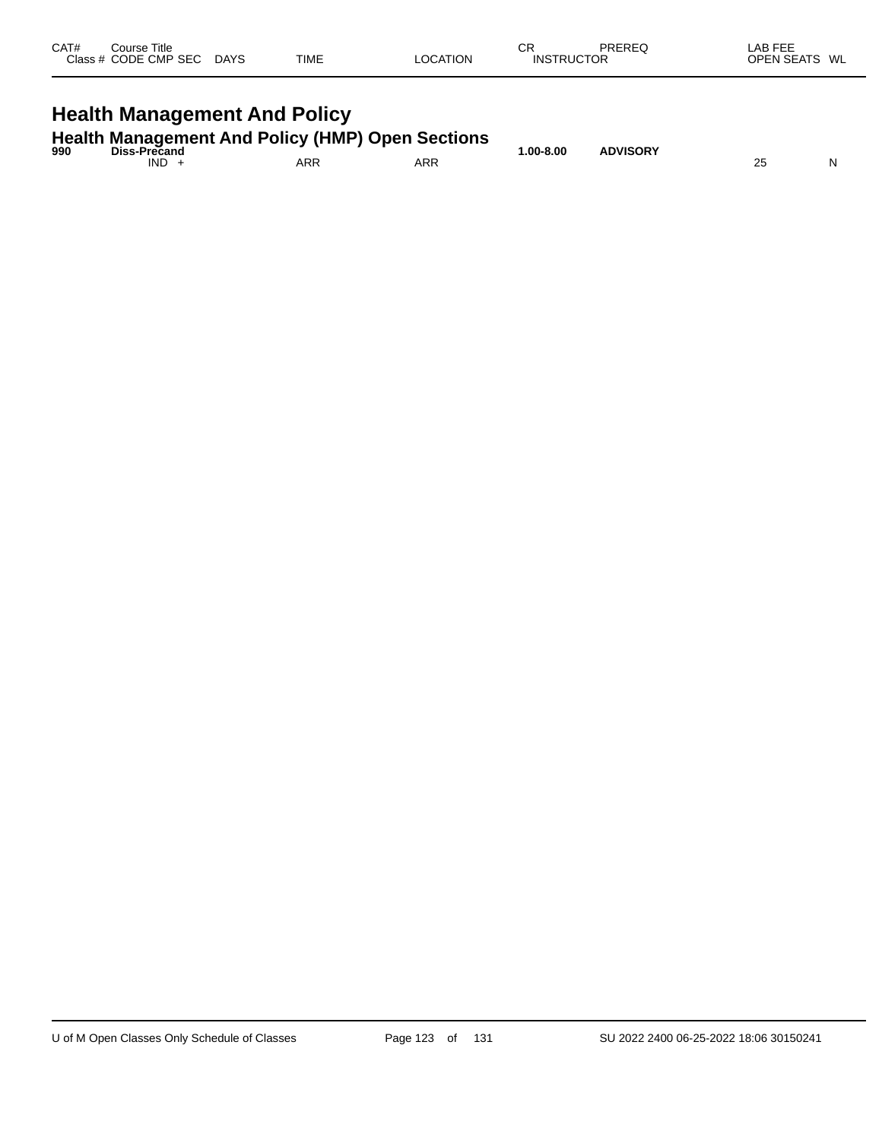| CAT# | Course Title<br>Class # CODE CMP SEC | <b>DAYS</b> | <b>TIME</b> | <b>OCATION</b> | СR<br><b>INSTRUCTOR</b> | PREREQ | <b>LAB FEE</b><br><b>OPEN SEATS</b><br>WL |
|------|--------------------------------------|-------------|-------------|----------------|-------------------------|--------|-------------------------------------------|
|      |                                      |             |             |                |                         |        |                                           |

# **Health Management And Policy**

| 990 | <b>Health Management And Policy (HMP) Open Sections</b><br>Diss-Precand |            |     | $.00 - 8.00$ | <b>ADVISORY</b> |  |
|-----|-------------------------------------------------------------------------|------------|-----|--------------|-----------------|--|
|     | IND.                                                                    | <b>ARP</b> | ARR |              |                 |  |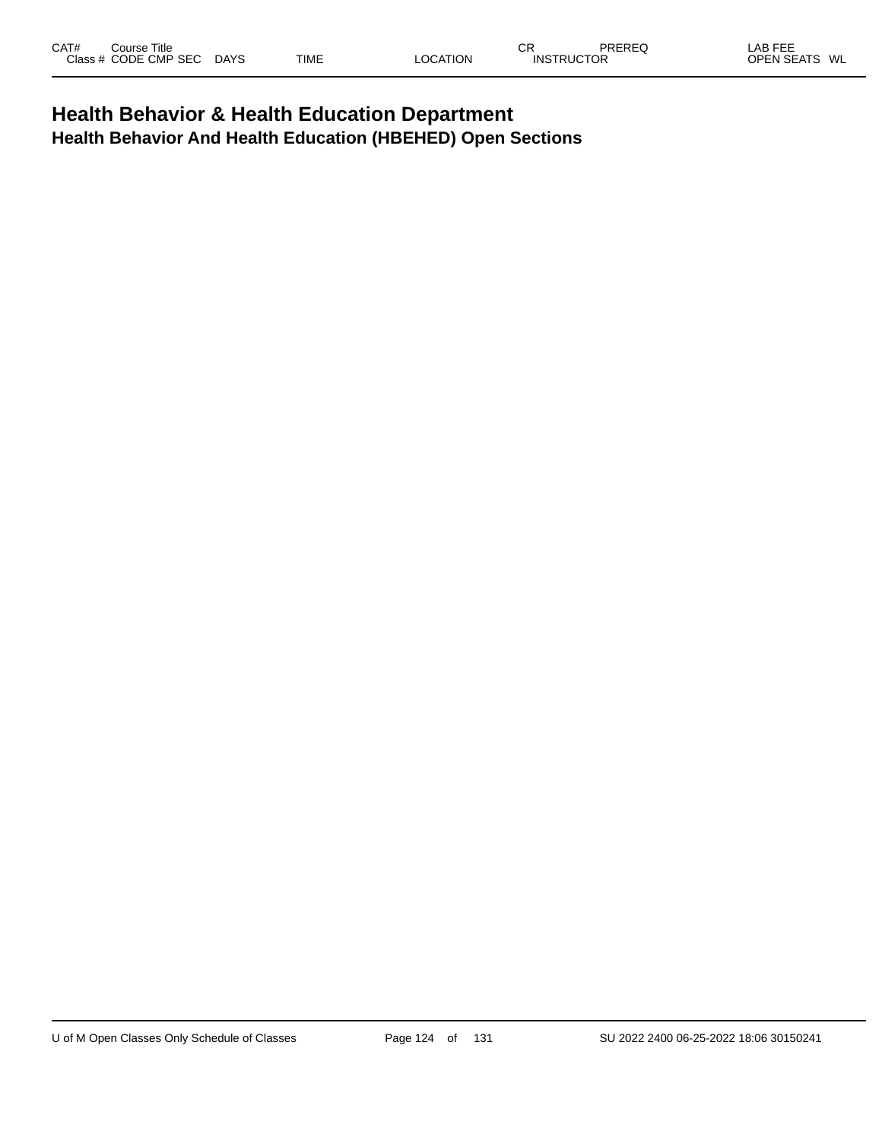## **Health Behavior & Health Education Department Health Behavior And Health Education (HBEHED) Open Sections**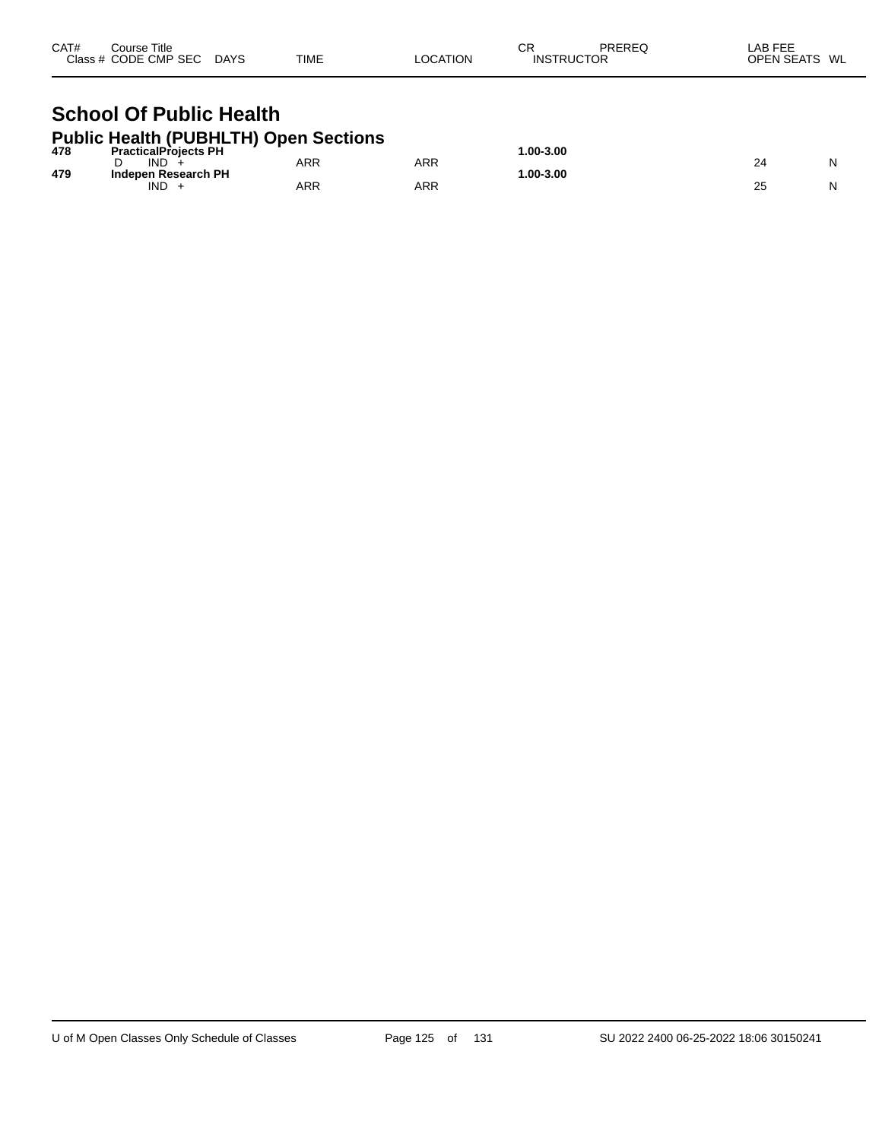| CAT#<br>Course Title<br>Class # CODE CMP SEC DAYS                                          | TIME       | <b>LOCATION</b> | СR<br>PREREQ<br><b>INSTRUCTOR</b> | LAB FEE<br>OPEN SEATS WL |
|--------------------------------------------------------------------------------------------|------------|-----------------|-----------------------------------|--------------------------|
| <b>School Of Public Health</b>                                                             |            |                 |                                   |                          |
| <b>Public Health (PUBHLTH) Open Sections</b><br><b>PracticalProjects PH</b><br>478<br>1112 | $\sqrt{2}$ | $\sqrt{2}$      | 1.00-3.00                         | $\sim$ $\sim$            |

| 479 | -------<br><b>IND</b>      | ARR | <b>ARR</b> | __<br>- - - | ∕ 4 | ורו |
|-----|----------------------------|-----|------------|-------------|-----|-----|
|     | Indepen Research PH<br>IND | ARR | <b>ARR</b> | .00-3.00    | 25  |     |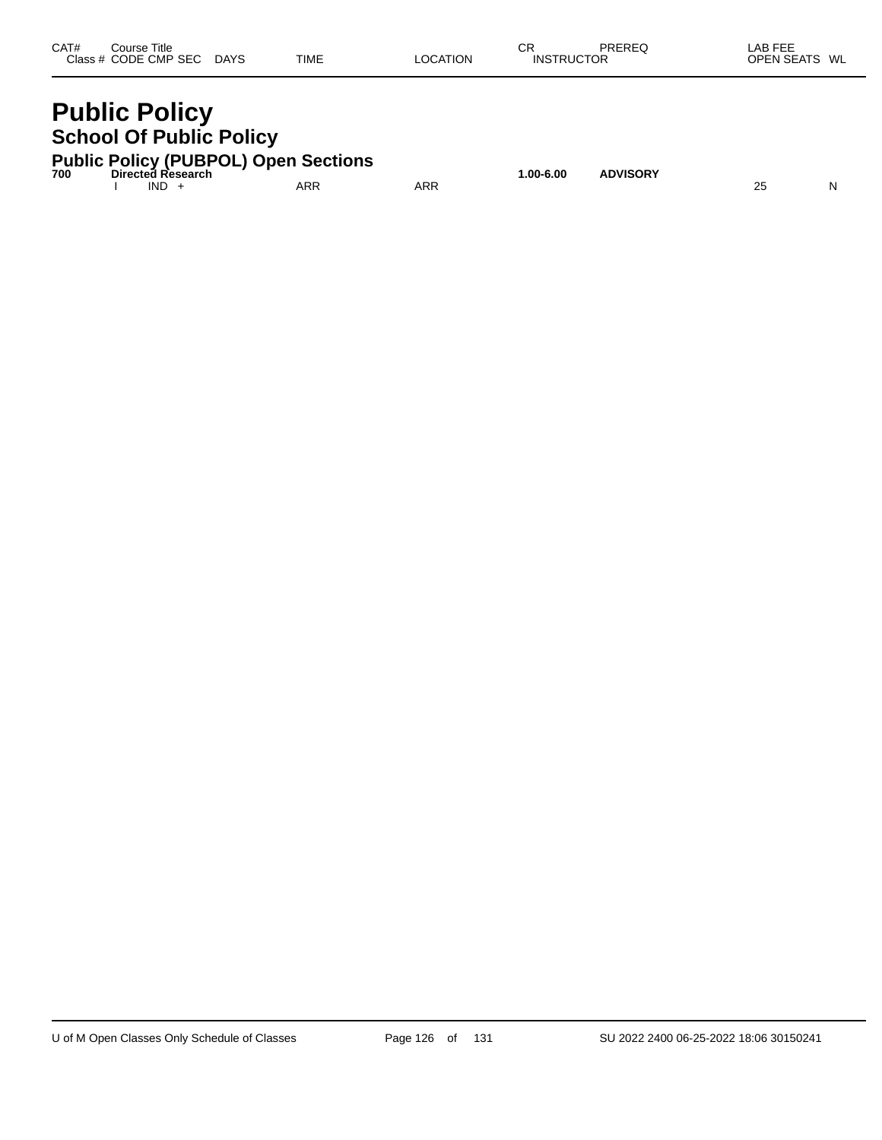| CAT# | Course Title         |             |             |                 | ∼⊏<br>◡           | PREREQ | LAB FEE       |
|------|----------------------|-------------|-------------|-----------------|-------------------|--------|---------------|
|      | Class # CODE CMP SEC | <b>DAYS</b> | <b>TIME</b> | <b>LOCATION</b> | <b>INSTRUCTOR</b> |        | OPEN SEATS WL |
|      |                      |             |             |                 |                   |        |               |

I IND + ARR ARR 25 N

# **Public Policy School Of Public Policy**

|     | <b>Public Policy (PUBPOL) Open Sections</b> |           |                 |
|-----|---------------------------------------------|-----------|-----------------|
| 700 | Directed Research                           | 1.00-6.00 | <b>ADVISORY</b> |

U of M Open Classes Only Schedule of Classes Page 126 of 131 SU 2022 2400 06-25-2022 18:06 30150241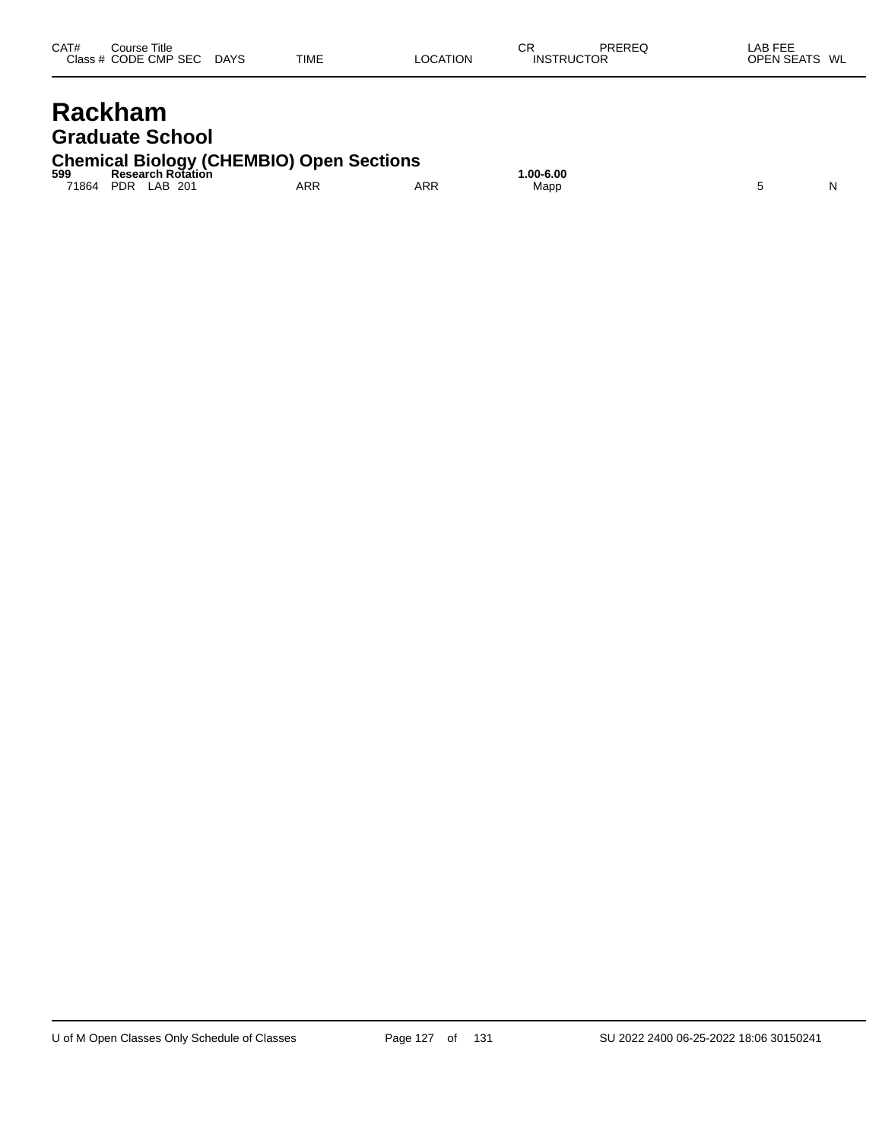| CAT#      | Title<br>Course i      |             |             |          | rг<br>◡           | PREREQ | $\lambda$ $\sim$ $\sim$ $\sim$ $\sim$<br>_AB_<br>---<br>-- |  |
|-----------|------------------------|-------------|-------------|----------|-------------------|--------|------------------------------------------------------------|--|
| Class $#$ | CODE CMP<br><b>SEC</b> | <b>DAYS</b> | <b>TIME</b> | LOCATION | <b>INSTRUCTOR</b> |        | <b>OPEN SEATS</b><br>WL                                    |  |
|           |                        |             |             |          |                   |        |                                                            |  |

# **Rackham Graduate School**

# **Chemical Biology (CHEMBIO) Open Sections 599 Research Rotation 1.00-6.00**

71864 PDR LAB 201 ARR ARR Mapp 5 N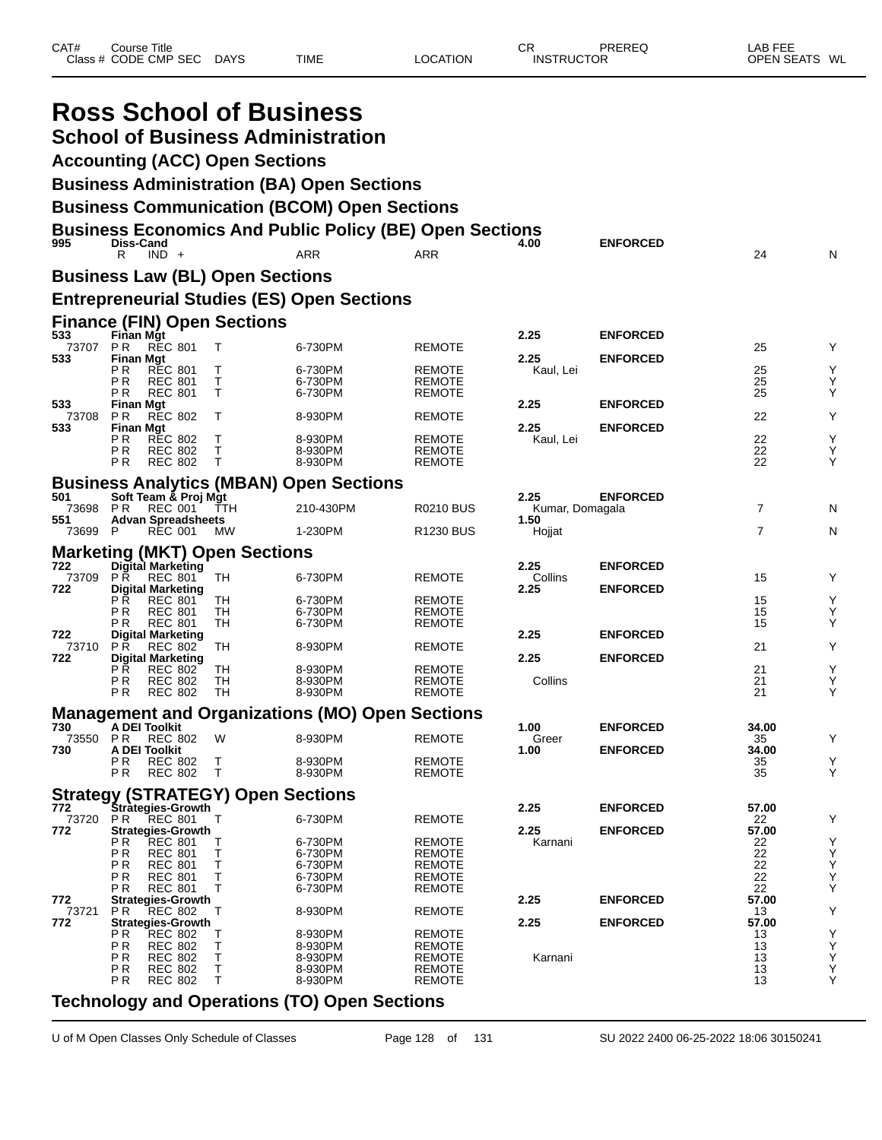| CAT# | ourse Titleٽ         |             |             |          | СR                | PREREQ | _AB FEE                   |
|------|----------------------|-------------|-------------|----------|-------------------|--------|---------------------------|
|      | Class # CODE CMP SEC | <b>DAYS</b> | <b>TIME</b> | LOCATION | <b>INSTRUCTOR</b> |        | : WL<br><b>OPEN SEATS</b> |

|                     |                             |                                                    | <b>Ross School of Business</b><br><b>Accounting (ACC) Open Sections</b> | <b>School of Business Administration</b><br><b>Business Administration (BA) Open Sections</b><br><b>Business Communication (BCOM) Open Sections</b> |                                                 |                         |                                    |                |                    |
|---------------------|-----------------------------|----------------------------------------------------|-------------------------------------------------------------------------|-----------------------------------------------------------------------------------------------------------------------------------------------------|-------------------------------------------------|-------------------------|------------------------------------|----------------|--------------------|
| 995                 | Diss-Cand                   |                                                    |                                                                         | <b>Business Economics And Public Policy (BE) Open Sections</b>                                                                                      |                                                 | 4.00                    | <b>ENFORCED</b>                    |                |                    |
|                     | R                           | $IND +$                                            |                                                                         | <b>ARR</b>                                                                                                                                          | ARR                                             |                         |                                    | 24             | N                  |
|                     |                             |                                                    | <b>Business Law (BL) Open Sections</b>                                  |                                                                                                                                                     |                                                 |                         |                                    |                |                    |
|                     |                             |                                                    |                                                                         | <b>Entrepreneurial Studies (ES) Open Sections</b>                                                                                                   |                                                 |                         |                                    |                |                    |
| 533                 | Finan Mgt                   |                                                    | <b>Finance (FIN) Open Sections</b>                                      |                                                                                                                                                     |                                                 | 2.25                    | <b>ENFORCED</b>                    |                |                    |
| 73707<br>533        | P R<br><b>Finan Mgt</b>     | <b>REC 801</b>                                     | Т                                                                       | 6-730PM                                                                                                                                             | REMOTE                                          | 2.25                    | <b>ENFORCED</b>                    | 25             | Υ                  |
|                     | P R<br>РR                   | <b>REC 801</b><br><b>REC 801</b>                   | т<br>т                                                                  | 6-730PM<br>6-730PM                                                                                                                                  | <b>REMOTE</b><br><b>REMOTE</b>                  | Kaul, Lei               |                                    | 25<br>25       | Υ<br>Υ             |
| 533                 | ΡR<br><b>Finan Mgt</b>      | <b>REC 801</b>                                     | T                                                                       | 6-730PM                                                                                                                                             | <b>REMOTE</b>                                   | 2.25                    | <b>ENFORCED</b>                    | 25             | Υ                  |
| 73708<br>533        | P R<br><b>Finan Mgt</b>     | <b>REC 802</b>                                     | т                                                                       | 8-930PM                                                                                                                                             | <b>REMOTE</b>                                   | 2.25                    | <b>ENFORCED</b>                    | 22             | Υ                  |
|                     | РR<br>РR<br>P R             | <b>REC 802</b><br><b>REC 802</b><br><b>REC 802</b> | т<br>Т<br>T                                                             | 8-930PM<br>8-930PM<br>8-930PM                                                                                                                       | <b>REMOTE</b><br><b>REMOTE</b><br><b>REMOTE</b> | Kaul, Lei               |                                    | 22<br>22<br>22 | Υ<br>Υ<br>Υ        |
|                     |                             |                                                    |                                                                         | <b>Business Analytics (MBAN) Open Sections</b>                                                                                                      |                                                 |                         |                                    |                |                    |
| 501<br>73698        | P R                         | Soft Team & Proj Mgt<br><b>REC 001</b>             | TTH                                                                     | 210-430PM                                                                                                                                           | <b>R0210 BUS</b>                                | 2.25<br>Kumar, Domagala | <b>ENFORCED</b>                    | $\overline{7}$ | N                  |
| 551<br>73699        | P                           | <b>Advan Spreadsheets</b><br>REC 001               | MW.                                                                     | 1-230PM                                                                                                                                             | R <sub>1230</sub> BUS                           | 1.50<br>Hojjat          |                                    | $\overline{7}$ | N                  |
|                     |                             |                                                    | <b>Marketing (MKT) Open Sections</b>                                    |                                                                                                                                                     |                                                 |                         |                                    |                |                    |
| 722<br>73709<br>722 | PŘ                          | Digital Marketing<br><b>REC 801</b>                | TН                                                                      | 6-730PM                                                                                                                                             | <b>REMOTE</b>                                   | 2.25<br>Collins<br>2.25 | <b>ENFORCED</b><br><b>ENFORCED</b> | 15             | Y                  |
|                     | РR<br>РR                    | <b>Digital Marketing</b><br>REC 801<br>REC 801     | TН<br>TH                                                                | 6-730PM<br>6-730PM                                                                                                                                  | <b>REMOTE</b><br><b>REMOTE</b>                  |                         |                                    | 15<br>15       | Υ<br>Υ             |
| 722                 | P R                         | <b>REC 801</b><br><b>Digital Marketing</b>         | TН                                                                      | 6-730PM                                                                                                                                             | <b>REMOTE</b>                                   | 2.25                    | <b>ENFORCED</b>                    | 15             | Υ                  |
| 73710<br>722        | P R                         | <b>REC 802</b><br><b>Digital Marketing</b>         | TН                                                                      | 8-930PM                                                                                                                                             | <b>REMOTE</b>                                   | 2.25                    | <b>ENFORCED</b>                    | 21             | Υ                  |
|                     | P <sub>R</sub><br>ΡR<br>P R | REC 802<br><b>REC 802</b><br><b>REC 802</b>        | TН<br>TН<br>TH                                                          | 8-930PM<br>8-930PM<br>8-930PM                                                                                                                       | REMOTE<br><b>REMOTE</b><br><b>REMOTE</b>        | Collins                 |                                    | 21<br>21<br>21 | Υ<br>Υ<br>Y        |
|                     |                             |                                                    |                                                                         | <b>Management and Organizations (MO) Open Sections</b>                                                                                              |                                                 |                         |                                    |                |                    |
| 730<br>73550        | A DEI Toolkit<br>P R        | <b>REC 802</b>                                     | W                                                                       | 8-930PM                                                                                                                                             | REMOTE                                          | 1.00<br>Greer           | <b>ENFORCED</b>                    | 34.00<br>35    | Y                  |
| 730                 | A DEI Toolkit               |                                                    |                                                                         |                                                                                                                                                     |                                                 | 1.00                    | <b>ENFORCED</b>                    | 34.00          |                    |
|                     | PR<br>ΡR                    | <b>REC 802</b><br><b>REC 802</b>                   | Т<br>$\top$                                                             | 8-930PM<br>8-930PM                                                                                                                                  | <b>REMOTE</b><br><b>REMOTE</b>                  |                         |                                    | 35<br>35       | $_{\rm Y}^{\rm Y}$ |
|                     |                             |                                                    | <b>Strategy (STRATEGY) Open Sections</b>                                |                                                                                                                                                     |                                                 |                         |                                    |                |                    |
| 772<br>73720        | PR.                         | Stràtegies-Growth<br><b>REC 801</b>                | Т                                                                       | 6-730PM                                                                                                                                             | <b>REMOTE</b>                                   | 2.25                    | <b>ENFORCED</b>                    | 57.00<br>22    | Υ                  |
| 772                 | ΡR                          | <b>Strategies-Growth</b><br><b>REC 801</b>         | Т                                                                       | 6-730PM                                                                                                                                             | <b>REMOTE</b>                                   | 2.25<br>Karnani         | <b>ENFORCED</b>                    | 57.00<br>22    |                    |
|                     | PR.                         | <b>REC 801</b>                                     | $\sf T$                                                                 | 6-730PM                                                                                                                                             | <b>REMOTE</b>                                   |                         |                                    | 22             | $_{\rm Y}^{\rm Y}$ |
|                     | ΡR<br>ΡR                    | <b>REC 801</b><br><b>REC 801</b>                   | T<br>Τ                                                                  | 6-730PM<br>6-730PM                                                                                                                                  | <b>REMOTE</b><br><b>REMOTE</b>                  |                         |                                    | 22<br>22       | Y<br>Y<br>Y        |
| 772                 | РR                          | <b>REC 801</b><br><b>Strategies-Growth</b>         | T                                                                       | 6-730PM                                                                                                                                             | <b>REMOTE</b>                                   | 2.25                    | <b>ENFORCED</b>                    | 22<br>57.00    |                    |
| 73721<br>772        | P R                         | <b>REC 802</b><br><b>Strategies-Growth</b>         | т                                                                       | 8-930PM                                                                                                                                             | <b>REMOTE</b>                                   | 2.25                    | <b>ENFORCED</b>                    | 13<br>57.00    | Υ                  |
|                     | ΡR                          | <b>REC 802</b>                                     | Т                                                                       | 8-930PM                                                                                                                                             | <b>REMOTE</b>                                   |                         |                                    | 13             |                    |
|                     | РR<br>PR                    | <b>REC 802</b><br><b>REC 802</b>                   | Т<br>Т                                                                  | 8-930PM<br>8-930PM                                                                                                                                  | <b>REMOTE</b><br><b>REMOTE</b>                  | Karnani                 |                                    | 13<br>13       | Y<br>Y<br>Y        |
|                     | ΡR<br>РR                    | <b>REC 802</b><br><b>REC 802</b>                   | $\mathsf T$<br>$\top$                                                   | 8-930PM<br>8-930PM                                                                                                                                  | <b>REMOTE</b><br><b>REMOTE</b>                  |                         |                                    | 13<br>13       | Y<br>Υ             |
|                     |                             |                                                    |                                                                         |                                                                                                                                                     |                                                 |                         |                                    |                |                    |

#### **Technology and Operations (TO) Open Sections**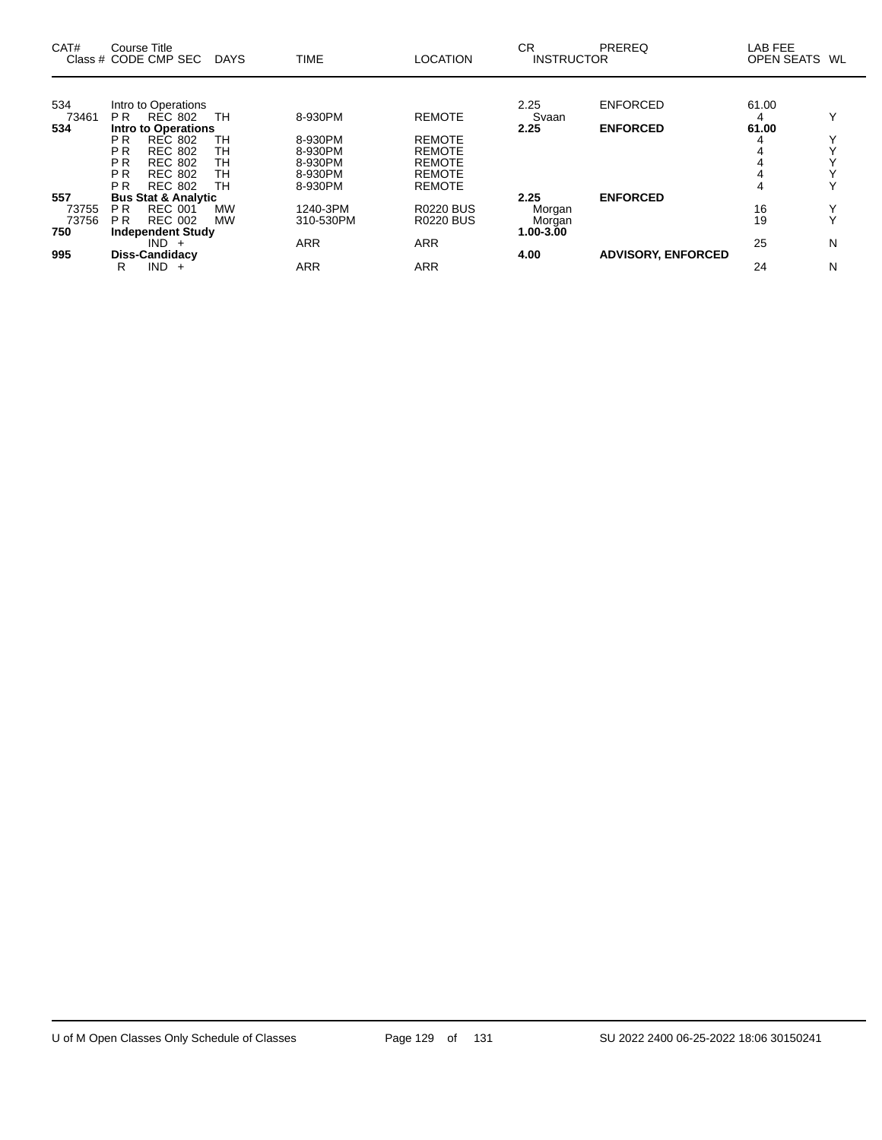| CAT#         | <b>Course Title</b><br>Class # CODE CMP SEC      | DAYS      | <b>TIME</b> | <b>LOCATION</b>  | <b>CR</b><br><b>INSTRUCTOR</b> | PREREQ                    | LAB FEE<br>OPEN SEATS WL |              |
|--------------|--------------------------------------------------|-----------|-------------|------------------|--------------------------------|---------------------------|--------------------------|--------------|
| 534<br>73461 | Intro to Operations<br>RÉC 802<br>P <sub>R</sub> | TH        | 8-930PM     | <b>REMOTE</b>    | 2.25<br>Svaan                  | <b>ENFORCED</b>           | 61.00<br>4               | Υ            |
| 534          | <b>Intro to Operations</b>                       |           |             |                  | 2.25                           | <b>ENFORCED</b>           | 61.00                    |              |
|              | <b>REC 802</b><br>P <sub>R</sub>                 | TН        | 8-930PM     | <b>REMOTE</b>    |                                |                           | 4                        |              |
|              | P <sub>R</sub><br><b>REC 802</b>                 | TН        | 8-930PM     | <b>REMOTE</b>    |                                |                           |                          |              |
|              | P <sub>R</sub><br><b>REC 802</b>                 | TН        | 8-930PM     | <b>REMOTE</b>    |                                |                           |                          |              |
|              | P <sub>R</sub><br><b>REC 802</b>                 | TН        | 8-930PM     | <b>REMOTE</b>    |                                |                           |                          |              |
|              | <b>PR</b><br><b>REC 802</b>                      | TН        | 8-930PM     | <b>REMOTE</b>    |                                |                           | 4                        |              |
| 557          | <b>Bus Stat &amp; Analytic</b>                   |           |             |                  | 2.25                           | <b>ENFORCED</b>           |                          |              |
| 73755        | <b>REC 001</b><br>P <sub>R</sub>                 | <b>MW</b> | 1240-3PM    | <b>R0220 BUS</b> | Morgan                         |                           | 16                       | $\checkmark$ |
| 73756        | <b>REC 002</b><br>P <sub>R</sub>                 | <b>MW</b> | 310-530PM   | <b>R0220 BUS</b> | Morgan                         |                           | 19                       |              |
| 750          | <b>Independent Study</b>                         |           |             |                  | $1.00 - 3.00$                  |                           |                          |              |
|              | $IND +$                                          |           | <b>ARR</b>  | <b>ARR</b>       |                                |                           | 25                       | N            |
| 995          | Diss-Candidacy                                   |           |             |                  | 4.00                           | <b>ADVISORY, ENFORCED</b> |                          |              |
|              | $IND +$<br>R                                     |           | ARR         | <b>ARR</b>       |                                |                           | 24                       | N            |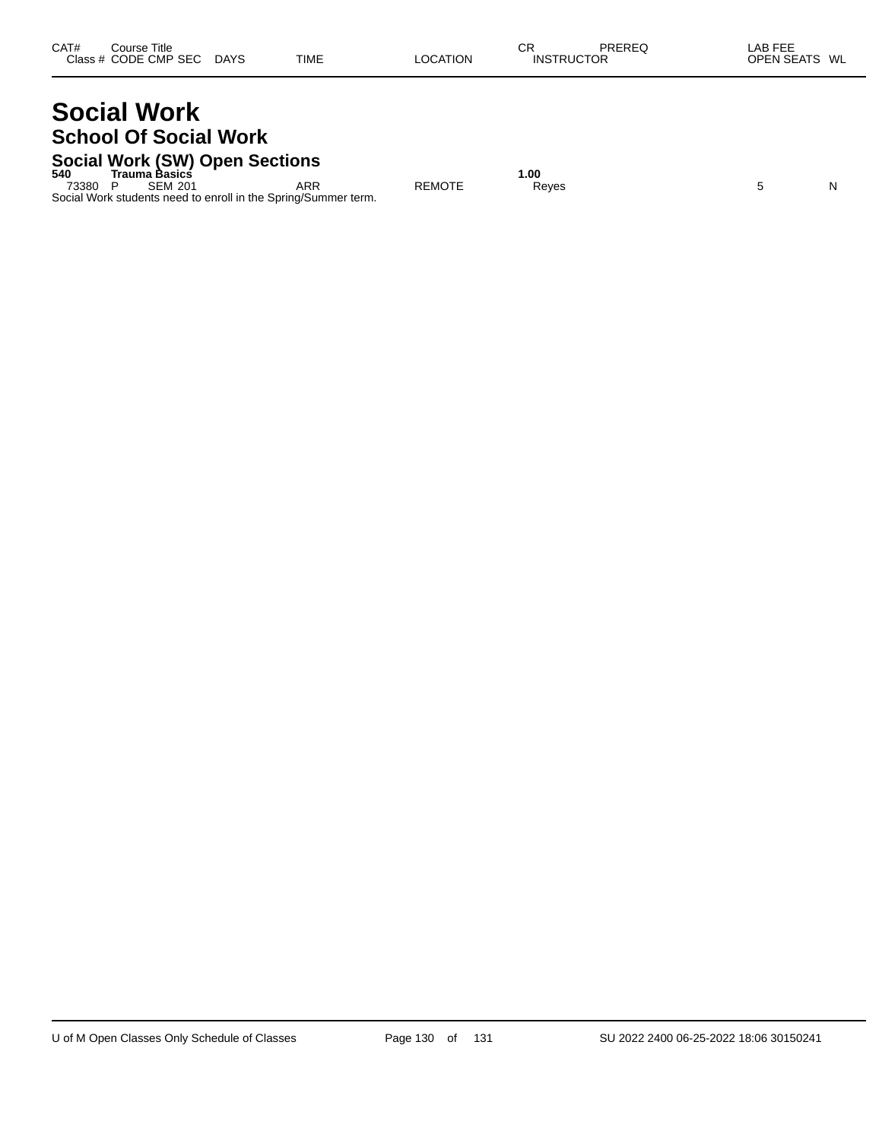# **Social Work School Of Social Work**

# **Social Work (SW) Open Sections 540 Trauma Basics 1.00**

73380 P SEM 201 ARR REMOTE Reyes 5 N Social Work students need to enroll in the Spring/Summer term.